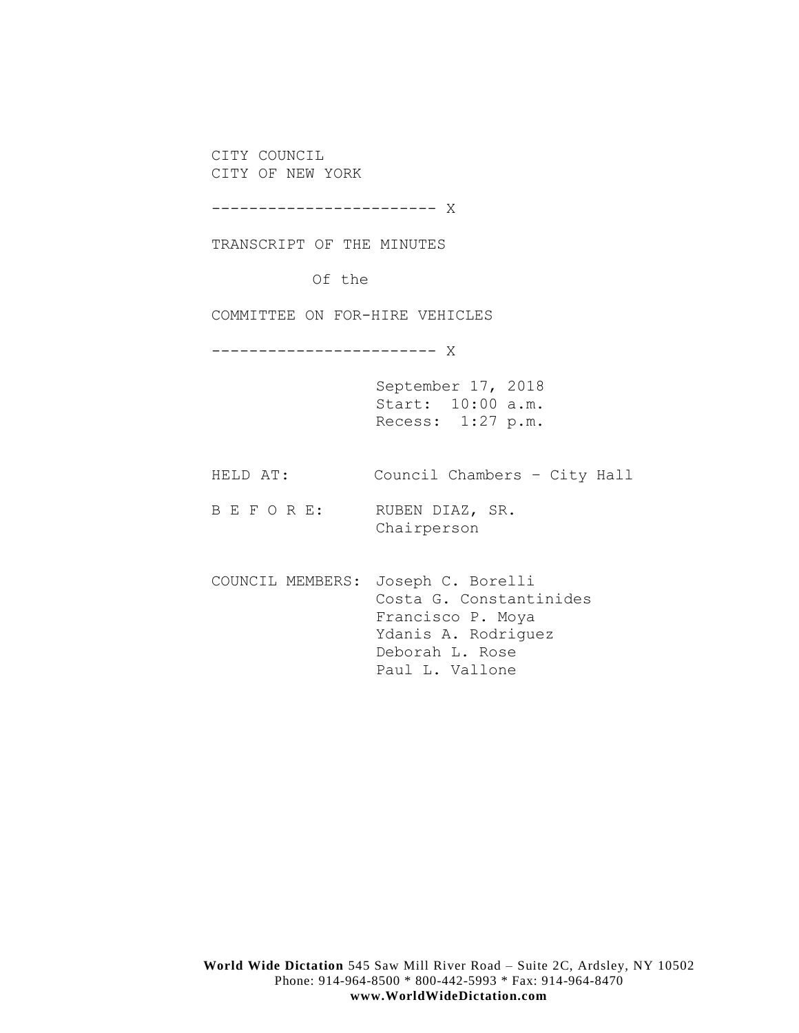CITY COUNCIL CITY OF NEW YORK

------------------------ X

TRANSCRIPT OF THE MINUTES

Of the

COMMITTEE ON FOR-HIRE VEHICLES

------------------------ X

September 17, 2018 Start: 10:00 a.m. Recess: 1:27 p.m.

HELD AT: Council Chambers – City Hall

B E F O R E: RUBEN DIAZ, SR. Chairperson

COUNCIL MEMBERS: Joseph C. Borelli Costa G. Constantinides Francisco P. Moya Ydanis A. Rodriguez Deborah L. Rose Paul L. Vallone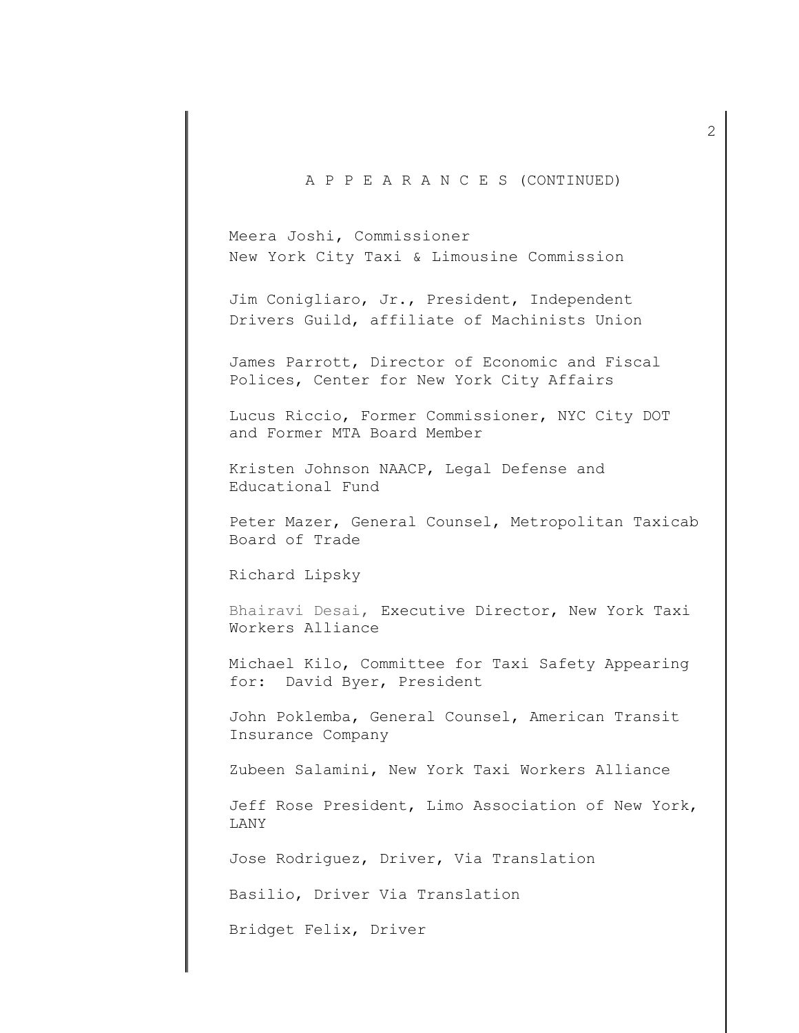## A P P E A R A N C E S (CONTINUED)

Meera Joshi, Commissioner New York City Taxi & Limousine Commission

Jim Conigliaro, Jr., President, Independent Drivers Guild, affiliate of Machinists Union

James Parrott, Director of Economic and Fiscal Polices, Center for New York City Affairs

Lucus Riccio, Former Commissioner, NYC City DOT and Former MTA Board Member

Kristen Johnson NAACP, Legal Defense and Educational Fund

Peter Mazer, General Counsel, Metropolitan Taxicab Board of Trade

Richard Lipsky

Bhairavi Desai, Executive Director, New York Taxi Workers Alliance

Michael Kilo, Committee for Taxi Safety Appearing for: David Byer, President

John Poklemba, General Counsel, American Transit Insurance Company

Zubeen Salamini, New York Taxi Workers Alliance

Jeff Rose President, Limo Association of New York, LANY

Jose Rodriguez, Driver, Via Translation

Basilio, Driver Via Translation

Bridget Felix, Driver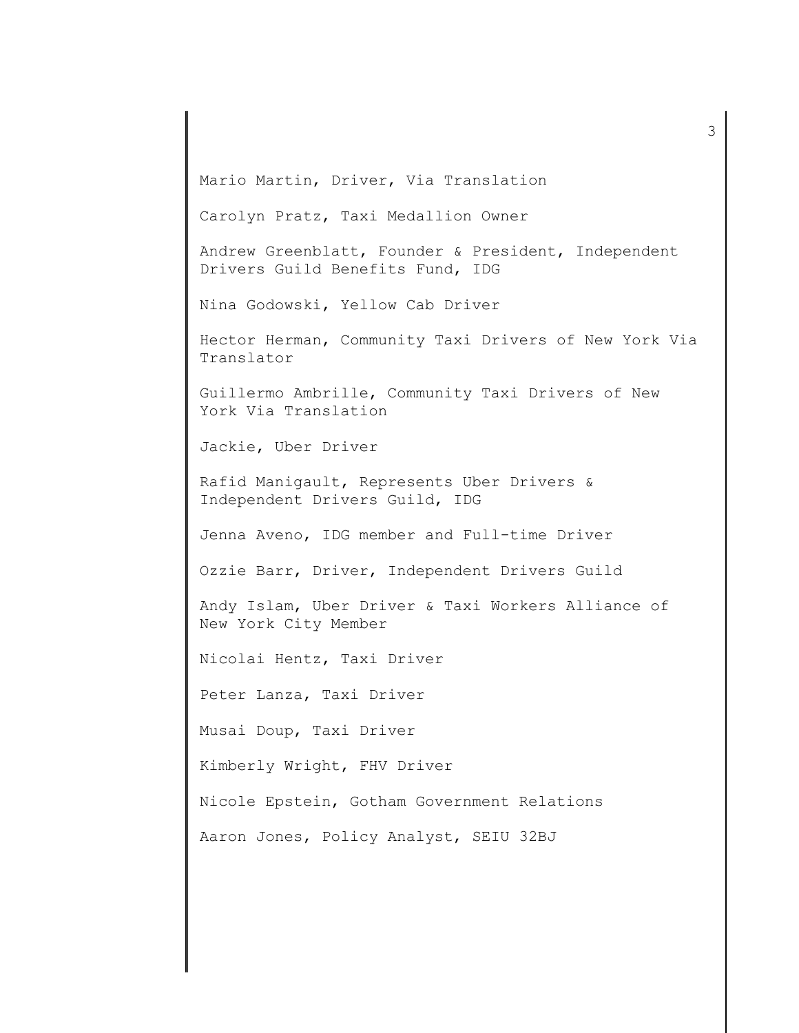Mario Martin, Driver, Via Translation

Carolyn Pratz, Taxi Medallion Owner

Andrew Greenblatt, Founder & President, Independent Drivers Guild Benefits Fund, IDG

Nina Godowski, Yellow Cab Driver

Hector Herman, Community Taxi Drivers of New York Via Translator

Guillermo Ambrille, Community Taxi Drivers of New York Via Translation

Jackie, Uber Driver

Rafid Manigault, Represents Uber Drivers & Independent Drivers Guild, IDG

Jenna Aveno, IDG member and Full-time Driver

Ozzie Barr, Driver, Independent Drivers Guild

Andy Islam, Uber Driver & Taxi Workers Alliance of New York City Member

Nicolai Hentz, Taxi Driver

Peter Lanza, Taxi Driver

Musai Doup, Taxi Driver

Kimberly Wright, FHV Driver

Nicole Epstein, Gotham Government Relations

Aaron Jones, Policy Analyst, SEIU 32BJ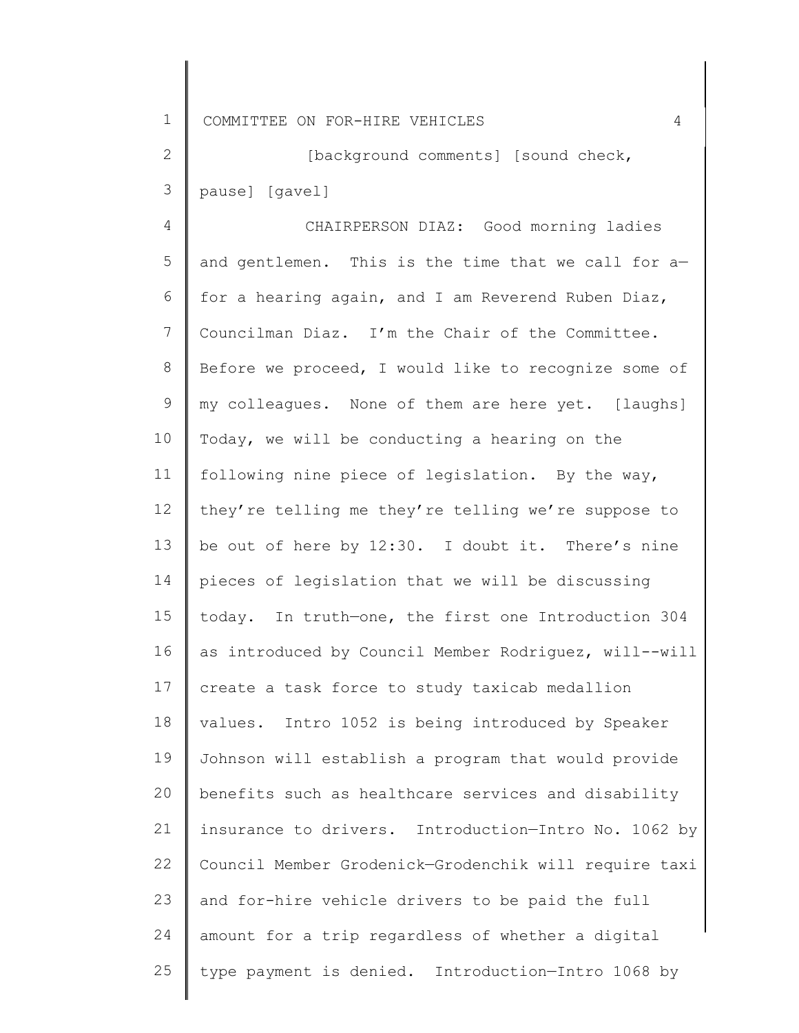2 3 [background comments] [sound check, pause] [gavel]

4 5 6 7 8 9 10 11 12 13 14 15 16 17 18 19 20 21 22 23 24 25 CHAIRPERSON DIAZ: Good morning ladies and gentlemen. This is the time that we call for a for a hearing again, and I am Reverend Ruben Diaz, Councilman Diaz. I'm the Chair of the Committee. Before we proceed, I would like to recognize some of my colleagues. None of them are here yet. [laughs] Today, we will be conducting a hearing on the following nine piece of legislation. By the way, they're telling me they're telling we're suppose to be out of here by 12:30. I doubt it. There's nine pieces of legislation that we will be discussing today. In truth—one, the first one Introduction 304 as introduced by Council Member Rodriguez, will--will create a task force to study taxicab medallion values. Intro 1052 is being introduced by Speaker Johnson will establish a program that would provide benefits such as healthcare services and disability insurance to drivers. Introduction—Intro No. 1062 by Council Member Grodenick—Grodenchik will require taxi and for-hire vehicle drivers to be paid the full amount for a trip regardless of whether a digital type payment is denied. Introduction—Intro 1068 by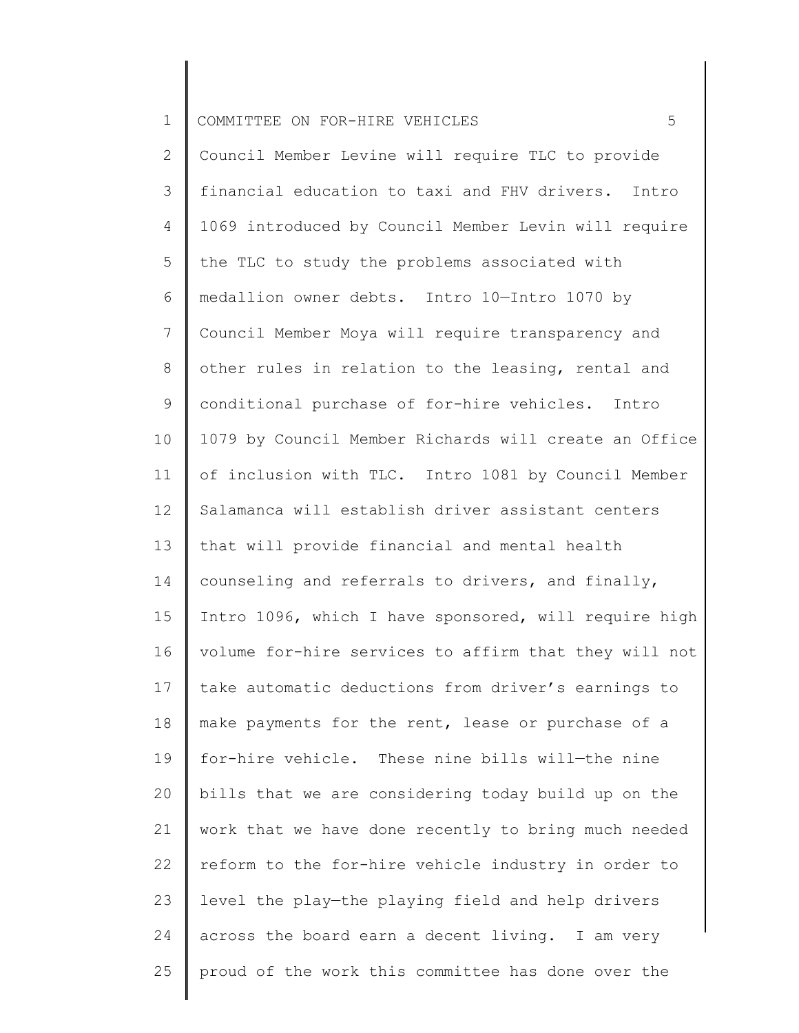## 1 COMMITTEE ON FOR-HIRE VEHICLES **FOULD** 5

2 3 4 5 6 7 8 9 10 11 12 13 14 15 16 17 18 19 20 21 22 23 24 25 Council Member Levine will require TLC to provide financial education to taxi and FHV drivers. Intro 1069 introduced by Council Member Levin will require the TLC to study the problems associated with medallion owner debts. Intro 10—Intro 1070 by Council Member Moya will require transparency and other rules in relation to the leasing, rental and conditional purchase of for-hire vehicles. Intro 1079 by Council Member Richards will create an Office of inclusion with TLC. Intro 1081 by Council Member Salamanca will establish driver assistant centers that will provide financial and mental health counseling and referrals to drivers, and finally, Intro 1096, which I have sponsored, will require high volume for-hire services to affirm that they will not take automatic deductions from driver's earnings to make payments for the rent, lease or purchase of a for-hire vehicle. These nine bills will—the nine bills that we are considering today build up on the work that we have done recently to bring much needed reform to the for-hire vehicle industry in order to level the play—the playing field and help drivers across the board earn a decent living. I am very proud of the work this committee has done over the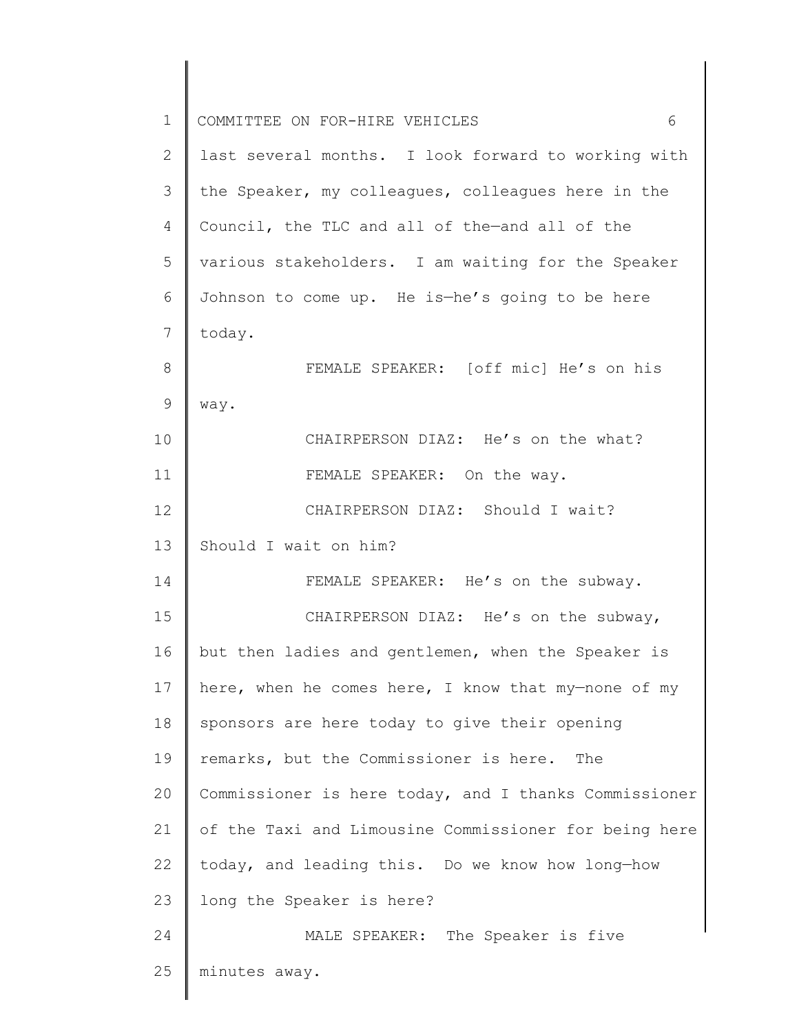| $\mathbf 1$   | 6<br>COMMITTEE ON FOR-HIRE VEHICLES                   |
|---------------|-------------------------------------------------------|
| 2             | last several months. I look forward to working with   |
| 3             | the Speaker, my colleagues, colleagues here in the    |
| 4             | Council, the TLC and all of the-and all of the        |
| 5             | various stakeholders. I am waiting for the Speaker    |
| 6             | Johnson to come up. He is-he's going to be here       |
| 7             | today.                                                |
| 8             | FEMALE SPEAKER: [off mic] He's on his                 |
| $\mathcal{G}$ | way.                                                  |
| 10            | CHAIRPERSON DIAZ: He's on the what?                   |
| 11            | FEMALE SPEAKER: On the way.                           |
| 12            | CHAIRPERSON DIAZ: Should I wait?                      |
| 13            | Should I wait on him?                                 |
| 14            | FEMALE SPEAKER: He's on the subway.                   |
| 15            | CHAIRPERSON DIAZ: He's on the subway,                 |
| 16            | but then ladies and gentlemen, when the Speaker is    |
| 17            | here, when he comes here, I know that my-none of my   |
| 18            | sponsors are here today to give their opening         |
| 19            | remarks, but the Commissioner is here.<br>The         |
| 20            | Commissioner is here today, and I thanks Commissioner |
| 21            | of the Taxi and Limousine Commissioner for being here |
| 22            | today, and leading this. Do we know how long-how      |
| 23            | long the Speaker is here?                             |
| 24            | MALE SPEAKER: The Speaker is five                     |
| 25            | minutes away.                                         |
|               |                                                       |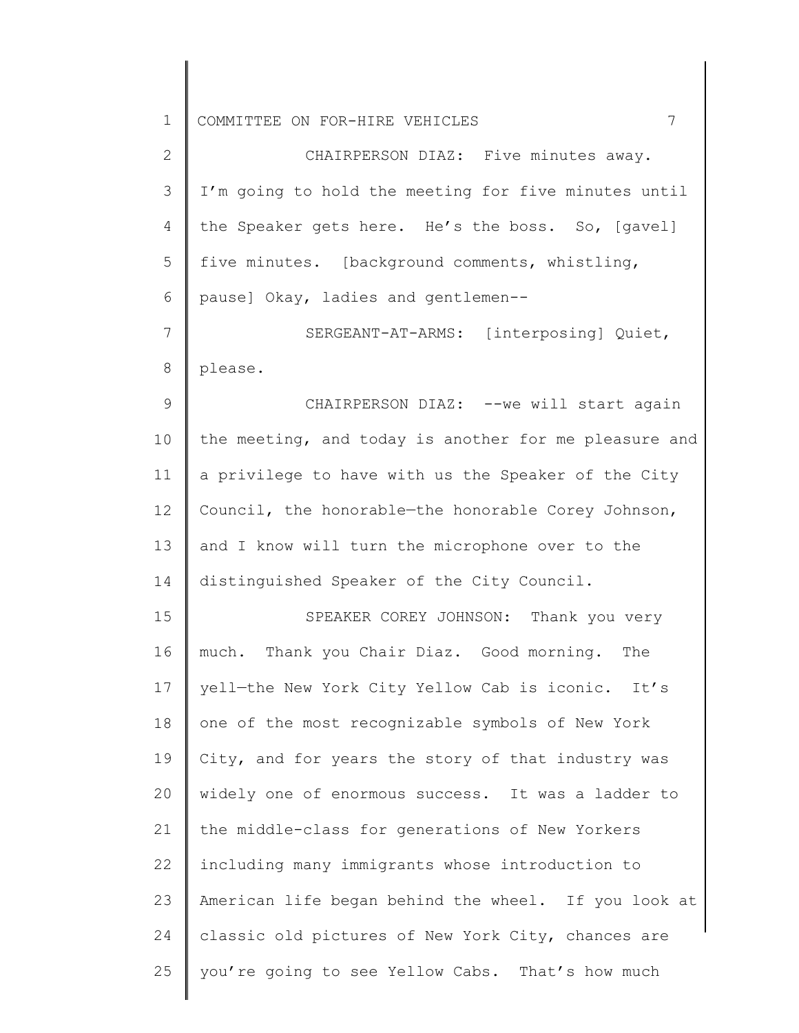1 COMMITTEE ON FOR-HIRE VEHICLES **7** 

2 3 4 5 6 CHAIRPERSON DIAZ: Five minutes away. I'm going to hold the meeting for five minutes until the Speaker gets here. He's the boss. So, [gavel] five minutes. [background comments, whistling, pause] Okay, ladies and gentlemen--

7 8 SERGEANT-AT-ARMS: [interposing] Quiet, please.

9 10 11 12 13 14 CHAIRPERSON DIAZ: --we will start again the meeting, and today is another for me pleasure and a privilege to have with us the Speaker of the City Council, the honorable—the honorable Corey Johnson, and I know will turn the microphone over to the distinguished Speaker of the City Council.

15 16 17 18 19 20 21 22 23 24 25 SPEAKER COREY JOHNSON: Thank you very much. Thank you Chair Diaz. Good morning. The yell—the New York City Yellow Cab is iconic. It's one of the most recognizable symbols of New York City, and for years the story of that industry was widely one of enormous success. It was a ladder to the middle-class for generations of New Yorkers including many immigrants whose introduction to American life began behind the wheel. If you look at classic old pictures of New York City, chances are you're going to see Yellow Cabs. That's how much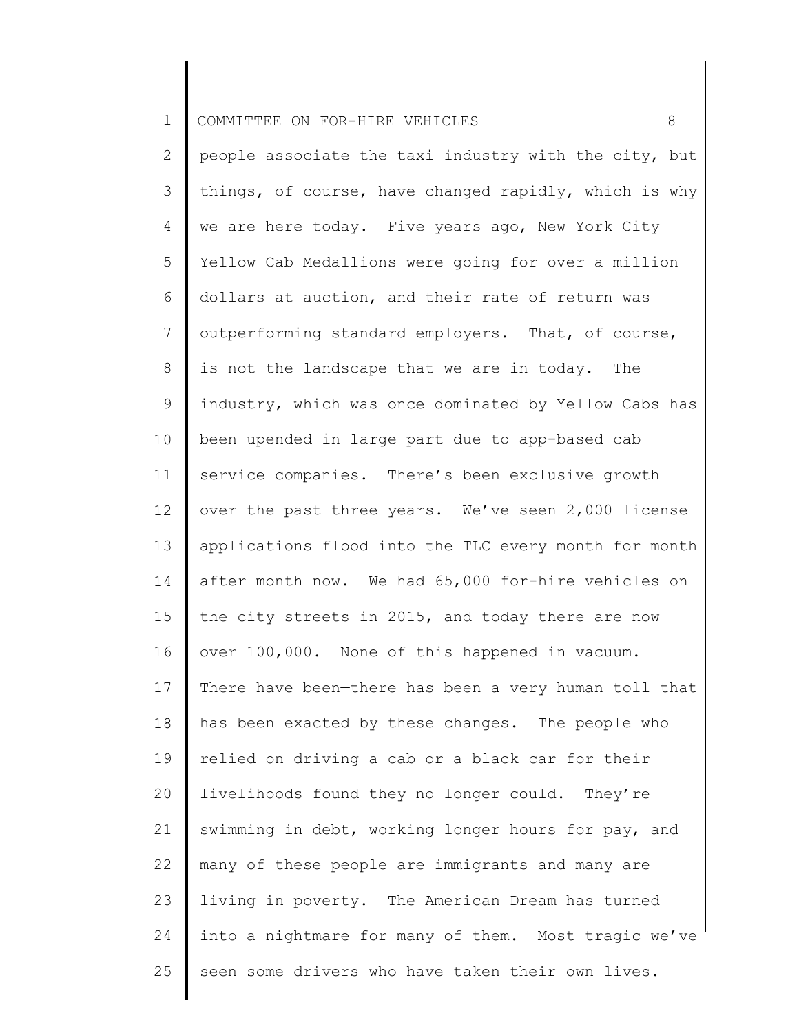|  | 1 COMMITTEE ON FOR-HIRE VEHICLES |  |  |  |  |  |
|--|----------------------------------|--|--|--|--|--|
|--|----------------------------------|--|--|--|--|--|

2 3 4 5 6 7 8 9 10 11 12 13 14 15 16 17 18 19 20 21 22 23 24 25 people associate the taxi industry with the city, but things, of course, have changed rapidly, which is why we are here today. Five years ago, New York City Yellow Cab Medallions were going for over a million dollars at auction, and their rate of return was outperforming standard employers. That, of course, is not the landscape that we are in today. The industry, which was once dominated by Yellow Cabs has been upended in large part due to app-based cab service companies. There's been exclusive growth over the past three years. We've seen 2,000 license applications flood into the TLC every month for month after month now. We had 65,000 for-hire vehicles on the city streets in 2015, and today there are now over 100,000. None of this happened in vacuum. There have been—there has been a very human toll that has been exacted by these changes. The people who relied on driving a cab or a black car for their livelihoods found they no longer could. They're swimming in debt, working longer hours for pay, and many of these people are immigrants and many are living in poverty. The American Dream has turned into a nightmare for many of them. Most tragic we've seen some drivers who have taken their own lives.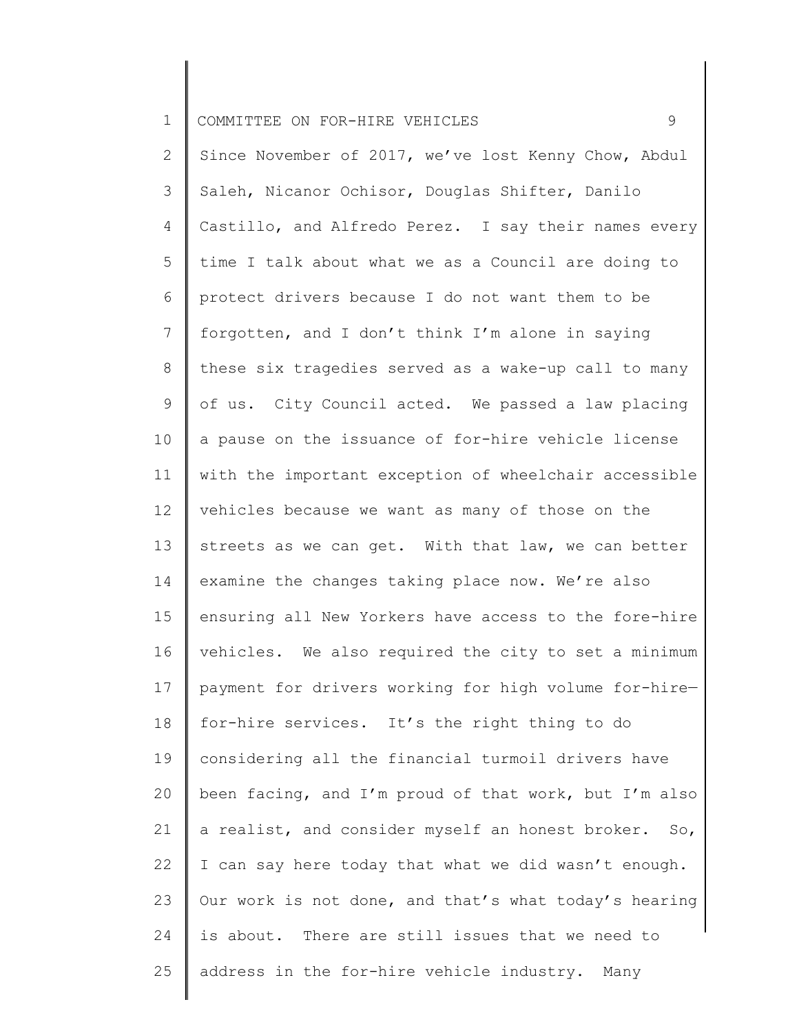1 COMMITTEE ON FOR-HIRE VEHICLES 9

2 3 4 5 6 7 8 9 10 11 12 13 14 15 16 17 18 19 20 21 22 23 24 25 Since November of 2017, we've lost Kenny Chow, Abdul Saleh, Nicanor Ochisor, Douglas Shifter, Danilo Castillo, and Alfredo Perez. I say their names every time I talk about what we as a Council are doing to protect drivers because I do not want them to be forgotten, and I don't think I'm alone in saying these six tragedies served as a wake-up call to many of us. City Council acted. We passed a law placing a pause on the issuance of for-hire vehicle license with the important exception of wheelchair accessible vehicles because we want as many of those on the streets as we can get. With that law, we can better examine the changes taking place now. We're also ensuring all New Yorkers have access to the fore-hire vehicles. We also required the city to set a minimum payment for drivers working for high volume for-hire for-hire services. It's the right thing to do considering all the financial turmoil drivers have been facing, and I'm proud of that work, but I'm also a realist, and consider myself an honest broker. So, I can say here today that what we did wasn't enough. Our work is not done, and that's what today's hearing is about. There are still issues that we need to address in the for-hire vehicle industry. Many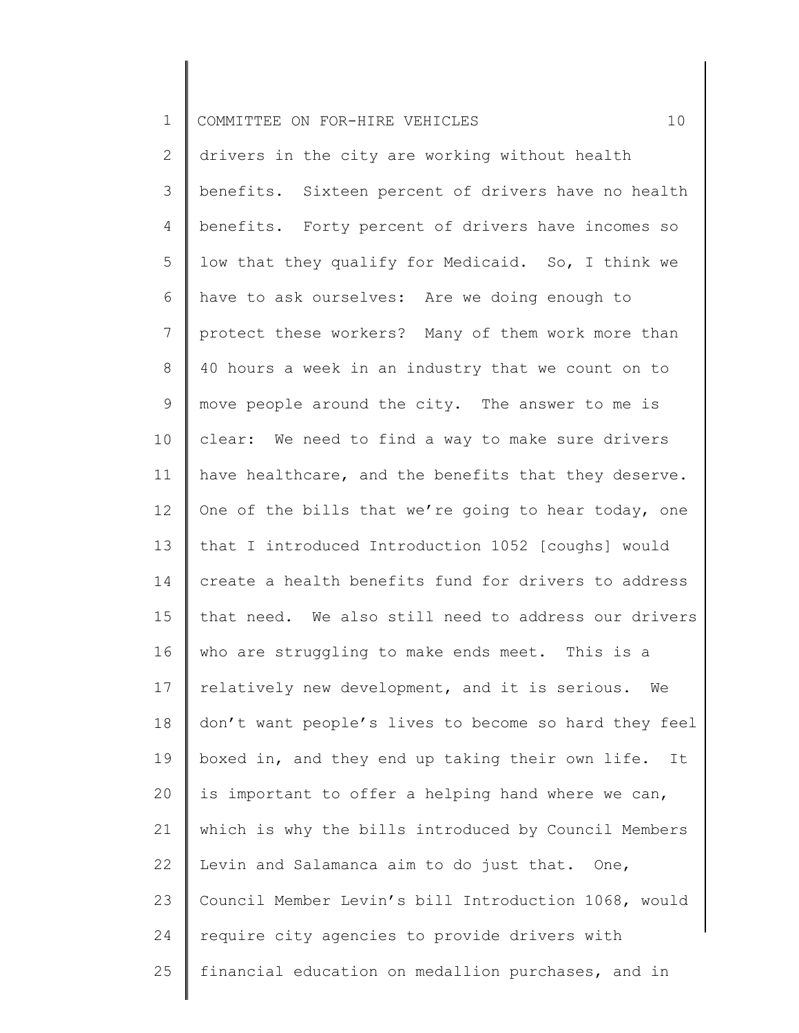| ᅩ | COMMITTEE ON FOR-HIRE VEHICLES |  |  |  |  |  |  |
|---|--------------------------------|--|--|--|--|--|--|
|---|--------------------------------|--|--|--|--|--|--|

2 3 4 5 6 7 8 9 10 11 12 13 14 15 16 17 18 19 20 21 22 23 24 25 drivers in the city are working without health benefits. Sixteen percent of drivers have no health benefits. Forty percent of drivers have incomes so low that they qualify for Medicaid. So, I think we have to ask ourselves: Are we doing enough to protect these workers? Many of them work more than 40 hours a week in an industry that we count on to move people around the city. The answer to me is clear: We need to find a way to make sure drivers have healthcare, and the benefits that they deserve. One of the bills that we're going to hear today, one that I introduced Introduction 1052 [coughs] would create a health benefits fund for drivers to address that need. We also still need to address our drivers who are struggling to make ends meet. This is a relatively new development, and it is serious. We don't want people's lives to become so hard they feel boxed in, and they end up taking their own life. It is important to offer a helping hand where we can, which is why the bills introduced by Council Members Levin and Salamanca aim to do just that. One, Council Member Levin's bill Introduction 1068, would require city agencies to provide drivers with financial education on medallion purchases, and in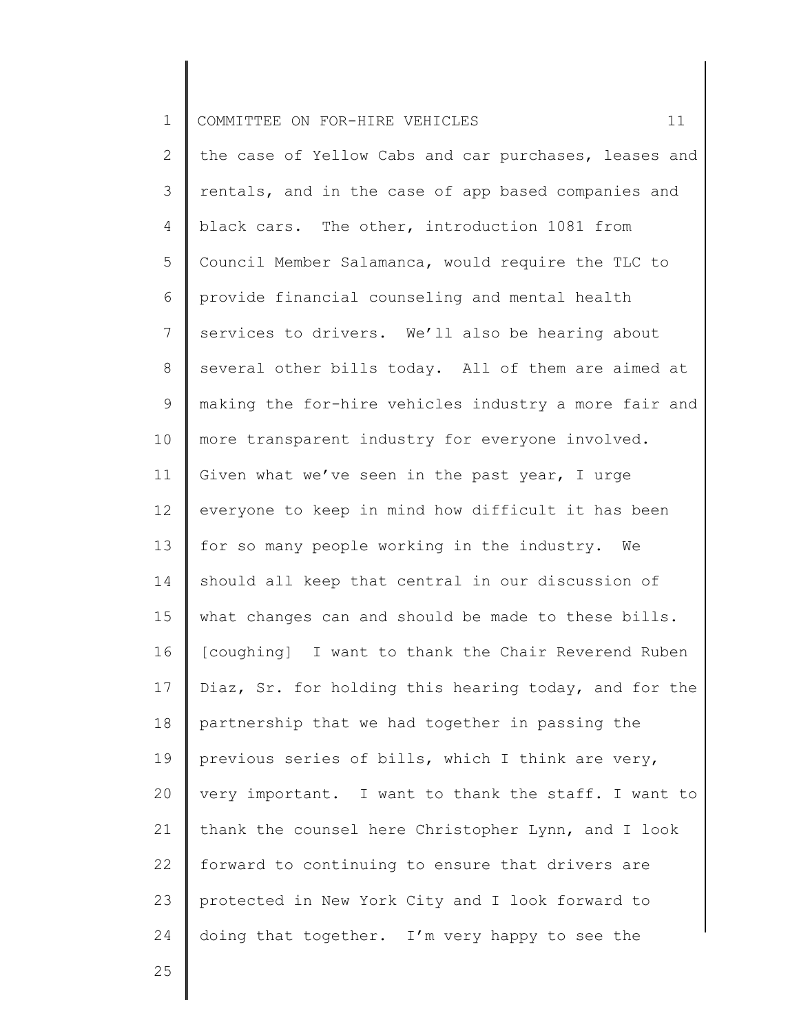| $\mathbf 1$     | 11<br>COMMITTEE ON FOR-HIRE VEHICLES                  |
|-----------------|-------------------------------------------------------|
| 2               | the case of Yellow Cabs and car purchases, leases and |
| 3               | rentals, and in the case of app based companies and   |
| 4               | black cars. The other, introduction 1081 from         |
| 5               | Council Member Salamanca, would require the TLC to    |
| 6               | provide financial counseling and mental health        |
| $7\phantom{.0}$ | services to drivers. We'll also be hearing about      |
| 8               | several other bills today. All of them are aimed at   |
| 9               | making the for-hire vehicles industry a more fair and |
| 10              | more transparent industry for everyone involved.      |
| 11              | Given what we've seen in the past year, I urge        |
| 12              | everyone to keep in mind how difficult it has been    |
| 13              | for so many people working in the industry. We        |
| 14              | should all keep that central in our discussion of     |
| 15              | what changes can and should be made to these bills.   |
| 16              | [coughing] I want to thank the Chair Reverend Ruben   |
| 17              | Diaz, Sr. for holding this hearing today, and for the |
| 18              | partnership that we had together in passing the       |
| 19              | previous series of bills, which I think are very,     |
| 20              | very important. I want to thank the staff. I want to  |
| 21              | thank the counsel here Christopher Lynn, and I look   |
| 22              | forward to continuing to ensure that drivers are      |
| 23              | protected in New York City and I look forward to      |
| 24              | doing that together. I'm very happy to see the        |
| 25              |                                                       |

 $\parallel$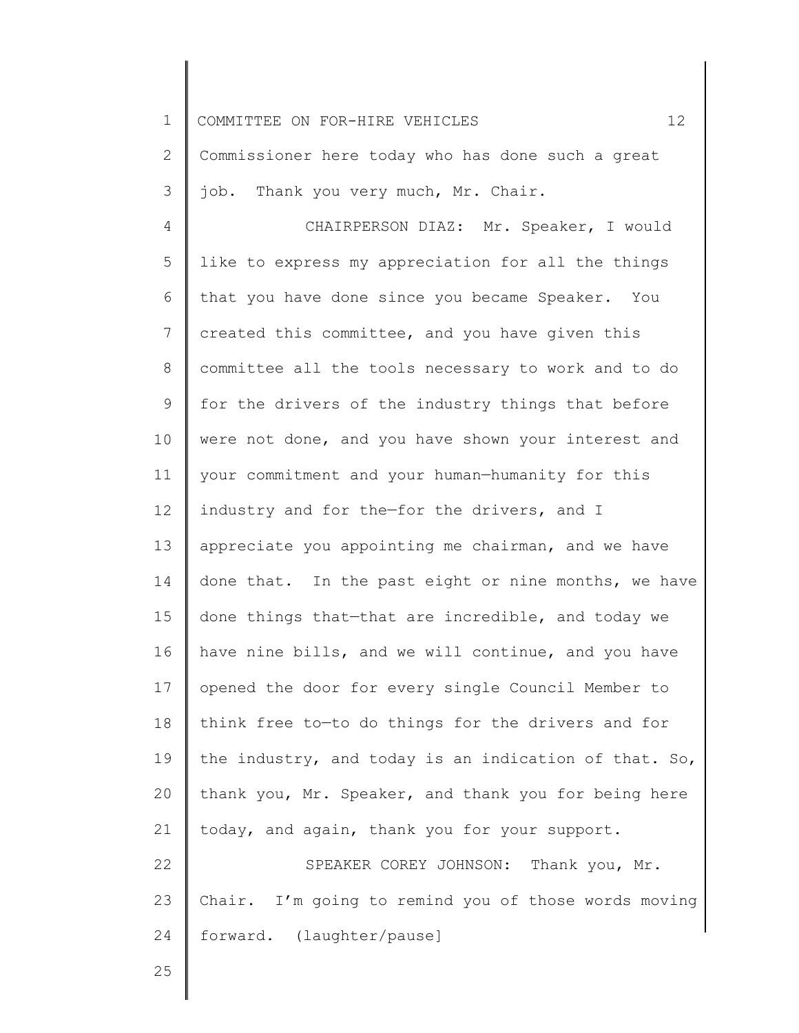1 2 3 4 5 6 7 8 9 10 11 12 13 14 15 16 17 18 19 20 21 22 23 24 COMMITTEE ON FOR-HIRE VEHICLES 12 Commissioner here today who has done such a great job. Thank you very much, Mr. Chair. CHAIRPERSON DIAZ: Mr. Speaker, I would like to express my appreciation for all the things that you have done since you became Speaker. You created this committee, and you have given this committee all the tools necessary to work and to do for the drivers of the industry things that before were not done, and you have shown your interest and your commitment and your human—humanity for this industry and for the—for the drivers, and I appreciate you appointing me chairman, and we have done that. In the past eight or nine months, we have done things that—that are incredible, and today we have nine bills, and we will continue, and you have opened the door for every single Council Member to think free to—to do things for the drivers and for the industry, and today is an indication of that. So, thank you, Mr. Speaker, and thank you for being here today, and again, thank you for your support. SPEAKER COREY JOHNSON: Thank you, Mr. Chair. I'm going to remind you of those words moving forward. (laughter/pause]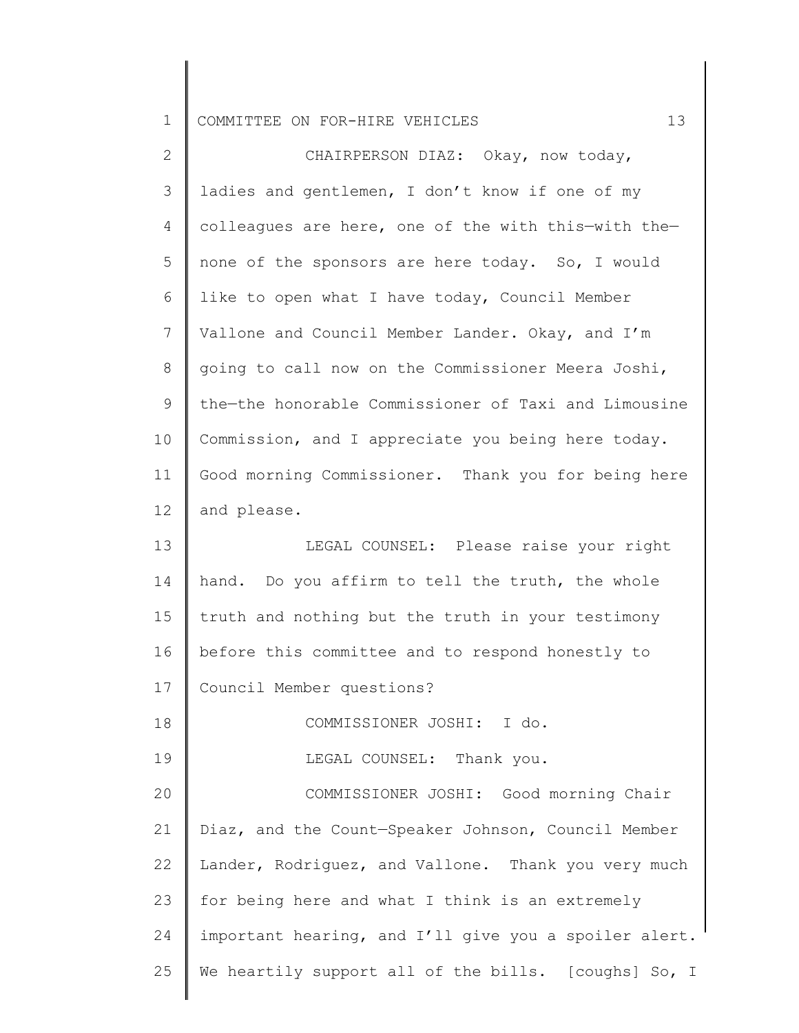1 COMMITTEE ON FOR-HIRE VEHICLES 13

| $\mathbf{2}$    | CHAIRPERSON DIAZ: Okay, now today,                    |
|-----------------|-------------------------------------------------------|
| $\mathcal{S}$   | ladies and gentlemen, I don't know if one of my       |
| 4               | colleagues are here, one of the with this-with the-   |
| 5               | none of the sponsors are here today. So, I would      |
| 6               | like to open what I have today, Council Member        |
| 7               | Vallone and Council Member Lander. Okay, and I'm      |
| 8               | going to call now on the Commissioner Meera Joshi,    |
| 9               | the-the honorable Commissioner of Taxi and Limousine  |
| 10              | Commission, and I appreciate you being here today.    |
| 11              | Good morning Commissioner. Thank you for being here   |
| 12 <sup>°</sup> | and please.                                           |
| 13              | LEGAL COUNSEL: Please raise your right                |
| 14              | hand. Do you affirm to tell the truth, the whole      |
| 15              | truth and nothing but the truth in your testimony     |
| 16              | before this committee and to respond honestly to      |
| 17              | Council Member questions?                             |
| 18              | COMMISSIONER JOSHI: I do.                             |
| 19              | LEGAL COUNSEL: Thank you.                             |
| 20              | COMMISSIONER JOSHI: Good morning Chair                |
| 21              | Diaz, and the Count-Speaker Johnson, Council Member   |
| 22              | Lander, Rodriguez, and Vallone. Thank you very much   |
| 23              | for being here and what I think is an extremely       |
| 24              | important hearing, and I'll give you a spoiler alert. |
| 25              | We heartily support all of the bills. [coughs] So, I  |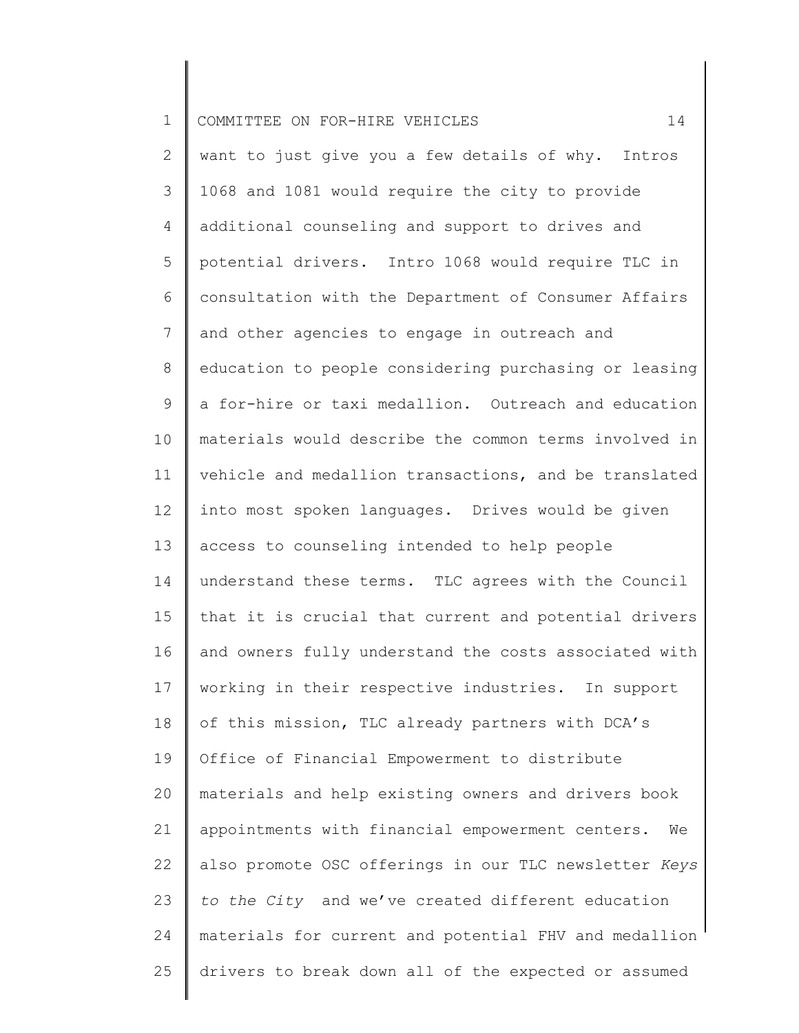| $\mathbf 1$     | 14<br>COMMITTEE ON FOR-HIRE VEHICLES                   |
|-----------------|--------------------------------------------------------|
| $\mathbf{2}$    | want to just give you a few details of why. Intros     |
| 3               | 1068 and 1081 would require the city to provide        |
| 4               | additional counseling and support to drives and        |
| 5               | potential drivers. Intro 1068 would require TLC in     |
| 6               | consultation with the Department of Consumer Affairs   |
| $7\phantom{.0}$ | and other agencies to engage in outreach and           |
| 8               | education to people considering purchasing or leasing  |
| $\mathsf 9$     | a for-hire or taxi medallion. Outreach and education   |
| 10              | materials would describe the common terms involved in  |
| 11              | vehicle and medallion transactions, and be translated  |
| 12              | into most spoken languages. Drives would be given      |
| 13              | access to counseling intended to help people           |
| 14              | understand these terms. TLC agrees with the Council    |
| 15              | that it is crucial that current and potential drivers  |
| 16              | and owners fully understand the costs associated with  |
| 17              | working in their respective industries. In support     |
| 18              | of this mission, TLC already partners with DCA's       |
| 19              | Office of Financial Empowerment to distribute          |
| 20              | materials and help existing owners and drivers book    |
| 21              | appointments with financial empowerment centers.<br>We |
| 22              | also promote OSC offerings in our TLC newsletter Keys  |
| 23              | to the City and we've created different education      |
| 24              | materials for current and potential FHV and medallion  |
| 25              | drivers to break down all of the expected or assumed   |
|                 |                                                        |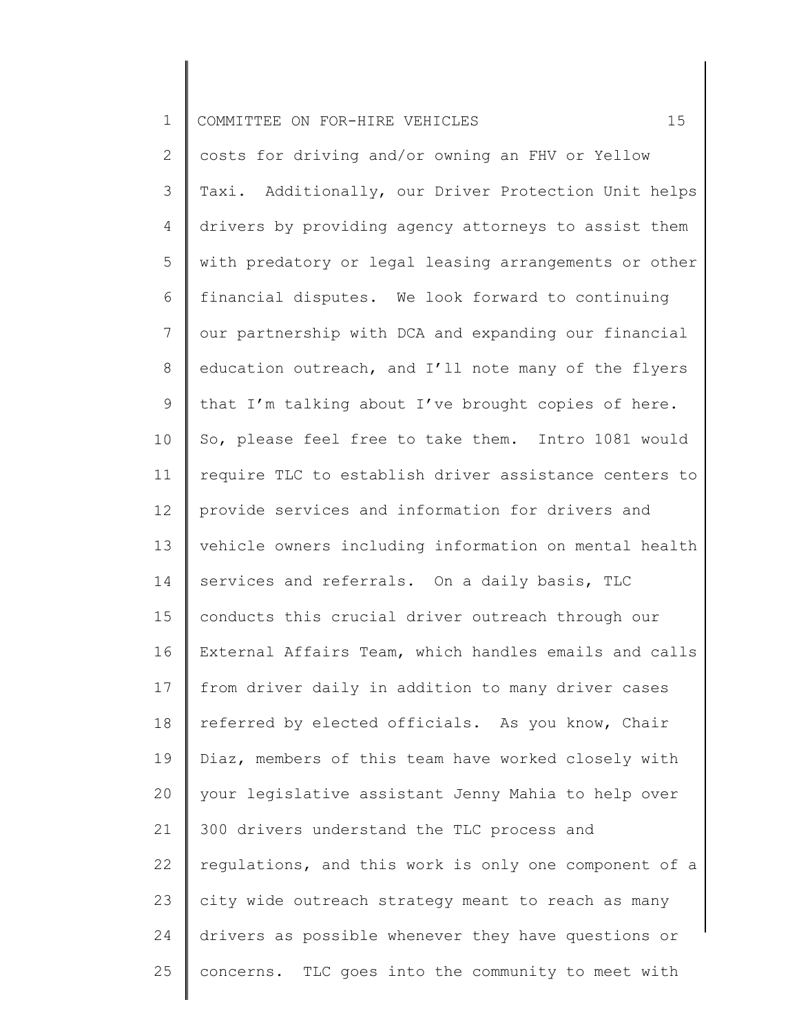| $\mathbf 1$    | 15<br>COMMITTEE ON FOR-HIRE VEHICLES                  |
|----------------|-------------------------------------------------------|
| $\mathbf{2}$   | costs for driving and/or owning an FHV or Yellow      |
| 3              | Taxi. Additionally, our Driver Protection Unit helps  |
| 4              | drivers by providing agency attorneys to assist them  |
| 5              | with predatory or legal leasing arrangements or other |
| 6              | financial disputes. We look forward to continuing     |
| $7\phantom{.}$ | our partnership with DCA and expanding our financial  |
| 8              | education outreach, and I'll note many of the flyers  |
| 9              | that I'm talking about I've brought copies of here.   |
| 10             | So, please feel free to take them. Intro 1081 would   |
| 11             | require TLC to establish driver assistance centers to |
| 12             | provide services and information for drivers and      |
| 13             | vehicle owners including information on mental health |
| 14             | services and referrals. On a daily basis, TLC         |
| 15             | conducts this crucial driver outreach through our     |
| 16             | External Affairs Team, which handles emails and calls |
| 17             | from driver daily in addition to many driver cases    |
| 18             | referred by elected officials. As you know, Chair     |
| 19             | Diaz, members of this team have worked closely with   |
| 20             | your legislative assistant Jenny Mahia to help over   |
| 21             | 300 drivers understand the TLC process and            |
| 22             | regulations, and this work is only one component of a |
| 23             | city wide outreach strategy meant to reach as many    |
| 24             | drivers as possible whenever they have questions or   |
| 25             | concerns. TLC goes into the community to meet with    |
|                |                                                       |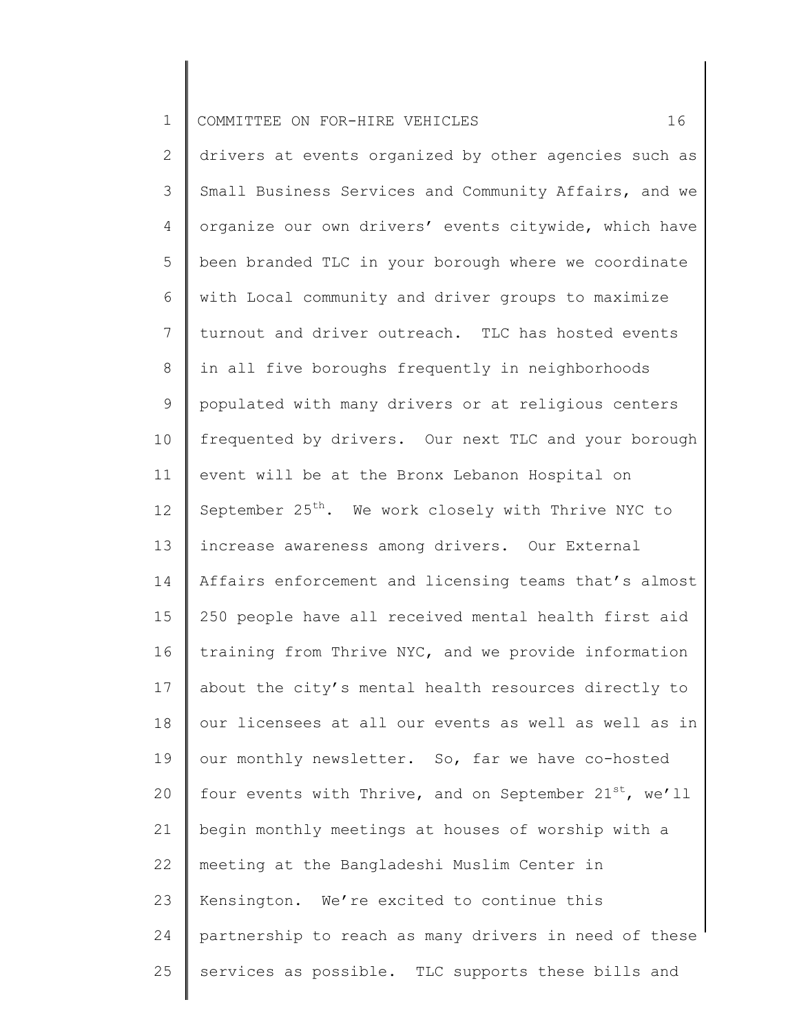| $\mathbf 1$ | 16<br>COMMITTEE ON FOR-HIRE VEHICLES                               |
|-------------|--------------------------------------------------------------------|
| 2           | drivers at events organized by other agencies such as              |
| 3           | Small Business Services and Community Affairs, and we              |
| 4           | organize our own drivers' events citywide, which have              |
| 5           | been branded TLC in your borough where we coordinate               |
| 6           | with Local community and driver groups to maximize                 |
| 7           | turnout and driver outreach. TLC has hosted events                 |
| 8           | in all five boroughs frequently in neighborhoods                   |
| 9           | populated with many drivers or at religious centers                |
| 10          | frequented by drivers. Our next TLC and your borough               |
| 11          | event will be at the Bronx Lebanon Hospital on                     |
| 12          | September 25 <sup>th</sup> . We work closely with Thrive NYC to    |
| 13          | increase awareness among drivers. Our External                     |
| 14          | Affairs enforcement and licensing teams that's almost              |
| 15          | 250 people have all received mental health first aid               |
| 16          | training from Thrive NYC, and we provide information               |
| 17          | about the city's mental health resources directly to               |
| 18          | our licensees at all our events as well as well as in              |
| 19          | our monthly newsletter. So, far we have co-hosted                  |
| 20          | four events with Thrive, and on September 21 <sup>st</sup> , we'll |
| 21          | begin monthly meetings at houses of worship with a                 |
| 22          | meeting at the Bangladeshi Muslim Center in                        |
| 23          | Kensington. We're excited to continue this                         |
| 24          | partnership to reach as many drivers in need of these              |
| 25          | services as possible. TLC supports these bills and                 |
|             |                                                                    |

║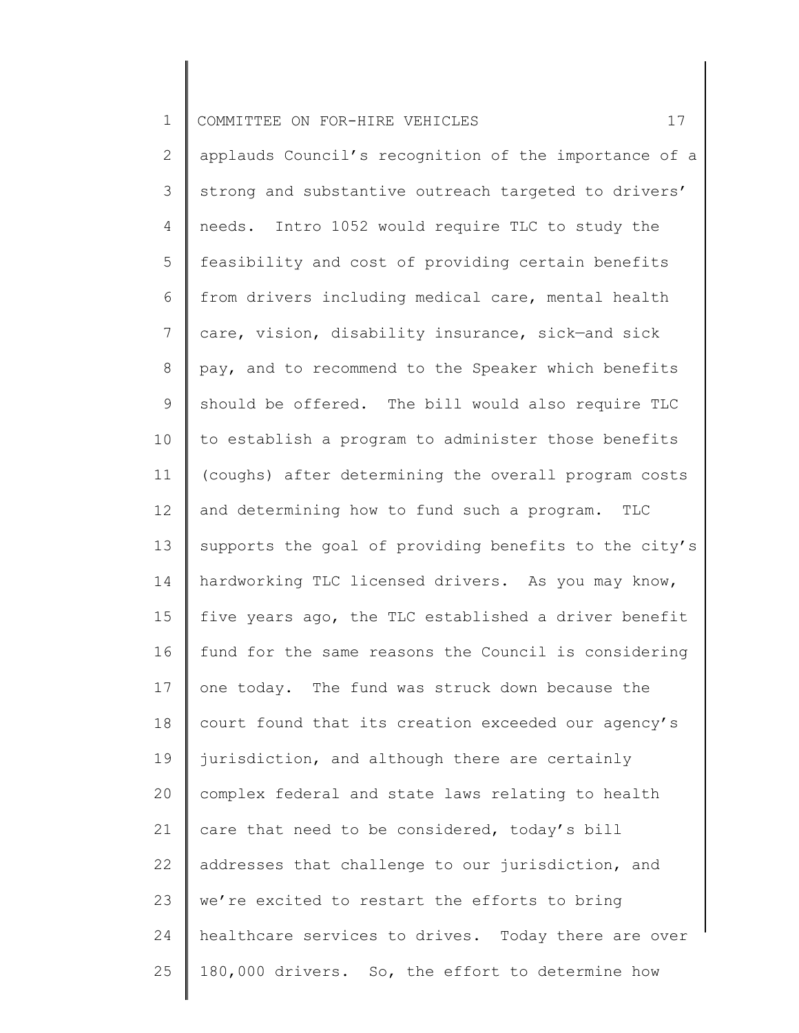| $\mathbf 1$    | 17<br>COMMITTEE ON FOR-HIRE VEHICLES                  |
|----------------|-------------------------------------------------------|
| $\mathbf{2}$   | applauds Council's recognition of the importance of a |
| 3              | strong and substantive outreach targeted to drivers'  |
| 4              | needs. Intro 1052 would require TLC to study the      |
| 5              | feasibility and cost of providing certain benefits    |
| 6              | from drivers including medical care, mental health    |
| $7\phantom{.}$ | care, vision, disability insurance, sick-and sick     |
| 8              | pay, and to recommend to the Speaker which benefits   |
| 9              | should be offered. The bill would also require TLC    |
| 10             | to establish a program to administer those benefits   |
| 11             | (coughs) after determining the overall program costs  |
| 12             | and determining how to fund such a program. TLC       |
| 13             | supports the goal of providing benefits to the city's |
| 14             | hardworking TLC licensed drivers. As you may know,    |
| 15             | five years ago, the TLC established a driver benefit  |
| 16             | fund for the same reasons the Council is considering  |
| 17             | one today. The fund was struck down because the       |
| 18             | court found that its creation exceeded our agency's   |
| 19             | jurisdiction, and although there are certainly        |
| 20             | complex federal and state laws relating to health     |
| 21             | care that need to be considered, today's bill         |
| 22             | addresses that challenge to our jurisdiction, and     |
| 23             | we're excited to restart the efforts to bring         |
| 24             | healthcare services to drives. Today there are over   |
| 25             | 180,000 drivers. So, the effort to determine how      |
|                |                                                       |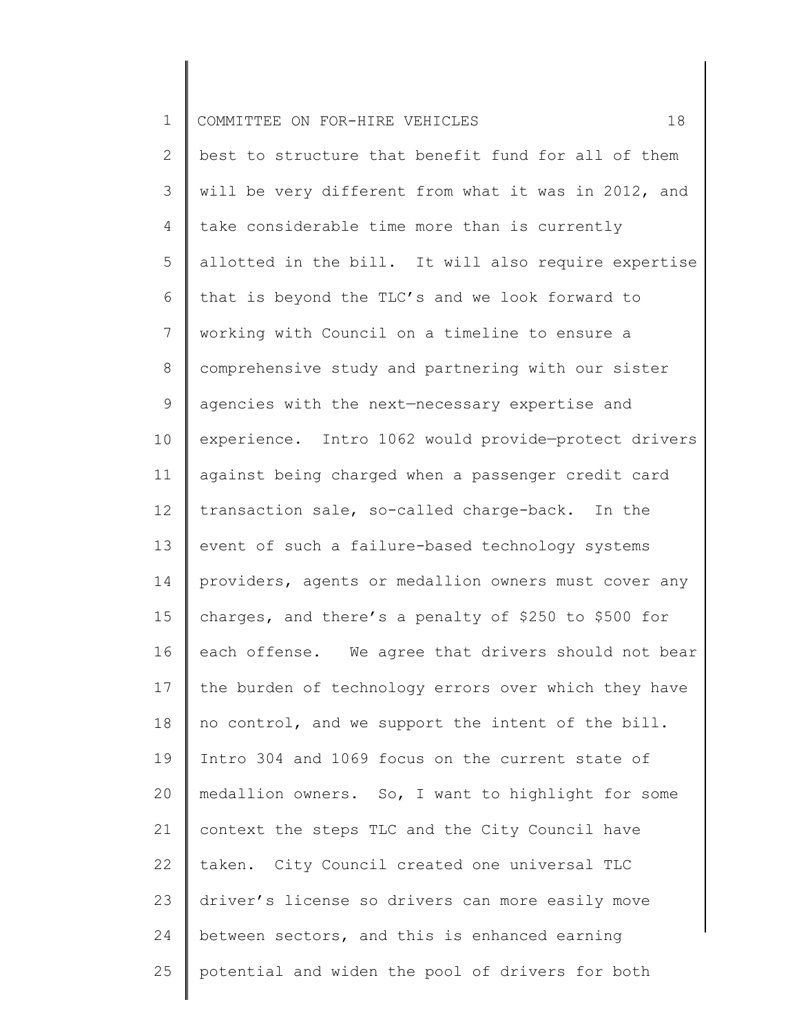| $\mathbf 1$    | 18<br>COMMITTEE ON FOR-HIRE VEHICLES                 |
|----------------|------------------------------------------------------|
| $\mathbf{2}$   | best to structure that benefit fund for all of them  |
| 3              | will be very different from what it was in 2012, and |
| 4              | take considerable time more than is currently        |
| 5              | allotted in the bill. It will also require expertise |
| 6              | that is beyond the TLC's and we look forward to      |
| $\overline{7}$ | working with Council on a timeline to ensure a       |
| 8              | comprehensive study and partnering with our sister   |
| 9              | agencies with the next-necessary expertise and       |
| 10             | experience. Intro 1062 would provide-protect drivers |
| 11             | against being charged when a passenger credit card   |
| 12             | transaction sale, so-called charge-back. In the      |
| 13             | event of such a failure-based technology systems     |
| 14             | providers, agents or medallion owners must cover any |
| 15             | charges, and there's a penalty of \$250 to \$500 for |
| 16             | each offense. We agree that drivers should not bear  |
| 17             | the burden of technology errors over which they have |
| 18             | no control, and we support the intent of the bill.   |
| 19             | Intro 304 and 1069 focus on the current state of     |
| 20             | medallion owners. So, I want to highlight for some   |
| 21             | context the steps TLC and the City Council have      |
| 22             | taken. City Council created one universal TLC        |
| 23             | driver's license so drivers can more easily move     |
| 24             | between sectors, and this is enhanced earning        |
| 25             | potential and widen the pool of drivers for both     |
|                |                                                      |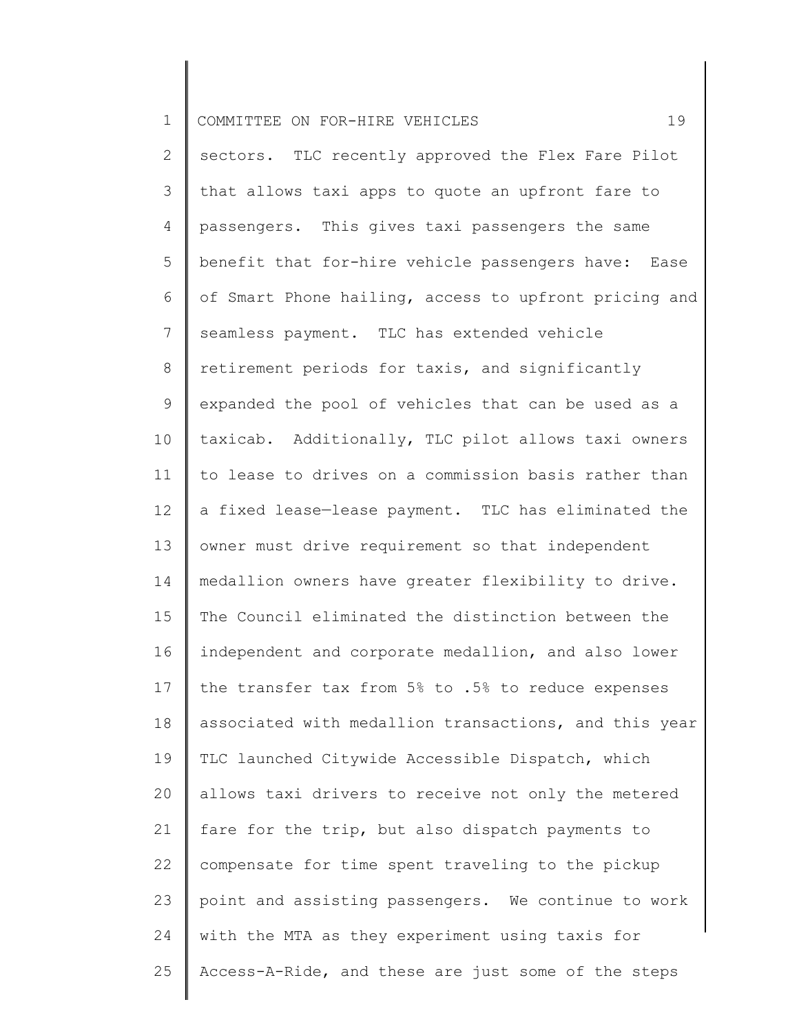| $\mathbf 1$    | 19<br>COMMITTEE ON FOR-HIRE VEHICLES                  |
|----------------|-------------------------------------------------------|
| $\mathbf{2}$   | sectors. TLC recently approved the Flex Fare Pilot    |
| 3              | that allows taxi apps to quote an upfront fare to     |
| 4              | passengers. This gives taxi passengers the same       |
| 5              | benefit that for-hire vehicle passengers have: Ease   |
| 6              | of Smart Phone hailing, access to upfront pricing and |
| $\overline{7}$ | seamless payment. TLC has extended vehicle            |
| $8\,$          | retirement periods for taxis, and significantly       |
| 9              | expanded the pool of vehicles that can be used as a   |
| 10             | taxicab. Additionally, TLC pilot allows taxi owners   |
| 11             | to lease to drives on a commission basis rather than  |
| 12             | a fixed lease-lease payment. TLC has eliminated the   |
| 13             | owner must drive requirement so that independent      |
| 14             | medallion owners have greater flexibility to drive.   |
| 15             | The Council eliminated the distinction between the    |
| 16             | independent and corporate medallion, and also lower   |
| 17             | the transfer tax from 5% to .5% to reduce expenses    |
| 18             | associated with medallion transactions, and this year |
| 19             | TLC launched Citywide Accessible Dispatch, which      |
| 20             | allows taxi drivers to receive not only the metered   |
| 21             | fare for the trip, but also dispatch payments to      |
| 22             | compensate for time spent traveling to the pickup     |
| 23             | point and assisting passengers. We continue to work   |
| 24             | with the MTA as they experiment using taxis for       |
| 25             | Access-A-Ride, and these are just some of the steps   |
|                |                                                       |

║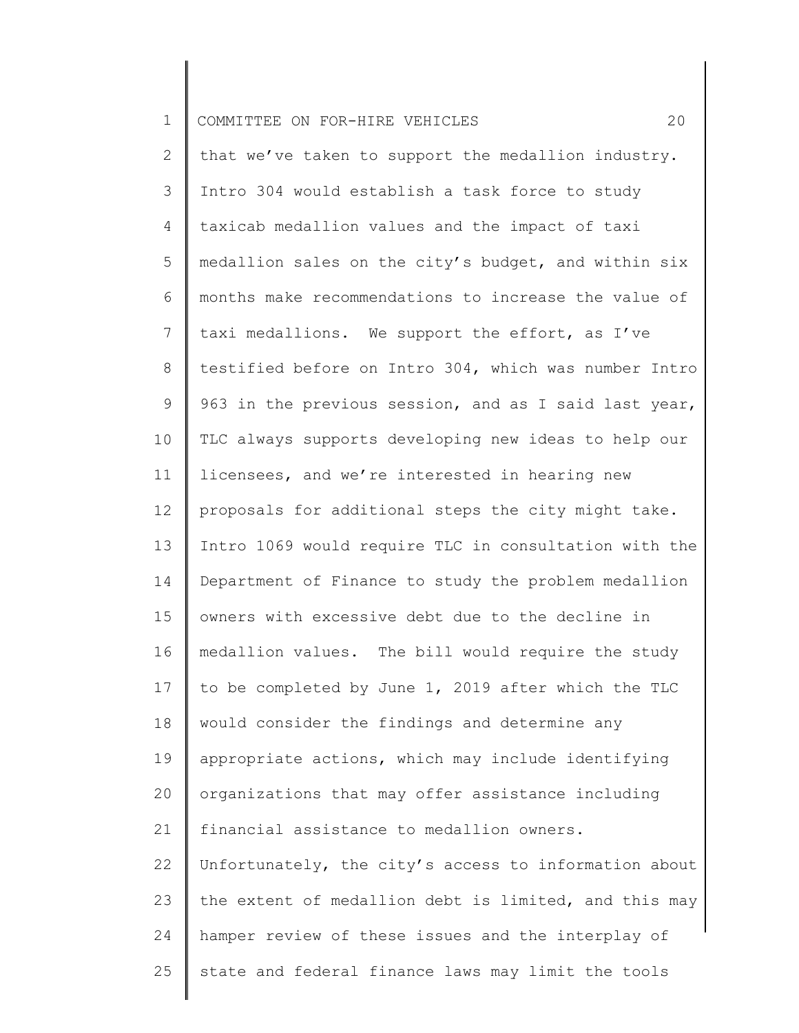| $\mathbf 1$     | 20<br>COMMITTEE ON FOR-HIRE VEHICLES                  |
|-----------------|-------------------------------------------------------|
| 2               | that we've taken to support the medallion industry.   |
| 3               | Intro 304 would establish a task force to study       |
| 4               | taxicab medallion values and the impact of taxi       |
| 5               | medallion sales on the city's budget, and within six  |
| 6               | months make recommendations to increase the value of  |
| 7               | taxi medallions. We support the effort, as I've       |
| 8               | testified before on Intro 304, which was number Intro |
| 9               | 963 in the previous session, and as I said last year, |
| 10 <sub>o</sub> | TLC always supports developing new ideas to help our  |
| 11              | licensees, and we're interested in hearing new        |
| 12              | proposals for additional steps the city might take.   |
| 13              | Intro 1069 would require TLC in consultation with the |
| 14              | Department of Finance to study the problem medallion  |
| 15              | owners with excessive debt due to the decline in      |
| 16              | medallion values. The bill would require the study    |
| 17              | to be completed by June 1, 2019 after which the TLC   |
| 18              | would consider the findings and determine any         |
| 19              | appropriate actions, which may include identifying    |
| 20              | organizations that may offer assistance including     |
| 21              | financial assistance to medallion owners.             |
| 22              | Unfortunately, the city's access to information about |
| 23              | the extent of medallion debt is limited, and this may |
| 24              | hamper review of these issues and the interplay of    |
| 25              | state and federal finance laws may limit the tools    |
|                 |                                                       |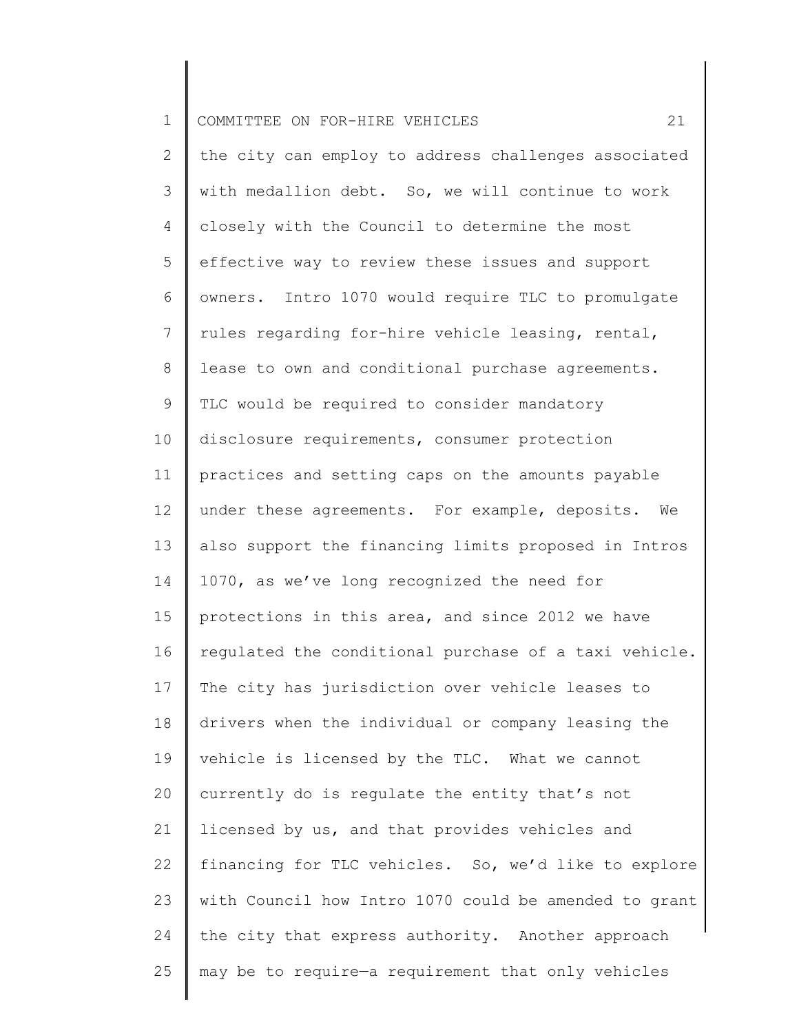| $\mathbf 1$     | 21<br>COMMITTEE ON FOR-HIRE VEHICLES                  |
|-----------------|-------------------------------------------------------|
| $\mathbf{2}$    | the city can employ to address challenges associated  |
| 3               | with medallion debt. So, we will continue to work     |
| 4               | closely with the Council to determine the most        |
| 5               | effective way to review these issues and support      |
| 6               | owners. Intro 1070 would require TLC to promulgate    |
| $7\overline{ }$ | rules regarding for-hire vehicle leasing, rental,     |
| 8               | lease to own and conditional purchase agreements.     |
| 9               | TLC would be required to consider mandatory           |
| 10              | disclosure requirements, consumer protection          |
| 11              | practices and setting caps on the amounts payable     |
| 12              | under these agreements. For example, deposits. We     |
| 13              | also support the financing limits proposed in Intros  |
| 14              | 1070, as we've long recognized the need for           |
| 15              | protections in this area, and since 2012 we have      |
| 16              | regulated the conditional purchase of a taxi vehicle. |
| 17              | The city has jurisdiction over vehicle leases to      |
| 18              | drivers when the individual or company leasing the    |
| 19              | vehicle is licensed by the TLC. What we cannot        |
| 20              | currently do is requlate the entity that's not        |
| 21              | licensed by us, and that provides vehicles and        |
| 22              | financing for TLC vehicles. So, we'd like to explore  |
| 23              | with Council how Intro 1070 could be amended to grant |
| 24              | the city that express authority. Another approach     |
| 25              | may be to require-a requirement that only vehicles    |
|                 |                                                       |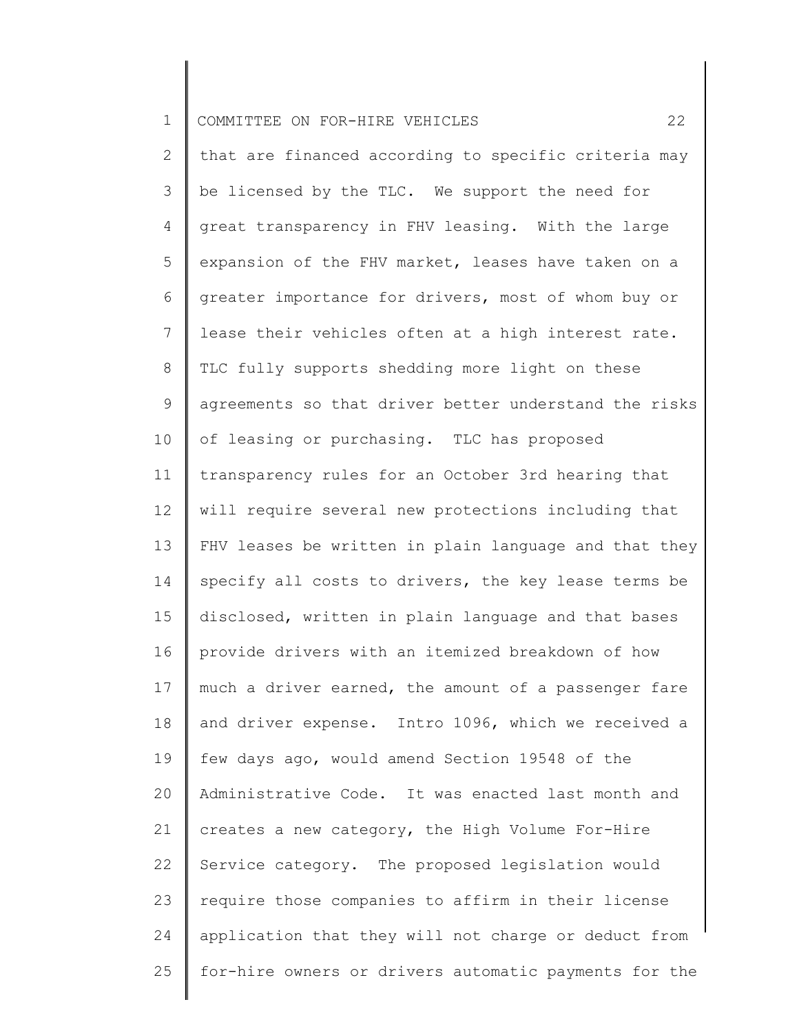| $\mathbf 1$     | 22<br>COMMITTEE ON FOR-HIRE VEHICLES                  |
|-----------------|-------------------------------------------------------|
| $\overline{2}$  | that are financed according to specific criteria may  |
| 3               | be licensed by the TLC. We support the need for       |
| 4               | great transparency in FHV leasing. With the large     |
| 5               | expansion of the FHV market, leases have taken on a   |
| 6               | greater importance for drivers, most of whom buy or   |
| $7\phantom{.0}$ | lease their vehicles often at a high interest rate.   |
| 8               | TLC fully supports shedding more light on these       |
| 9               | agreements so that driver better understand the risks |
| 10              | of leasing or purchasing. TLC has proposed            |
| 11              | transparency rules for an October 3rd hearing that    |
| 12              | will require several new protections including that   |
| 13              | FHV leases be written in plain language and that they |
| 14              | specify all costs to drivers, the key lease terms be  |
| 15              | disclosed, written in plain language and that bases   |
| 16              | provide drivers with an itemized breakdown of how     |
| 17 <sub>2</sub> | much a driver earned, the amount of a passenger fare  |
| 18              | and driver expense. Intro 1096, which we received a   |
| 19              | few days ago, would amend Section 19548 of the        |
| 20              | Administrative Code. It was enacted last month and    |
| 21              | creates a new category, the High Volume For-Hire      |
| 22              | Service category. The proposed legislation would      |
| 23              | require those companies to affirm in their license    |
| 24              | application that they will not charge or deduct from  |
| 25              | for-hire owners or drivers automatic payments for the |
|                 |                                                       |

║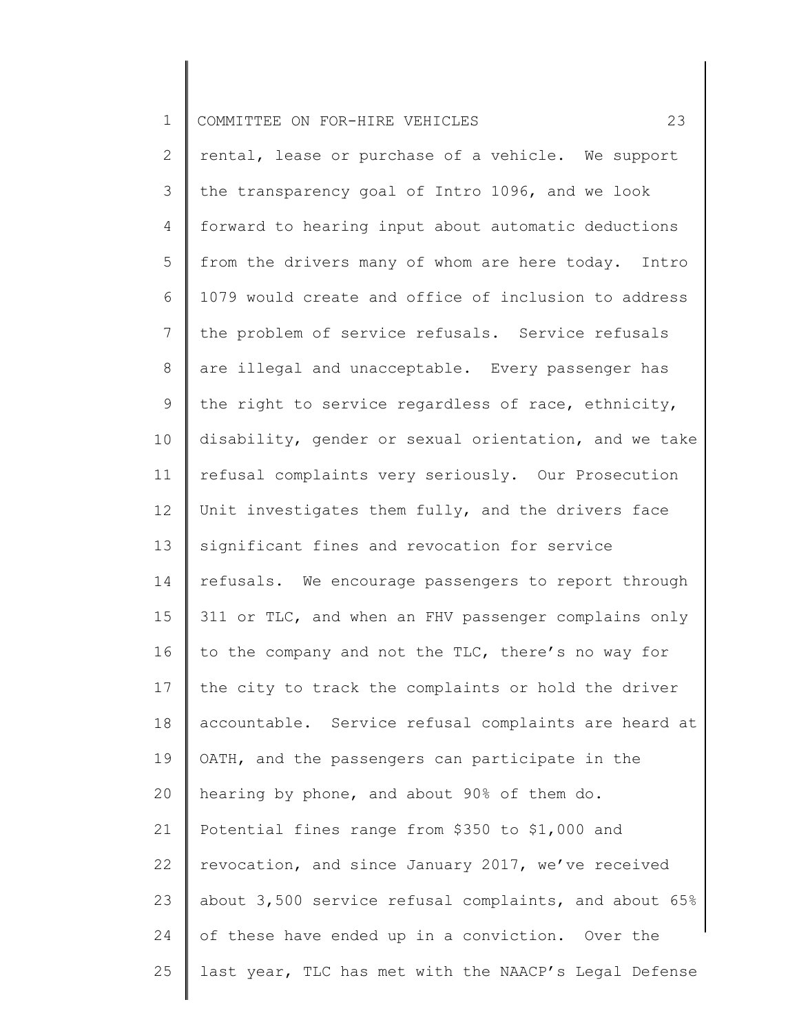| $\mathbf 1$    | 23<br>COMMITTEE ON FOR-HIRE VEHICLES                  |
|----------------|-------------------------------------------------------|
| $\overline{2}$ | rental, lease or purchase of a vehicle. We support    |
| 3              | the transparency goal of Intro 1096, and we look      |
| 4              | forward to hearing input about automatic deductions   |
| 5              | from the drivers many of whom are here today. Intro   |
| 6              | 1079 would create and office of inclusion to address  |
| 7              | the problem of service refusals. Service refusals     |
| 8              | are illegal and unacceptable. Every passenger has     |
| 9              | the right to service regardless of race, ethnicity,   |
| 10             | disability, gender or sexual orientation, and we take |
| 11             | refusal complaints very seriously. Our Prosecution    |
| 12             | Unit investigates them fully, and the drivers face    |
| 13             | significant fines and revocation for service          |
| 14             | refusals. We encourage passengers to report through   |
| 15             | 311 or TLC, and when an FHV passenger complains only  |
| 16             | to the company and not the TLC, there's no way for    |
| 17             | the city to track the complaints or hold the driver   |
| 18             | accountable. Service refusal complaints are heard at  |
| 19             | OATH, and the passengers can participate in the       |
| 20             | hearing by phone, and about 90% of them do.           |
| 21             | Potential fines range from \$350 to \$1,000 and       |
| 22             | revocation, and since January 2017, we've received    |
| 23             | about 3,500 service refusal complaints, and about 65% |
| 24             | of these have ended up in a conviction. Over the      |
| 25             | last year, TLC has met with the NAACP's Legal Defense |
|                |                                                       |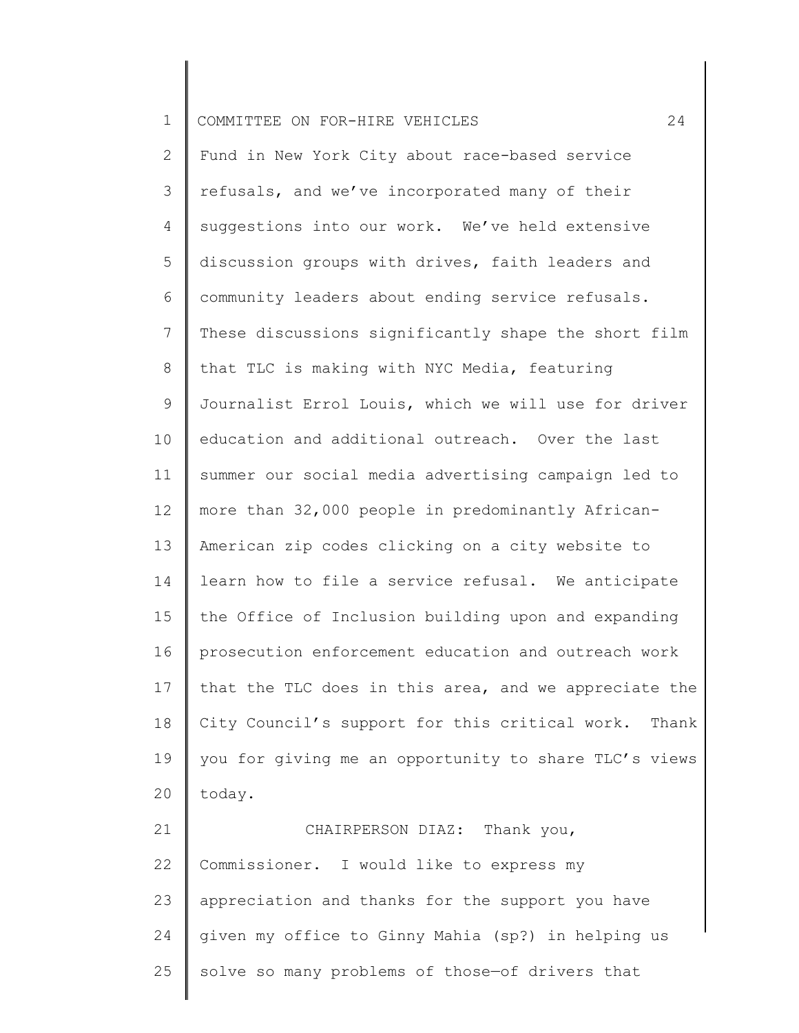1 COMMITTEE ON FOR-HIRE VEHICLES 24

2 3 4 5 6 7 8 9 10 11 12 13 14 15 16 17 18 19 20 Fund in New York City about race-based service refusals, and we've incorporated many of their suggestions into our work. We've held extensive discussion groups with drives, faith leaders and community leaders about ending service refusals. These discussions significantly shape the short film that TLC is making with NYC Media, featuring Journalist Errol Louis, which we will use for driver education and additional outreach. Over the last summer our social media advertising campaign led to more than 32,000 people in predominantly African-American zip codes clicking on a city website to learn how to file a service refusal. We anticipate the Office of Inclusion building upon and expanding prosecution enforcement education and outreach work that the TLC does in this area, and we appreciate the City Council's support for this critical work. Thank you for giving me an opportunity to share TLC's views today.

21 22 23 24 25 CHAIRPERSON DIAZ: Thank you, Commissioner. I would like to express my appreciation and thanks for the support you have given my office to Ginny Mahia (sp?) in helping us solve so many problems of those—of drivers that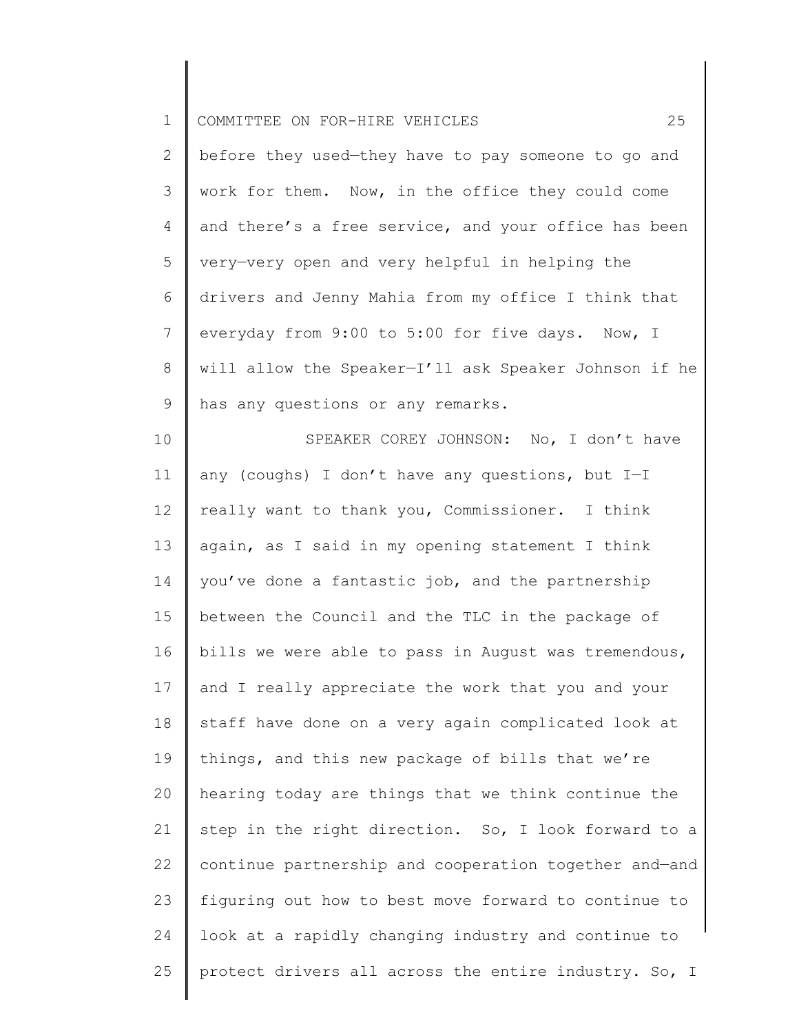| $\mathbf 1$    | 25<br>COMMITTEE ON FOR-HIRE VEHICLES                  |
|----------------|-------------------------------------------------------|
| $\mathbf{2}$   | before they used-they have to pay someone to go and   |
| 3              | work for them. Now, in the office they could come     |
| 4              | and there's a free service, and your office has been  |
| 5              | very-very open and very helpful in helping the        |
| 6              | drivers and Jenny Mahia from my office I think that   |
| $7\phantom{.}$ | everyday from 9:00 to 5:00 for five days. Now, I      |
| $8\,$          | will allow the Speaker-I'll ask Speaker Johnson if he |
| $\mathsf 9$    | has any questions or any remarks.                     |
| 10             | SPEAKER COREY JOHNSON: No, I don't have               |
| 11             | any (coughs) I don't have any questions, but I-I      |
| 12             | really want to thank you, Commissioner. I think       |
| 13             | again, as I said in my opening statement I think      |
| 14             | you've done a fantastic job, and the partnership      |
| 15             | between the Council and the TLC in the package of     |
| 16             | bills we were able to pass in August was tremendous,  |
| 17             | and I really appreciate the work that you and your    |
| 18             | staff have done on a very again complicated look at   |
| 19             | things, and this new package of bills that we're      |
| 20             | hearing today are things that we think continue the   |
| 21             | step in the right direction. So, I look forward to a  |
| 22             | continue partnership and cooperation together and-and |
| 23             | figuring out how to best move forward to continue to  |
| 24             | look at a rapidly changing industry and continue to   |
| 25             | protect drivers all across the entire industry. So, I |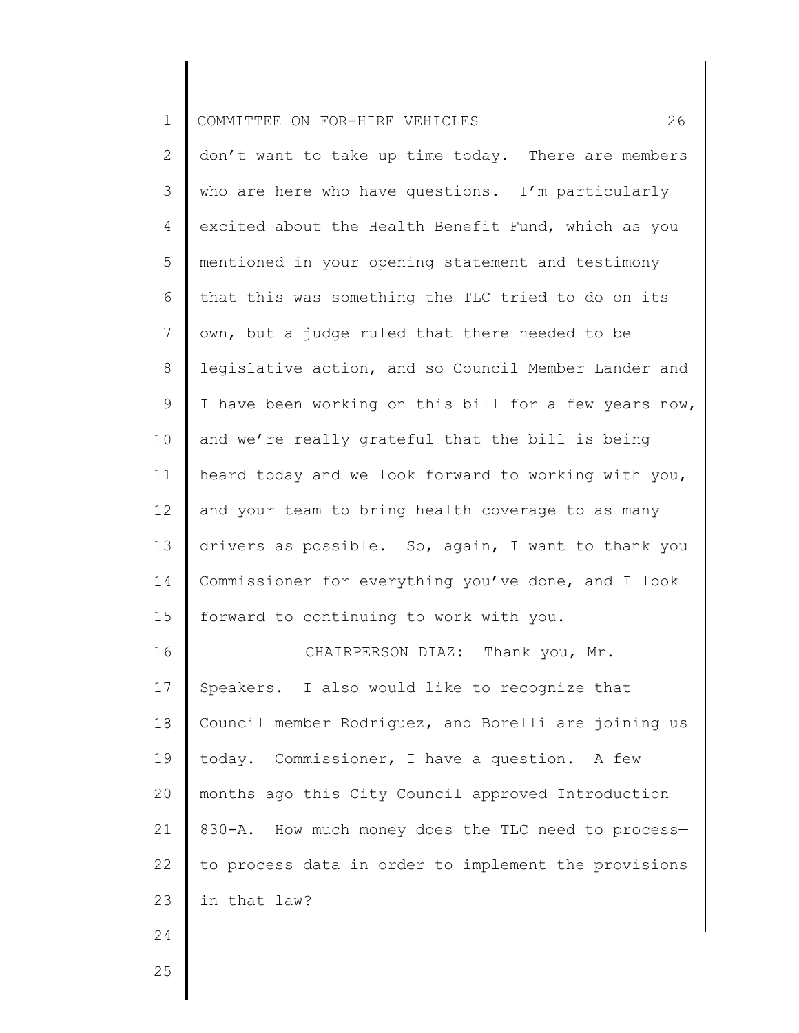| $\mathbf 1$    | 26<br>COMMITTEE ON FOR-HIRE VEHICLES                  |
|----------------|-------------------------------------------------------|
| $\overline{2}$ | don't want to take up time today. There are members   |
| 3              | who are here who have questions. I'm particularly     |
| 4              | excited about the Health Benefit Fund, which as you   |
| 5              | mentioned in your opening statement and testimony     |
| 6              | that this was something the TLC tried to do on its    |
| $\overline{7}$ | own, but a judge ruled that there needed to be        |
| 8              | legislative action, and so Council Member Lander and  |
| 9              | I have been working on this bill for a few years now, |
| 10             | and we're really grateful that the bill is being      |
| 11             | heard today and we look forward to working with you,  |
| 12             | and your team to bring health coverage to as many     |
| 13             | drivers as possible. So, again, I want to thank you   |
| 14             | Commissioner for everything you've done, and I look   |
| 15             | forward to continuing to work with you.               |
| 16             | CHAIRPERSON DIAZ: Thank you, Mr.                      |
| 17             | Speakers. I also would like to recognize that         |
| 18             | Council member Rodriguez, and Borelli are joining us  |
| 19             | today. Commissioner, I have a question.<br>A few      |
| 20             | months ago this City Council approved Introduction    |
| 21             | 830-A. How much money does the TLC need to process-   |
| 22             | to process data in order to implement the provisions  |
| 23             | in that law?                                          |
| 24             |                                                       |
|                |                                                       |

Ι

║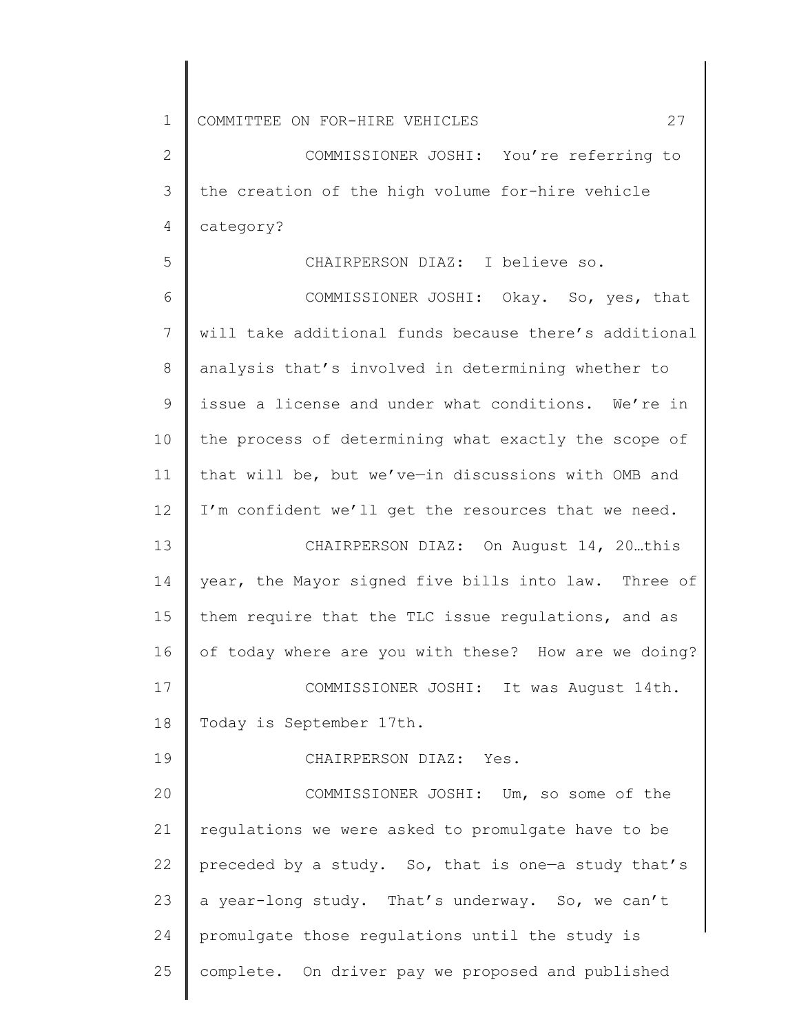1 2 3 4 5 6 7 8 9 10 11 12 13 14 15 16 17 18 19 20 21 22 23 24 25 COMMITTEE ON FOR-HIRE VEHICLES 27 COMMISSIONER JOSHI: You're referring to the creation of the high volume for-hire vehicle category? CHAIRPERSON DIAZ: I believe so. COMMISSIONER JOSHI: Okay. So, yes, that will take additional funds because there's additional analysis that's involved in determining whether to issue a license and under what conditions. We're in the process of determining what exactly the scope of that will be, but we've—in discussions with OMB and I'm confident we'll get the resources that we need. CHAIRPERSON DIAZ: On August 14, 20…this year, the Mayor signed five bills into law. Three of them require that the TLC issue regulations, and as of today where are you with these? How are we doing? COMMISSIONER JOSHI: It was August 14th. Today is September 17th. CHAIRPERSON DIAZ: Yes. COMMISSIONER JOSHI: Um, so some of the regulations we were asked to promulgate have to be preceded by a study. So, that is one—a study that's a year-long study. That's underway. So, we can't promulgate those regulations until the study is complete. On driver pay we proposed and published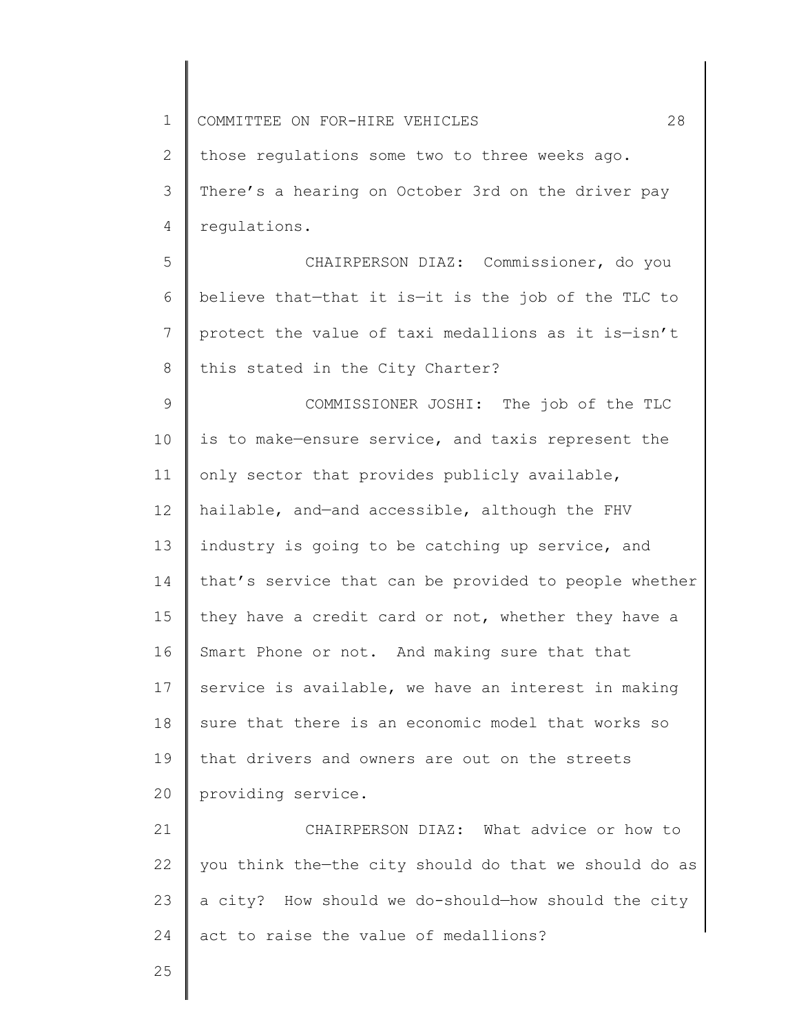1 2 3 4 5 6 7 8 9 10 11 12 13 14 15 16 17 18 19 20 21 22 23 24 25 COMMITTEE ON FOR-HIRE VEHICLES 28 those regulations some two to three weeks ago. There's a hearing on October 3rd on the driver pay regulations. CHAIRPERSON DIAZ: Commissioner, do you believe that—that it is—it is the job of the TLC to protect the value of taxi medallions as it is—isn't this stated in the City Charter? COMMISSIONER JOSHI: The job of the TLC is to make—ensure service, and taxis represent the only sector that provides publicly available, hailable, and—and accessible, although the FHV industry is going to be catching up service, and that's service that can be provided to people whether they have a credit card or not, whether they have a Smart Phone or not. And making sure that that service is available, we have an interest in making sure that there is an economic model that works so that drivers and owners are out on the streets providing service. CHAIRPERSON DIAZ: What advice or how to you think the—the city should do that we should do as a city? How should we do-should—how should the city act to raise the value of medallions?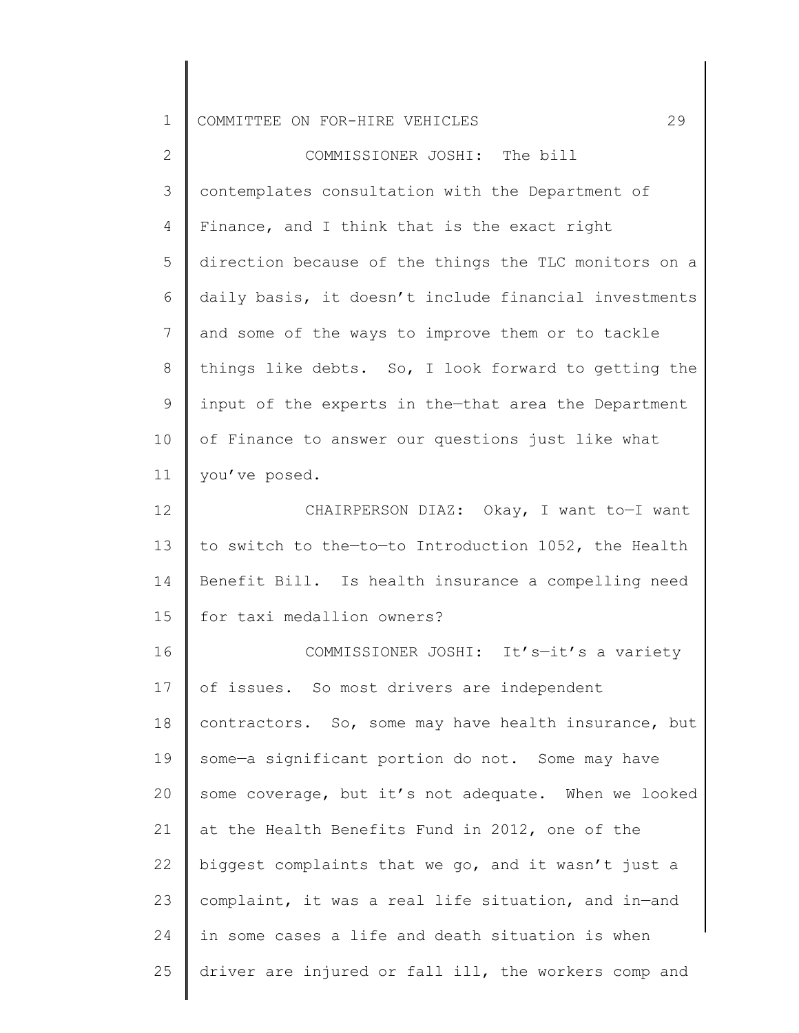| ᅩ | $\mathbf{I}$<br>COMMITTEE ON FOR-HIRE VEHICLES |  |  |  |  |  |  |
|---|------------------------------------------------|--|--|--|--|--|--|
|---|------------------------------------------------|--|--|--|--|--|--|

2 3 4 5 6 7 8 9 10 11 COMMISSIONER JOSHI: The bill contemplates consultation with the Department of Finance, and I think that is the exact right direction because of the things the TLC monitors on a daily basis, it doesn't include financial investments and some of the ways to improve them or to tackle things like debts. So, I look forward to getting the input of the experts in the—that area the Department of Finance to answer our questions just like what you've posed.

12 13 14 15 CHAIRPERSON DIAZ: Okay, I want to—I want to switch to the—to—to Introduction 1052, the Health Benefit Bill. Is health insurance a compelling need for taxi medallion owners?

16 17 18 19 20 21 22 23 24 25 COMMISSIONER JOSHI: It's—it's a variety of issues. So most drivers are independent contractors. So, some may have health insurance, but some—a significant portion do not. Some may have some coverage, but it's not adequate. When we looked at the Health Benefits Fund in 2012, one of the biggest complaints that we go, and it wasn't just a complaint, it was a real life situation, and in—and in some cases a life and death situation is when driver are injured or fall ill, the workers comp and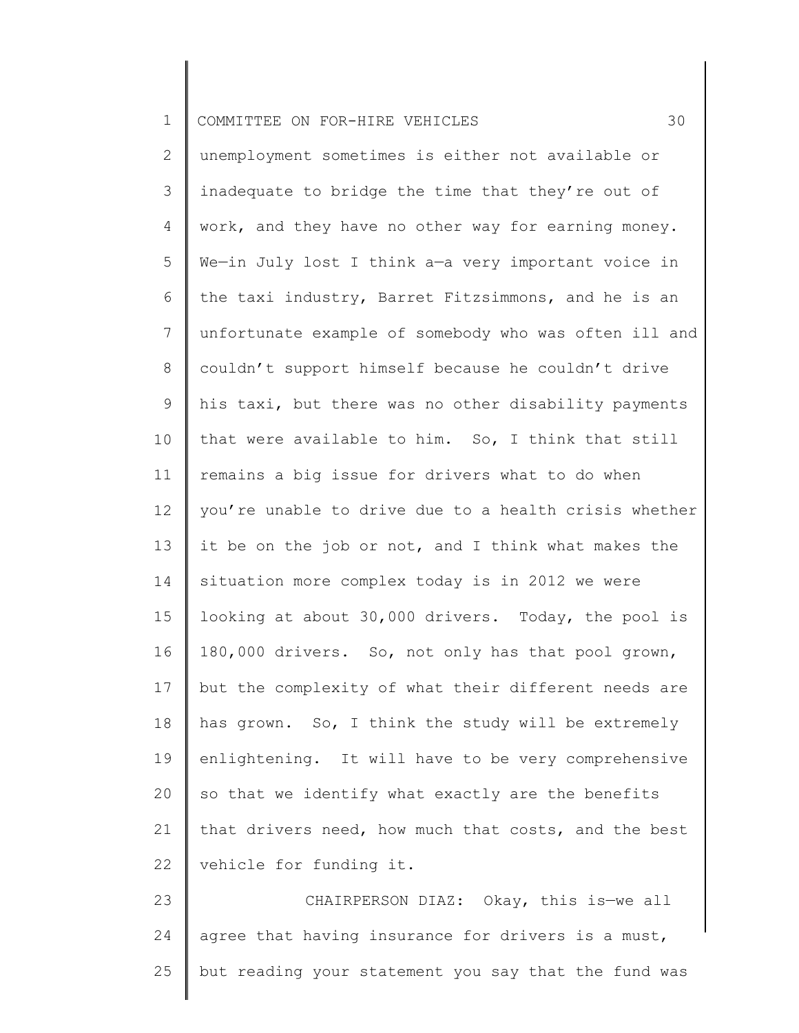| $\mathbf 1$    | 30<br>COMMITTEE ON FOR-HIRE VEHICLES                  |
|----------------|-------------------------------------------------------|
| $\overline{2}$ | unemployment sometimes is either not available or     |
| 3              | inadequate to bridge the time that they're out of     |
| 4              | work, and they have no other way for earning money.   |
| 5              | We-in July lost I think a-a very important voice in   |
| 6              | the taxi industry, Barret Fitzsimmons, and he is an   |
| $\overline{7}$ | unfortunate example of somebody who was often ill and |
| 8              | couldn't support himself because he couldn't drive    |
| 9              | his taxi, but there was no other disability payments  |
| 10             | that were available to him. So, I think that still    |
| 11             | remains a big issue for drivers what to do when       |
| 12             | you're unable to drive due to a health crisis whether |
| 13             | it be on the job or not, and I think what makes the   |
| 14             | situation more complex today is in 2012 we were       |
| 15             | looking at about 30,000 drivers. Today, the pool is   |
| 16             | 180,000 drivers. So, not only has that pool grown,    |
| 17             | but the complexity of what their different needs are  |
| 18             | has grown. So, I think the study will be extremely    |
| 19             | enlightening. It will have to be very comprehensive   |
| 20             | so that we identify what exactly are the benefits     |
| 21             | that drivers need, how much that costs, and the best  |
| 22             | vehicle for funding it.                               |
| 23             | CHAIRPERSON DIAZ: Okay, this is-we all                |
| 24             | agree that having insurance for drivers is a must,    |
| 25             | but reading your statement you say that the fund was  |
|                |                                                       |

 $\parallel$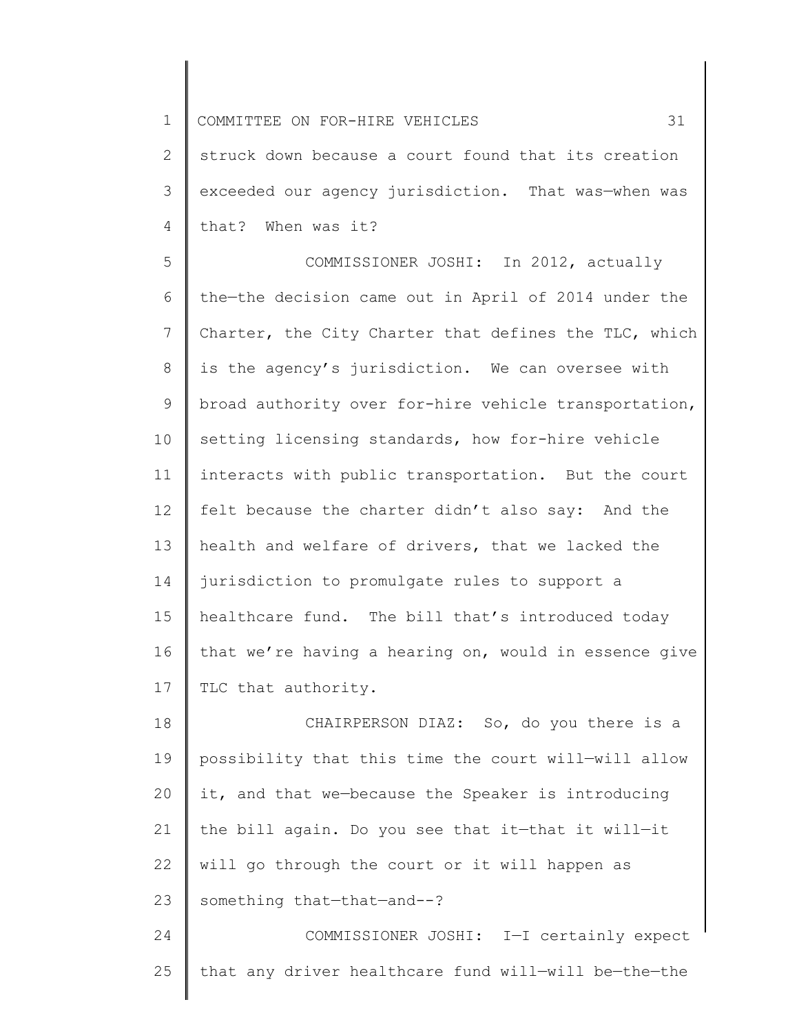1 2 3 4 COMMITTEE ON FOR-HIRE VEHICLES 31 struck down because a court found that its creation exceeded our agency jurisdiction. That was—when was that? When was it?

5 6 7 8 9 10 11 12 13 14 15 16 17 COMMISSIONER JOSHI: In 2012, actually the—the decision came out in April of 2014 under the Charter, the City Charter that defines the TLC, which is the agency's jurisdiction. We can oversee with broad authority over for-hire vehicle transportation, setting licensing standards, how for-hire vehicle interacts with public transportation. But the court felt because the charter didn't also say: And the health and welfare of drivers, that we lacked the jurisdiction to promulgate rules to support a healthcare fund. The bill that's introduced today that we're having a hearing on, would in essence give TLC that authority.

18 19 20 21 22 23 24 CHAIRPERSON DIAZ: So, do you there is a possibility that this time the court will—will allow it, and that we—because the Speaker is introducing the bill again. Do you see that it—that it will—it will go through the court or it will happen as something that—that—and--? COMMISSIONER JOSHI: I—I certainly expect

25 that any driver healthcare fund will—will be—the—the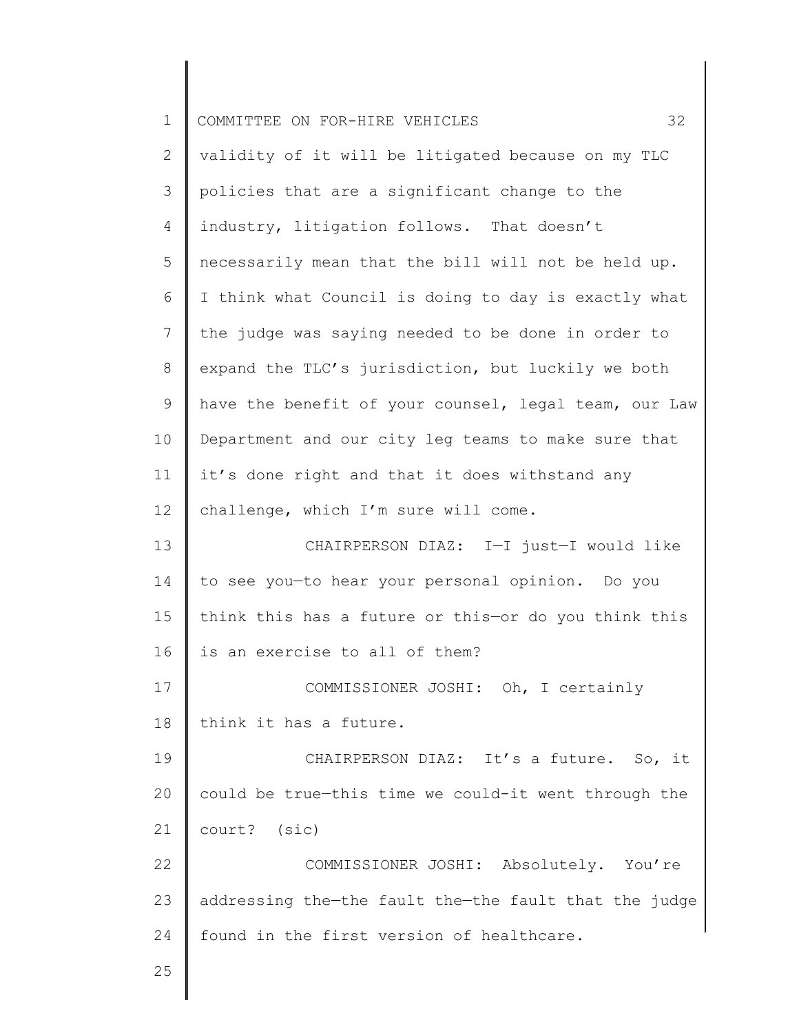| $\mathbf 1$  | 32<br>COMMITTEE ON FOR-HIRE VEHICLES                  |
|--------------|-------------------------------------------------------|
| $\mathbf{2}$ | validity of it will be litigated because on my TLC    |
| 3            | policies that are a significant change to the         |
| 4            | industry, litigation follows. That doesn't            |
| 5            | necessarily mean that the bill will not be held up.   |
| 6            | I think what Council is doing to day is exactly what  |
| 7            | the judge was saying needed to be done in order to    |
| 8            | expand the TLC's jurisdiction, but luckily we both    |
| 9            | have the benefit of your counsel, legal team, our Law |
| 10           | Department and our city leg teams to make sure that   |
| 11           | it's done right and that it does withstand any        |
| 12           | challenge, which I'm sure will come.                  |
| 13           | CHAIRPERSON DIAZ: I-I just-I would like               |
| 14           | to see you-to hear your personal opinion. Do you      |
| 15           | think this has a future or this-or do you think this  |
| 16           | is an exercise to all of them?                        |
| 17           | COMMISSIONER JOSHI: Oh, I certainly                   |
| 18           | think it has a future.                                |
| 19           | CHAIRPERSON DIAZ: It's a future. So, it               |
| 20           | could be true-this time we could-it went through the  |
| 21           | court? (sic)                                          |
| 22           | COMMISSIONER JOSHI: Absolutely. You're                |
| 23           | addressing the-the fault the-the fault that the judge |
| 24           | found in the first version of healthcare.             |
| 25           |                                                       |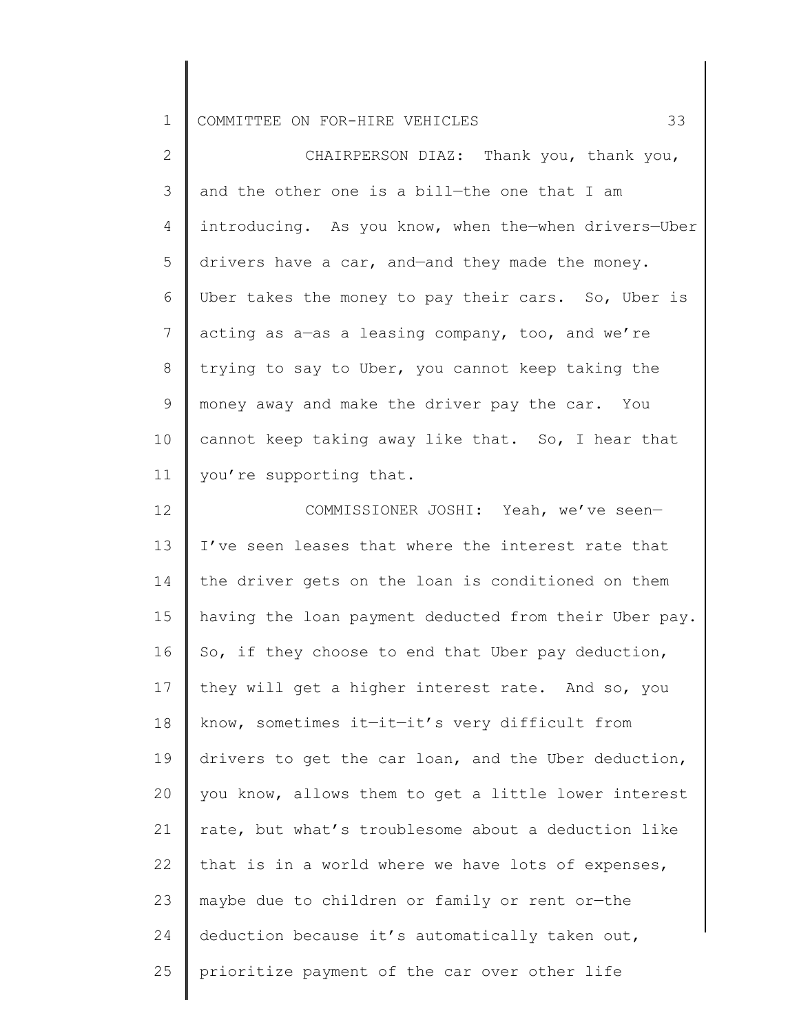1 COMMITTEE ON FOR-HIRE VEHICLES 33

2 3 4 5 6 7 8 9 10 11 CHAIRPERSON DIAZ: Thank you, thank you, and the other one is a bill—the one that I am introducing. As you know, when the—when drivers—Uber drivers have a car, and—and they made the money. Uber takes the money to pay their cars. So, Uber is acting as a—as a leasing company, too, and we're trying to say to Uber, you cannot keep taking the money away and make the driver pay the car. You cannot keep taking away like that. So, I hear that you're supporting that.

12 13 14 15 16 17 18 19 20 21 22 23 24 25 COMMISSIONER JOSHI: Yeah, we've seen— I've seen leases that where the interest rate that the driver gets on the loan is conditioned on them having the loan payment deducted from their Uber pay. So, if they choose to end that Uber pay deduction, they will get a higher interest rate. And so, you know, sometimes it—it—it's very difficult from drivers to get the car loan, and the Uber deduction, you know, allows them to get a little lower interest rate, but what's troublesome about a deduction like that is in a world where we have lots of expenses, maybe due to children or family or rent or—the deduction because it's automatically taken out, prioritize payment of the car over other life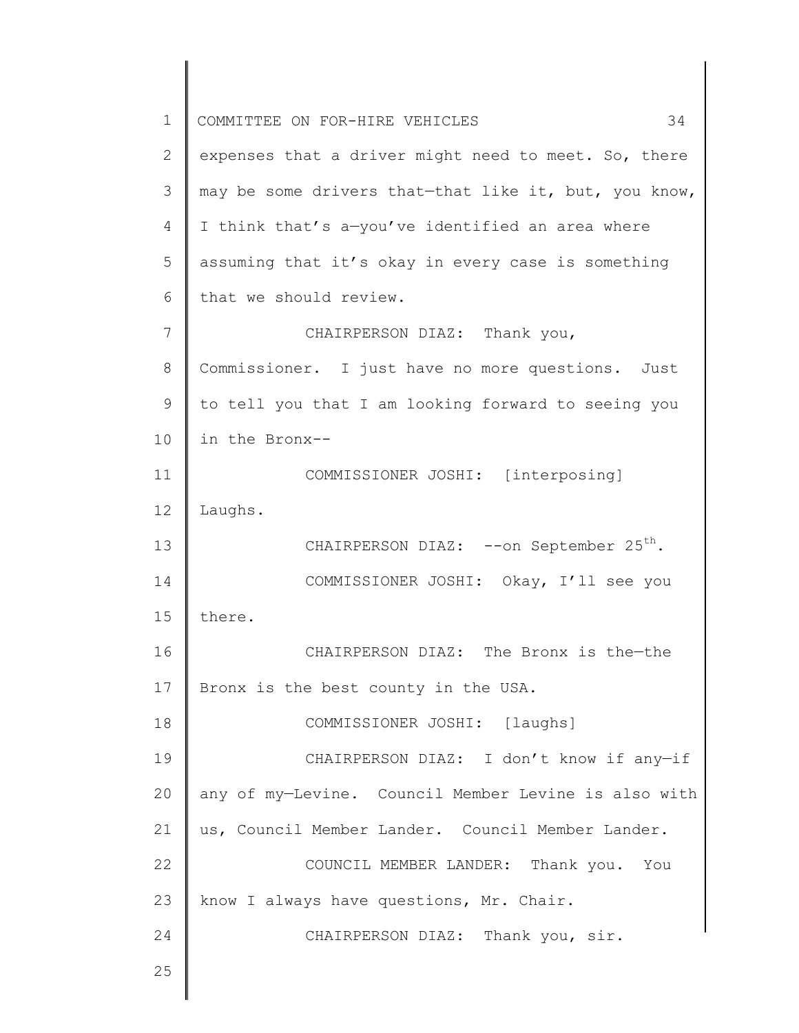1 2 3 4 5 6 7 8 9 10 11 12 13 14 15 16 17 18 19 20 21 22 23 24 25 COMMITTEE ON FOR-HIRE VEHICLES 34 expenses that a driver might need to meet. So, there may be some drivers that—that like it, but, you know, I think that's a—you've identified an area where assuming that it's okay in every case is something that we should review. CHAIRPERSON DIAZ: Thank you, Commissioner. I just have no more questions. Just to tell you that I am looking forward to seeing you in the Bronx-- COMMISSIONER JOSHI: [interposing] Laughs. CHAIRPERSON DIAZ: --on September 25<sup>th</sup>. COMMISSIONER JOSHI: Okay, I'll see you there. CHAIRPERSON DIAZ: The Bronx is the—the Bronx is the best county in the USA. COMMISSIONER JOSHI: [laughs] CHAIRPERSON DIAZ: I don't know if any—if any of my—Levine. Council Member Levine is also with us, Council Member Lander. Council Member Lander. COUNCIL MEMBER LANDER: Thank you. You know I always have questions, Mr. Chair. CHAIRPERSON DIAZ: Thank you, sir.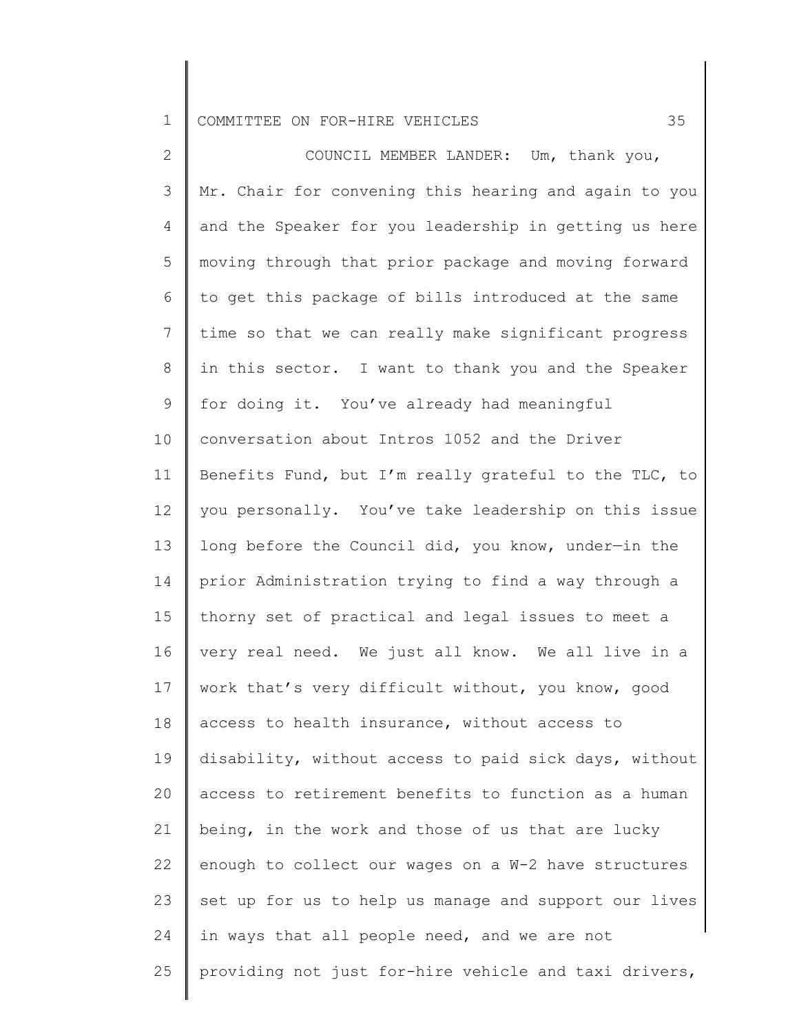## 1 COMMITTEE ON FOR-HIRE VEHICLES 35

2 3 4 5 6 7 8 9 10 11 12 13 14 15 16 17 18 19 20 21 22 23 24 25 COUNCIL MEMBER LANDER: Um, thank you, Mr. Chair for convening this hearing and again to you and the Speaker for you leadership in getting us here moving through that prior package and moving forward to get this package of bills introduced at the same time so that we can really make significant progress in this sector. I want to thank you and the Speaker for doing it. You've already had meaningful conversation about Intros 1052 and the Driver Benefits Fund, but I'm really grateful to the TLC, to you personally. You've take leadership on this issue long before the Council did, you know, under—in the prior Administration trying to find a way through a thorny set of practical and legal issues to meet a very real need. We just all know. We all live in a work that's very difficult without, you know, good access to health insurance, without access to disability, without access to paid sick days, without access to retirement benefits to function as a human being, in the work and those of us that are lucky enough to collect our wages on a W-2 have structures set up for us to help us manage and support our lives in ways that all people need, and we are not providing not just for-hire vehicle and taxi drivers,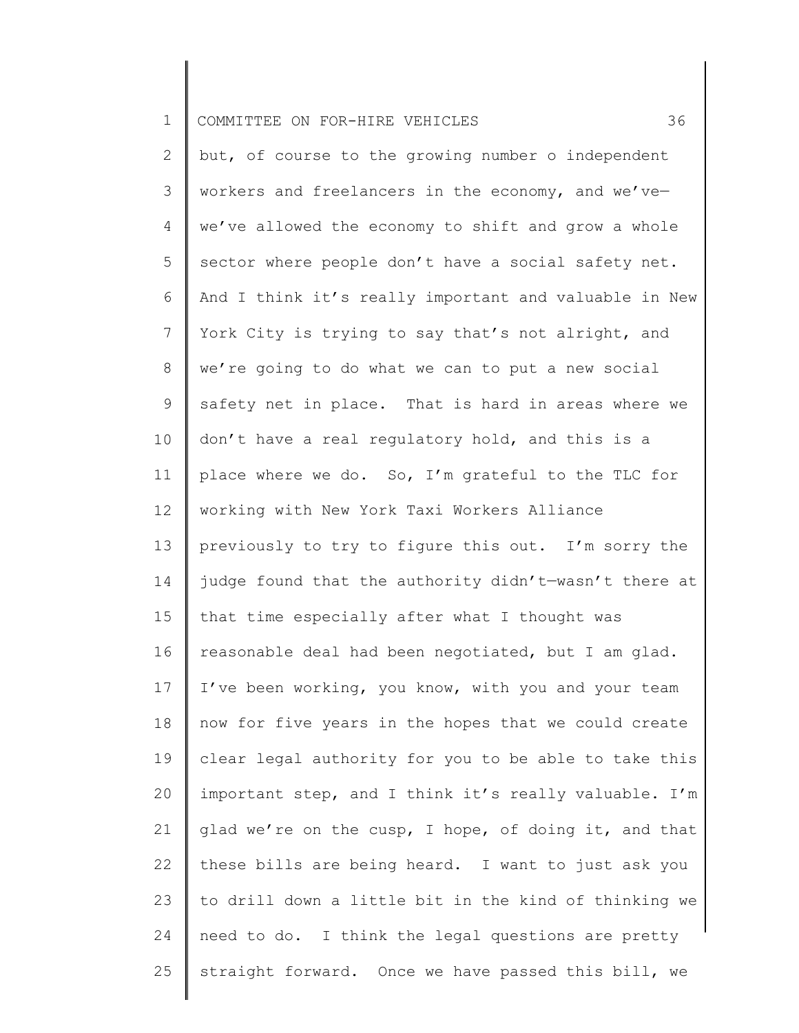| $\mathbf 1$     | 36<br>COMMITTEE ON FOR-HIRE VEHICLES                  |
|-----------------|-------------------------------------------------------|
| 2               | but, of course to the growing number o independent    |
| 3               | workers and freelancers in the economy, and we've-    |
| 4               | we've allowed the economy to shift and grow a whole   |
| 5               | sector where people don't have a social safety net.   |
| 6               | And I think it's really important and valuable in New |
| $7\phantom{.0}$ | York City is trying to say that's not alright, and    |
| $8\,$           | we're going to do what we can to put a new social     |
| 9               | safety net in place. That is hard in areas where we   |
| 10              | don't have a real regulatory hold, and this is a      |
| 11              | place where we do. So, I'm grateful to the TLC for    |
| 12              | working with New York Taxi Workers Alliance           |
| 13              | previously to try to figure this out. I'm sorry the   |
| 14              | judge found that the authority didn't-wasn't there at |
| 15              | that time especially after what I thought was         |
| 16              | reasonable deal had been negotiated, but I am glad.   |
| 17              | I've been working, you know, with you and your team   |
| 18              | now for five years in the hopes that we could create  |
| 19              | clear legal authority for you to be able to take this |
| 20              | important step, and I think it's really valuable. I'm |
| 21              | glad we're on the cusp, I hope, of doing it, and that |
| 22              | these bills are being heard. I want to just ask you   |
| 23              | to drill down a little bit in the kind of thinking we |
| 24              | need to do. I think the legal questions are pretty    |
| 25              | straight forward. Once we have passed this bill, we   |
|                 |                                                       |

║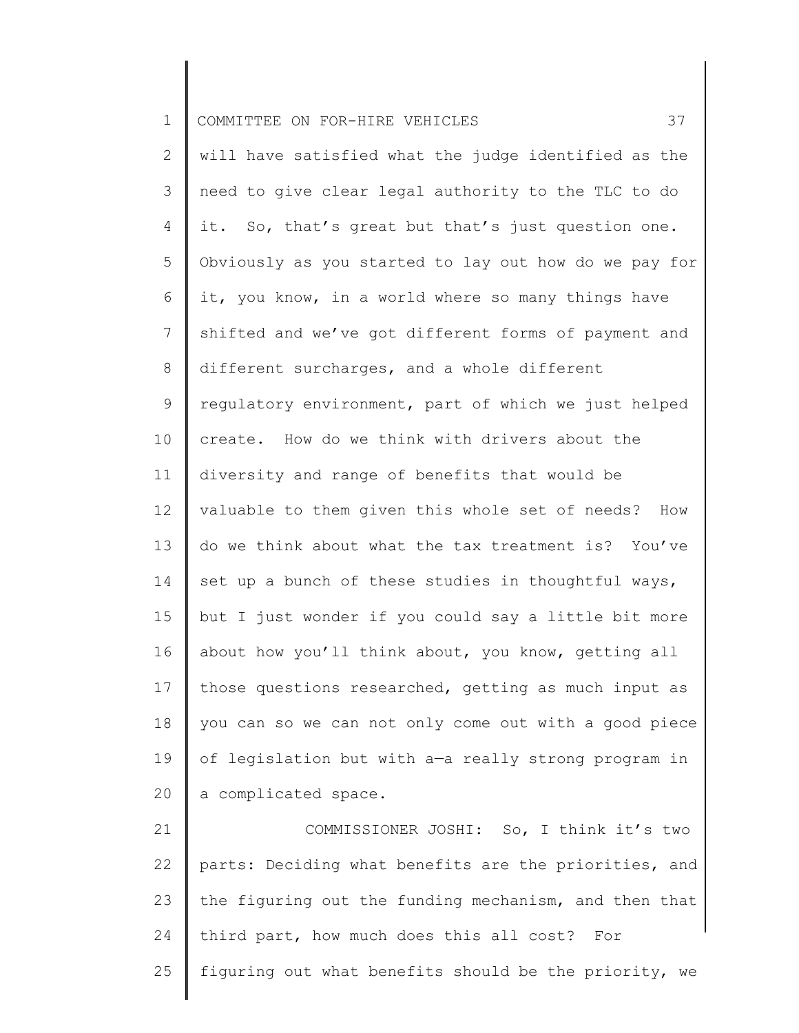| $\mathbf 1$    | 37<br>COMMITTEE ON FOR-HIRE VEHICLES                   |
|----------------|--------------------------------------------------------|
| $\mathbf{2}$   | will have satisfied what the judge identified as the   |
| 3              | need to give clear legal authority to the TLC to do    |
| 4              | it. So, that's great but that's just question one.     |
| 5              | Obviously as you started to lay out how do we pay for  |
| 6              | it, you know, in a world where so many things have     |
| $7\phantom{.}$ | shifted and we've got different forms of payment and   |
| 8              | different surcharges, and a whole different            |
| 9              | regulatory environment, part of which we just helped   |
| 10             | create. How do we think with drivers about the         |
| 11             | diversity and range of benefits that would be          |
| 12             | valuable to them given this whole set of needs?<br>How |
| 13             | do we think about what the tax treatment is? You've    |
| 14             | set up a bunch of these studies in thoughtful ways,    |
| 15             | but I just wonder if you could say a little bit more   |
| 16             | about how you'll think about, you know, getting all    |
| 17             | those questions researched, getting as much input as   |
| 18             | you can so we can not only come out with a good piece  |
| 19             | of legislation but with a-a really strong program in   |
| 20             | a complicated space.                                   |
| 21             | COMMISSIONER JOSHI: So, I think it's two               |
| 22             | parts: Deciding what benefits are the priorities, and  |
| 23             | the figuring out the funding mechanism, and then that  |
| 24             | third part, how much does this all cost? For           |

25 figuring out what benefits should be the priority, we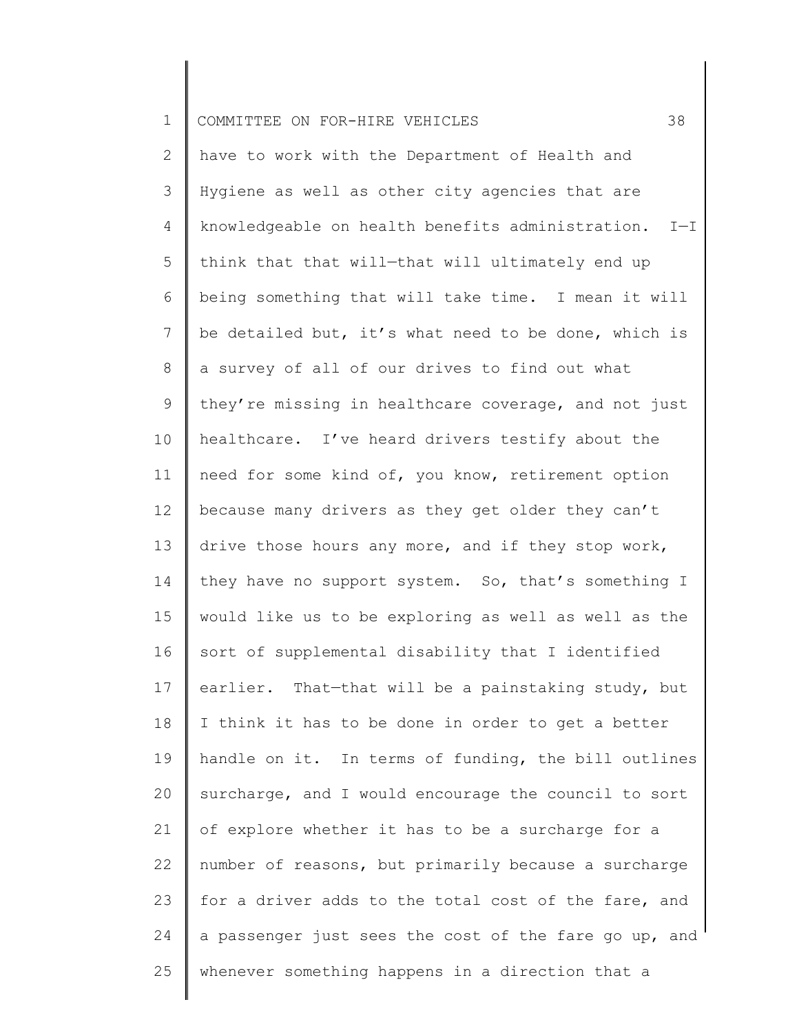| $\mathbf 1$    | 38<br>COMMITTEE ON FOR-HIRE VEHICLES                      |
|----------------|-----------------------------------------------------------|
| 2              | have to work with the Department of Health and            |
| 3              | Hygiene as well as other city agencies that are           |
| $\overline{4}$ | knowledgeable on health benefits administration.<br>$I-I$ |
| 5              | think that that will-that will ultimately end up          |
| 6              | being something that will take time. I mean it will       |
| $7\phantom{.}$ | be detailed but, it's what need to be done, which is      |
| 8              | a survey of all of our drives to find out what            |
| 9              | they're missing in healthcare coverage, and not just      |
| 10             | healthcare. I've heard drivers testify about the          |
| 11             | need for some kind of, you know, retirement option        |
| 12             | because many drivers as they get older they can't         |
| 13             | drive those hours any more, and if they stop work,        |
| 14             | they have no support system. So, that's something I       |
| 15             | would like us to be exploring as well as well as the      |
| 16             | sort of supplemental disability that I identified         |
| 17             | earlier. That-that will be a painstaking study, but       |
| 18             | I think it has to be done in order to get a better        |
| 19             | handle on it. In terms of funding, the bill outlines      |
| 20             | surcharge, and I would encourage the council to sort      |
| 21             | of explore whether it has to be a surcharge for a         |
| 22             | number of reasons, but primarily because a surcharge      |
| 23             | for a driver adds to the total cost of the fare, and      |
| 24             | a passenger just sees the cost of the fare go up, and     |
| 25             | whenever something happens in a direction that a          |
|                |                                                           |

║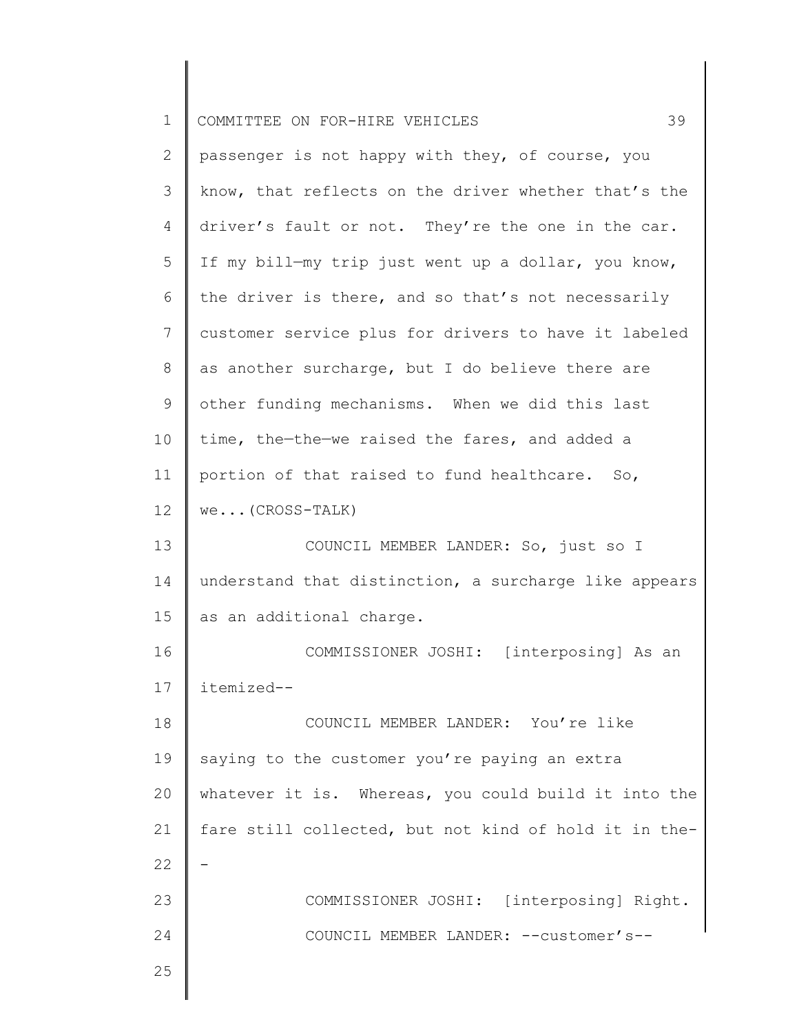| $\mathbf 1$    | 39<br>COMMITTEE ON FOR-HIRE VEHICLES                  |
|----------------|-------------------------------------------------------|
| $\mathbf{2}$   | passenger is not happy with they, of course, you      |
| 3              | know, that reflects on the driver whether that's the  |
| $\overline{4}$ | driver's fault or not. They're the one in the car.    |
| 5              | If my bill-my trip just went up a dollar, you know,   |
| 6              | the driver is there, and so that's not necessarily    |
| 7              | customer service plus for drivers to have it labeled  |
| $8\,$          | as another surcharge, but I do believe there are      |
| 9              | other funding mechanisms. When we did this last       |
| 10             | time, the-the-we raised the fares, and added a        |
| 11             | portion of that raised to fund healthcare. So,        |
| 12             | $we$ (CROSS-TALK)                                     |
| 13             | COUNCIL MEMBER LANDER: So, just so I                  |
| 14             | understand that distinction, a surcharge like appears |
| 15             | as an additional charge.                              |
| 16             | COMMISSIONER JOSHI: [interposing] As an               |
| 17             | itemized--                                            |
| 18             | COUNCIL MEMBER LANDER: You're like                    |
| 19             | saying to the customer you're paying an extra         |
| 20             | whatever it is. Whereas, you could build it into the  |
| 21             | fare still collected, but not kind of hold it in the- |
| 22             |                                                       |
| 23             | COMMISSIONER JOSHI: [interposing] Right.              |
| 24             | COUNCIL MEMBER LANDER: -- customer's--                |
| 25             |                                                       |
|                |                                                       |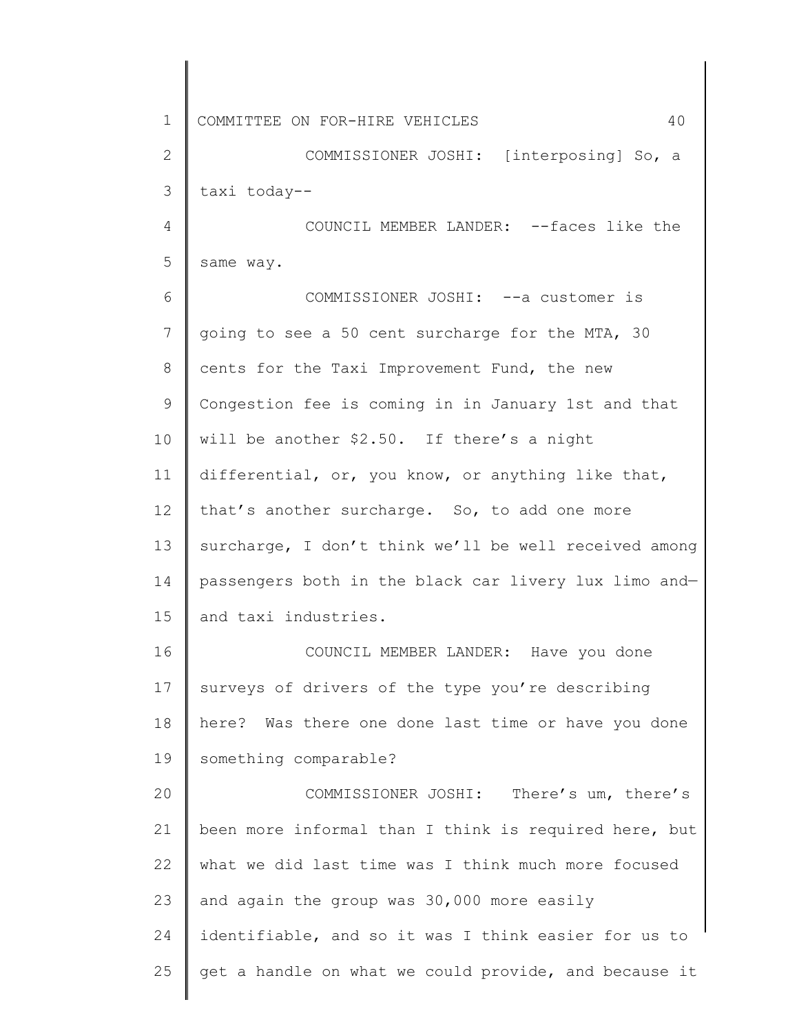1 2 3 4 5 6 7 8 9 10 11 12 13 14 15 16 17 18 19 20 21 22 23 24 25 COMMITTEE ON FOR-HIRE VEHICLES 40 COMMISSIONER JOSHI: [interposing] So, a taxi today-- COUNCIL MEMBER LANDER: --faces like the same way. COMMISSIONER JOSHI: --a customer is going to see a 50 cent surcharge for the MTA, 30 cents for the Taxi Improvement Fund, the new Congestion fee is coming in in January 1st and that will be another \$2.50. If there's a night differential, or, you know, or anything like that, that's another surcharge. So, to add one more surcharge, I don't think we'll be well received among passengers both in the black car livery lux limo and and taxi industries. COUNCIL MEMBER LANDER: Have you done surveys of drivers of the type you're describing here? Was there one done last time or have you done something comparable? COMMISSIONER JOSHI: There's um, there's been more informal than I think is required here, but what we did last time was I think much more focused and again the group was 30,000 more easily identifiable, and so it was I think easier for us to get a handle on what we could provide, and because it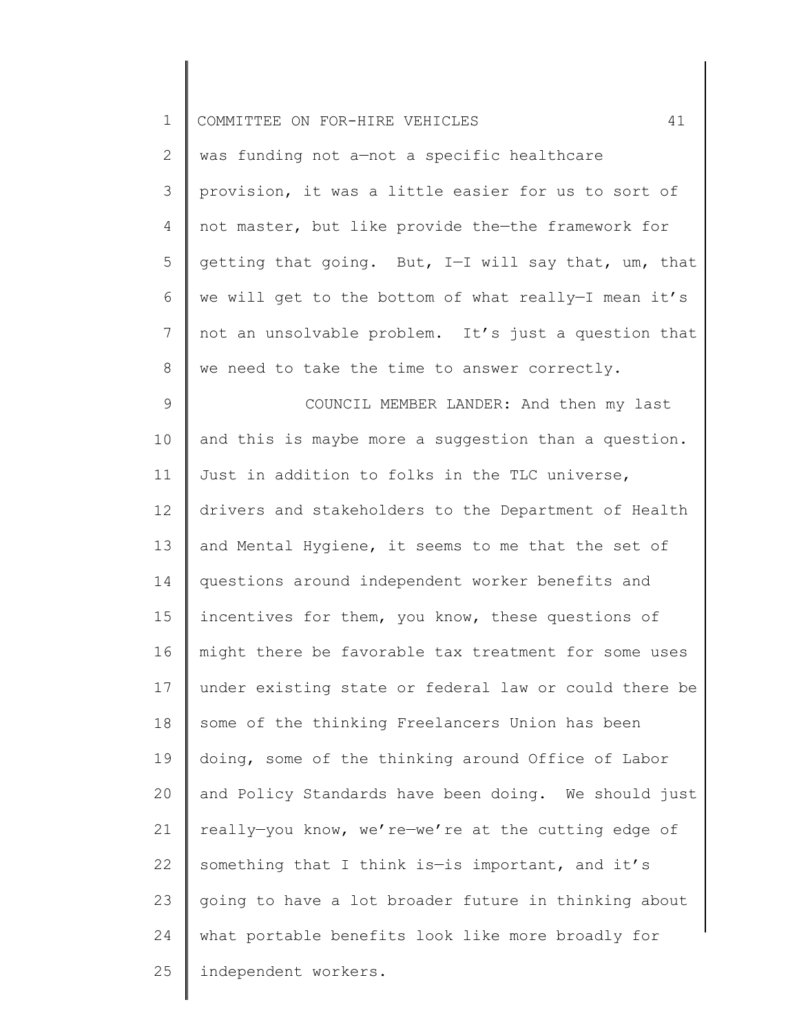| $\mathbf 1$  | 41<br>COMMITTEE ON FOR-HIRE VEHICLES                  |
|--------------|-------------------------------------------------------|
| $\mathbf{2}$ | was funding not a-not a specific healthcare           |
| 3            | provision, it was a little easier for us to sort of   |
| 4            | not master, but like provide the-the framework for    |
| 5            | getting that going. But, I-I will say that, um, that  |
| 6            | we will get to the bottom of what really-I mean it's  |
| 7            | not an unsolvable problem. It's just a question that  |
| 8            | we need to take the time to answer correctly.         |
| $\mathsf 9$  | COUNCIL MEMBER LANDER: And then my last               |
| 10           | and this is maybe more a suggestion than a question.  |
| 11           | Just in addition to folks in the TLC universe,        |
| 12           | drivers and stakeholders to the Department of Health  |
| 13           | and Mental Hygiene, it seems to me that the set of    |
| 14           | questions around independent worker benefits and      |
| 15           | incentives for them, you know, these questions of     |
| 16           | might there be favorable tax treatment for some uses  |
| 17           | under existing state or federal law or could there be |
| 18           | some of the thinking Freelancers Union has been       |
| 19           | doing, some of the thinking around Office of Labor    |
| 20           | and Policy Standards have been doing. We should just  |
| 21           | really-you know, we're-we're at the cutting edge of   |
| 22           | something that I think is-is important, and it's      |
| 23           | going to have a lot broader future in thinking about  |
| 24           | what portable benefits look like more broadly for     |
| 25           | independent workers.                                  |
|              |                                                       |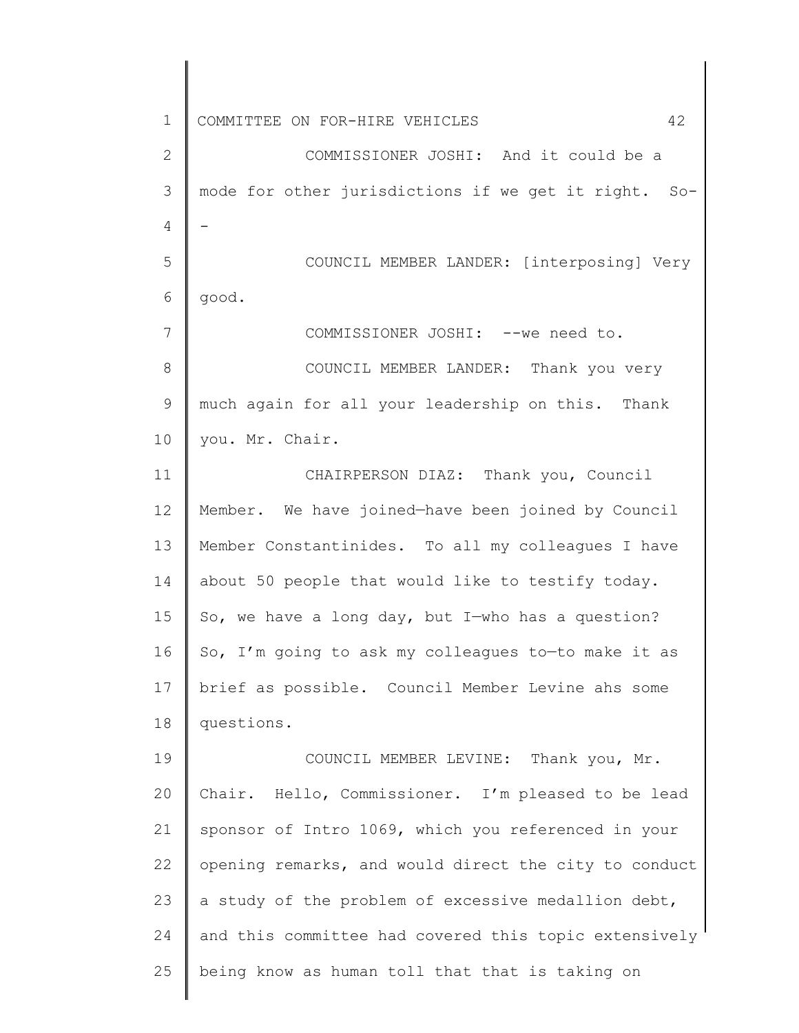1 2 3 4 5 6 7 8 9 10 11 12 13 14 15 16 17 18 19 20 21 22 23 24 25 COMMITTEE ON FOR-HIRE VEHICLES 42 COMMISSIONER JOSHI: And it could be a mode for other jurisdictions if we get it right. So- - COUNCIL MEMBER LANDER: [interposing] Very good. COMMISSIONER JOSHI: --we need to. COUNCIL MEMBER LANDER: Thank you very much again for all your leadership on this. Thank you. Mr. Chair. CHAIRPERSON DIAZ: Thank you, Council Member. We have joined—have been joined by Council Member Constantinides. To all my colleagues I have about 50 people that would like to testify today. So, we have a long day, but I—who has a question? So, I'm going to ask my colleagues to—to make it as brief as possible. Council Member Levine ahs some questions. COUNCIL MEMBER LEVINE: Thank you, Mr. Chair. Hello, Commissioner. I'm pleased to be lead sponsor of Intro 1069, which you referenced in your opening remarks, and would direct the city to conduct a study of the problem of excessive medallion debt, and this committee had covered this topic extensively being know as human toll that that is taking on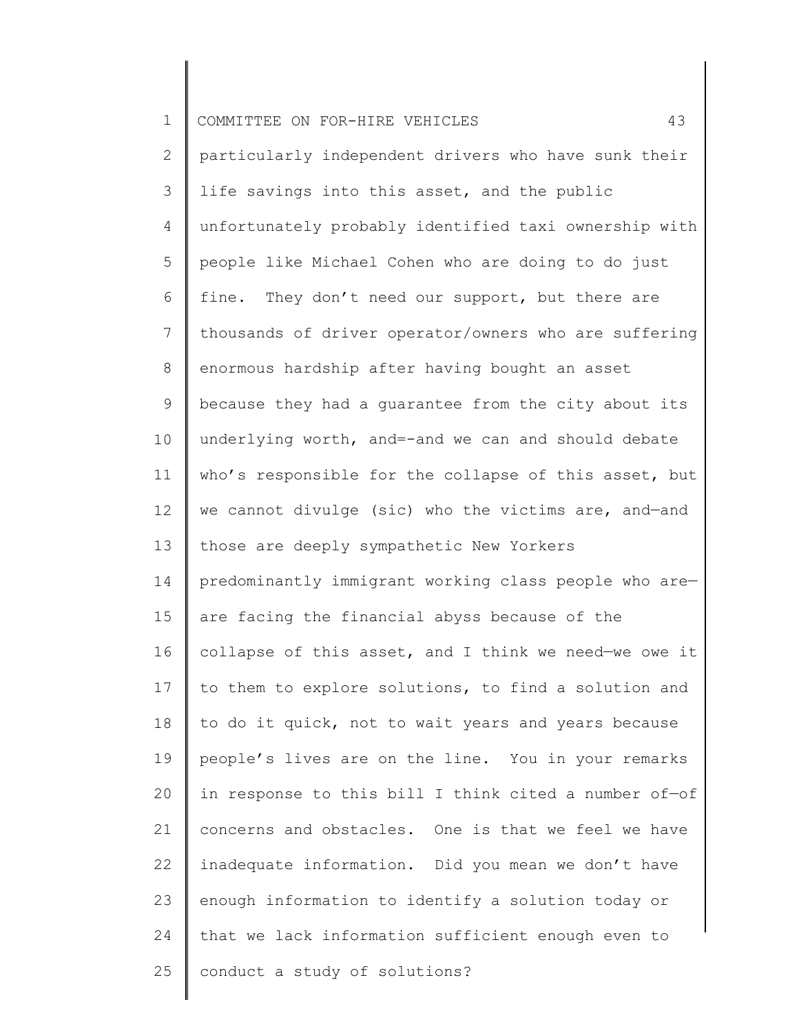| $\mathbf 1$ | 43<br>COMMITTEE ON FOR-HIRE VEHICLES                  |
|-------------|-------------------------------------------------------|
| 2           | particularly independent drivers who have sunk their  |
| 3           | life savings into this asset, and the public          |
| 4           | unfortunately probably identified taxi ownership with |
| 5           | people like Michael Cohen who are doing to do just    |
| 6           | fine. They don't need our support, but there are      |
| 7           | thousands of driver operator/owners who are suffering |
| 8           | enormous hardship after having bought an asset        |
| $\mathsf 9$ | because they had a guarantee from the city about its  |
| 10          | underlying worth, and=-and we can and should debate   |
| 11          | who's responsible for the collapse of this asset, but |
| 12          | we cannot divulge (sic) who the victims are, and-and  |
| 13          | those are deeply sympathetic New Yorkers              |
| 14          | predominantly immigrant working class people who are- |
| 15          | are facing the financial abyss because of the         |
| 16          | collapse of this asset, and I think we need-we owe it |
| 17          | to them to explore solutions, to find a solution and  |
| 18          | to do it quick, not to wait years and years because   |
| 19          | people's lives are on the line. You in your remarks   |
| 20          | in response to this bill I think cited a number of-of |
| 21          | concerns and obstacles. One is that we feel we have   |
| 22          | inadequate information. Did you mean we don't have    |
| 23          | enough information to identify a solution today or    |
| 24          | that we lack information sufficient enough even to    |
| 25          | conduct a study of solutions?                         |
|             |                                                       |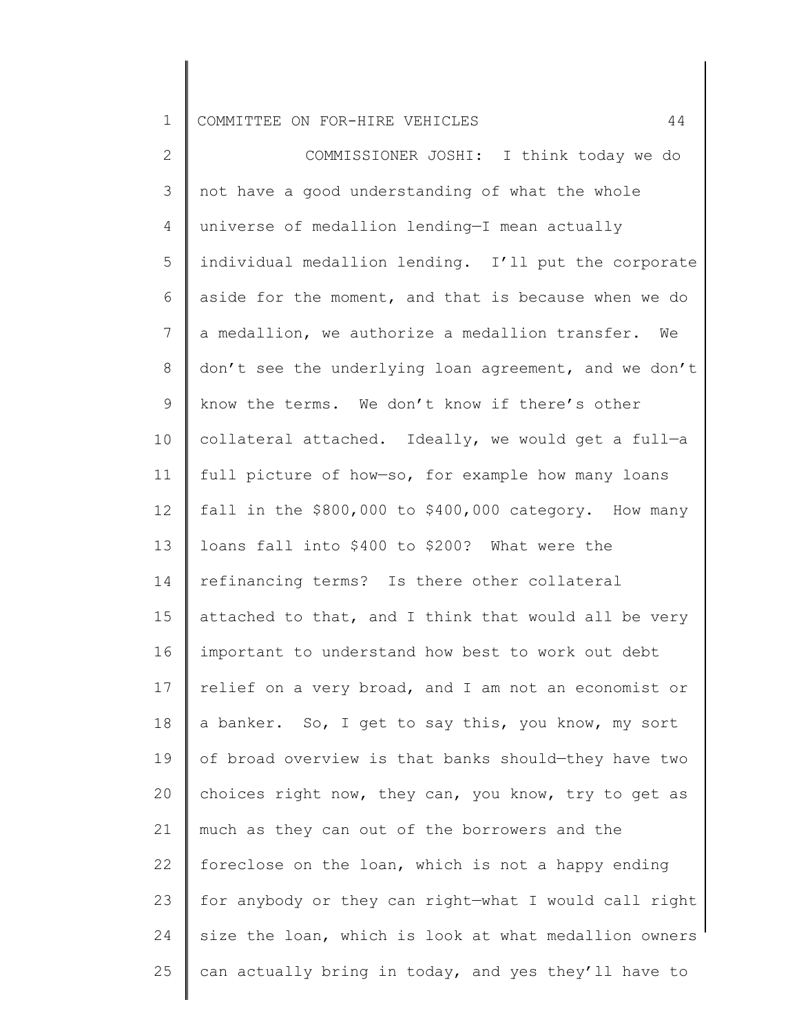1 COMMITTEE ON FOR-HIRE VEHICLES 44

2 3 4 5 6 7 8 9 10 11 12 13 14 15 16 17 18 19 20 21 22 23 24 25 COMMISSIONER JOSHI: I think today we do not have a good understanding of what the whole universe of medallion lending—I mean actually individual medallion lending. I'll put the corporate aside for the moment, and that is because when we do a medallion, we authorize a medallion transfer. We don't see the underlying loan agreement, and we don't know the terms. We don't know if there's other collateral attached. Ideally, we would get a full—a full picture of how—so, for example how many loans fall in the \$800,000 to \$400,000 category. How many loans fall into \$400 to \$200? What were the refinancing terms? Is there other collateral attached to that, and I think that would all be very important to understand how best to work out debt relief on a very broad, and I am not an economist or a banker. So, I get to say this, you know, my sort of broad overview is that banks should—they have two choices right now, they can, you know, try to get as much as they can out of the borrowers and the foreclose on the loan, which is not a happy ending for anybody or they can right—what I would call right size the loan, which is look at what medallion owners can actually bring in today, and yes they'll have to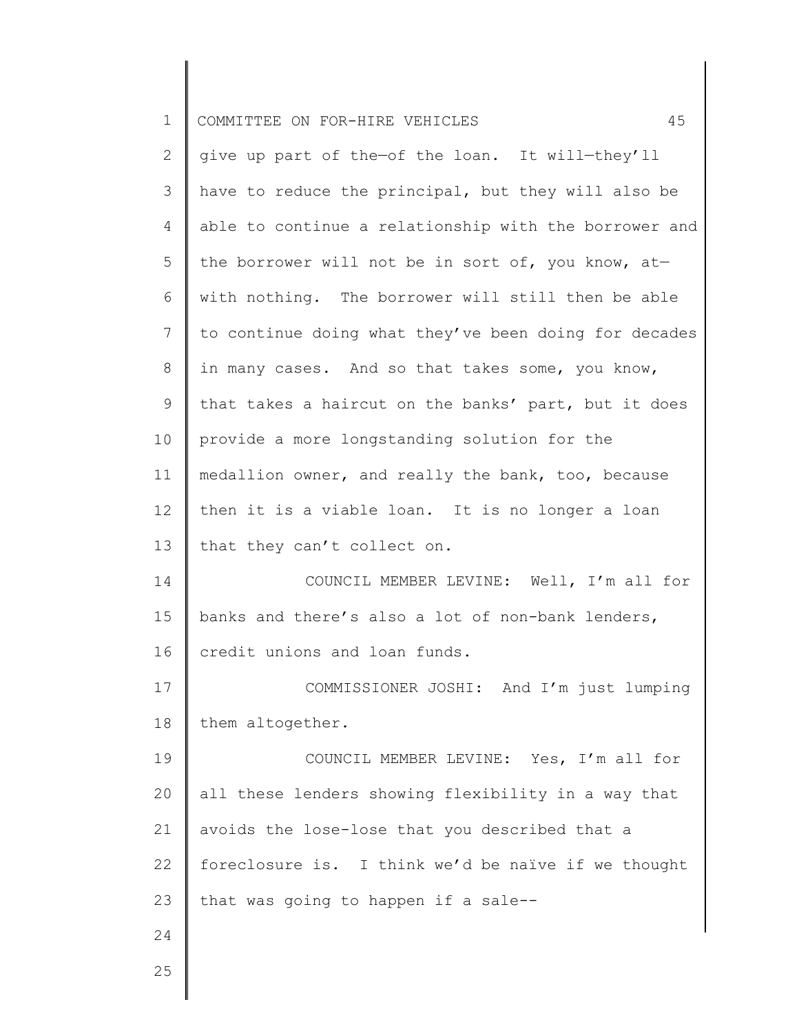| $\mathbf 1$    | 45<br>COMMITTEE ON FOR-HIRE VEHICLES                  |
|----------------|-------------------------------------------------------|
| $\mathbf{2}$   | give up part of the-of the loan. It will-they'll      |
| 3              | have to reduce the principal, but they will also be   |
| $\overline{4}$ | able to continue a relationship with the borrower and |
| 5              | the borrower will not be in sort of, you know, at-    |
| 6              | with nothing. The borrower will still then be able    |
| 7              | to continue doing what they've been doing for decades |
| 8              | in many cases. And so that takes some, you know,      |
| 9              | that takes a haircut on the banks' part, but it does  |
| 10             | provide a more longstanding solution for the          |
| 11             | medallion owner, and really the bank, too, because    |
| 12             | then it is a viable loan. It is no longer a loan      |
| 13             | that they can't collect on.                           |
| 14             | COUNCIL MEMBER LEVINE: Well, I'm all for              |
| 15             | banks and there's also a lot of non-bank lenders,     |
| 16             | credit unions and loan funds.                         |
| 17             | COMMISSIONER JOSHI: And I'm just lumping              |
| 18             | them altogether.                                      |
| 19             | COUNCIL MEMBER LEVINE: Yes, I'm all for               |
| 20             | all these lenders showing flexibility in a way that   |
| 21             | avoids the lose-lose that you described that a        |
| 22             | foreclosure is. I think we'd be naïve if we thought   |
| 23             | that was going to happen if a sale--                  |
| 24             |                                                       |
|                |                                                       |

25

║

 $\begin{array}{c} \hline \end{array}$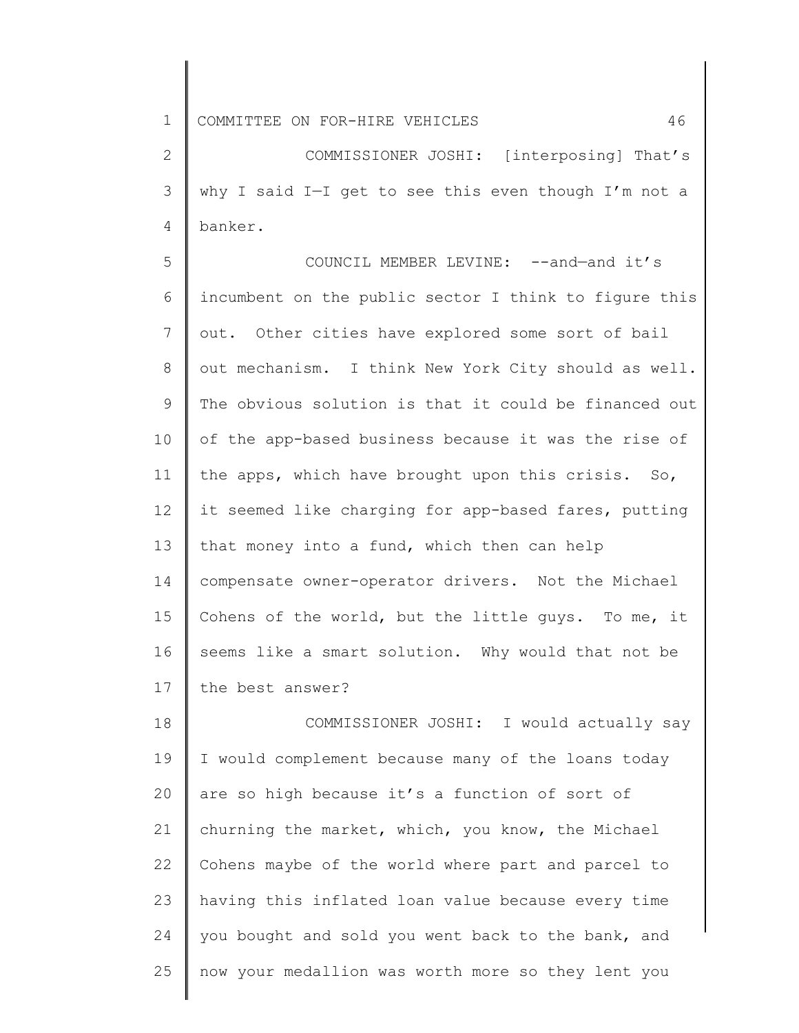1 COMMITTEE ON FOR-HIRE VEHICLES 46

2 3 4 COMMISSIONER JOSHI: [interposing] That's why I said I—I get to see this even though I'm not a banker.

5 6 7 8 9 10 11 12 13 14 15 16 17 COUNCIL MEMBER LEVINE: --and—and it's incumbent on the public sector I think to figure this out. Other cities have explored some sort of bail out mechanism. I think New York City should as well. The obvious solution is that it could be financed out of the app-based business because it was the rise of the apps, which have brought upon this crisis. So, it seemed like charging for app-based fares, putting that money into a fund, which then can help compensate owner-operator drivers. Not the Michael Cohens of the world, but the little guys. To me, it seems like a smart solution. Why would that not be the best answer?

18 19 20 21 22 23 24 25 COMMISSIONER JOSHI: I would actually say I would complement because many of the loans today are so high because it's a function of sort of churning the market, which, you know, the Michael Cohens maybe of the world where part and parcel to having this inflated loan value because every time you bought and sold you went back to the bank, and now your medallion was worth more so they lent you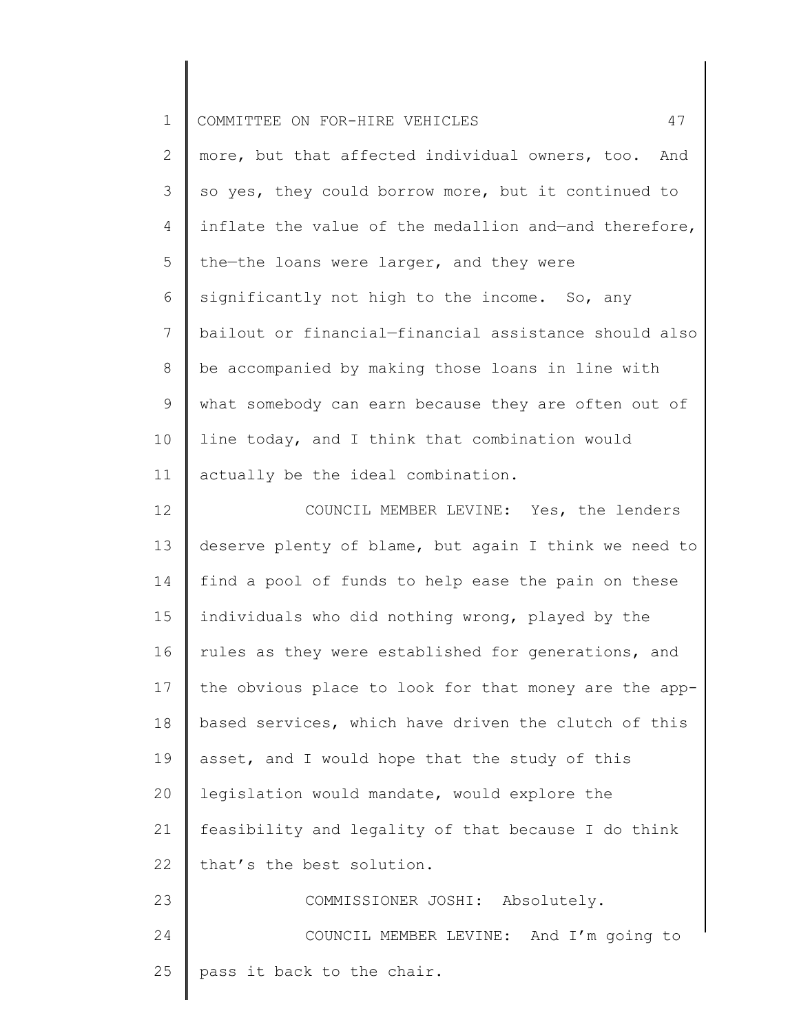| $\mathbf 1$ | 47<br>COMMITTEE ON FOR-HIRE VEHICLES                  |
|-------------|-------------------------------------------------------|
| 2           | more, but that affected individual owners, too. And   |
| 3           | so yes, they could borrow more, but it continued to   |
| 4           | inflate the value of the medallion and-and therefore, |
| 5           | the-the loans were larger, and they were              |
| 6           | significantly not high to the income. So, any         |
| 7           | bailout or financial-financial assistance should also |
| 8           | be accompanied by making those loans in line with     |
| 9           | what somebody can earn because they are often out of  |
| 10          | line today, and I think that combination would        |
| 11          | actually be the ideal combination.                    |
| 12          | COUNCIL MEMBER LEVINE: Yes, the lenders               |
| 13          | deserve plenty of blame, but again I think we need to |
| 14          | find a pool of funds to help ease the pain on these   |
| 15          | individuals who did nothing wrong, played by the      |
| 16          | rules as they were established for generations, and   |
| 17          | the obvious place to look for that money are the app- |
| 18          | based services, which have driven the clutch of this  |
| 19          | asset, and I would hope that the study of this        |
| 20          | legislation would mandate, would explore the          |
| 21          | feasibility and legality of that because I do think   |
| 22          | that's the best solution.                             |
| 23          | COMMISSIONER JOSHI: Absolutely.                       |
| 24          | COUNCIL MEMBER LEVINE: And I'm going to               |
| 25          | pass it back to the chair.                            |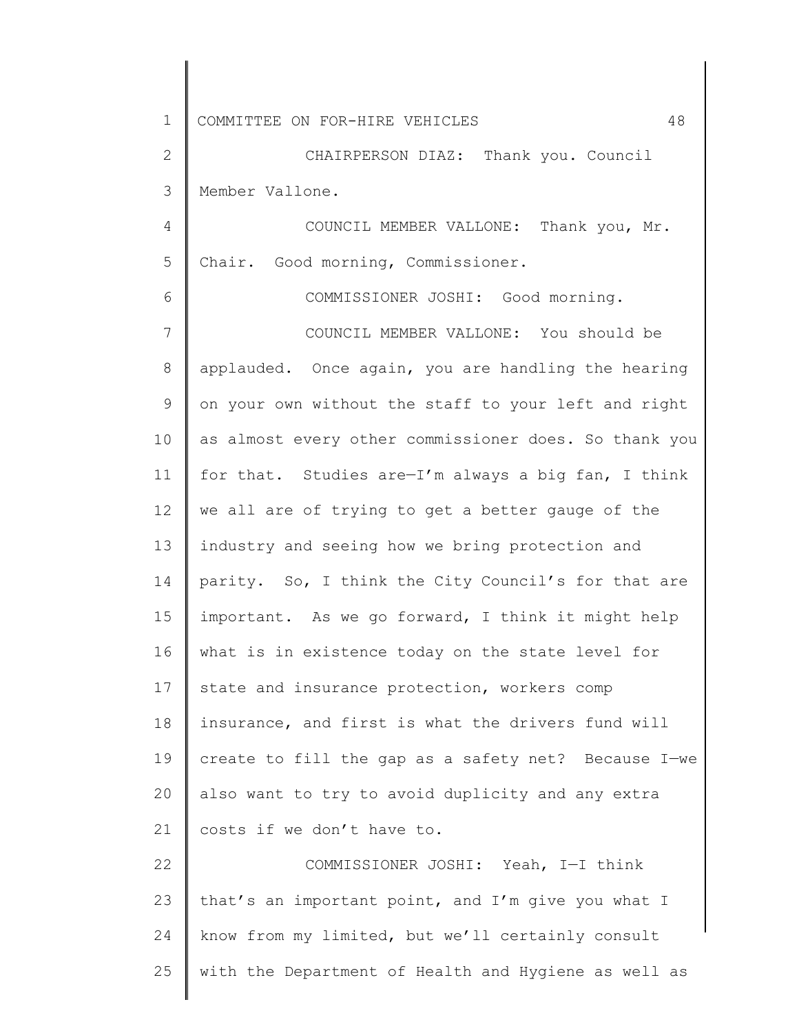1 2 3 4 5 6 7 8 9 10 11 12 13 14 15 16 17 18 19 20 21 22 23 24 25 COMMITTEE ON FOR-HIRE VEHICLES 48 CHAIRPERSON DIAZ: Thank you. Council Member Vallone. COUNCIL MEMBER VALLONE: Thank you, Mr. Chair. Good morning, Commissioner. COMMISSIONER JOSHI: Good morning. COUNCIL MEMBER VALLONE: You should be applauded. Once again, you are handling the hearing on your own without the staff to your left and right as almost every other commissioner does. So thank you for that. Studies are—I'm always a big fan, I think we all are of trying to get a better gauge of the industry and seeing how we bring protection and parity. So, I think the City Council's for that are important. As we go forward, I think it might help what is in existence today on the state level for state and insurance protection, workers comp insurance, and first is what the drivers fund will create to fill the gap as a safety net? Because I—we also want to try to avoid duplicity and any extra costs if we don't have to. COMMISSIONER JOSHI: Yeah, I—I think that's an important point, and I'm give you what I know from my limited, but we'll certainly consult with the Department of Health and Hygiene as well as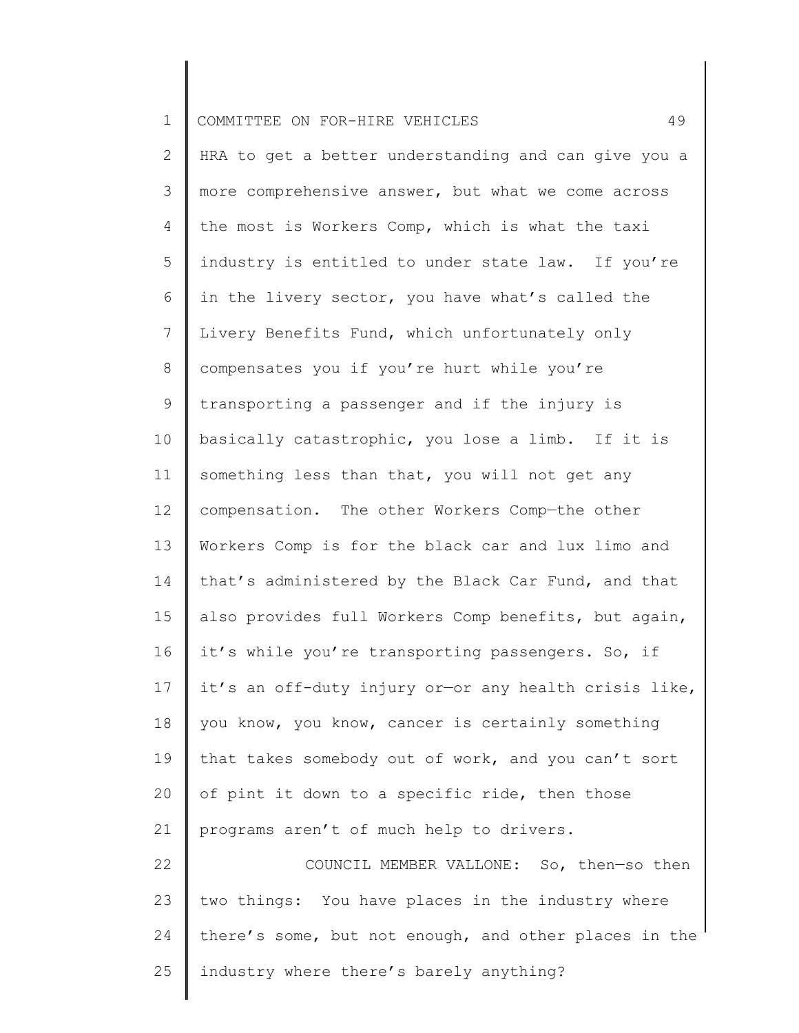| $\mathbf 1$ | 49<br>COMMITTEE ON FOR-HIRE VEHICLES                  |
|-------------|-------------------------------------------------------|
| 2           | HRA to get a better understanding and can give you a  |
| 3           | more comprehensive answer, but what we come across    |
| 4           | the most is Workers Comp, which is what the taxi      |
| 5           | industry is entitled to under state law. If you're    |
| 6           | in the livery sector, you have what's called the      |
| 7           | Livery Benefits Fund, which unfortunately only        |
| 8           | compensates you if you're hurt while you're           |
| 9           | transporting a passenger and if the injury is         |
| 10          | basically catastrophic, you lose a limb. If it is     |
| 11          | something less than that, you will not get any        |
| 12          | compensation. The other Workers Comp-the other        |
| 13          | Workers Comp is for the black car and lux limo and    |
| 14          | that's administered by the Black Car Fund, and that   |
| 15          | also provides full Workers Comp benefits, but again,  |
| 16          | it's while you're transporting passengers. So, if     |
| 17          | it's an off-duty injury or-or any health crisis like, |
| 18          | you know, you know, cancer is certainly something     |
| 19          | that takes somebody out of work, and you can't sort   |
| 20          | of pint it down to a specific ride, then those        |
| 21          | programs aren't of much help to drivers.              |
| 22          | COUNCIL MEMBER VALLONE: So, then-so then              |
| 23          | two things: You have places in the industry where     |
| 24          | there's some, but not enough, and other places in the |
| 25          | industry where there's barely anything?               |
|             |                                                       |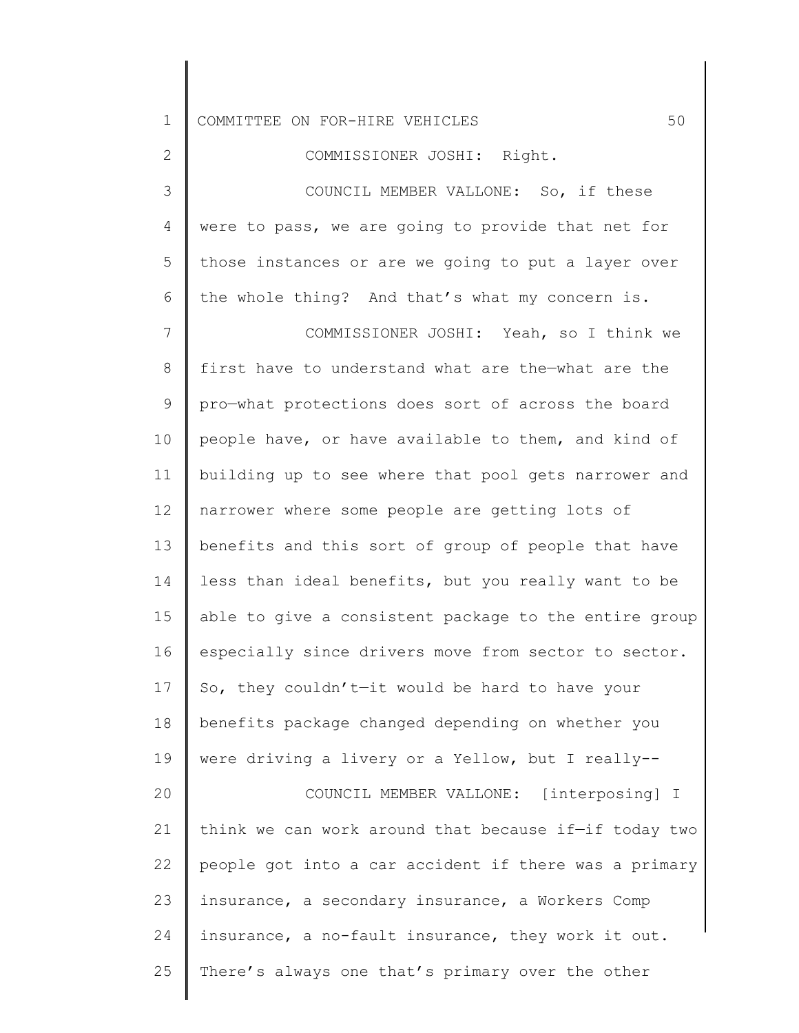1 2 3 4 5 6 7 8 9 10 11 12 13 14 15 16 17 18 19 20 21 22 23 24 COMMITTEE ON FOR-HIRE VEHICLES 60 COMMISSIONER JOSHI: Right. COUNCIL MEMBER VALLONE: So, if these were to pass, we are going to provide that net for those instances or are we going to put a layer over the whole thing? And that's what my concern is. COMMISSIONER JOSHI: Yeah, so I think we first have to understand what are the—what are the pro—what protections does sort of across the board people have, or have available to them, and kind of building up to see where that pool gets narrower and narrower where some people are getting lots of benefits and this sort of group of people that have less than ideal benefits, but you really want to be able to give a consistent package to the entire group especially since drivers move from sector to sector. So, they couldn't—it would be hard to have your benefits package changed depending on whether you were driving a livery or a Yellow, but I really-- COUNCIL MEMBER VALLONE: [interposing] I think we can work around that because if—if today two people got into a car accident if there was a primary insurance, a secondary insurance, a Workers Comp insurance, a no-fault insurance, they work it out.

25 There's always one that's primary over the other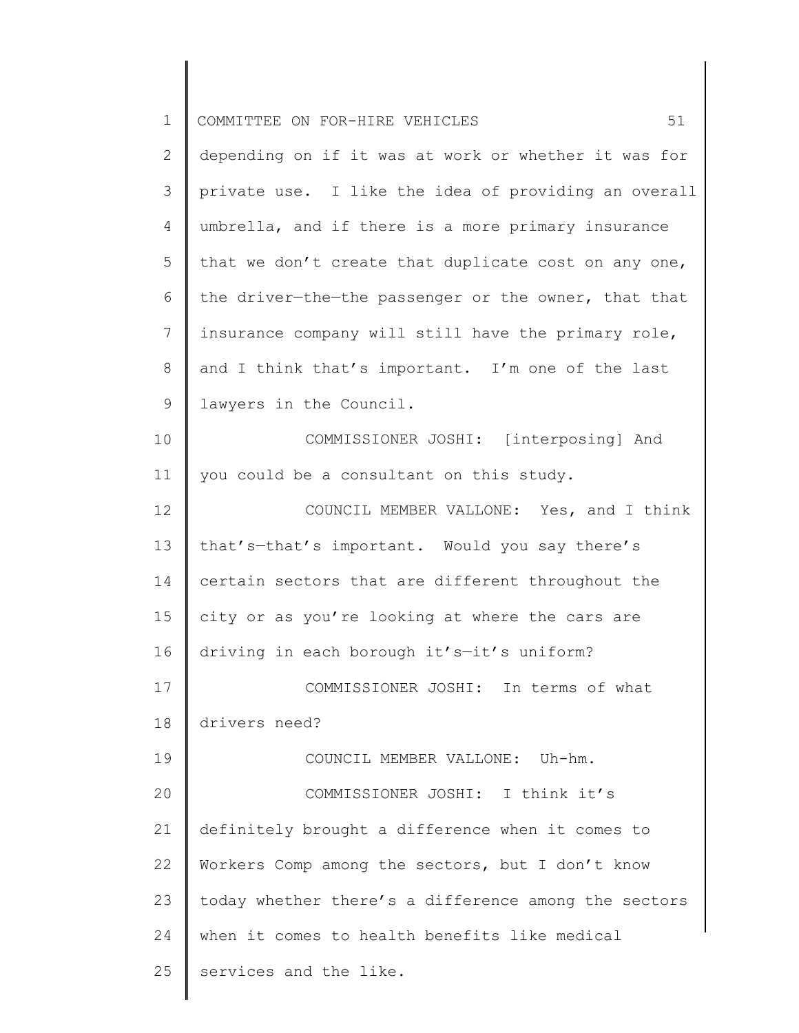| $\mathbf 1$ | 51<br>COMMITTEE ON FOR-HIRE VEHICLES                 |
|-------------|------------------------------------------------------|
| 2           | depending on if it was at work or whether it was for |
| 3           | private use. I like the idea of providing an overall |
| 4           | umbrella, and if there is a more primary insurance   |
| 5           | that we don't create that duplicate cost on any one, |
| 6           | the driver-the-the passenger or the owner, that that |
| 7           | insurance company will still have the primary role,  |
| 8           | and I think that's important. I'm one of the last    |
| 9           | lawyers in the Council.                              |
| 10          | COMMISSIONER JOSHI: [interposing] And                |
| 11          | you could be a consultant on this study.             |
| 12          | COUNCIL MEMBER VALLONE: Yes, and I think             |
| 13          | that's-that's important. Would you say there's       |
| 14          | certain sectors that are different throughout the    |
| 15          | city or as you're looking at where the cars are      |
| 16          | driving in each borough it's-it's uniform?           |
| 17          | COMMISSIONER JOSHI: In terms of what                 |
| 18          | drivers need?                                        |
| 19          | COUNCIL MEMBER VALLONE: Uh-hm.                       |
| 20          | COMMISSIONER JOSHI: I think it's                     |
| 21          | definitely brought a difference when it comes to     |
| 22          | Workers Comp among the sectors, but I don't know     |
| 23          | today whether there's a difference among the sectors |
| 24          | when it comes to health benefits like medical        |
| 25          | services and the like.                               |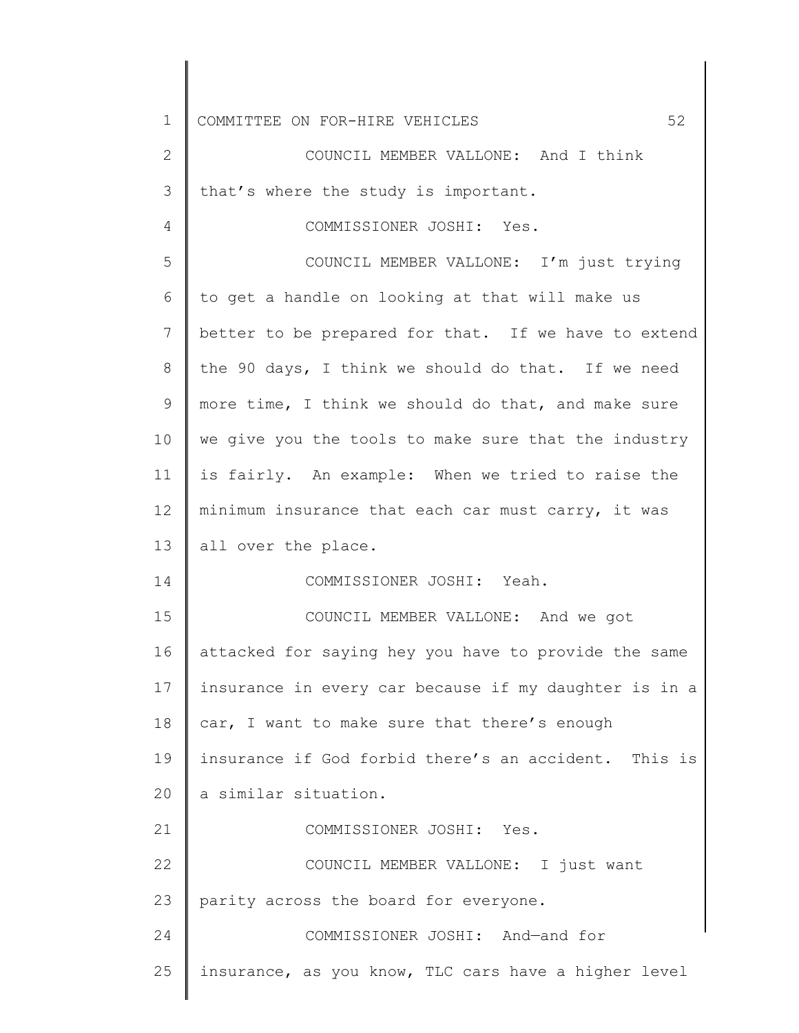| $\mathbf 1$ | 52<br>COMMITTEE ON FOR-HIRE VEHICLES                  |
|-------------|-------------------------------------------------------|
| 2           | COUNCIL MEMBER VALLONE: And I think                   |
| 3           | that's where the study is important.                  |
| 4           | COMMISSIONER JOSHI: Yes.                              |
| 5           | COUNCIL MEMBER VALLONE: I'm just trying               |
| 6           | to get a handle on looking at that will make us       |
| 7           | better to be prepared for that. If we have to extend  |
| 8           | the 90 days, I think we should do that. If we need    |
| 9           | more time, I think we should do that, and make sure   |
| 10          | we give you the tools to make sure that the industry  |
| 11          | is fairly. An example: When we tried to raise the     |
| 12          | minimum insurance that each car must carry, it was    |
| 13          | all over the place.                                   |
| 14          | COMMISSIONER JOSHI: Yeah.                             |
| 15          | COUNCIL MEMBER VALLONE: And we got                    |
| 16          | attacked for saying hey you have to provide the same  |
| 17          | insurance in every car because if my daughter is in a |
| 18          | car, I want to make sure that there's enough          |
| 19          | insurance if God forbid there's an accident. This is  |
| 20          | a similar situation.                                  |
| 21          | COMMISSIONER JOSHI: Yes.                              |
| 22          | COUNCIL MEMBER VALLONE: I just want                   |
| 23          | parity across the board for everyone.                 |
| 24          | COMMISSIONER JOSHI: And-and for                       |
| 25          | insurance, as you know, TLC cars have a higher level  |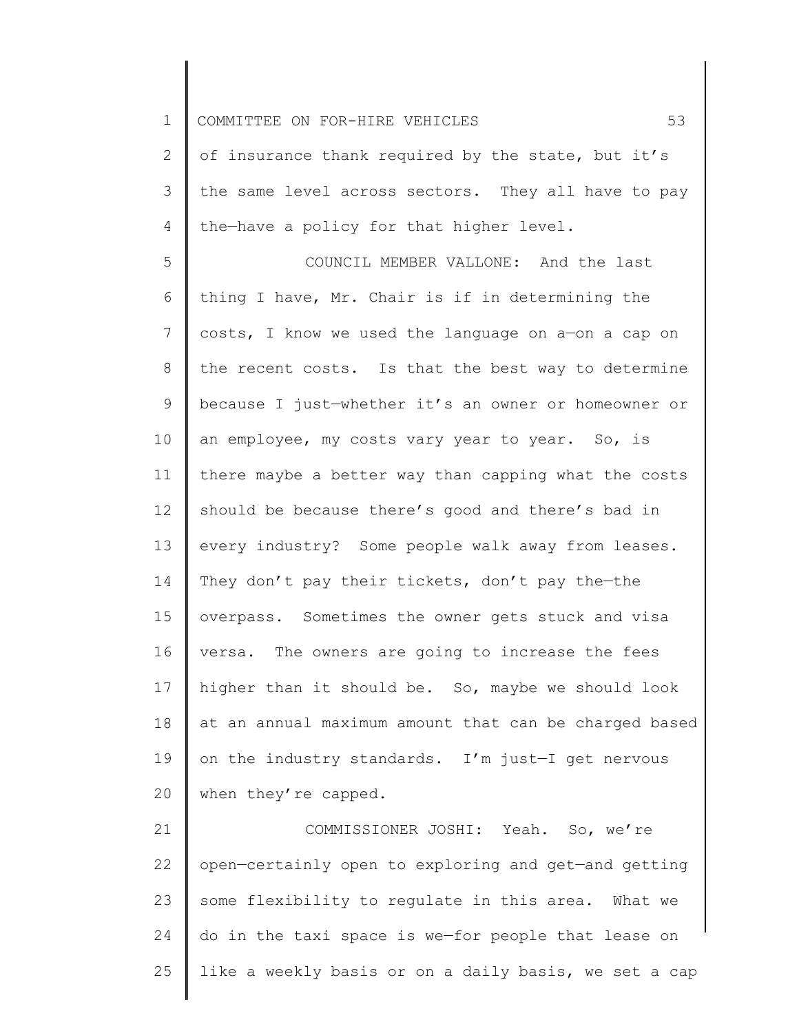1 2 3 4 5 6 7 8 9 10 11 12 13 14 15 16 17 18 19 20 21 COMMITTEE ON FOR-HIRE VEHICLES 53 of insurance thank required by the state, but it's the same level across sectors. They all have to pay the—have a policy for that higher level. COUNCIL MEMBER VALLONE: And the last thing I have, Mr. Chair is if in determining the costs, I know we used the language on a—on a cap on the recent costs. Is that the best way to determine because I just—whether it's an owner or homeowner or an employee, my costs vary year to year. So, is there maybe a better way than capping what the costs should be because there's good and there's bad in every industry? Some people walk away from leases. They don't pay their tickets, don't pay the—the overpass. Sometimes the owner gets stuck and visa versa. The owners are going to increase the fees higher than it should be. So, maybe we should look at an annual maximum amount that can be charged based on the industry standards. I'm just—I get nervous when they're capped. COMMISSIONER JOSHI: Yeah. So, we're

22 23 24 25 open—certainly open to exploring and get—and getting some flexibility to regulate in this area. What we do in the taxi space is we—for people that lease on like a weekly basis or on a daily basis, we set a cap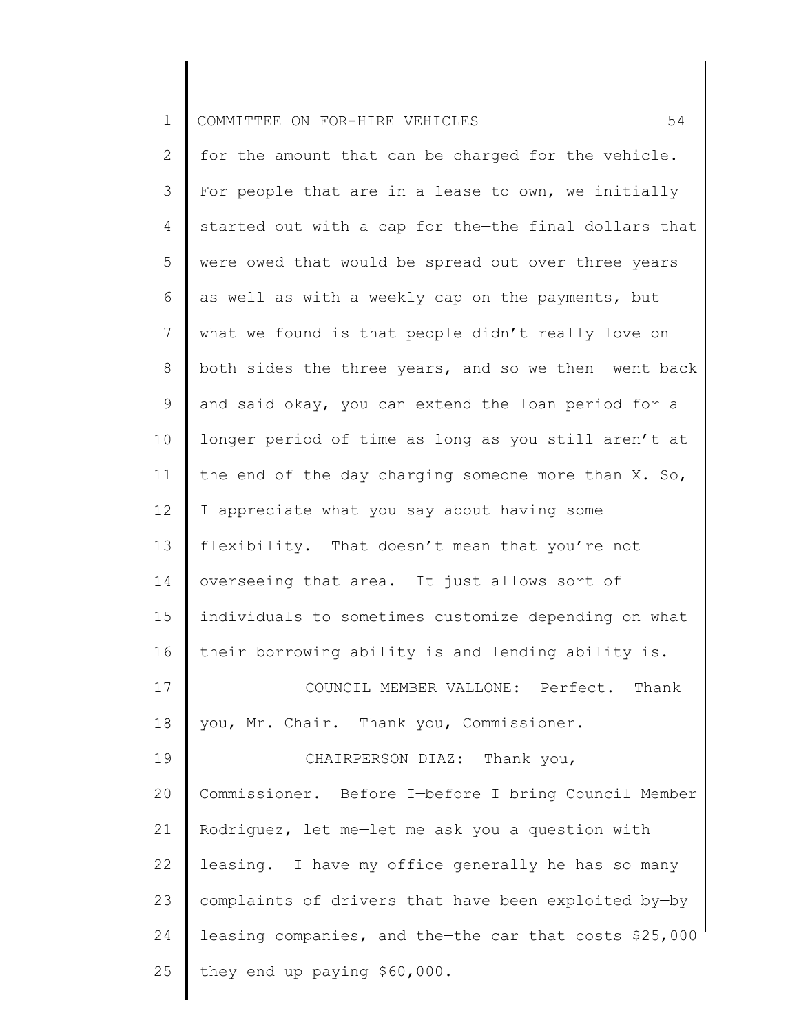| ᅩ | I COMMITTEE ON FOR-HIRE VEHICLES |  |  |  |  |  |
|---|----------------------------------|--|--|--|--|--|
|---|----------------------------------|--|--|--|--|--|

2 3 4 5 6 7 8 9 10 11 12 13 14 15 16 17 18 19 20 21 22 23 24 25 for the amount that can be charged for the vehicle. For people that are in a lease to own, we initially started out with a cap for the—the final dollars that were owed that would be spread out over three years as well as with a weekly cap on the payments, but what we found is that people didn't really love on both sides the three years, and so we then went back and said okay, you can extend the loan period for a longer period of time as long as you still aren't at the end of the day charging someone more than X. So, I appreciate what you say about having some flexibility. That doesn't mean that you're not overseeing that area. It just allows sort of individuals to sometimes customize depending on what their borrowing ability is and lending ability is. COUNCIL MEMBER VALLONE: Perfect. Thank you, Mr. Chair. Thank you, Commissioner. CHAIRPERSON DIAZ: Thank you, Commissioner. Before I—before I bring Council Member Rodriguez, let me—let me ask you a question with leasing. I have my office generally he has so many complaints of drivers that have been exploited by—by leasing companies, and the—the car that costs \$25,000 they end up paying \$60,000.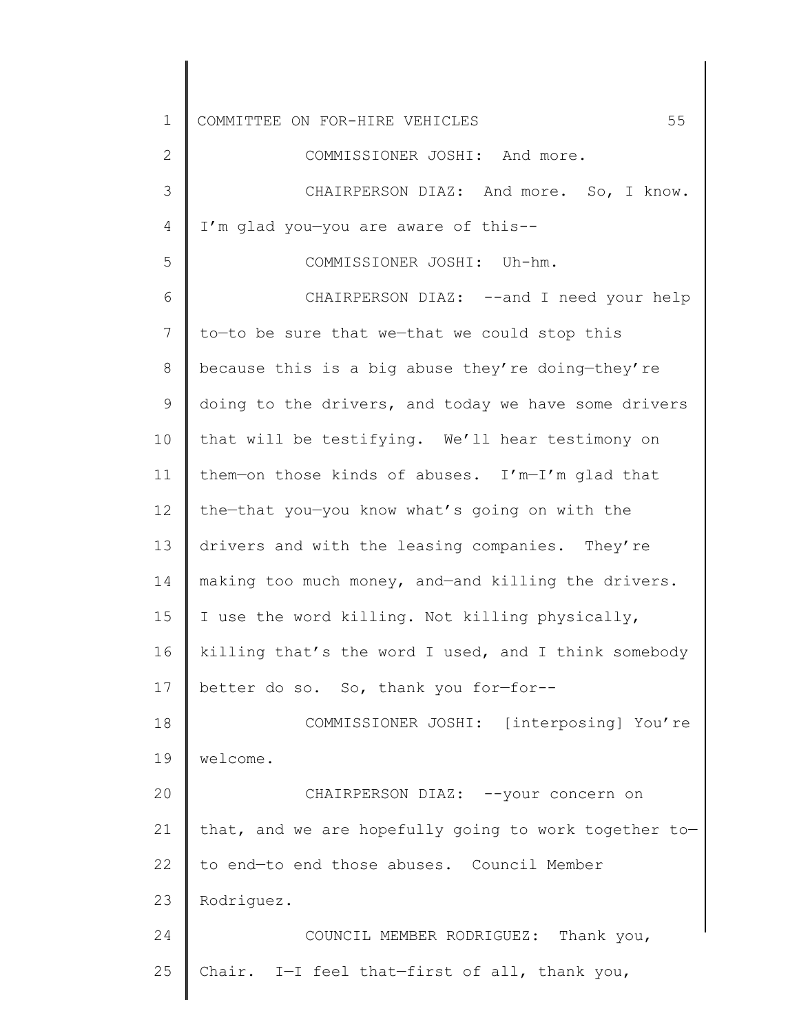| $\mathbf 1$    | 55<br>COMMITTEE ON FOR-HIRE VEHICLES                  |
|----------------|-------------------------------------------------------|
| $\mathbf{2}$   | COMMISSIONER JOSHI: And more.                         |
| 3              | CHAIRPERSON DIAZ: And more. So, I know.               |
| 4              | I'm glad you-you are aware of this--                  |
| 5              | COMMISSIONER JOSHI: Uh-hm.                            |
| 6              | CHAIRPERSON DIAZ: --and I need your help              |
| $7\phantom{.}$ | to-to be sure that we-that we could stop this         |
| 8              | because this is a big abuse they're doing-they're     |
| 9              | doing to the drivers, and today we have some drivers  |
| 10             | that will be testifying. We'll hear testimony on      |
| 11             | them-on those kinds of abuses. I'm-I'm glad that      |
| 12             | the-that you-you know what's going on with the        |
| 13             | drivers and with the leasing companies. They're       |
| 14             | making too much money, and-and killing the drivers.   |
| 15             | I use the word killing. Not killing physically,       |
| 16             | killing that's the word I used, and I think somebody  |
| 17             | better do so. So, thank you for-for--                 |
| 18             | COMMISSIONER JOSHI: [interposing] You're              |
| 19             | welcome.                                              |
| 20             | CHAIRPERSON DIAZ: -- your concern on                  |
| 21             | that, and we are hopefully going to work together to- |
| 22             | to end-to end those abuses. Council Member            |
| 23             | Rodriguez.                                            |
| 24             | COUNCIL MEMBER RODRIGUEZ: Thank you,                  |
| 25             | Chair. I-I feel that-first of all, thank you,         |
|                |                                                       |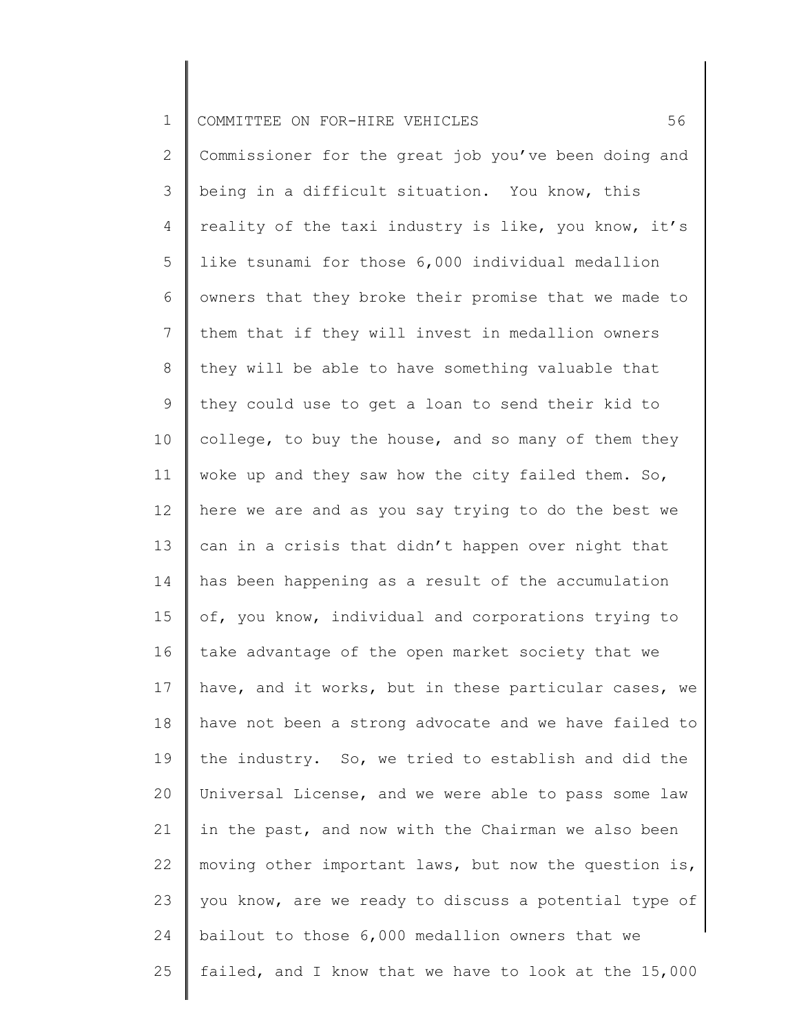| $\mathbf 1$     | 56<br>COMMITTEE ON FOR-HIRE VEHICLES                  |
|-----------------|-------------------------------------------------------|
| 2               | Commissioner for the great job you've been doing and  |
| 3               | being in a difficult situation. You know, this        |
| $\overline{4}$  | reality of the taxi industry is like, you know, it's  |
| 5               | like tsunami for those 6,000 individual medallion     |
| 6               | owners that they broke their promise that we made to  |
| 7               | them that if they will invest in medallion owners     |
| 8               | they will be able to have something valuable that     |
| 9               | they could use to get a loan to send their kid to     |
| 10 <sub>o</sub> | college, to buy the house, and so many of them they   |
| 11              | woke up and they saw how the city failed them. So,    |
| 12              | here we are and as you say trying to do the best we   |
| 13              | can in a crisis that didn't happen over night that    |
| 14              | has been happening as a result of the accumulation    |
| 15              | of, you know, individual and corporations trying to   |
| 16              | take advantage of the open market society that we     |
| 17              | have, and it works, but in these particular cases, we |
| 18              | have not been a strong advocate and we have failed to |
| 19              | the industry. So, we tried to establish and did the   |
| 20              | Universal License, and we were able to pass some law  |
| 21              | in the past, and now with the Chairman we also been   |
| 22              | moving other important laws, but now the question is, |
| 23              | you know, are we ready to discuss a potential type of |
| 24              | bailout to those 6,000 medallion owners that we       |
| 25              | failed, and I know that we have to look at the 15,000 |
|                 |                                                       |

║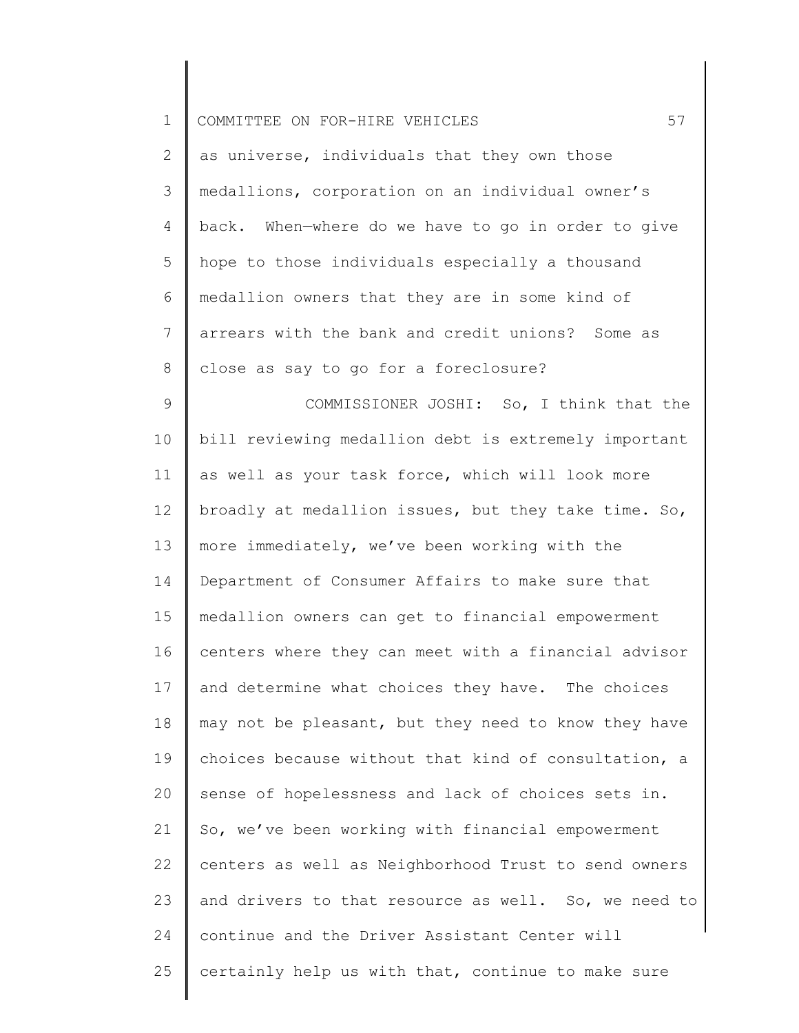| $\mathbf 1$    | 57<br>COMMITTEE ON FOR-HIRE VEHICLES                 |
|----------------|------------------------------------------------------|
| 2              | as universe, individuals that they own those         |
| 3              | medallions, corporation on an individual owner's     |
| $\overline{4}$ | back. When-where do we have to go in order to give   |
| 5              | hope to those individuals especially a thousand      |
| 6              | medallion owners that they are in some kind of       |
| 7              | arrears with the bank and credit unions? Some as     |
| $8\,$          | close as say to go for a foreclosure?                |
| $\mathsf 9$    | COMMISSIONER JOSHI: So, I think that the             |
| 10             | bill reviewing medallion debt is extremely important |
| 11             | as well as your task force, which will look more     |
| 12             | broadly at medallion issues, but they take time. So, |
| 13             | more immediately, we've been working with the        |
| 14             | Department of Consumer Affairs to make sure that     |
| 15             | medallion owners can get to financial empowerment    |
| 16             | centers where they can meet with a financial advisor |
| 17             | and determine what choices they have. The choices    |
| 18             | may not be pleasant, but they need to know they have |
| 19             | choices because without that kind of consultation, a |
| 20             | sense of hopelessness and lack of choices sets in.   |
| 21             | So, we've been working with financial empowerment    |
| 22             | centers as well as Neighborhood Trust to send owners |
| 23             | and drivers to that resource as well. So, we need to |
| 24             | continue and the Driver Assistant Center will        |
| 25             | certainly help us with that, continue to make sure   |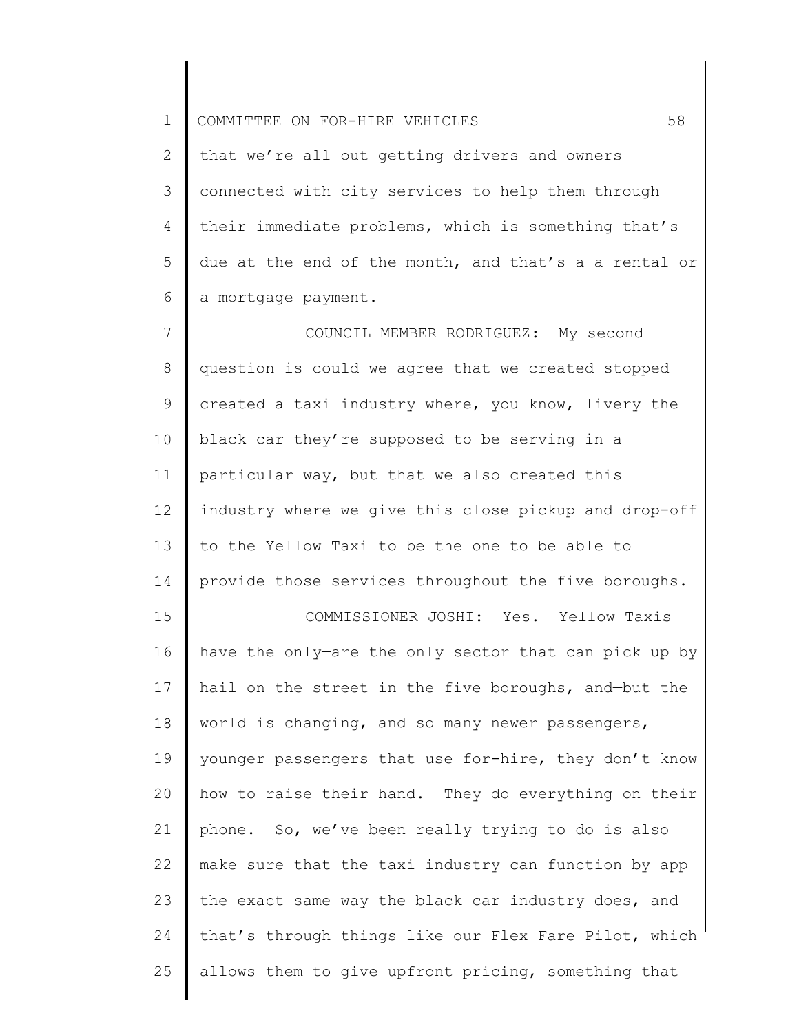1 COMMITTEE ON FOR-HIRE VEHICLES 58

2 3 4 5 6 that we're all out getting drivers and owners connected with city services to help them through their immediate problems, which is something that's due at the end of the month, and that's a—a rental or a mortgage payment.

7 8 9 10 11 12 13 14 COUNCIL MEMBER RODRIGUEZ: My second question is could we agree that we created—stopped created a taxi industry where, you know, livery the black car they're supposed to be serving in a particular way, but that we also created this industry where we give this close pickup and drop-off to the Yellow Taxi to be the one to be able to provide those services throughout the five boroughs.

15 16 17 18 19 20 21 22 23 24 25 COMMISSIONER JOSHI: Yes. Yellow Taxis have the only—are the only sector that can pick up by hail on the street in the five boroughs, and—but the world is changing, and so many newer passengers, younger passengers that use for-hire, they don't know how to raise their hand. They do everything on their phone. So, we've been really trying to do is also make sure that the taxi industry can function by app the exact same way the black car industry does, and that's through things like our Flex Fare Pilot, which allows them to give upfront pricing, something that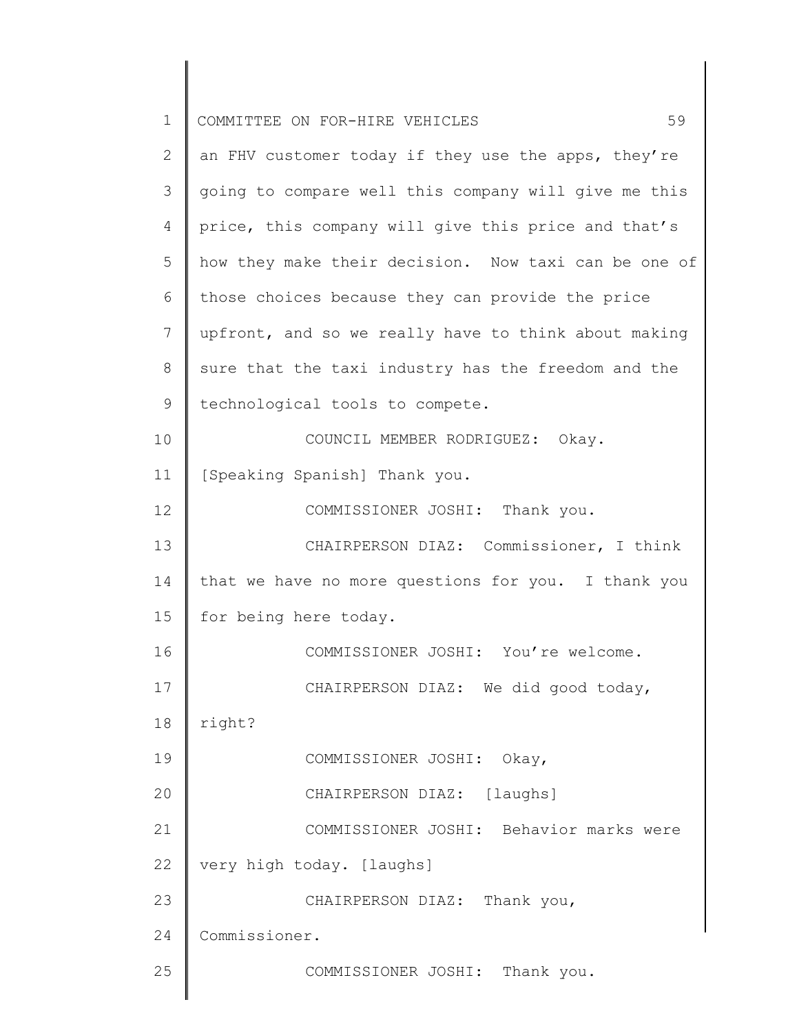| $\mathbf 1$ | 59<br>COMMITTEE ON FOR-HIRE VEHICLES                 |
|-------------|------------------------------------------------------|
| 2           | an FHV customer today if they use the apps, they're  |
| 3           | going to compare well this company will give me this |
| 4           | price, this company will give this price and that's  |
| 5           | how they make their decision. Now taxi can be one of |
| 6           | those choices because they can provide the price     |
| 7           | upfront, and so we really have to think about making |
| $\,8\,$     | sure that the taxi industry has the freedom and the  |
| 9           | technological tools to compete.                      |
| 10          | COUNCIL MEMBER RODRIGUEZ: Okay.                      |
| 11          | [Speaking Spanish] Thank you.                        |
| 12          | COMMISSIONER JOSHI: Thank you.                       |
| 13          | CHAIRPERSON DIAZ: Commissioner, I think              |
| 14          | that we have no more questions for you. I thank you  |
| 15          | for being here today.                                |
| 16          | COMMISSIONER JOSHI: You're welcome.                  |
| 17          | CHAIRPERSON DIAZ: We did good today,                 |
| 18          | right?                                               |
| 19          | COMMISSIONER JOSHI: Okay,                            |
| 20          | CHAIRPERSON DIAZ: [laughs]                           |
| 21          | COMMISSIONER JOSHI: Behavior marks were              |
| 22          | very high today. [laughs]                            |
| 23          | CHAIRPERSON DIAZ: Thank you,                         |
| 24          | Commissioner.                                        |
| 25          | COMMISSIONER JOSHI: Thank you.                       |
|             |                                                      |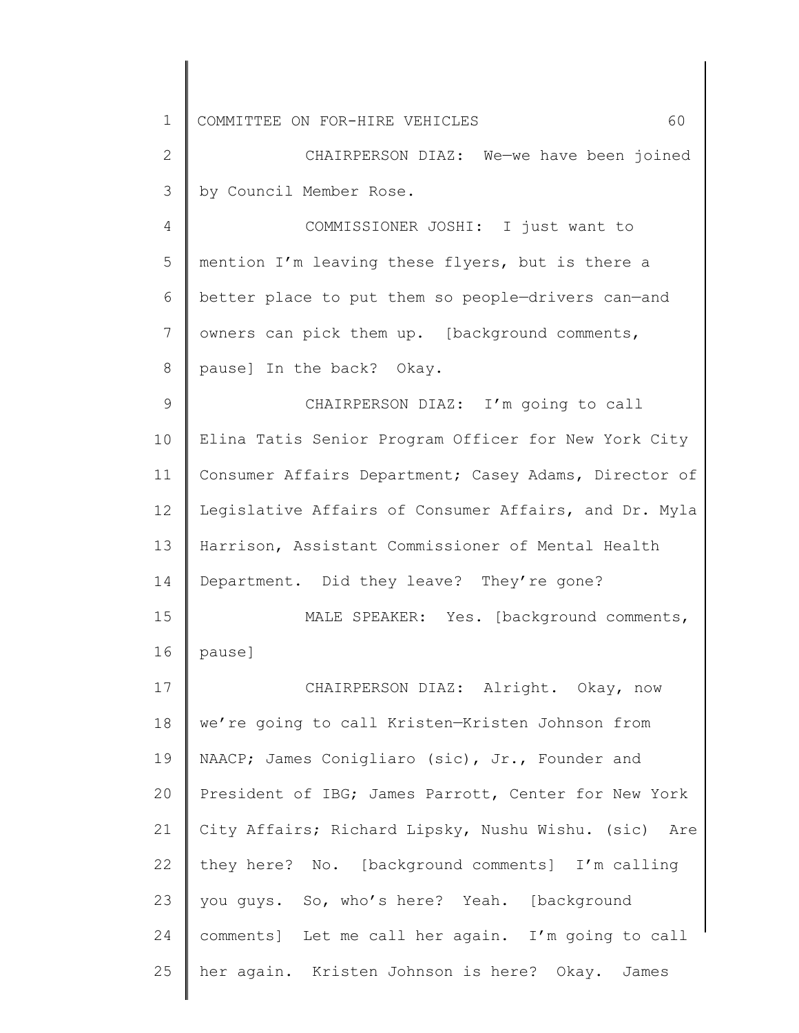| $\mathbf 1$    | 60<br>COMMITTEE ON FOR-HIRE VEHICLES                  |
|----------------|-------------------------------------------------------|
| $\mathbf{2}$   | CHAIRPERSON DIAZ: We-we have been joined              |
| 3              | by Council Member Rose.                               |
| 4              | COMMISSIONER JOSHI: I just want to                    |
| 5              | mention I'm leaving these flyers, but is there a      |
| 6              | better place to put them so people-drivers can-and    |
| $7\phantom{.}$ | owners can pick them up. [background comments,        |
| 8              | pause] In the back? Okay.                             |
| $\mathsf 9$    | CHAIRPERSON DIAZ: I'm going to call                   |
| 10             | Elina Tatis Senior Program Officer for New York City  |
| 11             | Consumer Affairs Department; Casey Adams, Director of |
| 12             | Legislative Affairs of Consumer Affairs, and Dr. Myla |
| 13             | Harrison, Assistant Commissioner of Mental Health     |
| 14             | Department. Did they leave? They're gone?             |
| 15             | MALE SPEAKER: Yes. [background comments,              |
| 16             | pause]                                                |
| 17             | CHAIRPERSON DIAZ: Alright. Okay, now                  |
| 18             | we're going to call Kristen-Kristen Johnson from      |
| 19             | NAACP; James Conigliaro (sic), Jr., Founder and       |
| 20             | President of IBG; James Parrott, Center for New York  |
| 21             | City Affairs; Richard Lipsky, Nushu Wishu. (sic) Are  |
| 22             | they here? No. [background comments] I'm calling      |
| 23             | you guys. So, who's here? Yeah. [background           |
| 24             | comments] Let me call her again. I'm going to call    |
| 25             | her again. Kristen Johnson is here? Okay. James       |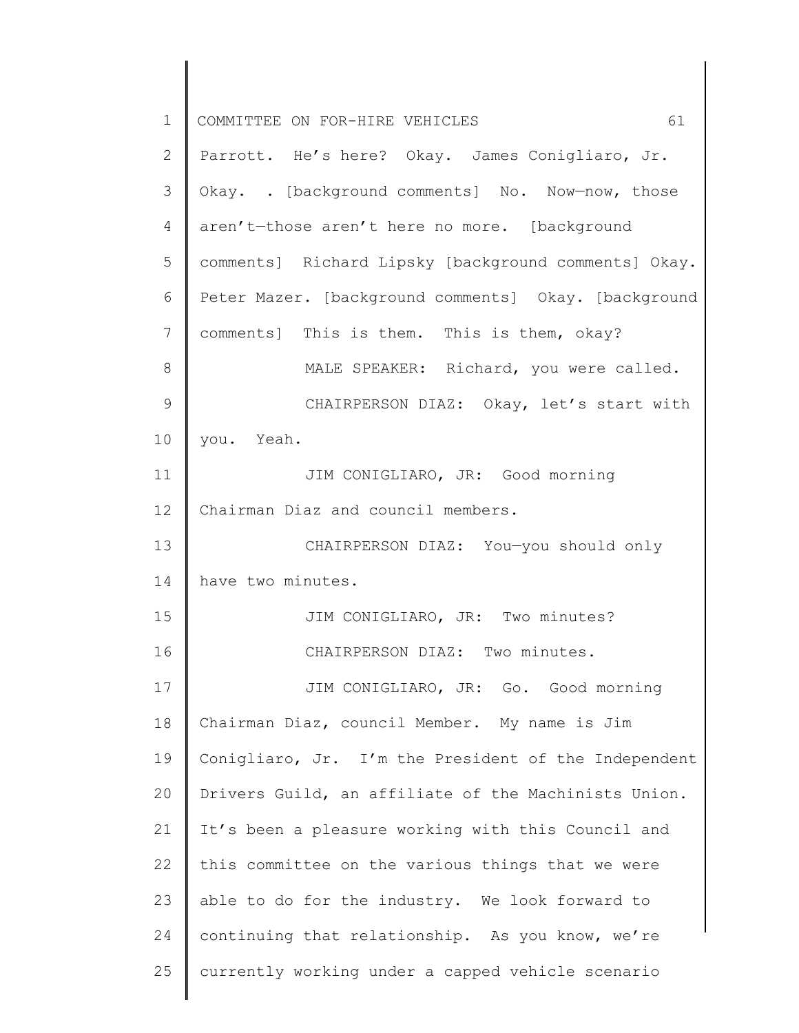| $\mathbf 1$     | 61<br>COMMITTEE ON FOR-HIRE VEHICLES                 |
|-----------------|------------------------------------------------------|
| $\mathbf{2}$    | Parrott. He's here? Okay. James Conigliaro, Jr.      |
| 3               | Okay. . [background comments] No. Now-now, those     |
| 4               | aren't-those aren't here no more. [background        |
| 5               | comments] Richard Lipsky [background comments] Okay. |
| 6               | Peter Mazer. [background comments] Okay. [background |
| $7\phantom{.0}$ | comments] This is them. This is them, okay?          |
| 8               | MALE SPEAKER: Richard, you were called.              |
| 9               | CHAIRPERSON DIAZ: Okay, let's start with             |
| 10              | you. Yeah.                                           |
| 11              | JIM CONIGLIARO, JR: Good morning                     |
| 12              | Chairman Diaz and council members.                   |
| 13              | CHAIRPERSON DIAZ: You-you should only                |
| 14              | have two minutes.                                    |
| 15              | JIM CONIGLIARO, JR: Two minutes?                     |
| 16              | CHAIRPERSON DIAZ: Two minutes.                       |
| 17              | JIM CONIGLIARO, JR: Go. Good morning                 |
| 18              | Chairman Diaz, council Member. My name is Jim        |
| 19              | Conigliaro, Jr. I'm the President of the Independent |
| 20              | Drivers Guild, an affiliate of the Machinists Union. |
| 21              | It's been a pleasure working with this Council and   |
| 22              | this committee on the various things that we were    |
| 23              | able to do for the industry. We look forward to      |
| 24              | continuing that relationship. As you know, we're     |
| 25              | currently working under a capped vehicle scenario    |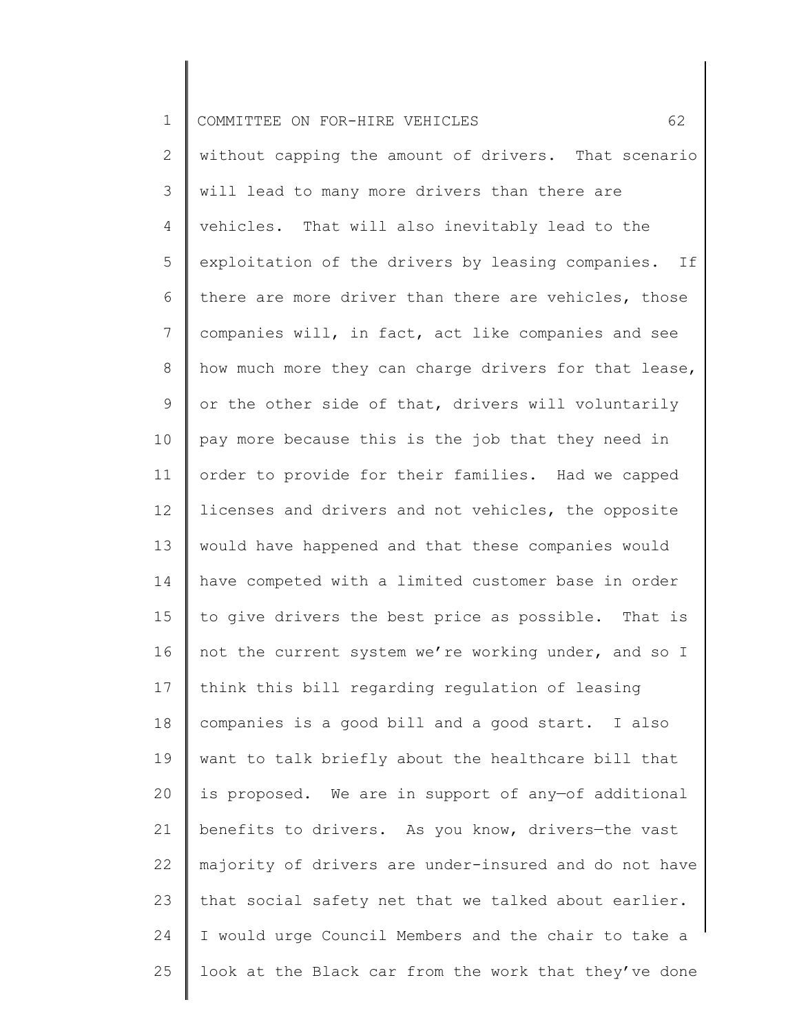| $\mathbf 1$     | 62<br>COMMITTEE ON FOR-HIRE VEHICLES                  |
|-----------------|-------------------------------------------------------|
| 2               | without capping the amount of drivers. That scenario  |
| 3               | will lead to many more drivers than there are         |
| 4               | vehicles. That will also inevitably lead to the       |
| 5               | exploitation of the drivers by leasing companies. If  |
| 6               | there are more driver than there are vehicles, those  |
| $7\phantom{.0}$ | companies will, in fact, act like companies and see   |
| 8               | how much more they can charge drivers for that lease, |
| 9               | or the other side of that, drivers will voluntarily   |
| 10              | pay more because this is the job that they need in    |
| 11              | order to provide for their families. Had we capped    |
| 12              | licenses and drivers and not vehicles, the opposite   |
| 13              | would have happened and that these companies would    |
| 14              | have competed with a limited customer base in order   |
| 15              | to give drivers the best price as possible. That is   |
| 16              | not the current system we're working under, and so I  |
| 17              | think this bill regarding regulation of leasing       |
| 18              | companies is a good bill and a good start. I also     |
| 19              | want to talk briefly about the healthcare bill that   |
| 20              | is proposed. We are in support of any-of additional   |
| 21              | benefits to drivers. As you know, drivers-the vast    |
| 22              | majority of drivers are under-insured and do not have |
| 23              | that social safety net that we talked about earlier.  |
| 24              | I would urge Council Members and the chair to take a  |
| 25              | look at the Black car from the work that they've done |
|                 |                                                       |

 $\begin{array}{c} \hline \end{array}$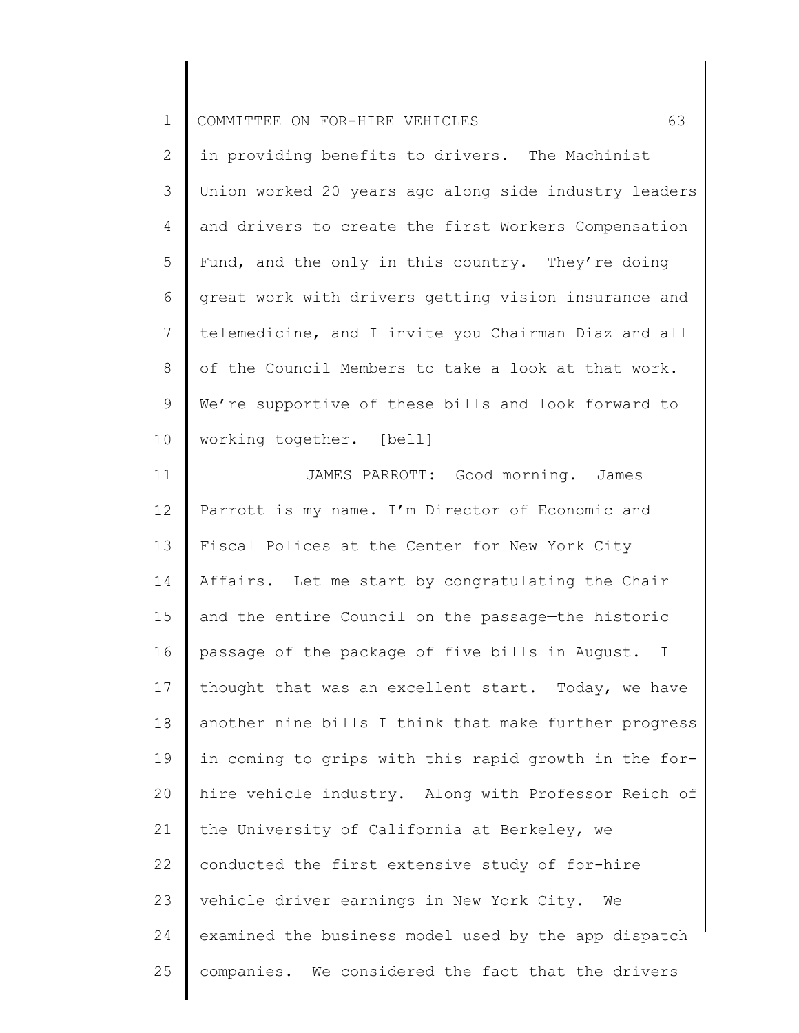| $\mathbf{I}$<br>ᅩ | COMMITTEE ON FOR-HIRE VEHICLES |  |  |  |  |  |
|-------------------|--------------------------------|--|--|--|--|--|
|-------------------|--------------------------------|--|--|--|--|--|

2 3 4 5 6 7 8 9 10 in providing benefits to drivers. The Machinist Union worked 20 years ago along side industry leaders and drivers to create the first Workers Compensation Fund, and the only in this country. They're doing great work with drivers getting vision insurance and telemedicine, and I invite you Chairman Diaz and all of the Council Members to take a look at that work. We're supportive of these bills and look forward to working together. [bell]

11 12 13 14 15 16 17 18 19 20 21 22 23 24 25 JAMES PARROTT: Good morning. James Parrott is my name. I'm Director of Economic and Fiscal Polices at the Center for New York City Affairs. Let me start by congratulating the Chair and the entire Council on the passage—the historic passage of the package of five bills in August. I thought that was an excellent start. Today, we have another nine bills I think that make further progress in coming to grips with this rapid growth in the forhire vehicle industry. Along with Professor Reich of the University of California at Berkeley, we conducted the first extensive study of for-hire vehicle driver earnings in New York City. We examined the business model used by the app dispatch companies. We considered the fact that the drivers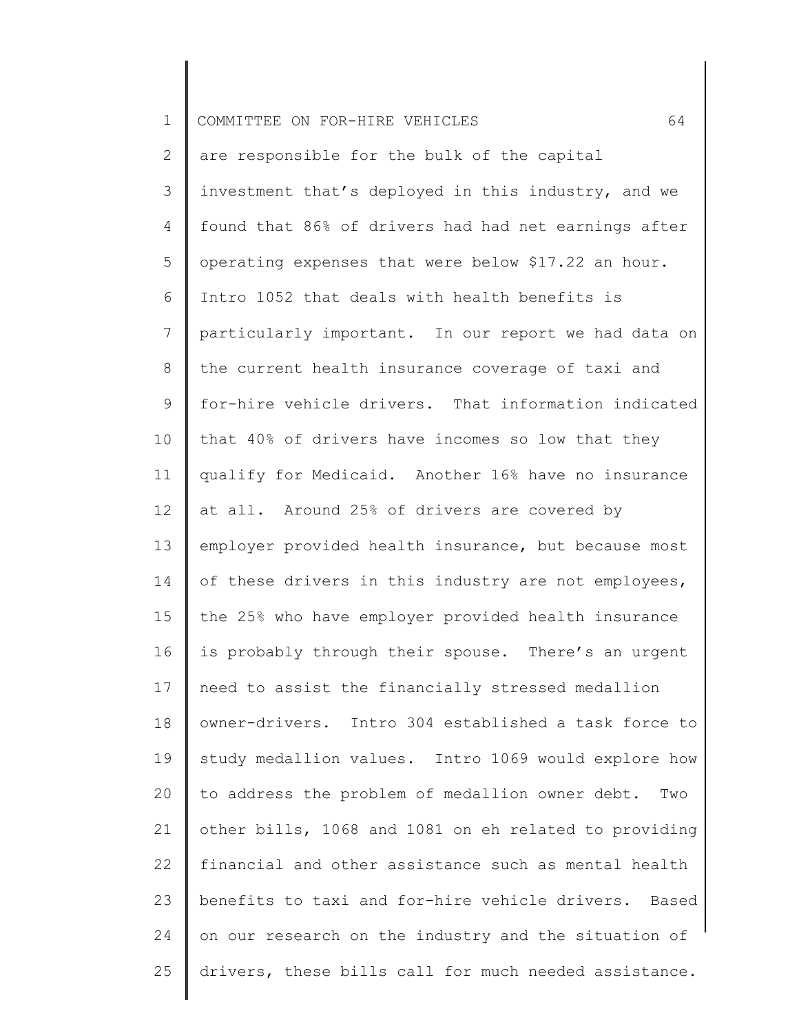| $\mathbf 1$     | 64<br>COMMITTEE ON FOR-HIRE VEHICLES                    |
|-----------------|---------------------------------------------------------|
| 2               | are responsible for the bulk of the capital             |
| 3               | investment that's deployed in this industry, and we     |
| 4               | found that 86% of drivers had had net earnings after    |
| 5               | operating expenses that were below \$17.22 an hour.     |
| 6               | Intro 1052 that deals with health benefits is           |
| $7\phantom{.0}$ | particularly important. In our report we had data on    |
| 8               | the current health insurance coverage of taxi and       |
| 9               | for-hire vehicle drivers. That information indicated    |
| 10              | that 40% of drivers have incomes so low that they       |
| 11              | qualify for Medicaid. Another 16% have no insurance     |
| 12              | at all. Around 25% of drivers are covered by            |
| 13              | employer provided health insurance, but because most    |
| 14              | of these drivers in this industry are not employees,    |
| 15              | the 25% who have employer provided health insurance     |
| 16              | is probably through their spouse. There's an urgent     |
| 17              | need to assist the financially stressed medallion       |
| 18              | owner-drivers. Intro 304 established a task force to    |
| 19              | study medallion values. Intro 1069 would explore how    |
| 20              | to address the problem of medallion owner debt.<br>Two  |
| 21              | other bills, 1068 and 1081 on eh related to providing   |
| 22              | financial and other assistance such as mental health    |
| 23              | benefits to taxi and for-hire vehicle drivers.<br>Based |
| 24              | on our research on the industry and the situation of    |
| 25              | drivers, these bills call for much needed assistance.   |
|                 |                                                         |

║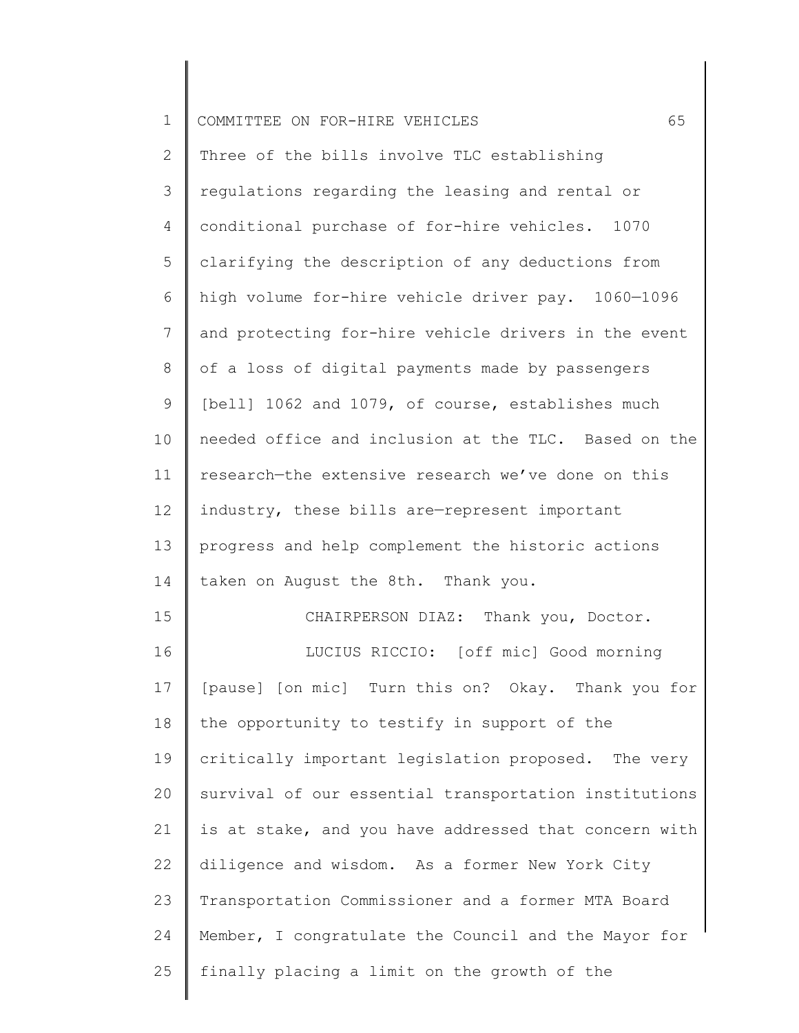| $\mathbf 1$    | 65<br>COMMITTEE ON FOR-HIRE VEHICLES                  |
|----------------|-------------------------------------------------------|
| 2              | Three of the bills involve TLC establishing           |
| 3              | regulations regarding the leasing and rental or       |
| $\overline{4}$ | conditional purchase of for-hire vehicles. 1070       |
| 5              | clarifying the description of any deductions from     |
| 6              | high volume for-hire vehicle driver pay. 1060-1096    |
| 7              | and protecting for-hire vehicle drivers in the event  |
| 8              | of a loss of digital payments made by passengers      |
| 9              | [bell] 1062 and 1079, of course, establishes much     |
| 10             | needed office and inclusion at the TLC. Based on the  |
| 11             | research-the extensive research we've done on this    |
| 12             | industry, these bills are-represent important         |
| 13             | progress and help complement the historic actions     |
| 14             | taken on August the 8th. Thank you.                   |
| 15             | CHAIRPERSON DIAZ: Thank you, Doctor.                  |
| 16             | LUCIUS RICCIO: [off mic] Good morning                 |
| 17             | [pause] [on mic] Turn this on? Okay. Thank you for    |
| 18             | the opportunity to testify in support of the          |
| 19             | critically important legislation proposed. The very   |
| 20             | survival of our essential transportation institutions |
| 21             | is at stake, and you have addressed that concern with |
| 22             | diligence and wisdom. As a former New York City       |
| 23             | Transportation Commissioner and a former MTA Board    |
| 24             | Member, I congratulate the Council and the Mayor for  |
| 25             | finally placing a limit on the growth of the          |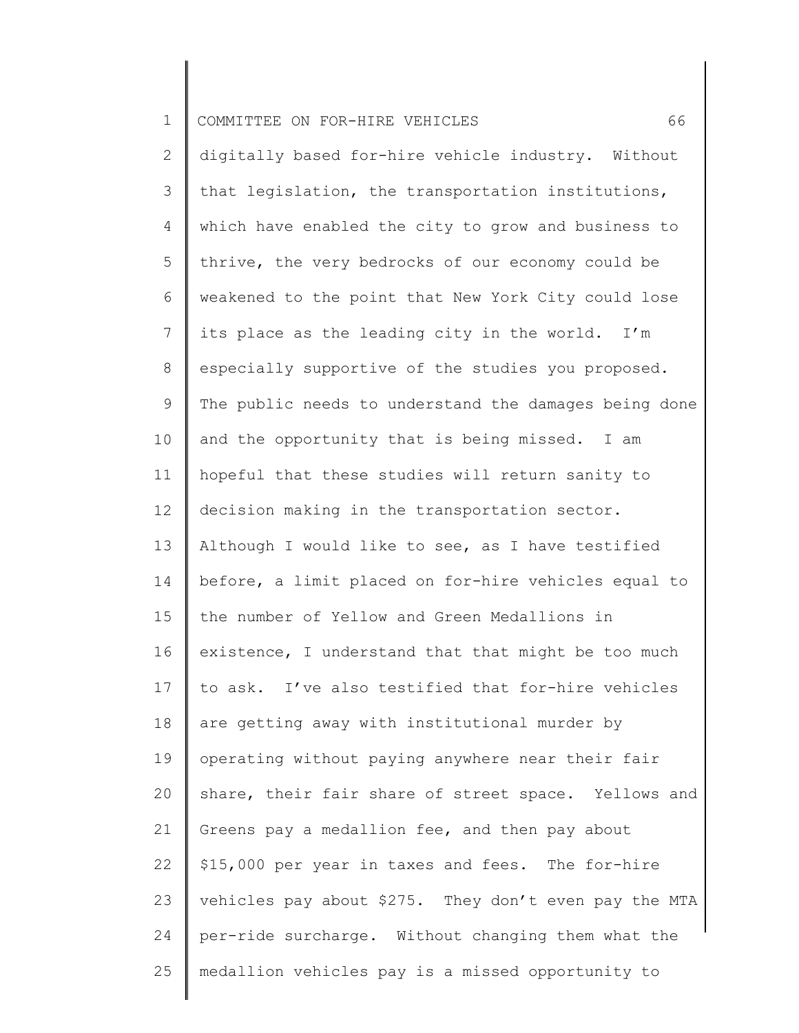| $\mathbf 1$     | 66<br>COMMITTEE ON FOR-HIRE VEHICLES                  |
|-----------------|-------------------------------------------------------|
| 2               | digitally based for-hire vehicle industry. Without    |
| 3               | that legislation, the transportation institutions,    |
| 4               | which have enabled the city to grow and business to   |
| 5               | thrive, the very bedrocks of our economy could be     |
| 6               | weakened to the point that New York City could lose   |
| 7               | its place as the leading city in the world. I'm       |
| 8               | especially supportive of the studies you proposed.    |
| 9               | The public needs to understand the damages being done |
| 10              | and the opportunity that is being missed. I am        |
| 11              | hopeful that these studies will return sanity to      |
| 12 <sup>°</sup> | decision making in the transportation sector.         |
| 13              | Although I would like to see, as I have testified     |
| 14              | before, a limit placed on for-hire vehicles equal to  |
| 15              | the number of Yellow and Green Medallions in          |
| 16              | existence, I understand that that might be too much   |
| 17              | to ask. I've also testified that for-hire vehicles    |
| 18              | are getting away with institutional murder by         |
| 19              | operating without paying anywhere near their fair     |
| 20              | share, their fair share of street space. Yellows and  |
| 21              | Greens pay a medallion fee, and then pay about        |
| 22              | \$15,000 per year in taxes and fees. The for-hire     |
| 23              | vehicles pay about \$275. They don't even pay the MTA |
| 24              | per-ride surcharge. Without changing them what the    |
| 25              | medallion vehicles pay is a missed opportunity to     |
|                 |                                                       |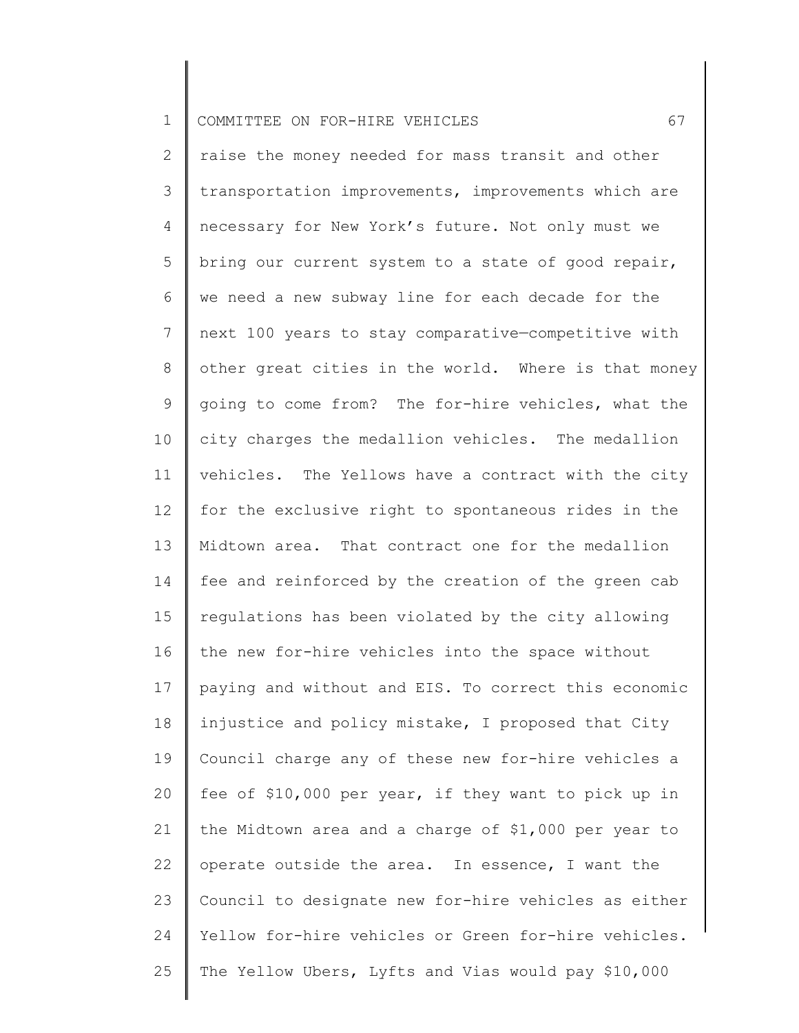1 COMMITTEE ON FOR-HIRE VEHICLES 67

2 3 4 5 6 7 8 9 10 11 12 13 14 15 16 17 18 19 20 21 22 23 24 25 raise the money needed for mass transit and other transportation improvements, improvements which are necessary for New York's future. Not only must we bring our current system to a state of good repair, we need a new subway line for each decade for the next 100 years to stay comparative—competitive with other great cities in the world. Where is that money going to come from? The for-hire vehicles, what the city charges the medallion vehicles. The medallion vehicles. The Yellows have a contract with the city for the exclusive right to spontaneous rides in the Midtown area. That contract one for the medallion fee and reinforced by the creation of the green cab regulations has been violated by the city allowing the new for-hire vehicles into the space without paying and without and EIS. To correct this economic injustice and policy mistake, I proposed that City Council charge any of these new for-hire vehicles a fee of \$10,000 per year, if they want to pick up in the Midtown area and a charge of \$1,000 per year to operate outside the area. In essence, I want the Council to designate new for-hire vehicles as either Yellow for-hire vehicles or Green for-hire vehicles. The Yellow Ubers, Lyfts and Vias would pay \$10,000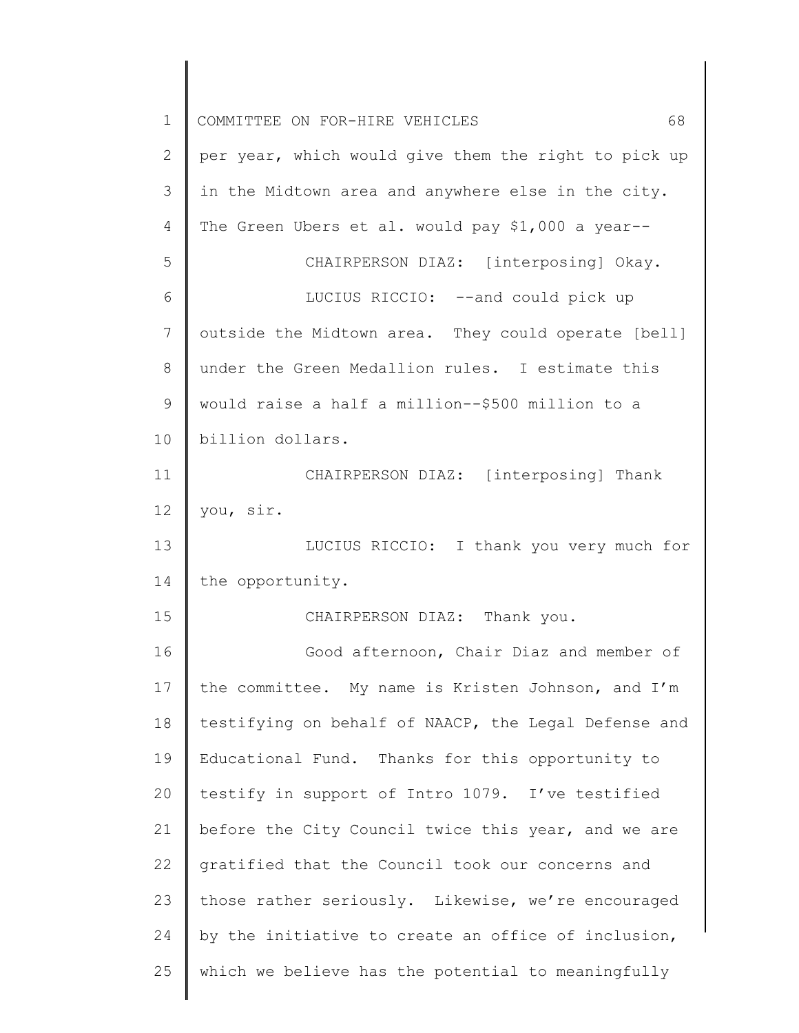| $\mathbf 1$   | 68<br>COMMITTEE ON FOR-HIRE VEHICLES                 |
|---------------|------------------------------------------------------|
| $\mathbf{2}$  | per year, which would give them the right to pick up |
| 3             | in the Midtown area and anywhere else in the city.   |
| 4             | The Green Ubers et al. would pay \$1,000 a year--    |
| 5             | CHAIRPERSON DIAZ: [interposing] Okay.                |
| 6             | LUCIUS RICCIO: -- and could pick up                  |
| 7             | outside the Midtown area. They could operate [bell]  |
| $8\,$         | under the Green Medallion rules. I estimate this     |
| $\mathcal{G}$ | would raise a half a million--\$500 million to a     |
| 10            | billion dollars.                                     |
| 11            | CHAIRPERSON DIAZ: [interposing] Thank                |
| 12            | you, sir.                                            |
| 13            | LUCIUS RICCIO: I thank you very much for             |
| 14            | the opportunity.                                     |
| 15            | CHAIRPERSON DIAZ: Thank you.                         |
| 16            | Good afternoon, Chair Diaz and member of             |
| 17            | the committee. My name is Kristen Johnson, and I'm   |
| 18            | testifying on behalf of NAACP, the Legal Defense and |
| 19            | Educational Fund. Thanks for this opportunity to     |
| 20            | testify in support of Intro 1079. I've testified     |
| 21            | before the City Council twice this year, and we are  |
| 22            | gratified that the Council took our concerns and     |
| 23            | those rather seriously. Likewise, we're encouraged   |
| 24            | by the initiative to create an office of inclusion,  |
| 25            | which we believe has the potential to meaningfully   |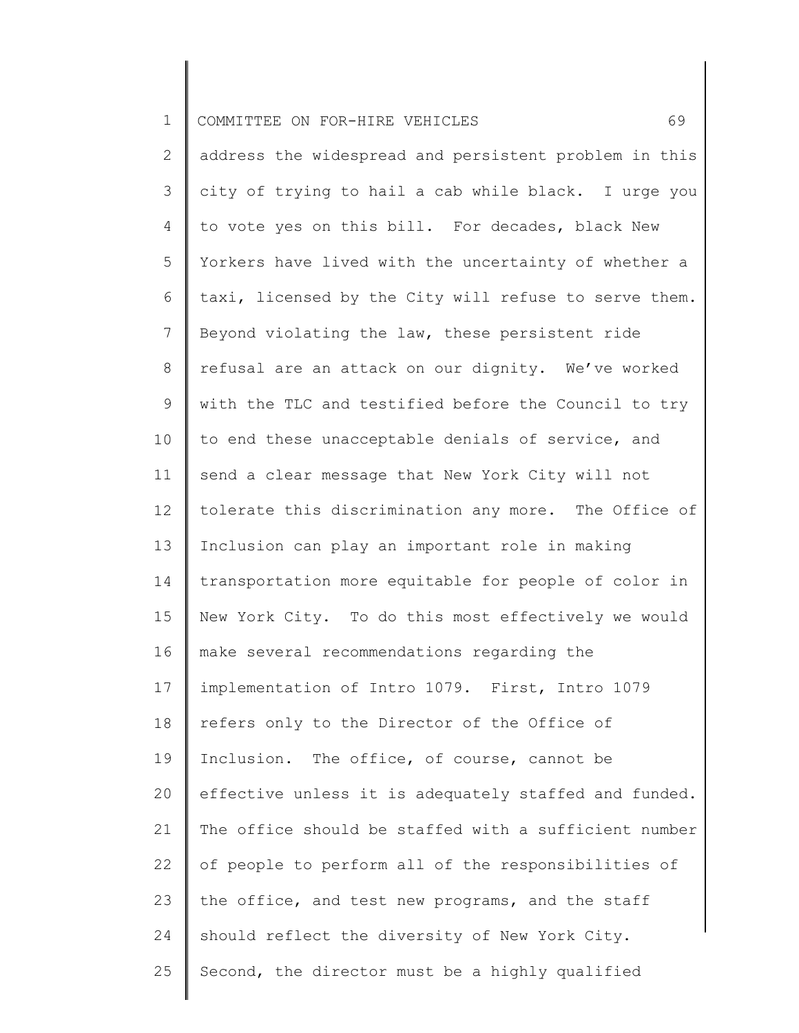| $\mathbf 1$    | 69<br>COMMITTEE ON FOR-HIRE VEHICLES                  |
|----------------|-------------------------------------------------------|
| $\mathbf{2}$   | address the widespread and persistent problem in this |
| 3              | city of trying to hail a cab while black. I urge you  |
| $\overline{4}$ | to vote yes on this bill. For decades, black New      |
| 5              | Yorkers have lived with the uncertainty of whether a  |
| 6              | taxi, licensed by the City will refuse to serve them. |
| $\overline{7}$ | Beyond violating the law, these persistent ride       |
| $8\,$          | refusal are an attack on our dignity. We've worked    |
| $\mathsf 9$    | with the TLC and testified before the Council to try  |
| 10             | to end these unacceptable denials of service, and     |
| 11             | send a clear message that New York City will not      |
| 12             | tolerate this discrimination any more. The Office of  |
| 13             | Inclusion can play an important role in making        |
| 14             | transportation more equitable for people of color in  |
| 15             | New York City. To do this most effectively we would   |
| 16             | make several recommendations regarding the            |
| 17             | implementation of Intro 1079. First, Intro 1079       |
| 18             | refers only to the Director of the Office of          |
| 19             | Inclusion. The office, of course, cannot be           |
| 20             | effective unless it is adequately staffed and funded. |
| 21             | The office should be staffed with a sufficient number |
| 22             | of people to perform all of the responsibilities of   |
| 23             | the office, and test new programs, and the staff      |
| 24             | should reflect the diversity of New York City.        |
| 25             | Second, the director must be a highly qualified       |
|                |                                                       |

∥ ║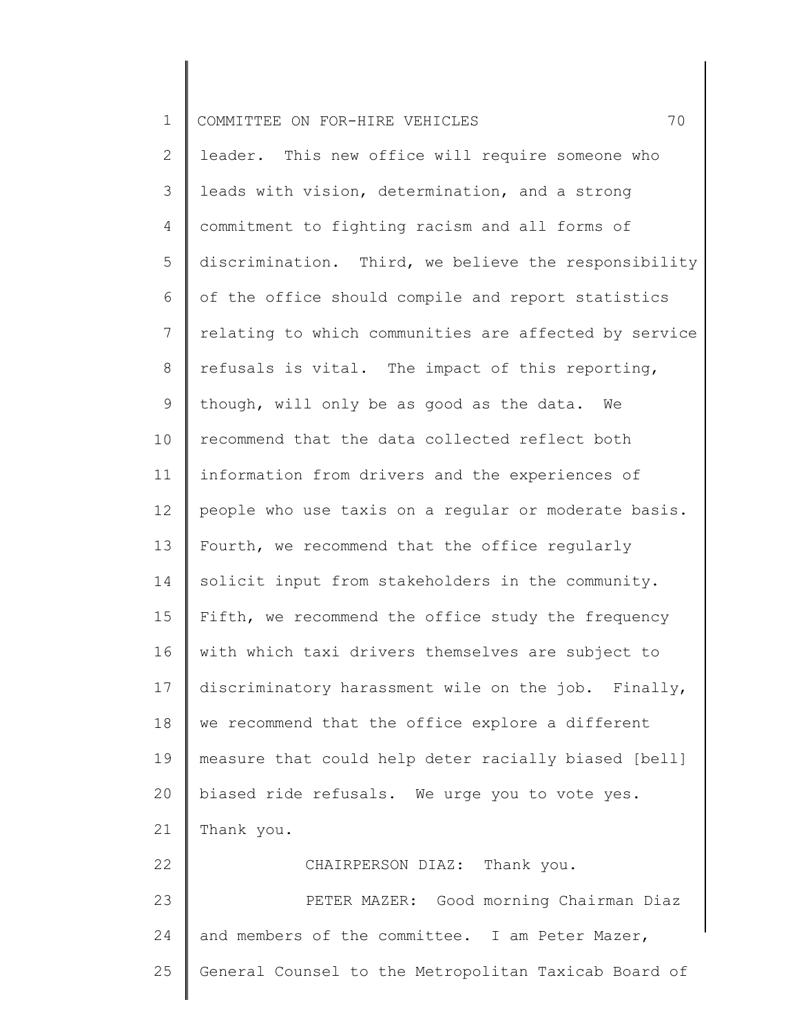| $\mathbf 1$ | 70<br>COMMITTEE ON FOR-HIRE VEHICLES                  |
|-------------|-------------------------------------------------------|
| 2           | leader. This new office will require someone who      |
| 3           | leads with vision, determination, and a strong        |
| 4           | commitment to fighting racism and all forms of        |
| 5           | discrimination. Third, we believe the responsibility  |
| 6           | of the office should compile and report statistics    |
| 7           | relating to which communities are affected by service |
| 8           | refusals is vital. The impact of this reporting,      |
| 9           | though, will only be as good as the data. We          |
| 10          | recommend that the data collected reflect both        |
| 11          | information from drivers and the experiences of       |
| 12          | people who use taxis on a regular or moderate basis.  |
| 13          | Fourth, we recommend that the office regularly        |
| 14          | solicit input from stakeholders in the community.     |
| 15          | Fifth, we recommend the office study the frequency    |
| 16          | with which taxi drivers themselves are subject to     |
| 17          | discriminatory harassment wile on the job. Finally,   |
| 18          | we recommend that the office explore a different      |
| 19          | measure that could help deter racially biased [bell]  |
| 20          | biased ride refusals. We urge you to vote yes.        |
| 21          | Thank you.                                            |
| 22          | CHAIRPERSON DIAZ: Thank you.                          |
| 23          | PETER MAZER: Good morning Chairman Diaz               |
| 24          | and members of the committee. I am Peter Mazer,       |
| 25          | General Counsel to the Metropolitan Taxicab Board of  |
|             |                                                       |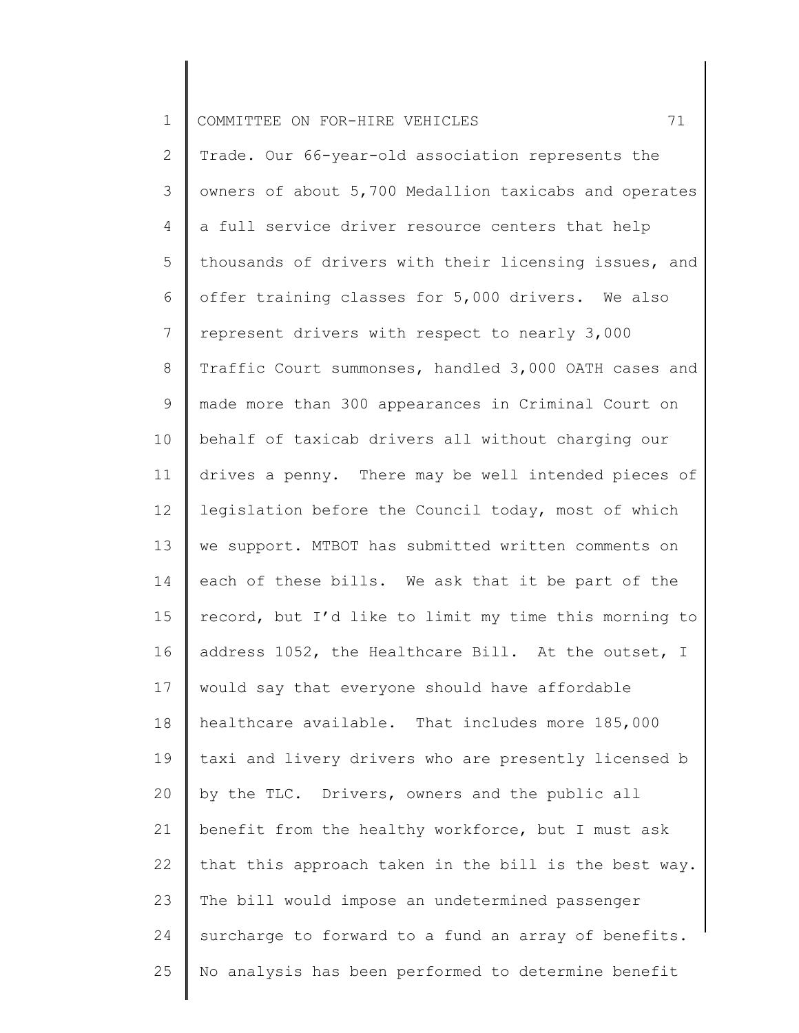| $\mathbf 1$  | 71<br>COMMITTEE ON FOR-HIRE VEHICLES                  |
|--------------|-------------------------------------------------------|
| $\mathbf{2}$ | Trade. Our 66-year-old association represents the     |
| 3            | owners of about 5,700 Medallion taxicabs and operates |
| 4            | a full service driver resource centers that help      |
| 5            | thousands of drivers with their licensing issues, and |
| 6            | offer training classes for 5,000 drivers. We also     |
| 7            | represent drivers with respect to nearly 3,000        |
| 8            | Traffic Court summonses, handled 3,000 OATH cases and |
| 9            | made more than 300 appearances in Criminal Court on   |
| 10           | behalf of taxicab drivers all without charging our    |
| 11           | drives a penny. There may be well intended pieces of  |
| 12           | legislation before the Council today, most of which   |
| 13           | we support. MTBOT has submitted written comments on   |
| 14           | each of these bills. We ask that it be part of the    |
| 15           | record, but I'd like to limit my time this morning to |
| 16           | address 1052, the Healthcare Bill. At the outset, I   |
| 17           | would say that everyone should have affordable        |
| 18           | healthcare available. That includes more 185,000      |
| 19           | taxi and livery drivers who are presently licensed b  |
| 20           | by the TLC. Drivers, owners and the public all        |
| 21           | benefit from the healthy workforce, but I must ask    |
| 22           | that this approach taken in the bill is the best way. |
| 23           | The bill would impose an undetermined passenger       |
| 24           | surcharge to forward to a fund an array of benefits.  |
| 25           | No analysis has been performed to determine benefit   |
|              |                                                       |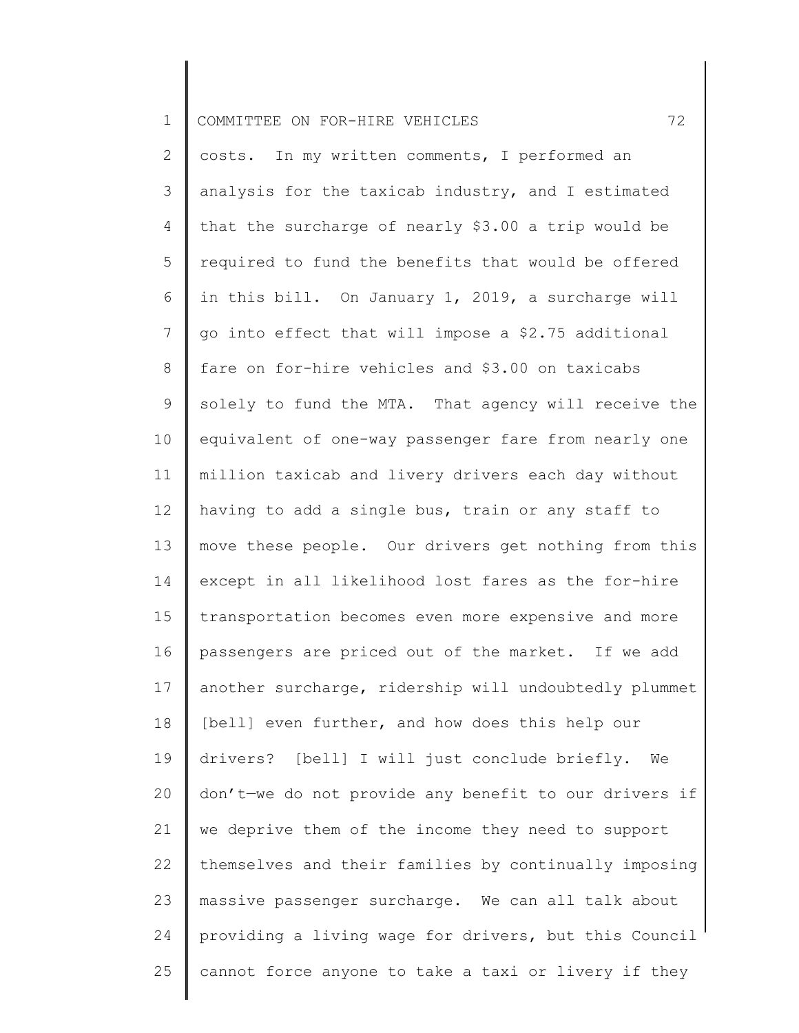| 1    COMMITTEE ON FOR-HIRE VEHICLES |  |
|-------------------------------------|--|
|-------------------------------------|--|

2 3 4 5 6 7 8 9 10 11 12 13 14 15 16 17 18 19 20 21 22 23 24 25 costs. In my written comments, I performed an analysis for the taxicab industry, and I estimated that the surcharge of nearly \$3.00 a trip would be required to fund the benefits that would be offered in this bill. On January 1, 2019, a surcharge will go into effect that will impose a \$2.75 additional fare on for-hire vehicles and \$3.00 on taxicabs solely to fund the MTA. That agency will receive the equivalent of one-way passenger fare from nearly one million taxicab and livery drivers each day without having to add a single bus, train or any staff to move these people. Our drivers get nothing from this except in all likelihood lost fares as the for-hire transportation becomes even more expensive and more passengers are priced out of the market. If we add another surcharge, ridership will undoubtedly plummet [bell] even further, and how does this help our drivers? [bell] I will just conclude briefly. We don't—we do not provide any benefit to our drivers if we deprive them of the income they need to support themselves and their families by continually imposing massive passenger surcharge. We can all talk about providing a living wage for drivers, but this Council cannot force anyone to take a taxi or livery if they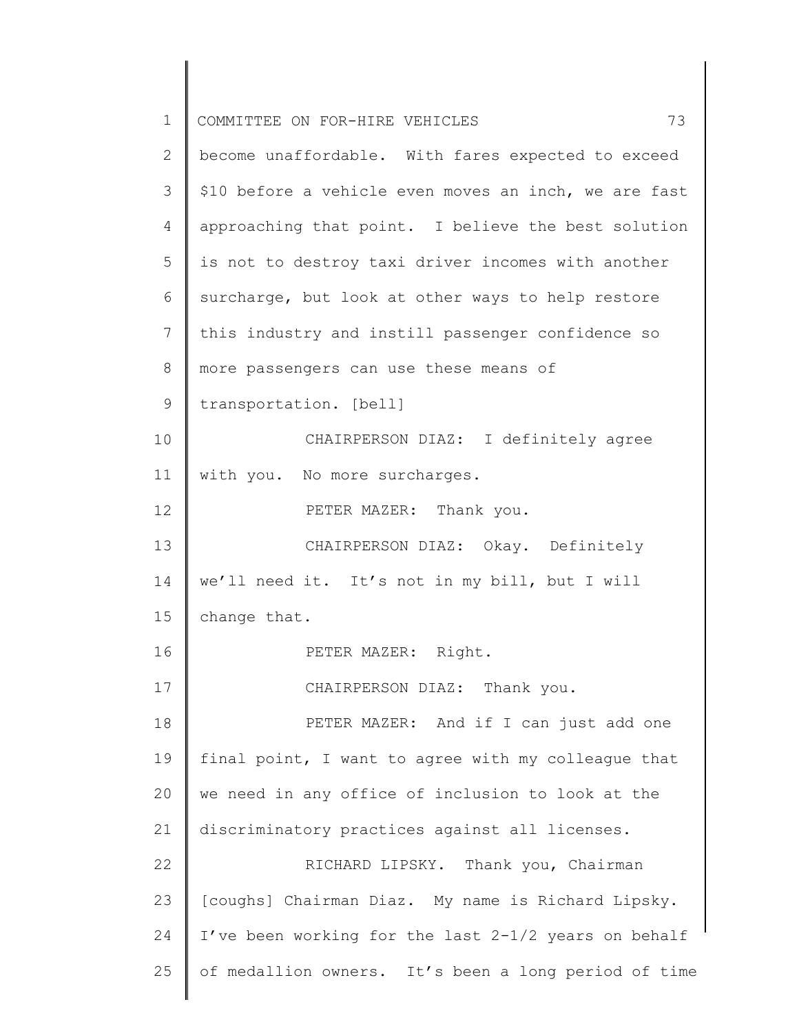| $\mathbf 1$    | 73<br>COMMITTEE ON FOR-HIRE VEHICLES                  |
|----------------|-------------------------------------------------------|
| $\overline{2}$ | become unaffordable. With fares expected to exceed    |
| 3              | \$10 before a vehicle even moves an inch, we are fast |
| 4              | approaching that point. I believe the best solution   |
| 5              | is not to destroy taxi driver incomes with another    |
| 6              | surcharge, but look at other ways to help restore     |
| 7              | this industry and instill passenger confidence so     |
| 8              | more passengers can use these means of                |
| $\mathsf 9$    | transportation. [bell]                                |
| 10             | CHAIRPERSON DIAZ: I definitely agree                  |
| 11             | with you. No more surcharges.                         |
| 12             | PETER MAZER: Thank you.                               |
| 13             | CHAIRPERSON DIAZ: Okay. Definitely                    |
| 14             | we'll need it. It's not in my bill, but I will        |
| 15             | change that.                                          |
| 16             | PETER MAZER: Right.                                   |
| 17             | CHAIRPERSON DIAZ: Thank you.                          |
| 18             | PETER MAZER: And if I can just add one                |
| 19             | final point, I want to agree with my colleague that   |
| 20             | we need in any office of inclusion to look at the     |
| 21             | discriminatory practices against all licenses.        |
| 22             | RICHARD LIPSKY. Thank you, Chairman                   |
| 23             | [coughs] Chairman Diaz. My name is Richard Lipsky.    |
| 24             | I've been working for the last 2-1/2 years on behalf  |
| 25             | of medallion owners. It's been a long period of time  |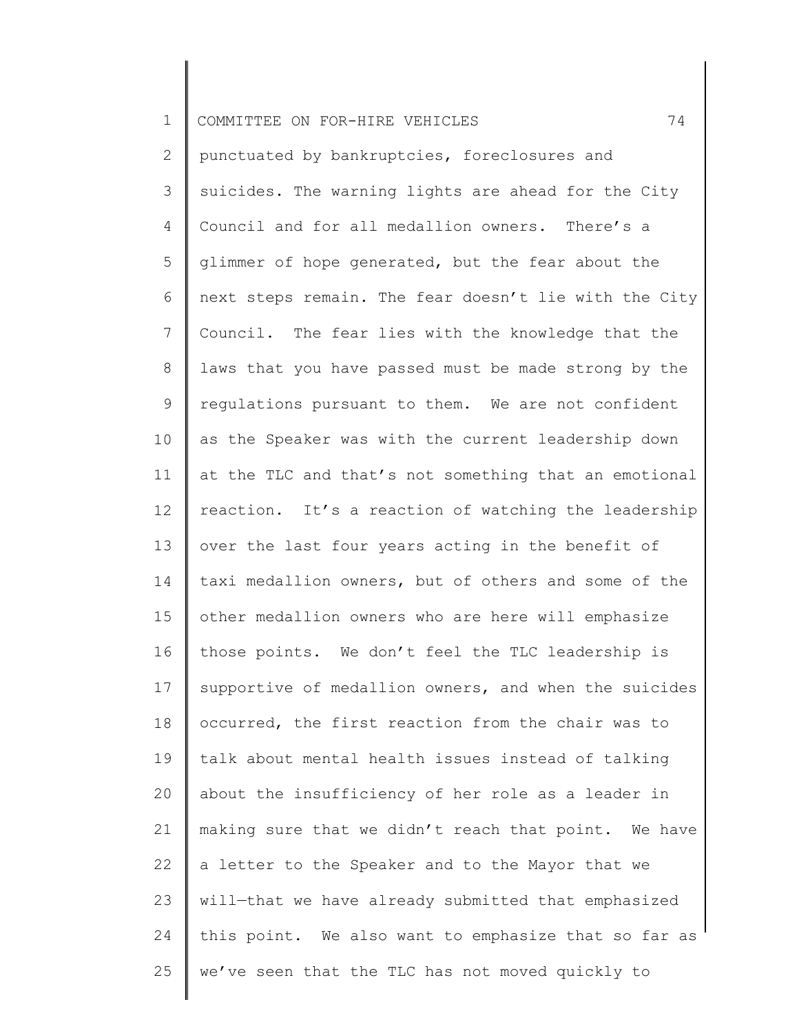| $\mathbf 1$     | 74<br>COMMITTEE ON FOR-HIRE VEHICLES                  |
|-----------------|-------------------------------------------------------|
| 2               | punctuated by bankruptcies, foreclosures and          |
| 3               | suicides. The warning lights are ahead for the City   |
| 4               | Council and for all medallion owners. There's a       |
| 5               | glimmer of hope generated, but the fear about the     |
| 6               | next steps remain. The fear doesn't lie with the City |
| $7\phantom{.0}$ | Council. The fear lies with the knowledge that the    |
| 8               | laws that you have passed must be made strong by the  |
| 9               | regulations pursuant to them. We are not confident    |
| 10              | as the Speaker was with the current leadership down   |
| 11              | at the TLC and that's not something that an emotional |
| 12              | reaction. It's a reaction of watching the leadership  |
| 13              | over the last four years acting in the benefit of     |
| 14              | taxi medallion owners, but of others and some of the  |
| 15              | other medallion owners who are here will emphasize    |
| 16              | those points. We don't feel the TLC leadership is     |
| 17              | supportive of medallion owners, and when the suicides |
| 18              | occurred, the first reaction from the chair was to    |
| 19              | talk about mental health issues instead of talking    |
| 20              | about the insufficiency of her role as a leader in    |
| 21              | making sure that we didn't reach that point. We have  |
| 22              | a letter to the Speaker and to the Mayor that we      |
| 23              | will-that we have already submitted that emphasized   |
| 24              | this point. We also want to emphasize that so far as  |
| 25              | we've seen that the TLC has not moved quickly to      |
|                 |                                                       |

║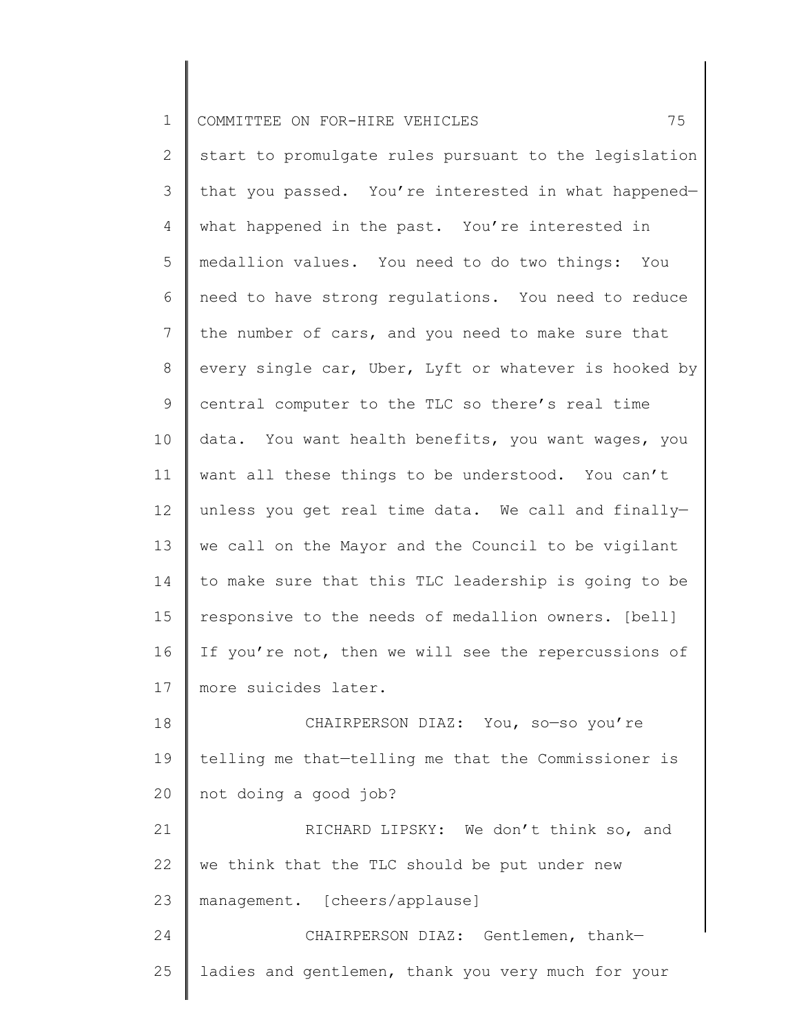1 COMMITTEE ON FOR-HIRE VEHICLES 75

2 3 4 5 6 7 8 9 10 11 12 13 14 15 16 17 18 19 start to promulgate rules pursuant to the legislation that you passed. You're interested in what happened what happened in the past. You're interested in medallion values. You need to do two things: You need to have strong regulations. You need to reduce the number of cars, and you need to make sure that every single car, Uber, Lyft or whatever is hooked by central computer to the TLC so there's real time data. You want health benefits, you want wages, you want all these things to be understood. You can't unless you get real time data. We call and finally we call on the Mayor and the Council to be vigilant to make sure that this TLC leadership is going to be responsive to the needs of medallion owners. [bell] If you're not, then we will see the repercussions of more suicides later. CHAIRPERSON DIAZ: You, so—so you're telling me that—telling me that the Commissioner is

21 22 23 RICHARD LIPSKY: We don't think so, and we think that the TLC should be put under new management. [cheers/applause]

not doing a good job?

20

24 25 CHAIRPERSON DIAZ: Gentlemen, thank ladies and gentlemen, thank you very much for your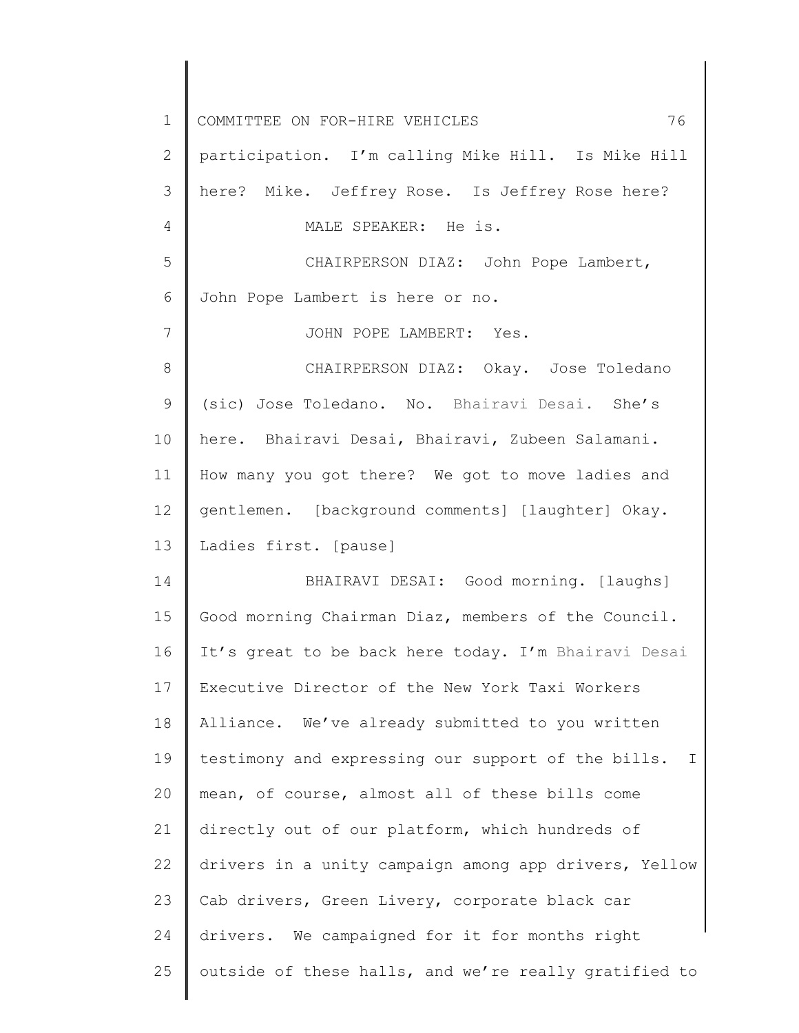| $\mathbf 1$    | 76<br>COMMITTEE ON FOR-HIRE VEHICLES                               |
|----------------|--------------------------------------------------------------------|
| $\mathbf{2}$   | participation. I'm calling Mike Hill. Is Mike Hill                 |
| 3              | here? Mike. Jeffrey Rose. Is Jeffrey Rose here?                    |
| 4              | MALE SPEAKER: He is.                                               |
| 5              | CHAIRPERSON DIAZ: John Pope Lambert,                               |
| 6              | John Pope Lambert is here or no.                                   |
| $7\phantom{.}$ | JOHN POPE LAMBERT: Yes.                                            |
| 8              | CHAIRPERSON DIAZ: Okay. Jose Toledano                              |
| $\mathsf 9$    | (sic) Jose Toledano. No. Bhairavi Desai. She's                     |
| 10             | here. Bhairavi Desai, Bhairavi, Zubeen Salamani.                   |
| 11             | How many you got there? We got to move ladies and                  |
| 12             | gentlemen. [background comments] [laughter] Okay.                  |
| 13             | Ladies first. [pause]                                              |
| 14             | BHAIRAVI DESAI: Good morning. [laughs]                             |
| 15             | Good morning Chairman Diaz, members of the Council.                |
| 16             | It's great to be back here today. I'm Bhairavi Desai               |
| 17             | Executive Director of the New York Taxi Workers                    |
| 18             | Alliance. We've already submitted to you written                   |
| 19             | testimony and expressing our support of the bills.<br>$\mathbb{I}$ |
| 20             | mean, of course, almost all of these bills come                    |
| 21             | directly out of our platform, which hundreds of                    |
| 22             | drivers in a unity campaign among app drivers, Yellow              |
| 23             | Cab drivers, Green Livery, corporate black car                     |
| 24             | drivers. We campaigned for it for months right                     |
| 25             | outside of these halls, and we're really gratified to              |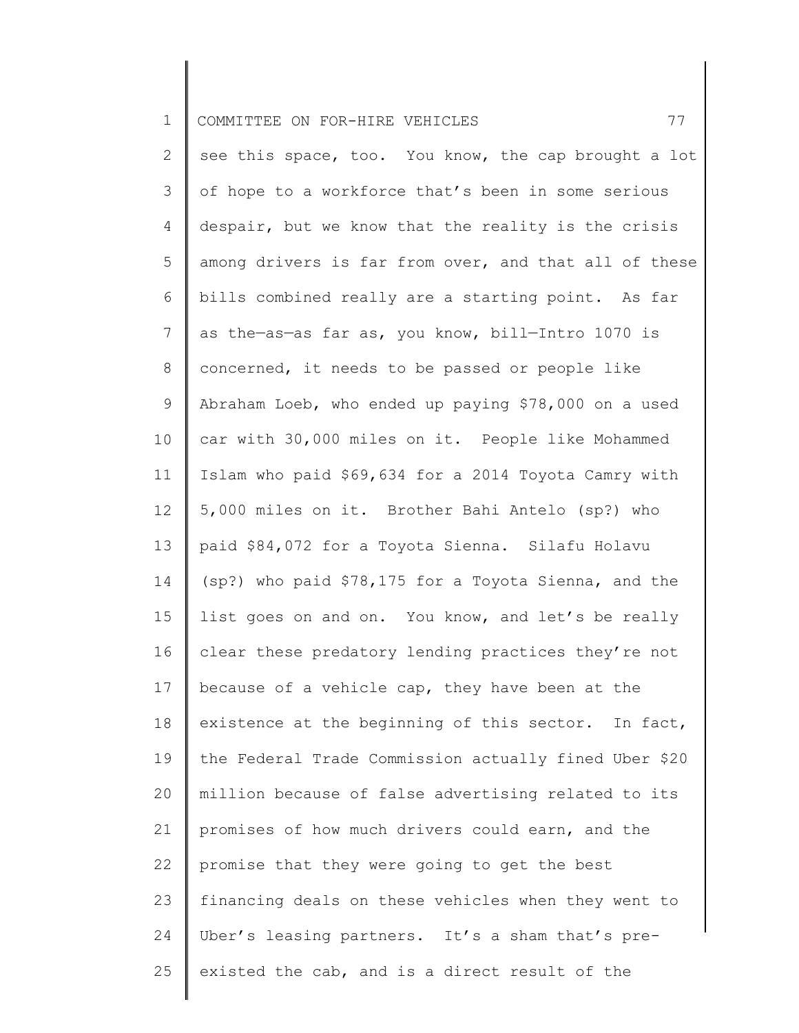| $\mathbf 1$     | 77<br>COMMITTEE ON FOR-HIRE VEHICLES                  |
|-----------------|-------------------------------------------------------|
| 2               | see this space, too. You know, the cap brought a lot  |
| 3               | of hope to a workforce that's been in some serious    |
| 4               | despair, but we know that the reality is the crisis   |
| 5               | among drivers is far from over, and that all of these |
| 6               | bills combined really are a starting point. As far    |
| 7               | as the-as-as far as, you know, bill-Intro 1070 is     |
| 8               | concerned, it needs to be passed or people like       |
| 9               | Abraham Loeb, who ended up paying \$78,000 on a used  |
| 10              | car with 30,000 miles on it. People like Mohammed     |
| 11              | Islam who paid \$69,634 for a 2014 Toyota Camry with  |
| 12              | 5,000 miles on it. Brother Bahi Antelo (sp?) who      |
| 13              | paid \$84,072 for a Toyota Sienna. Silafu Holavu      |
| 14              | (sp?) who paid \$78,175 for a Toyota Sienna, and the  |
| 15 <sub>1</sub> | list goes on and on. You know, and let's be really    |
| 16              | clear these predatory lending practices they're not   |
| 17              | because of a vehicle cap, they have been at the       |
| 18              | existence at the beginning of this sector. In fact,   |
| 19              | the Federal Trade Commission actually fined Uber \$20 |
| 20              | million because of false advertising related to its   |
| 21              | promises of how much drivers could earn, and the      |
| 22              | promise that they were going to get the best          |
| 23              | financing deals on these vehicles when they went to   |
| 24              | Uber's leasing partners. It's a sham that's pre-      |
| 25              | existed the cab, and is a direct result of the        |
|                 |                                                       |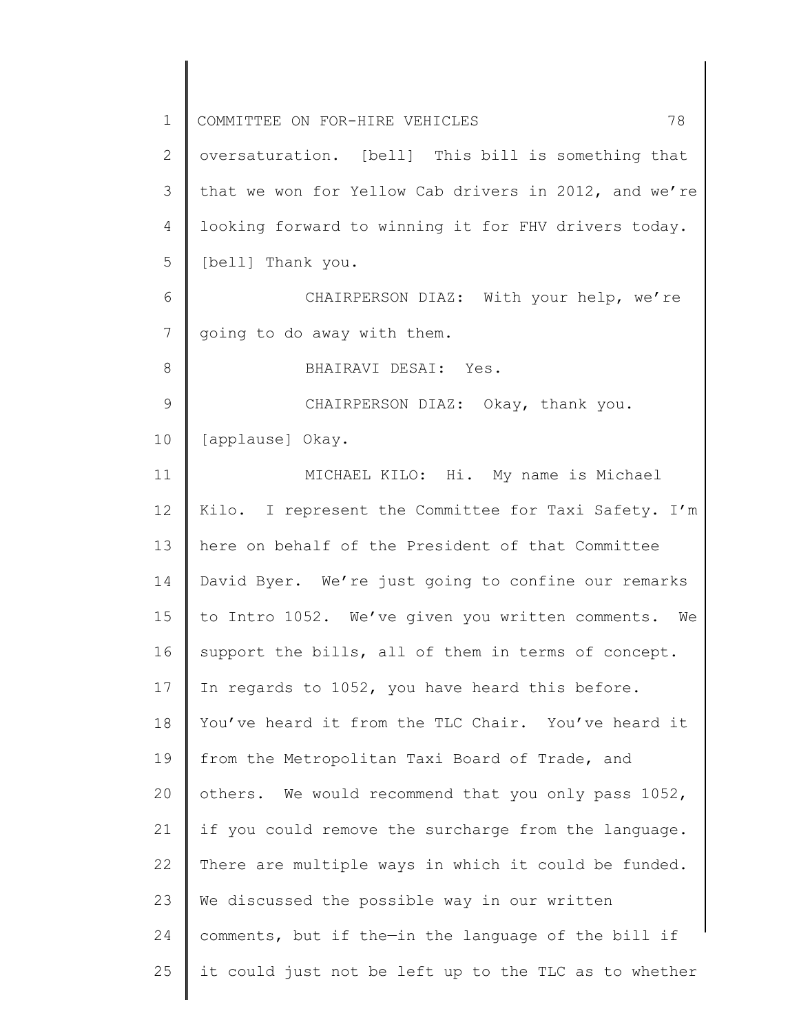| $\mathbf 1$   | 78<br>COMMITTEE ON FOR-HIRE VEHICLES                  |
|---------------|-------------------------------------------------------|
| 2             | oversaturation. [bell] This bill is something that    |
| 3             | that we won for Yellow Cab drivers in 2012, and we're |
| 4             | looking forward to winning it for FHV drivers today.  |
| 5             | [bell] Thank you.                                     |
| 6             | CHAIRPERSON DIAZ: With your help, we're               |
| 7             | going to do away with them.                           |
| 8             | BHAIRAVI DESAI: Yes.                                  |
| $\mathcal{G}$ | CHAIRPERSON DIAZ: Okay, thank you.                    |
| 10            | [applause] Okay.                                      |
| 11            | MICHAEL KILO: Hi. My name is Michael                  |
| 12            | Kilo. I represent the Committee for Taxi Safety. I'm  |
| 13            | here on behalf of the President of that Committee     |
| 14            | David Byer. We're just going to confine our remarks   |
| 15            | to Intro 1052. We've given you written comments. We   |
| 16            | support the bills, all of them in terms of concept.   |
| 17            | In regards to 1052, you have heard this before.       |
| 18            | You've heard it from the TLC Chair. You've heard it   |
| 19            | from the Metropolitan Taxi Board of Trade, and        |
| 20            | others. We would recommend that you only pass 1052,   |
| 21            | if you could remove the surcharge from the language.  |
| 22            | There are multiple ways in which it could be funded.  |
| 23            | We discussed the possible way in our written          |
| 24            | comments, but if the-in the language of the bill if   |
| 25            | it could just not be left up to the TLC as to whether |
|               |                                                       |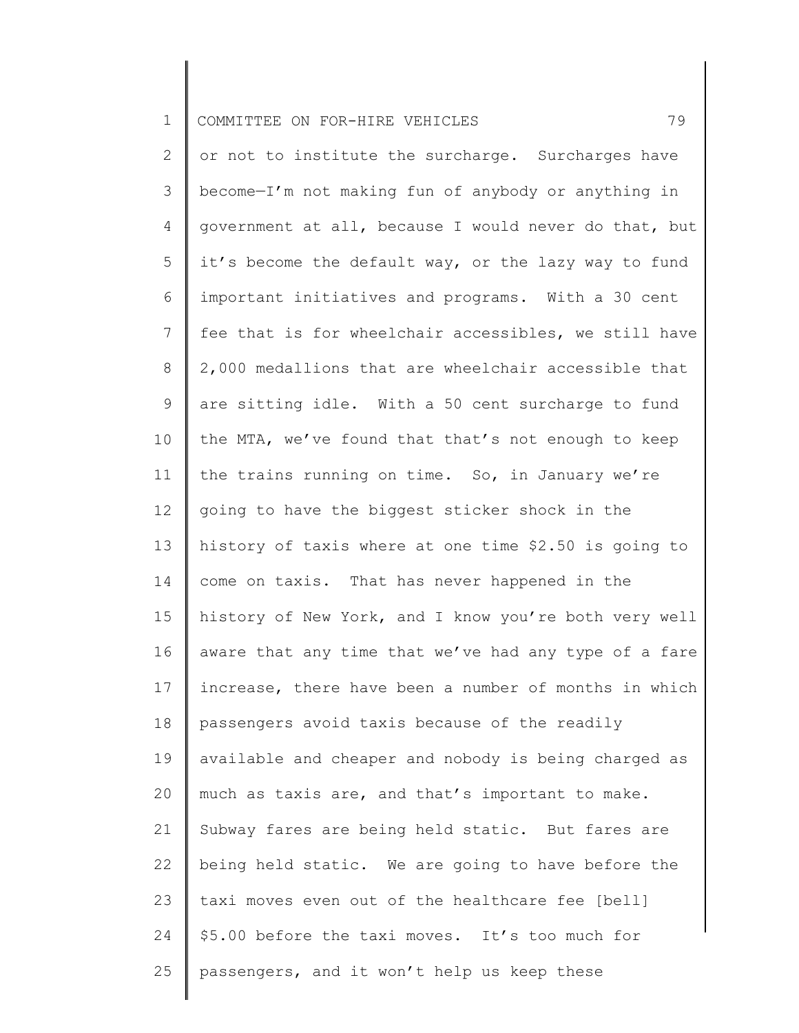|  | 1 COMMITTEE ON FOR-HIRE VEHICLES |  |  |  |  |  |  |
|--|----------------------------------|--|--|--|--|--|--|
|--|----------------------------------|--|--|--|--|--|--|

2 3 4 5 6 7 8 9 10 11 12 13 14 15 16 17 18 19 20 21 22 23 24 25 or not to institute the surcharge. Surcharges have become—I'm not making fun of anybody or anything in government at all, because I would never do that, but it's become the default way, or the lazy way to fund important initiatives and programs. With a 30 cent fee that is for wheelchair accessibles, we still have 2,000 medallions that are wheelchair accessible that are sitting idle. With a 50 cent surcharge to fund the MTA, we've found that that's not enough to keep the trains running on time. So, in January we're going to have the biggest sticker shock in the history of taxis where at one time \$2.50 is going to come on taxis. That has never happened in the history of New York, and I know you're both very well aware that any time that we've had any type of a fare increase, there have been a number of months in which passengers avoid taxis because of the readily available and cheaper and nobody is being charged as much as taxis are, and that's important to make. Subway fares are being held static. But fares are being held static. We are going to have before the taxi moves even out of the healthcare fee [bell] \$5.00 before the taxi moves. It's too much for passengers, and it won't help us keep these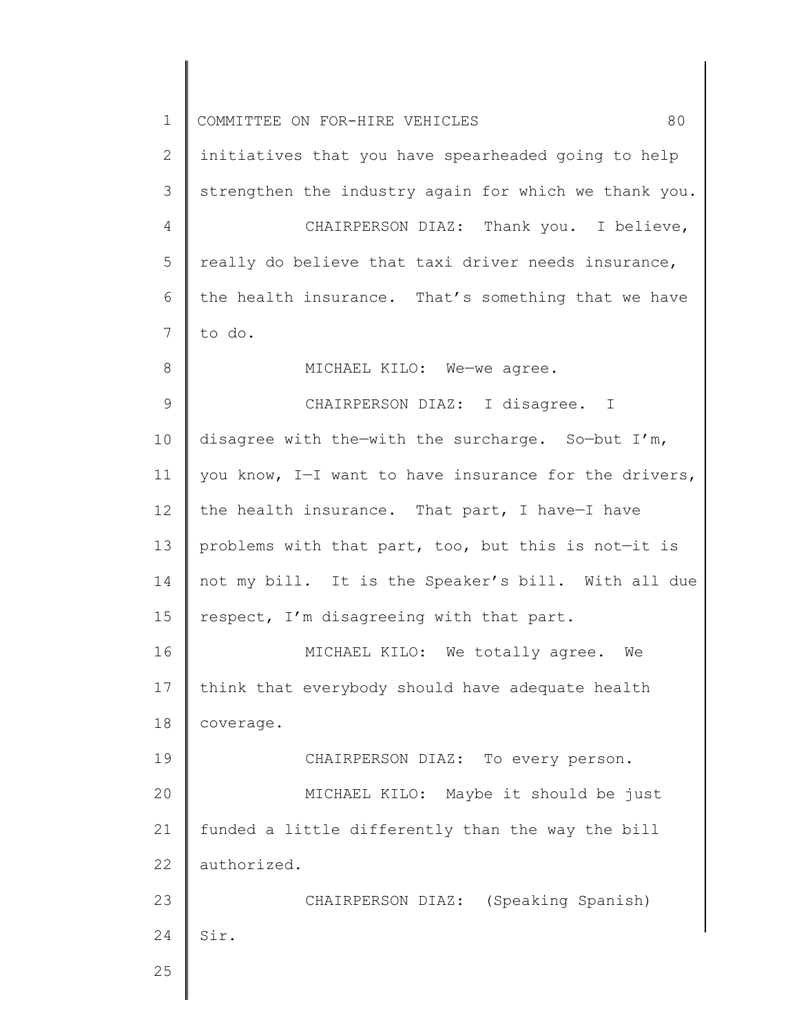| $\mathbf 1$   | 80<br>COMMITTEE ON FOR-HIRE VEHICLES                  |
|---------------|-------------------------------------------------------|
| $\mathbf{2}$  | initiatives that you have spearheaded going to help   |
| 3             | strengthen the industry again for which we thank you. |
| 4             | CHAIRPERSON DIAZ: Thank you. I believe,               |
| 5             | really do believe that taxi driver needs insurance,   |
| 6             | the health insurance. That's something that we have   |
| 7             | to do.                                                |
| 8             | MICHAEL KILO: We-we agree.                            |
| $\mathcal{G}$ | CHAIRPERSON DIAZ: I disagree. I                       |
| 10            | disagree with the-with the surcharge. So-but I'm,     |
| 11            | you know, I-I want to have insurance for the drivers, |
| 12            | the health insurance. That part, I have-I have        |
| 13            | problems with that part, too, but this is not-it is   |
| 14            | not my bill. It is the Speaker's bill. With all due   |
| 15            | respect, I'm disagreeing with that part.              |
| 16            | MICHAEL KILO: We totally agree.<br>We                 |
| 17            | think that everybody should have adequate health      |
| 18            | coverage.                                             |
| 19            | CHAIRPERSON DIAZ: To every person.                    |
| 20            | MICHAEL KILO: Maybe it should be just                 |
| 21            | funded a little differently than the way the bill     |
| 22            | authorized.                                           |
| 23            | CHAIRPERSON DIAZ: (Speaking Spanish)                  |
| 24            | Sir.                                                  |
| 25            |                                                       |
|               |                                                       |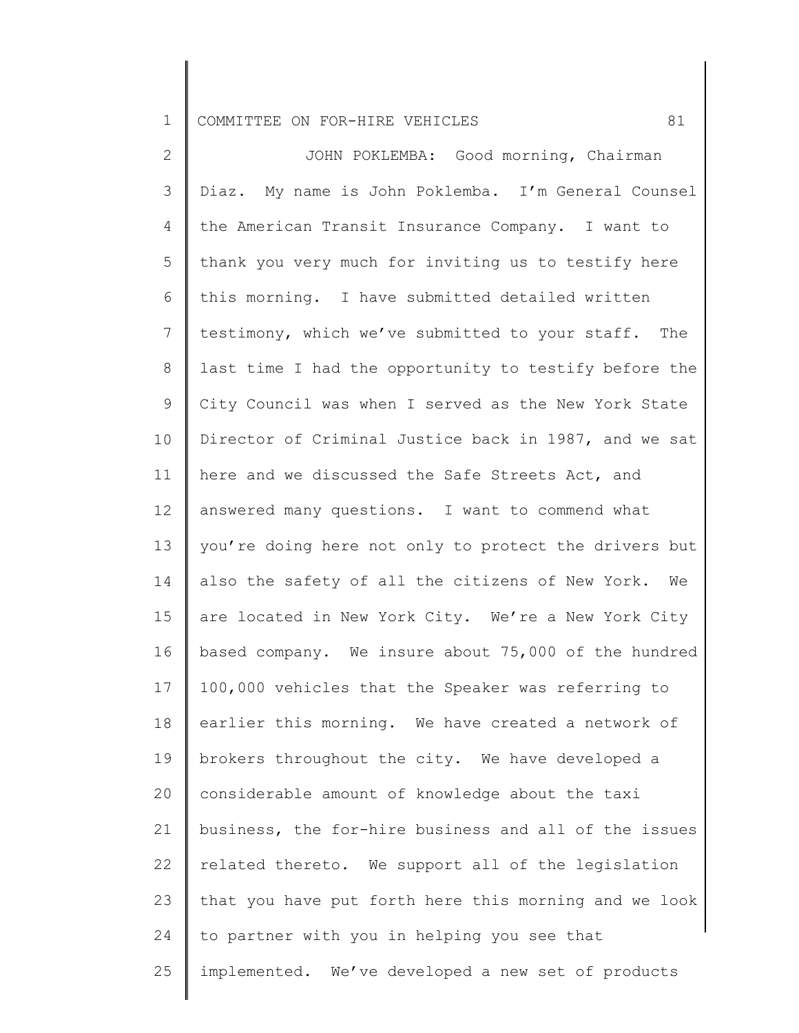1 COMMITTEE ON FOR-HIRE VEHICLES 61

2 3 4 5 6 7 8 9 10 11 12 13 14 15 16 17 18 19 20 21 22 23 24 25 JOHN POKLEMBA: Good morning, Chairman Diaz. My name is John Poklemba. I'm General Counsel the American Transit Insurance Company. I want to thank you very much for inviting us to testify here this morning. I have submitted detailed written testimony, which we've submitted to your staff. The last time I had the opportunity to testify before the City Council was when I served as the New York State Director of Criminal Justice back in 1987, and we sat here and we discussed the Safe Streets Act, and answered many questions. I want to commend what you're doing here not only to protect the drivers but also the safety of all the citizens of New York. We are located in New York City. We're a New York City based company. We insure about 75,000 of the hundred 100,000 vehicles that the Speaker was referring to earlier this morning. We have created a network of brokers throughout the city. We have developed a considerable amount of knowledge about the taxi business, the for-hire business and all of the issues related thereto. We support all of the legislation that you have put forth here this morning and we look to partner with you in helping you see that implemented. We've developed a new set of products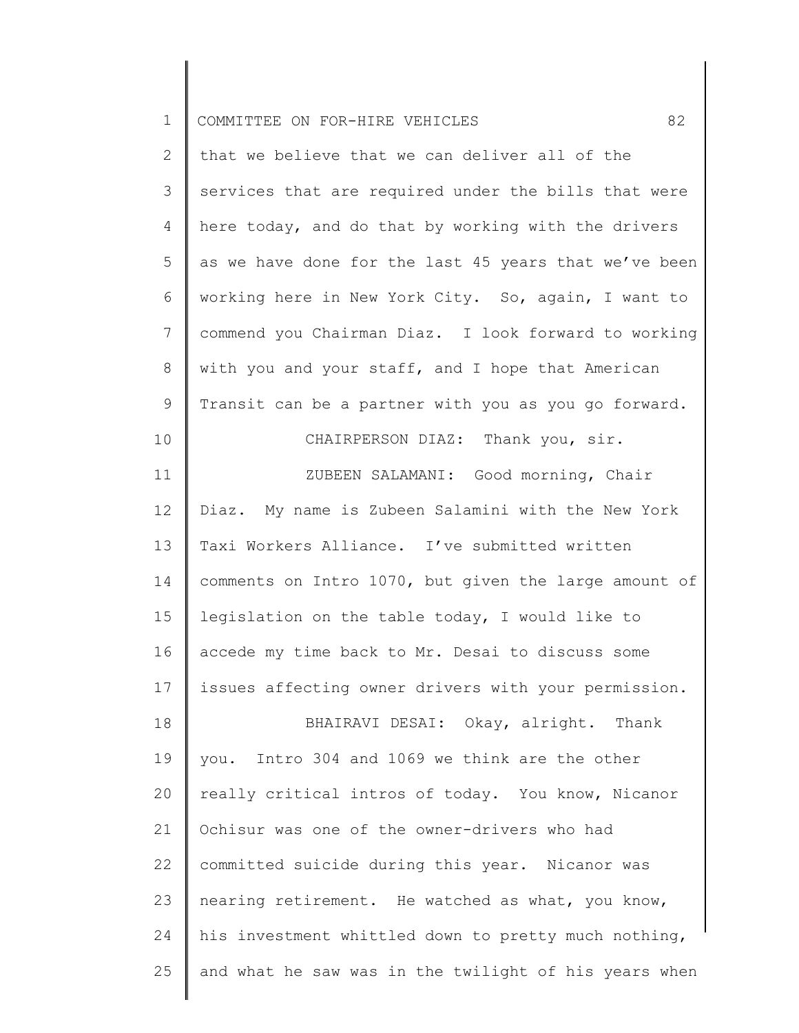| $\mathbf 1$    | 82<br>COMMITTEE ON FOR-HIRE VEHICLES                  |
|----------------|-------------------------------------------------------|
| $\overline{2}$ | that we believe that we can deliver all of the        |
| 3              | services that are required under the bills that were  |
| 4              | here today, and do that by working with the drivers   |
| 5              | as we have done for the last 45 years that we've been |
| 6              | working here in New York City. So, again, I want to   |
| $\overline{7}$ | commend you Chairman Diaz. I look forward to working  |
| $8\,$          | with you and your staff, and I hope that American     |
| 9              | Transit can be a partner with you as you go forward.  |
| 10             | CHAIRPERSON DIAZ: Thank you, sir.                     |
| 11             | ZUBEEN SALAMANI: Good morning, Chair                  |
| 12             | Diaz. My name is Zubeen Salamini with the New York    |
| 13             | Taxi Workers Alliance. I've submitted written         |
| 14             | comments on Intro 1070, but given the large amount of |
| 15             | legislation on the table today, I would like to       |
| 16             | accede my time back to Mr. Desai to discuss some      |
| 17             | issues affecting owner drivers with your permission.  |
| 18             | BHAIRAVI DESAI: Okay, alright. Thank                  |
| 19             | you. Intro 304 and 1069 we think are the other        |
| 20             | really critical intros of today. You know, Nicanor    |
| 21             | Ochisur was one of the owner-drivers who had          |
| 22             | committed suicide during this year. Nicanor was       |
| 23             | nearing retirement. He watched as what, you know,     |
| 24             | his investment whittled down to pretty much nothing,  |
| 25             | and what he saw was in the twilight of his years when |
|                |                                                       |

║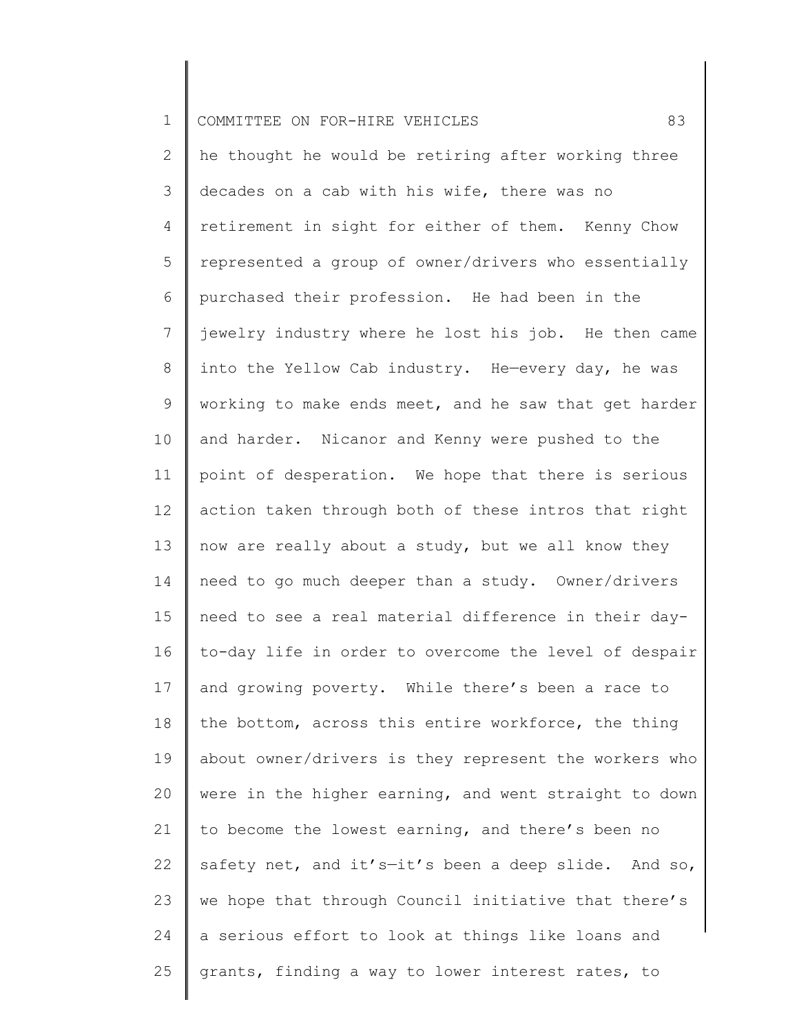| $\mathbf 1$  | 83<br>COMMITTEE ON FOR-HIRE VEHICLES                  |
|--------------|-------------------------------------------------------|
| $\mathbf{2}$ | he thought he would be retiring after working three   |
| 3            | decades on a cab with his wife, there was no          |
| 4            | retirement in sight for either of them. Kenny Chow    |
| 5            | represented a group of owner/drivers who essentially  |
| 6            | purchased their profession. He had been in the        |
| 7            | jewelry industry where he lost his job. He then came  |
| 8            | into the Yellow Cab industry. He-every day, he was    |
| $\mathsf 9$  | working to make ends meet, and he saw that get harder |
| 10           | and harder. Nicanor and Kenny were pushed to the      |
| 11           | point of desperation. We hope that there is serious   |
| 12           | action taken through both of these intros that right  |
| 13           | now are really about a study, but we all know they    |
| 14           | need to go much deeper than a study. Owner/drivers    |
| 15           | need to see a real material difference in their day-  |
| 16           | to-day life in order to overcome the level of despair |
| 17           | and growing poverty. While there's been a race to     |
| 18           | the bottom, across this entire workforce, the thing   |
| 19           | about owner/drivers is they represent the workers who |
| 20           | were in the higher earning, and went straight to down |
| 21           | to become the lowest earning, and there's been no     |
| 22           | safety net, and it's-it's been a deep slide. And so,  |
| 23           | we hope that through Council initiative that there's  |
| 24           | a serious effort to look at things like loans and     |
| 25           | grants, finding a way to lower interest rates, to     |
|              |                                                       |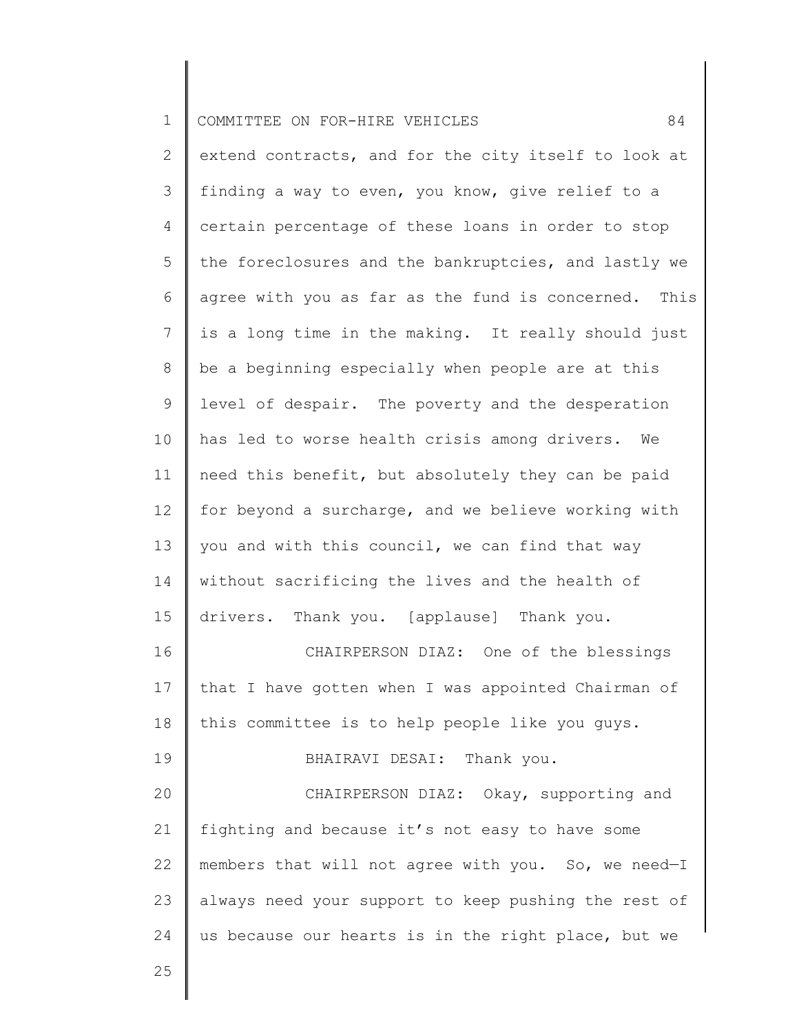| $\mathbf{1}$   | 84<br>COMMITTEE ON FOR-HIRE VEHICLES                 |
|----------------|------------------------------------------------------|
| $\overline{2}$ | extend contracts, and for the city itself to look at |
| 3              | finding a way to even, you know, give relief to a    |
| 4              | certain percentage of these loans in order to stop   |
| 5              | the foreclosures and the bankruptcies, and lastly we |
| 6              | agree with you as far as the fund is concerned. This |
| 7              | is a long time in the making. It really should just  |
| 8              | be a beginning especially when people are at this    |
| $\mathsf 9$    | level of despair. The poverty and the desperation    |
| 10             | has led to worse health crisis among drivers.<br>We  |
| 11             | need this benefit, but absolutely they can be paid   |
| 12             | for beyond a surcharge, and we believe working with  |
| 13             | you and with this council, we can find that way      |
| 14             | without sacrificing the lives and the health of      |
| 15             | drivers. Thank you. [applause] Thank you.            |
| 16             | CHAIRPERSON DIAZ: One of the blessings               |
| 17             | that I have gotten when I was appointed Chairman of  |
| 18             | this committee is to help people like you guys.      |
| 19             | BHAIRAVI DESAI: Thank you.                           |
| 20             | CHAIRPERSON DIAZ: Okay, supporting and               |
| 21             | fighting and because it's not easy to have some      |
| 22             | members that will not agree with you. So, we need-I  |
| 23             | always need your support to keep pushing the rest of |
| 24             | us because our hearts is in the right place, but we  |
| 25             |                                                      |

∥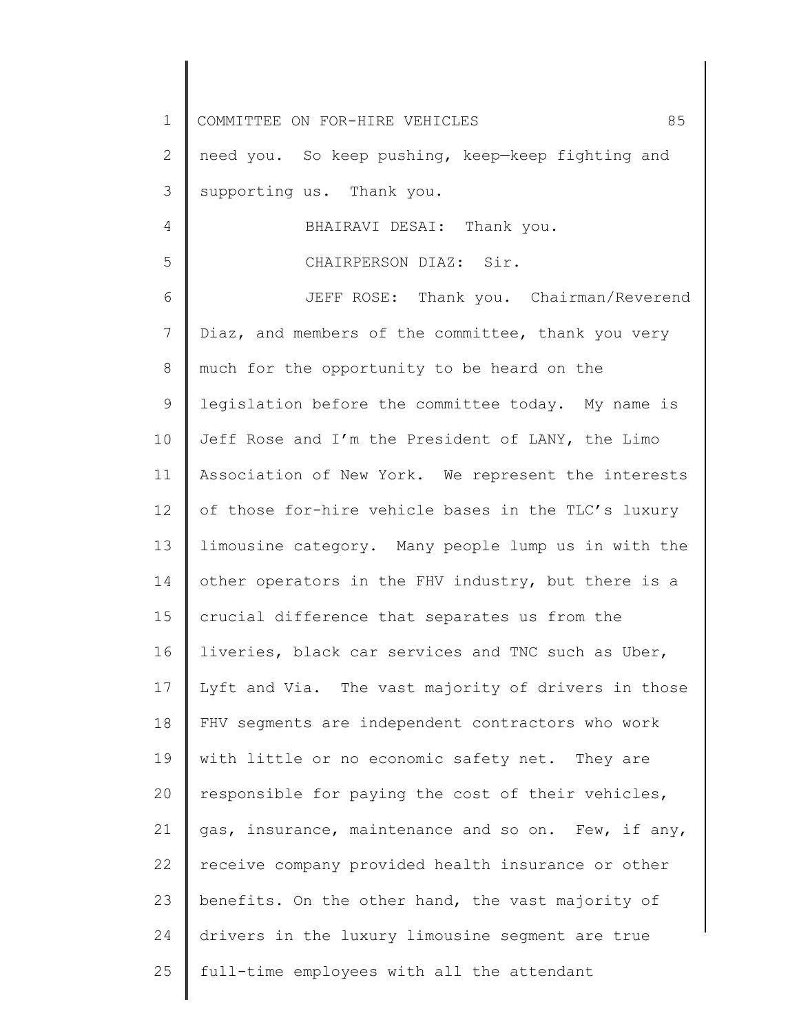1 2 3 4 5 6 7 8 9 10 11 12 13 14 15 16 17 18 19 20 21 22 23 24 25 COMMITTEE ON FOR-HIRE VEHICLES 85 need you. So keep pushing, keep—keep fighting and supporting us. Thank you. BHAIRAVI DESAI: Thank you. CHAIRPERSON DIAZ: Sir. JEFF ROSE: Thank you. Chairman/Reverend Diaz, and members of the committee, thank you very much for the opportunity to be heard on the legislation before the committee today. My name is Jeff Rose and I'm the President of LANY, the Limo Association of New York. We represent the interests of those for-hire vehicle bases in the TLC's luxury limousine category. Many people lump us in with the other operators in the FHV industry, but there is a crucial difference that separates us from the liveries, black car services and TNC such as Uber, Lyft and Via. The vast majority of drivers in those FHV segments are independent contractors who work with little or no economic safety net. They are responsible for paying the cost of their vehicles, gas, insurance, maintenance and so on. Few, if any, receive company provided health insurance or other benefits. On the other hand, the vast majority of drivers in the luxury limousine segment are true full-time employees with all the attendant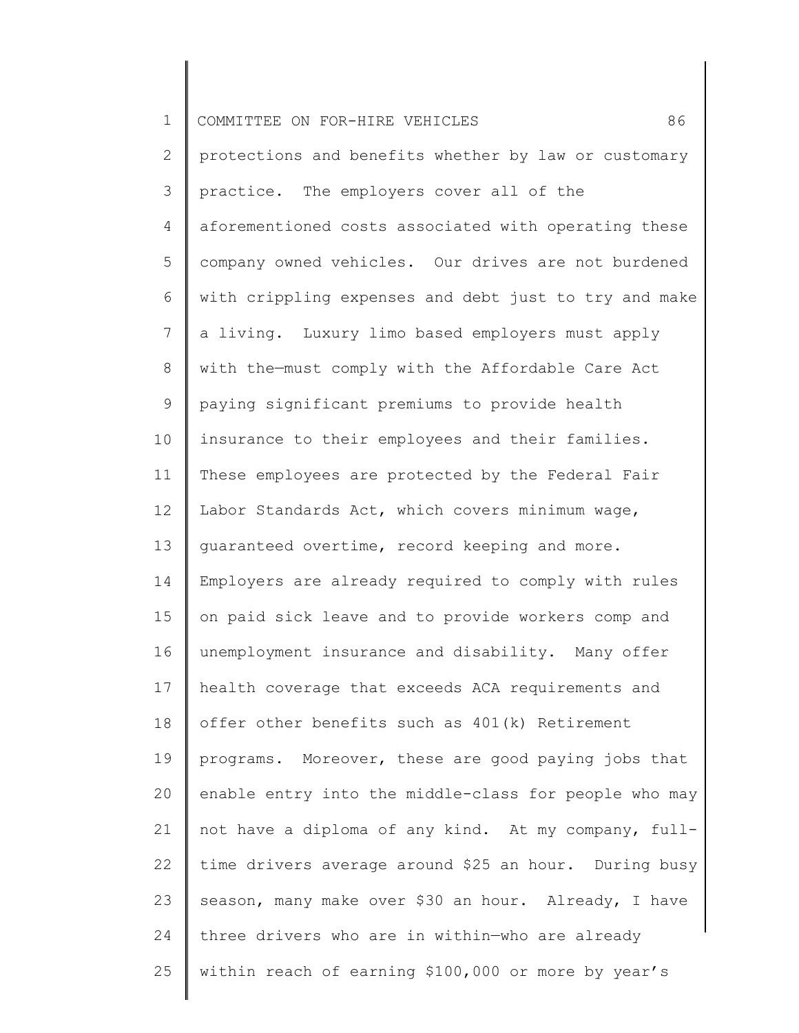| $\mathbf 1$     | 86<br>COMMITTEE ON FOR-HIRE VEHICLES                  |
|-----------------|-------------------------------------------------------|
| $\overline{2}$  | protections and benefits whether by law or customary  |
| 3               | practice. The employers cover all of the              |
| $\overline{4}$  | aforementioned costs associated with operating these  |
| 5               | company owned vehicles. Our drives are not burdened   |
| 6               | with crippling expenses and debt just to try and make |
| $7\phantom{.0}$ | a living. Luxury limo based employers must apply      |
| 8               | with the-must comply with the Affordable Care Act     |
| 9               | paying significant premiums to provide health         |
| 10              | insurance to their employees and their families.      |
| 11              | These employees are protected by the Federal Fair     |
| 12              | Labor Standards Act, which covers minimum wage,       |
| 13              | quaranteed overtime, record keeping and more.         |
| 14              | Employers are already required to comply with rules   |
| 15              | on paid sick leave and to provide workers comp and    |
| 16              | unemployment insurance and disability. Many offer     |
| 17              | health coverage that exceeds ACA requirements and     |
| 18              | offer other benefits such as 401(k) Retirement        |
| 19              | programs. Moreover, these are good paying jobs that   |
| 20              | enable entry into the middle-class for people who may |
| 21              | not have a diploma of any kind. At my company, full-  |
| 22              | time drivers average around \$25 an hour. During busy |
| 23              | season, many make over \$30 an hour. Already, I have  |
| 24              | three drivers who are in within-who are already       |
| 25              | within reach of earning \$100,000 or more by year's   |
|                 |                                                       |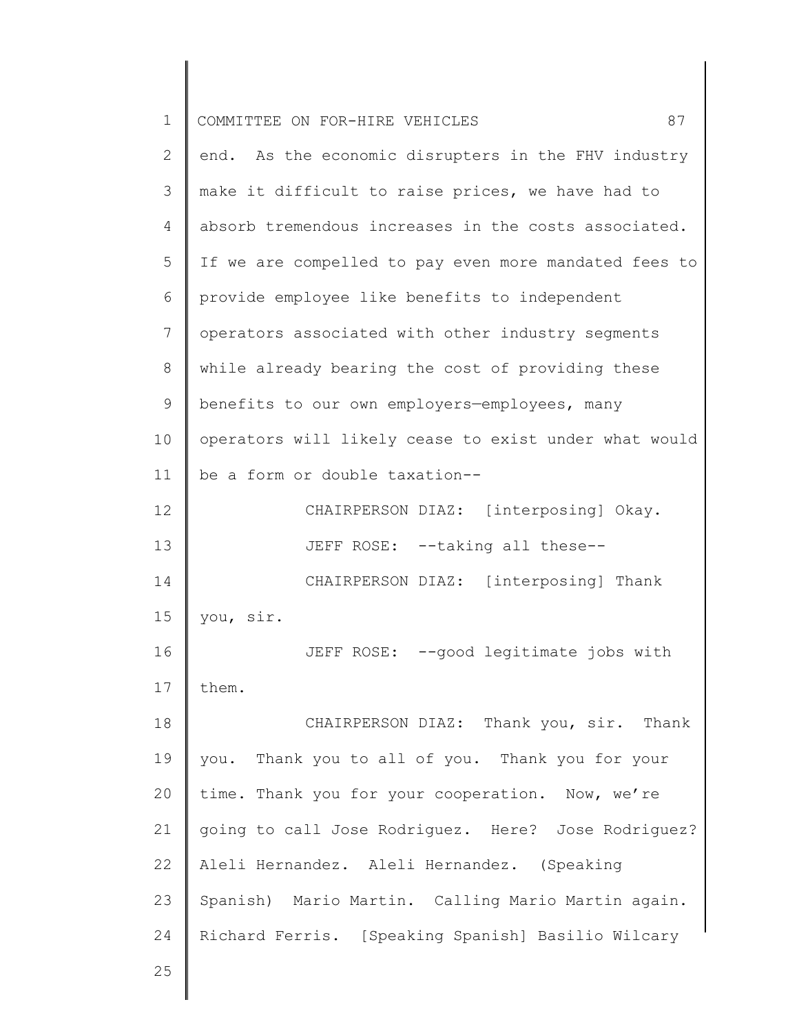| 1  | COMMITTEE ON FOR-HIRE VEHICLES<br>87                  |
|----|-------------------------------------------------------|
| 2  | end. As the economic disrupters in the FHV industry   |
| 3  | make it difficult to raise prices, we have had to     |
| 4  | absorb tremendous increases in the costs associated.  |
| 5  | If we are compelled to pay even more mandated fees to |
| 6  | provide employee like benefits to independent         |
| 7  | operators associated with other industry segments     |
| 8  | while already bearing the cost of providing these     |
| 9  | benefits to our own employers-employees, many         |
| 10 | operators will likely cease to exist under what would |
| 11 | be a form or double taxation--                        |
| 12 | CHAIRPERSON DIAZ: [interposing] Okay.                 |
| 13 | JEFF ROSE: --taking all these--                       |
| 14 | CHAIRPERSON DIAZ: [interposing] Thank                 |
| 15 | you, sir.                                             |
| 16 | JEFF ROSE: -- good legitimate jobs with               |
| 17 | them.                                                 |
| 18 | CHAIRPERSON DIAZ: Thank you, sir. Thank               |
| 19 | you. Thank you to all of you. Thank you for your      |
| 20 | time. Thank you for your cooperation. Now, we're      |
| 21 | going to call Jose Rodriguez. Here? Jose Rodriguez?   |
| 22 | Aleli Hernandez. Aleli Hernandez. (Speaking           |
| 23 | Spanish) Mario Martin. Calling Mario Martin again.    |
| 24 | Richard Ferris. [Speaking Spanish] Basilio Wilcary    |
| 25 |                                                       |
|    |                                                       |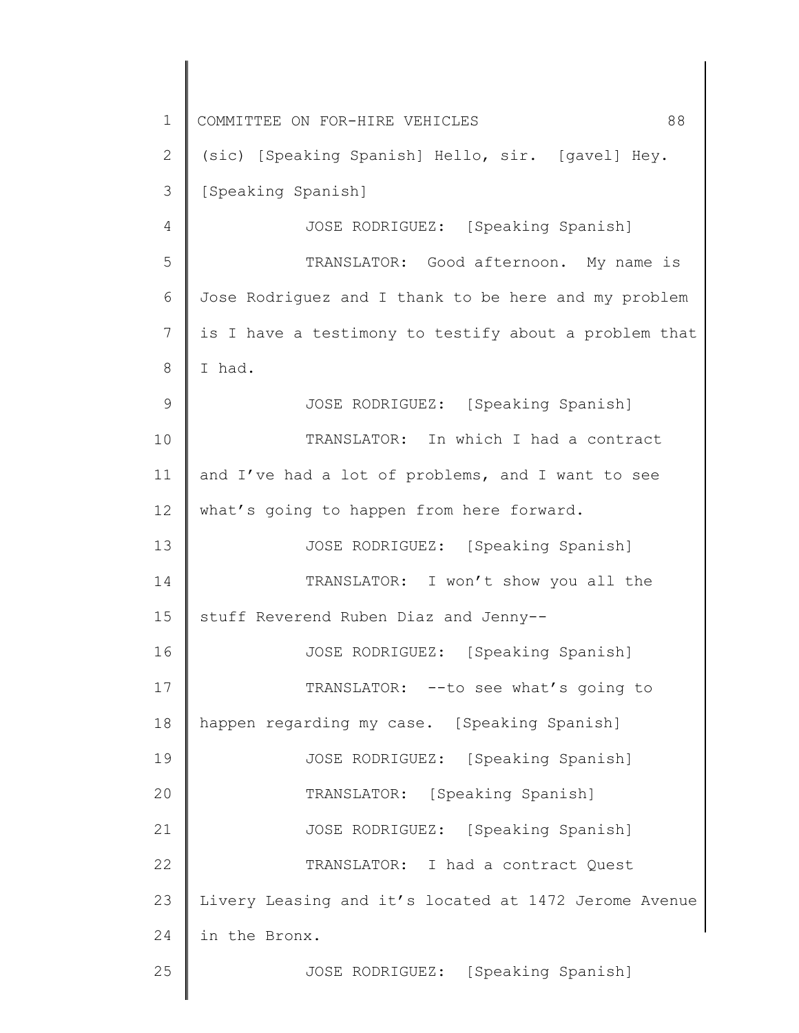1 2 3 4 5 6 7 8 9 10 11 12 13 14 15 16 17 18 19 20 21 22 23 24 25 COMMITTEE ON FOR-HIRE VEHICLES 88 (sic) [Speaking Spanish] Hello, sir. [gavel] Hey. [Speaking Spanish] JOSE RODRIGUEZ: [Speaking Spanish] TRANSLATOR: Good afternoon. My name is Jose Rodriguez and I thank to be here and my problem is I have a testimony to testify about a problem that I had. JOSE RODRIGUEZ: [Speaking Spanish] TRANSLATOR: In which I had a contract and I've had a lot of problems, and I want to see what's going to happen from here forward. JOSE RODRIGUEZ: [Speaking Spanish] TRANSLATOR: I won't show you all the stuff Reverend Ruben Diaz and Jenny-- JOSE RODRIGUEZ: [Speaking Spanish] TRANSLATOR: --to see what's going to happen regarding my case. [Speaking Spanish] JOSE RODRIGUEZ: [Speaking Spanish] TRANSLATOR: [Speaking Spanish] JOSE RODRIGUEZ: [Speaking Spanish] TRANSLATOR: I had a contract Quest Livery Leasing and it's located at 1472 Jerome Avenue in the Bronx. JOSE RODRIGUEZ: [Speaking Spanish]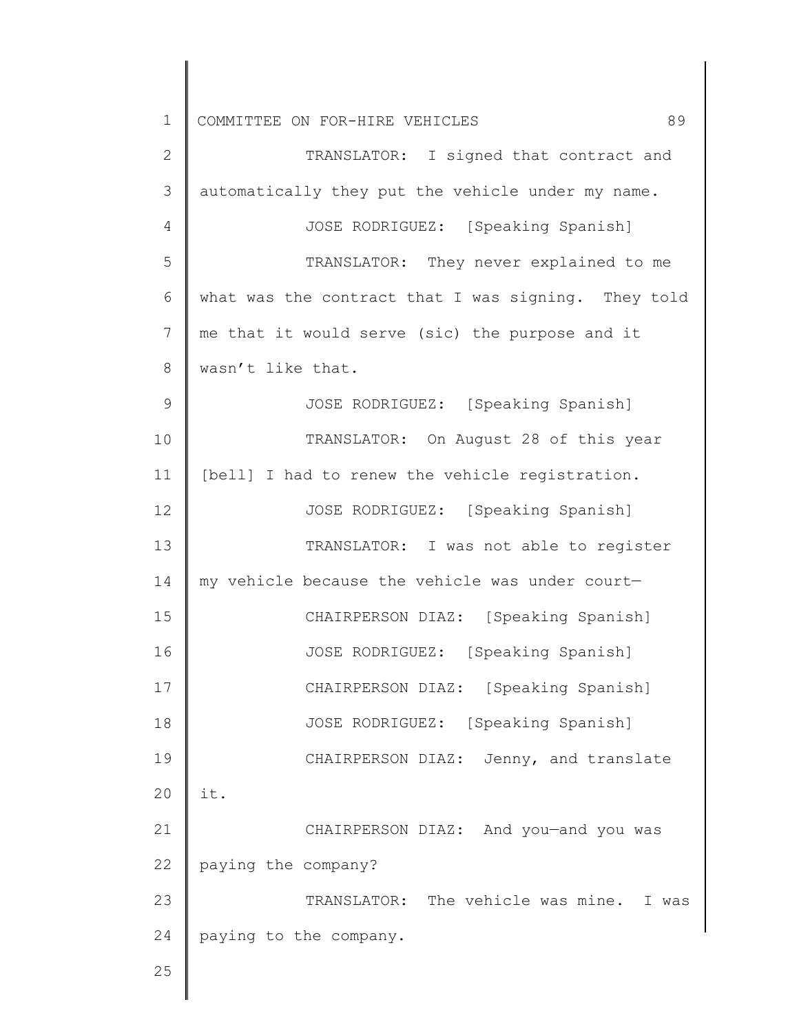| $\mathbf 1$   | 89<br>COMMITTEE ON FOR-HIRE VEHICLES                |
|---------------|-----------------------------------------------------|
| $\mathbf{2}$  | TRANSLATOR: I signed that contract and              |
| 3             | automatically they put the vehicle under my name.   |
| 4             | JOSE RODRIGUEZ: [Speaking Spanish]                  |
| 5             | TRANSLATOR: They never explained to me              |
| 6             | what was the contract that I was signing. They told |
| 7             | me that it would serve (sic) the purpose and it     |
| 8             | wasn't like that.                                   |
| $\mathcal{G}$ | JOSE RODRIGUEZ: [Speaking Spanish]                  |
| 10            | TRANSLATOR: On August 28 of this year               |
| 11            | [bell] I had to renew the vehicle registration.     |
| 12            | JOSE RODRIGUEZ: [Speaking Spanish]                  |
| 13            | TRANSLATOR: I was not able to register              |
| 14            | my vehicle because the vehicle was under court-     |
| 15            | CHAIRPERSON DIAZ: [Speaking Spanish]                |
| 16            | JOSE RODRIGUEZ: [Speaking Spanish]                  |
| 17            | CHAIRPERSON DIAZ: [Speaking Spanish]                |
| 18            | JOSE RODRIGUEZ: [Speaking Spanish]                  |
| 19            | CHAIRPERSON DIAZ: Jenny, and translate              |
| 20            | it.                                                 |
| 21            | CHAIRPERSON DIAZ: And you-and you was               |
| 22            | paying the company?                                 |
| 23            | TRANSLATOR: The vehicle was mine. I was             |
| 24            | paying to the company.                              |
| 25            |                                                     |
|               |                                                     |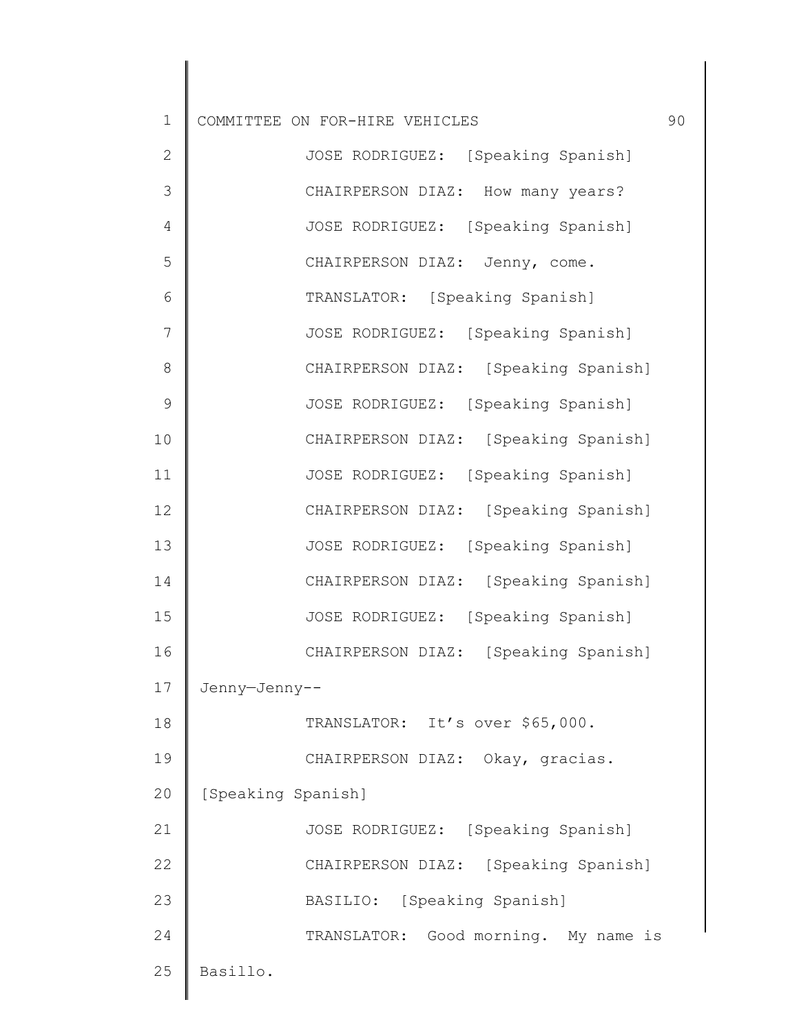| $\mathbf 1$  | COMMITTEE ON FOR-HIRE VEHICLES       | 90 |
|--------------|--------------------------------------|----|
| $\mathbf{2}$ | JOSE RODRIGUEZ: [Speaking Spanish]   |    |
| 3            | CHAIRPERSON DIAZ: How many years?    |    |
| 4            | JOSE RODRIGUEZ: [Speaking Spanish]   |    |
| 5            | CHAIRPERSON DIAZ: Jenny, come.       |    |
| 6            | TRANSLATOR: [Speaking Spanish]       |    |
| 7            | JOSE RODRIGUEZ: [Speaking Spanish]   |    |
| 8            | CHAIRPERSON DIAZ: [Speaking Spanish] |    |
| 9            | JOSE RODRIGUEZ: [Speaking Spanish]   |    |
| 10           | CHAIRPERSON DIAZ: [Speaking Spanish] |    |
| 11           | JOSE RODRIGUEZ: [Speaking Spanish]   |    |
| 12           | CHAIRPERSON DIAZ: [Speaking Spanish] |    |
| 13           | JOSE RODRIGUEZ: [Speaking Spanish]   |    |
| 14           | CHAIRPERSON DIAZ: [Speaking Spanish] |    |
| 15           | JOSE RODRIGUEZ: [Speaking Spanish]   |    |
| 16           | CHAIRPERSON DIAZ: [Speaking Spanish] |    |
| 17           | Jenny-Jenny--                        |    |
| 18           | TRANSLATOR: It's over \$65,000.      |    |
| 19           | CHAIRPERSON DIAZ: Okay, gracias.     |    |
| 20           | [Speaking Spanish]                   |    |
| 21           | JOSE RODRIGUEZ: [Speaking Spanish]   |    |
| 22           | CHAIRPERSON DIAZ: [Speaking Spanish] |    |
| 23           | BASILIO: [Speaking Spanish]          |    |
| 24           | TRANSLATOR: Good morning. My name is |    |

25 Basillo.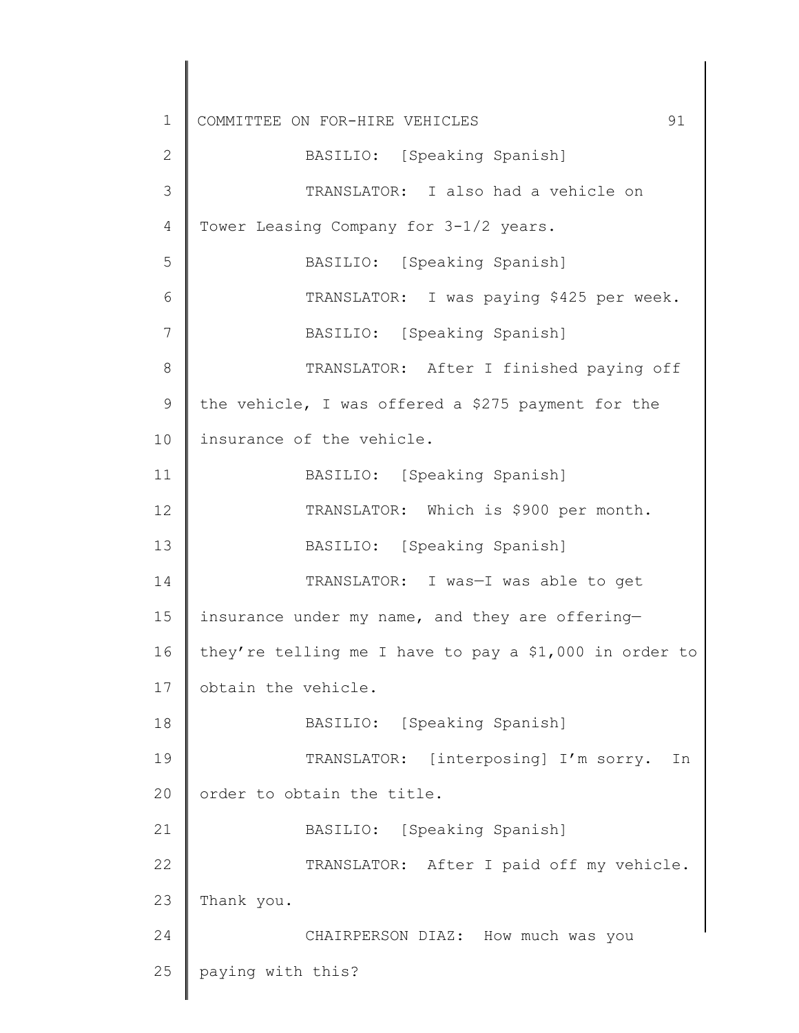1 2 3 4 5 6 7 8 9 10 11 12 13 14 15 16 17 18 19 20 21 22 23 24 25 COMMITTEE ON FOR-HIRE VEHICLES 91 BASILIO: [Speaking Spanish] TRANSLATOR: I also had a vehicle on Tower Leasing Company for 3-1/2 years. BASILIO: [Speaking Spanish] TRANSLATOR: I was paying \$425 per week. BASILIO: [Speaking Spanish] TRANSLATOR: After I finished paying off the vehicle, I was offered a \$275 payment for the insurance of the vehicle. BASILIO: [Speaking Spanish] TRANSLATOR: Which is \$900 per month. BASILIO: [Speaking Spanish] TRANSLATOR: I was—I was able to get insurance under my name, and they are offering they're telling me I have to pay a \$1,000 in order to obtain the vehicle. BASILIO: [Speaking Spanish] TRANSLATOR: [interposing] I'm sorry. In order to obtain the title. BASILIO: [Speaking Spanish] TRANSLATOR: After I paid off my vehicle. Thank you. CHAIRPERSON DIAZ: How much was you paying with this?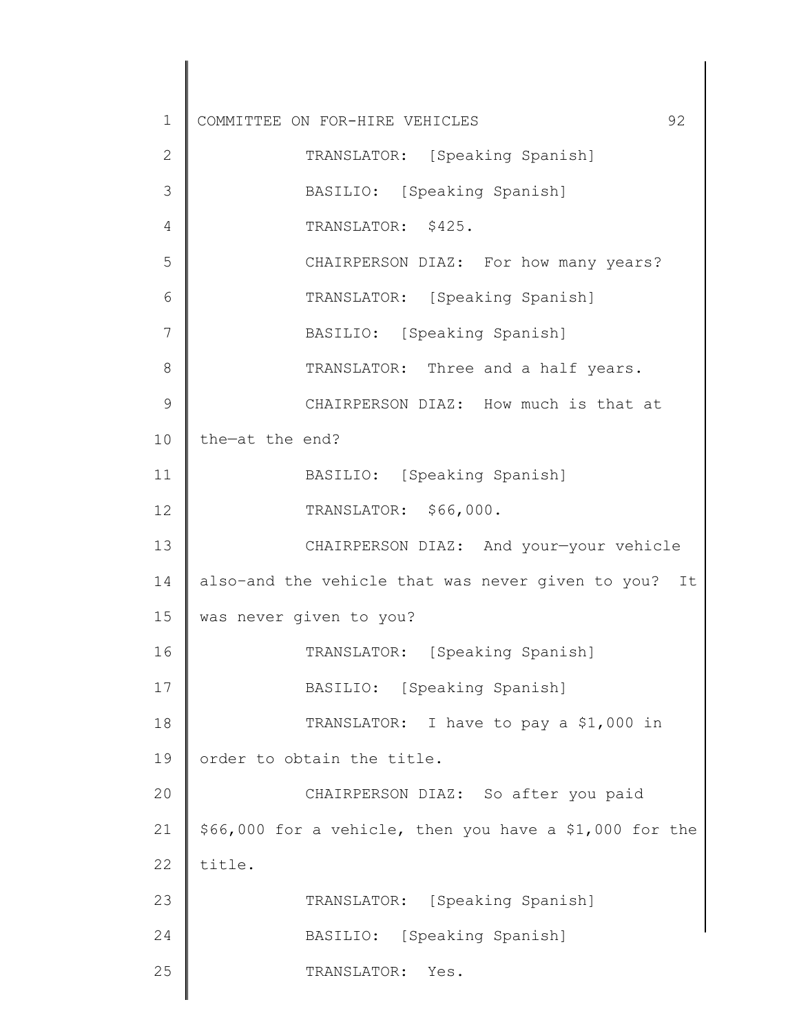| $\mathbf 1$  | 92<br>COMMITTEE ON FOR-HIRE VEHICLES                    |
|--------------|---------------------------------------------------------|
| $\mathbf{2}$ | TRANSLATOR: [Speaking Spanish]                          |
| 3            | BASILIO: [Speaking Spanish]                             |
| 4            | TRANSLATOR: \$425.                                      |
| 5            | CHAIRPERSON DIAZ: For how many years?                   |
| 6            | TRANSLATOR: [Speaking Spanish]                          |
| 7            | BASILIO: [Speaking Spanish]                             |
| 8            | TRANSLATOR: Three and a half years.                     |
| 9            | CHAIRPERSON DIAZ: How much is that at                   |
| 10           | the-at the end?                                         |
| 11           | BASILIO: [Speaking Spanish]                             |
| 12           | TRANSLATOR: \$66,000.                                   |
| 13           | CHAIRPERSON DIAZ: And your-your vehicle                 |
| 14           | also-and the vehicle that was never given to you? It    |
| 15           | was never given to you?                                 |
| 16           | TRANSLATOR: [Speaking Spanish]                          |
| 17           | BASILIO: [Speaking Spanish]                             |
| 18           | TRANSLATOR: I have to pay a \$1,000 in                  |
| 19           | order to obtain the title.                              |
| 20           | CHAIRPERSON DIAZ: So after you paid                     |
| 21           | \$66,000 for a vehicle, then you have a \$1,000 for the |
| 22           | title.                                                  |
| 23           | TRANSLATOR: [Speaking Spanish]                          |
| 24           | BASILIO: [Speaking Spanish]                             |
| 25           | TRANSLATOR:<br>Yes.                                     |
|              |                                                         |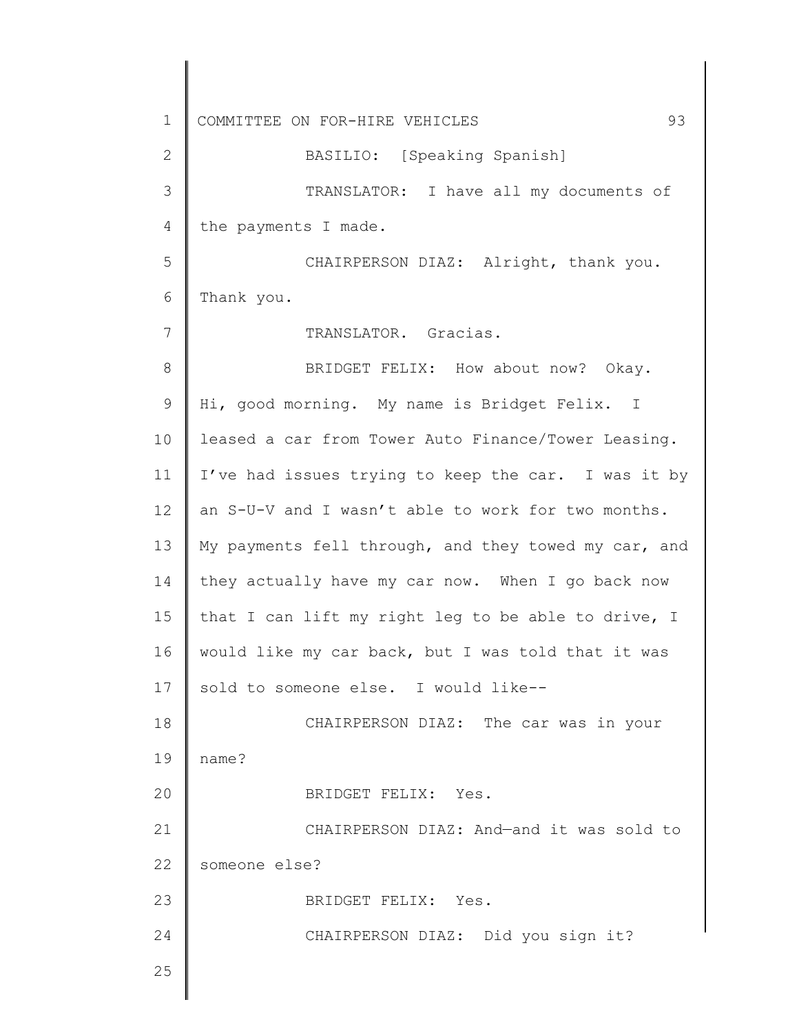1 2 3 4 5 6 7 8 9 10 11 12 13 14 15 16 17 18 19 20 21 22 23 24 25 COMMITTEE ON FOR-HIRE VEHICLES 93 BASILIO: [Speaking Spanish] TRANSLATOR: I have all my documents of the payments I made. CHAIRPERSON DIAZ: Alright, thank you. Thank you. TRANSLATOR. Gracias. BRIDGET FELIX: How about now? Okay. Hi, good morning. My name is Bridget Felix. I leased a car from Tower Auto Finance/Tower Leasing. I've had issues trying to keep the car. I was it by an S-U-V and I wasn't able to work for two months. My payments fell through, and they towed my car, and they actually have my car now. When I go back now that I can lift my right leg to be able to drive, I would like my car back, but I was told that it was sold to someone else. I would like-- CHAIRPERSON DIAZ: The car was in your name? BRIDGET FELIX: Yes. CHAIRPERSON DIAZ: And—and it was sold to someone else? BRIDGET FELIX: Yes. CHAIRPERSON DIAZ: Did you sign it?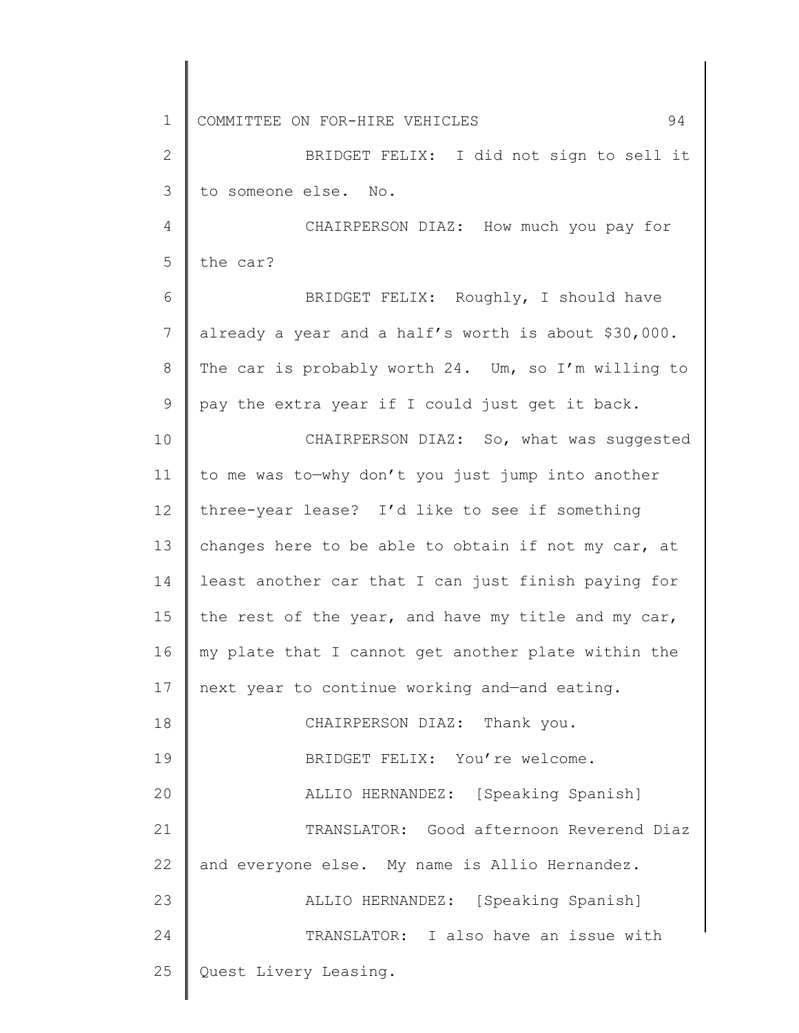1 2 3 4 5 6 7 8 9 10 11 12 13 14 15 16 17 18 19 20 21 22 23 24 25 COMMITTEE ON FOR-HIRE VEHICLES 94 BRIDGET FELIX: I did not sign to sell it to someone else. No. CHAIRPERSON DIAZ: How much you pay for the car? BRIDGET FELIX: Roughly, I should have already a year and a half's worth is about \$30,000. The car is probably worth 24. Um, so I'm willing to pay the extra year if I could just get it back. CHAIRPERSON DIAZ: So, what was suggested to me was to—why don't you just jump into another three-year lease? I'd like to see if something changes here to be able to obtain if not my car, at least another car that I can just finish paying for the rest of the year, and have my title and my car, my plate that I cannot get another plate within the next year to continue working and—and eating. CHAIRPERSON DIAZ: Thank you. BRIDGET FELIX: You're welcome. ALLIO HERNANDEZ: [Speaking Spanish] TRANSLATOR: Good afternoon Reverend Diaz and everyone else. My name is Allio Hernandez. ALLIO HERNANDEZ: [Speaking Spanish] TRANSLATOR: I also have an issue with Quest Livery Leasing.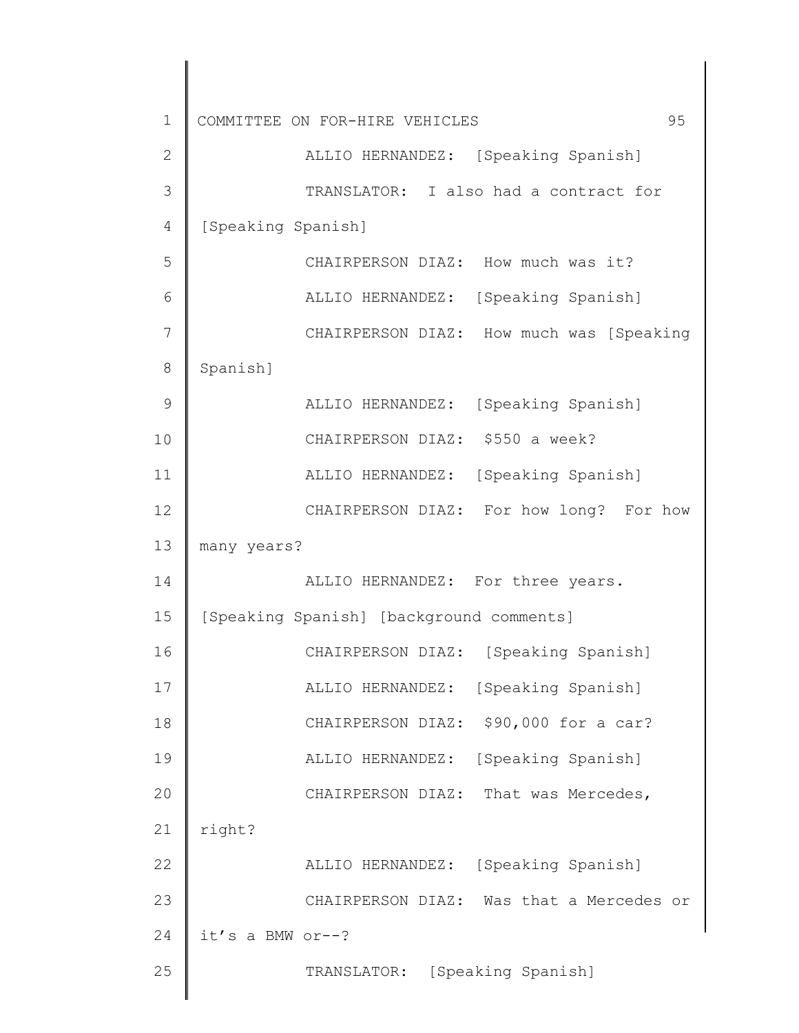| $\mathbf 1$  | 95<br>COMMITTEE ON FOR-HIRE VEHICLES     |
|--------------|------------------------------------------|
| $\mathbf{2}$ | ALLIO HERNANDEZ: [Speaking Spanish]      |
| 3            | TRANSLATOR: I also had a contract for    |
| 4            | [Speaking Spanish]                       |
| 5            | CHAIRPERSON DIAZ: How much was it?       |
| 6            | ALLIO HERNANDEZ: [Speaking Spanish]      |
| 7            | CHAIRPERSON DIAZ: How much was [Speaking |
| 8            | Spanish]                                 |
| 9            | ALLIO HERNANDEZ: [Speaking Spanish]      |
| 10           | CHAIRPERSON DIAZ: \$550 a week?          |
| 11           | ALLIO HERNANDEZ: [Speaking Spanish]      |
| 12           | CHAIRPERSON DIAZ: For how long? For how  |
| 13           | many years?                              |
| 14           | ALLIO HERNANDEZ: For three years.        |
| 15           | [Speaking Spanish] [background comments] |
| 16           | CHAIRPERSON DIAZ: [Speaking Spanish]     |
| 17           | [Speaking Spanish]<br>ALLIO HERNANDEZ:   |
| 18           | \$90,000 for a car?<br>CHAIRPERSON DIAZ: |
| 19           | [Speaking Spanish]<br>ALLIO HERNANDEZ:   |
| 20           | CHAIRPERSON DIAZ: That was Mercedes,     |
| 21           | right?                                   |
| 22           | [Speaking Spanish]<br>ALLIO HERNANDEZ:   |
| 23           | CHAIRPERSON DIAZ: Was that a Mercedes or |
| 24           | it's a BMW or--?                         |
| 25           | TRANSLATOR: [Speaking Spanish]           |
|              |                                          |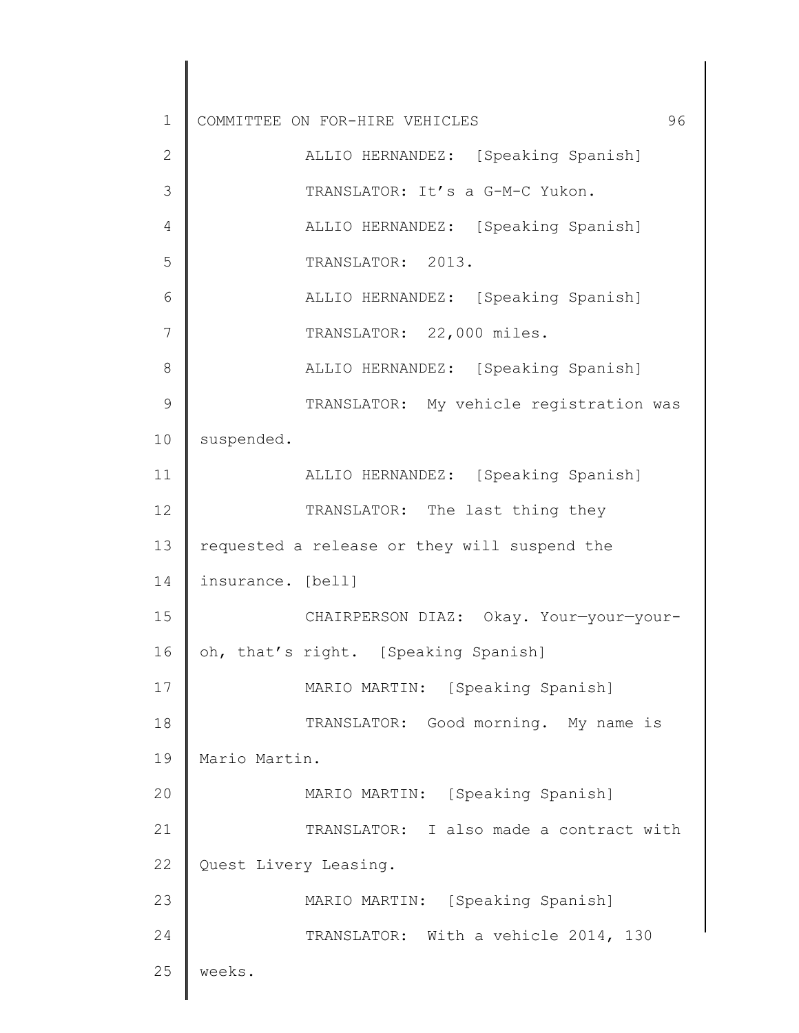| 1  | COMMITTEE ON FOR-HIRE VEHICLES<br>96         |
|----|----------------------------------------------|
| 2  | ALLIO HERNANDEZ: [Speaking Spanish]          |
| 3  | TRANSLATOR: It's a G-M-C Yukon.              |
| 4  | ALLIO HERNANDEZ: [Speaking Spanish]          |
| 5  | TRANSLATOR: 2013.                            |
| 6  | ALLIO HERNANDEZ: [Speaking Spanish]          |
| 7  | TRANSLATOR: 22,000 miles.                    |
| 8  | ALLIO HERNANDEZ: [Speaking Spanish]          |
| 9  | TRANSLATOR: My vehicle registration was      |
| 10 | suspended.                                   |
| 11 | ALLIO HERNANDEZ: [Speaking Spanish]          |
| 12 | TRANSLATOR: The last thing they              |
| 13 | requested a release or they will suspend the |
| 14 | insurance. [bell]                            |
| 15 | CHAIRPERSON DIAZ: Okay. Your-your-your-      |
| 16 | oh, that's right. [Speaking Spanish]         |
| 17 | MARIO MARTIN: [Speaking Spanish]             |
| 18 | TRANSLATOR: Good morning. My name is         |
| 19 | Mario Martin.                                |
| 20 | MARIO MARTIN: [Speaking Spanish]             |
| 21 | TRANSLATOR: I also made a contract with      |
| 22 | Quest Livery Leasing.                        |
| 23 | MARIO MARTIN: [Speaking Spanish]             |
| 24 | TRANSLATOR: With a vehicle 2014, 130         |
| 25 | weeks.                                       |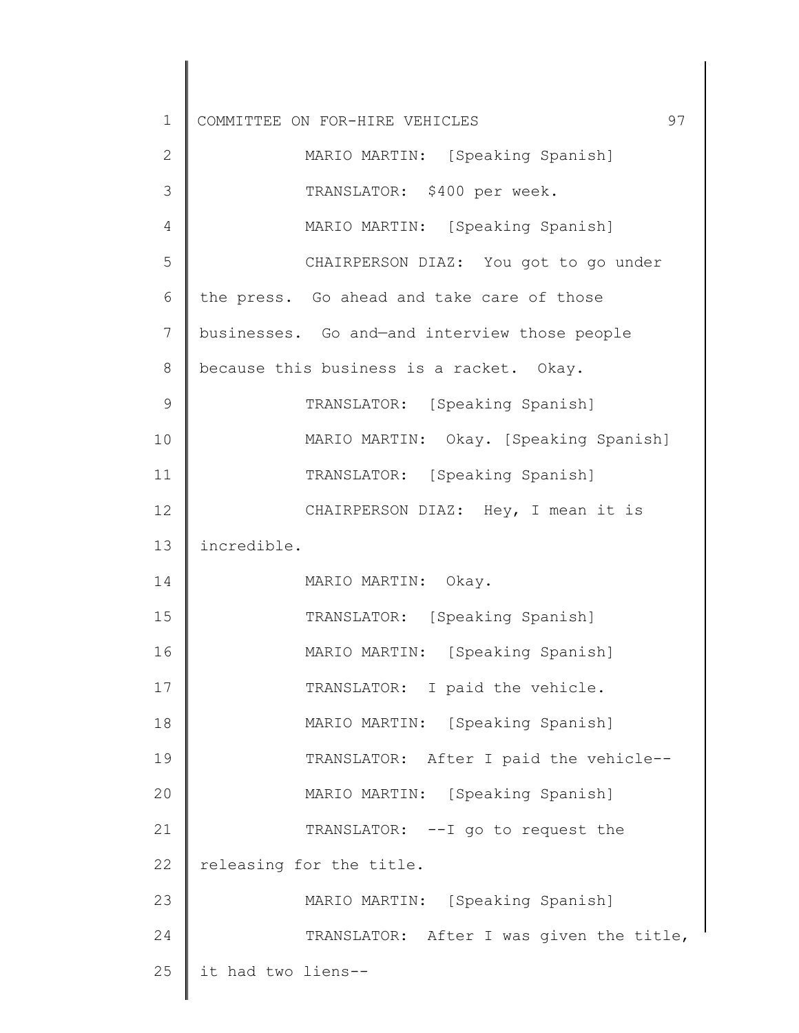| $\mathbf 1$   | 97<br>COMMITTEE ON FOR-HIRE VEHICLES          |
|---------------|-----------------------------------------------|
| $\mathbf{2}$  | MARIO MARTIN: [Speaking Spanish]              |
| 3             | TRANSLATOR: \$400 per week.                   |
| 4             | MARIO MARTIN: [Speaking Spanish]              |
| 5             | CHAIRPERSON DIAZ: You got to go under         |
| 6             | the press. Go ahead and take care of those    |
| 7             | businesses. Go and-and interview those people |
| 8             | because this business is a racket. Okay.      |
| $\mathcal{G}$ | TRANSLATOR: [Speaking Spanish]                |
| 10            | MARIO MARTIN: Okay. [Speaking Spanish]        |
| 11            | TRANSLATOR: [Speaking Spanish]                |
| 12            | CHAIRPERSON DIAZ: Hey, I mean it is           |
| 13            | incredible.                                   |
| 14            | MARIO MARTIN: Okay.                           |
| 15            | TRANSLATOR: [Speaking Spanish]                |
| 16            | MARIO MARTIN: [Speaking Spanish]              |
| 17            | TRANSLATOR: I paid the vehicle.               |
| 18            | MARIO MARTIN: [Speaking Spanish]              |
| 19            | TRANSLATOR: After I paid the vehicle--        |
| 20            | MARIO MARTIN: [Speaking Spanish]              |
| 21            | TRANSLATOR: -- I go to request the            |
| 22            | releasing for the title.                      |
| 23            | MARIO MARTIN: [Speaking Spanish]              |
| 24            | TRANSLATOR: After I was given the title,      |
| 25            | it had two liens--                            |
|               |                                               |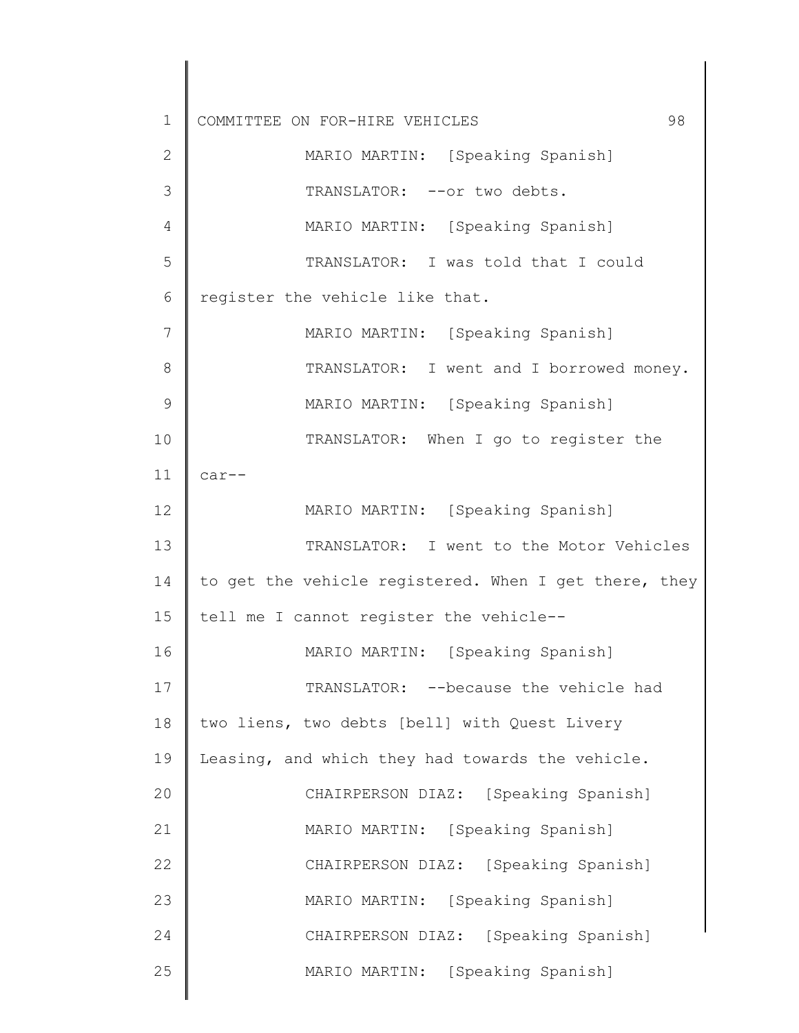1 2 3 4 5 6 7 8 9 10 11 12 13 14 15 16 17 18 19 20 21 22 23 24 25 COMMITTEE ON FOR-HIRE VEHICLES 98 MARIO MARTIN: [Speaking Spanish] TRANSLATOR: -- or two debts. MARIO MARTIN: [Speaking Spanish] TRANSLATOR: I was told that I could register the vehicle like that. MARIO MARTIN: [Speaking Spanish] TRANSLATOR: I went and I borrowed money. MARIO MARTIN: [Speaking Spanish] TRANSLATOR: When I go to register the car-- MARIO MARTIN: [Speaking Spanish] TRANSLATOR: I went to the Motor Vehicles to get the vehicle registered. When I get there, they tell me I cannot register the vehicle-- MARIO MARTIN: [Speaking Spanish] TRANSLATOR: --because the vehicle had two liens, two debts [bell] with Quest Livery Leasing, and which they had towards the vehicle. CHAIRPERSON DIAZ: [Speaking Spanish] MARIO MARTIN: [Speaking Spanish] CHAIRPERSON DIAZ: [Speaking Spanish] MARIO MARTIN: [Speaking Spanish] CHAIRPERSON DIAZ: [Speaking Spanish] MARIO MARTIN: [Speaking Spanish]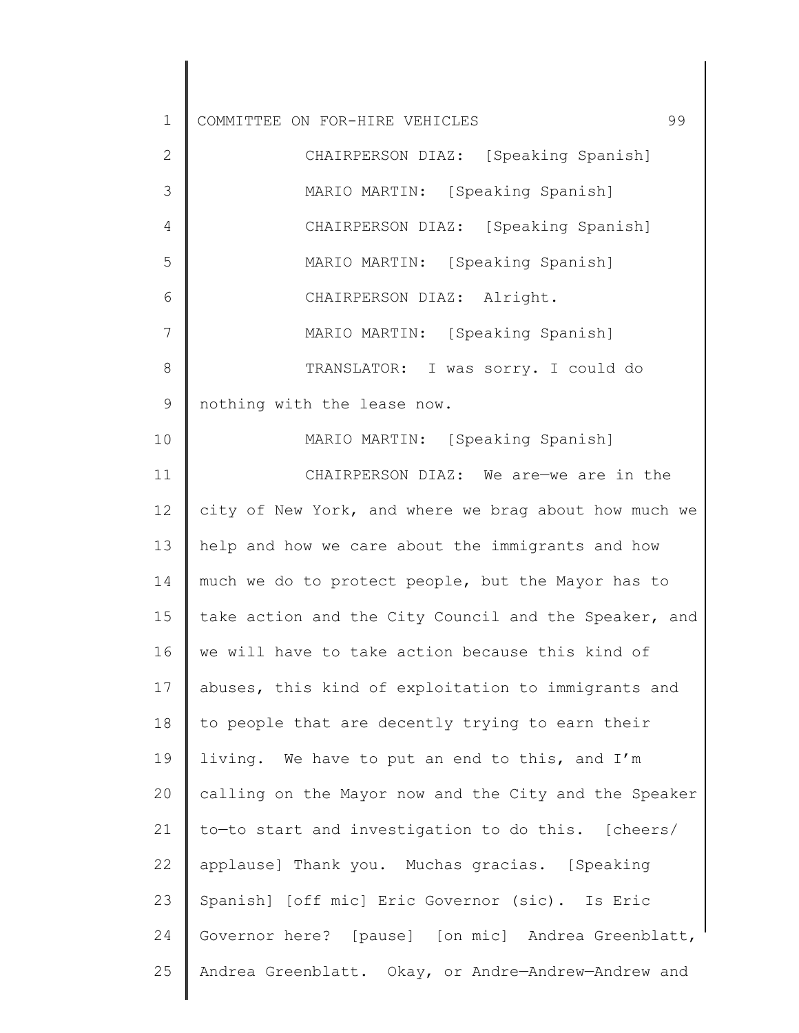1 2 3 4 5 6 7 8 9 10 11 12 13 14 15 16 17 18 19 20 21 22 23 24 25 COMMITTEE ON FOR-HIRE VEHICLES 99 CHAIRPERSON DIAZ: [Speaking Spanish] MARIO MARTIN: [Speaking Spanish] CHAIRPERSON DIAZ: [Speaking Spanish] MARIO MARTIN: [Speaking Spanish] CHAIRPERSON DIAZ: Alright. MARIO MARTIN: [Speaking Spanish] TRANSLATOR: I was sorry. I could do nothing with the lease now. MARIO MARTIN: [Speaking Spanish] CHAIRPERSON DIAZ: We are—we are in the city of New York, and where we brag about how much we help and how we care about the immigrants and how much we do to protect people, but the Mayor has to take action and the City Council and the Speaker, and we will have to take action because this kind of abuses, this kind of exploitation to immigrants and to people that are decently trying to earn their living. We have to put an end to this, and I'm calling on the Mayor now and the City and the Speaker to—to start and investigation to do this. [cheers/ applause] Thank you. Muchas gracias. [Speaking Spanish] [off mic] Eric Governor (sic). Is Eric Governor here? [pause] [on mic] Andrea Greenblatt, Andrea Greenblatt. Okay, or Andre—Andrew—Andrew and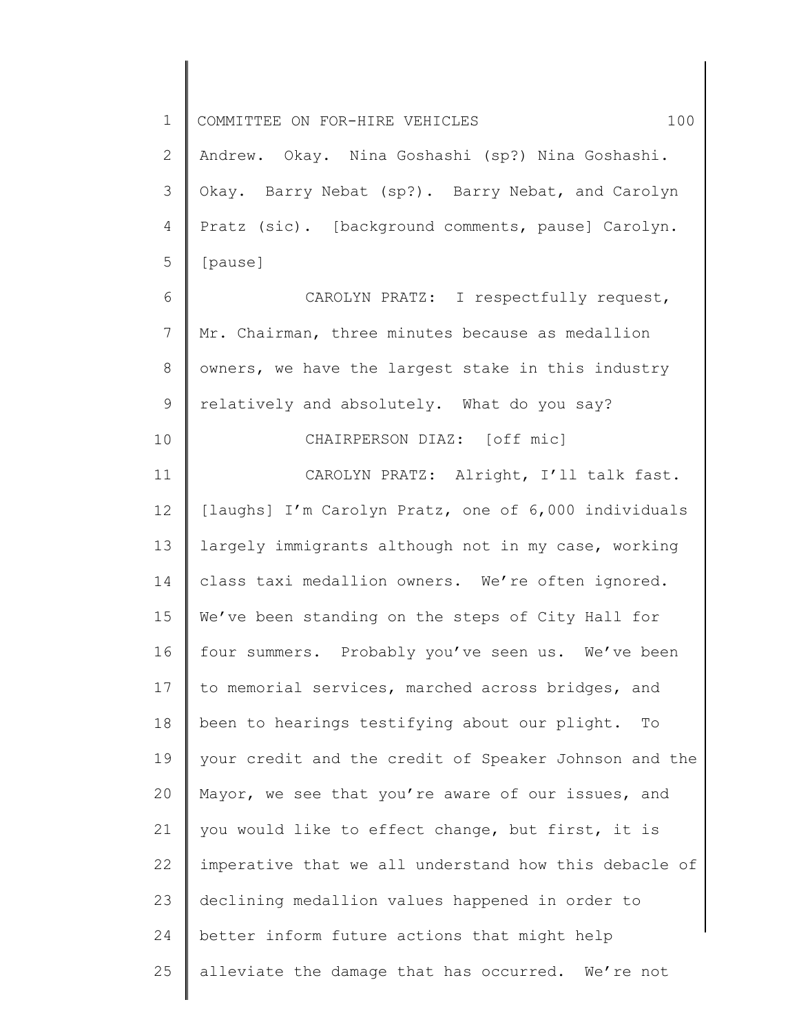1 2 3 4 5 6 7 8 9 10 11 12 13 14 15 16 17 18 19 20 21 22 23 24 25 COMMITTEE ON FOR-HIRE VEHICLES 100 Andrew. Okay. Nina Goshashi (sp?) Nina Goshashi. Okay. Barry Nebat (sp?). Barry Nebat, and Carolyn Pratz (sic). [background comments, pause] Carolyn. [pause] CAROLYN PRATZ: I respectfully request, Mr. Chairman, three minutes because as medallion owners, we have the largest stake in this industry relatively and absolutely. What do you say? CHAIRPERSON DIAZ: [off mic] CAROLYN PRATZ: Alright, I'll talk fast. [laughs] I'm Carolyn Pratz, one of 6,000 individuals largely immigrants although not in my case, working class taxi medallion owners. We're often ignored. We've been standing on the steps of City Hall for four summers. Probably you've seen us. We've been to memorial services, marched across bridges, and been to hearings testifying about our plight. To your credit and the credit of Speaker Johnson and the Mayor, we see that you're aware of our issues, and you would like to effect change, but first, it is imperative that we all understand how this debacle of declining medallion values happened in order to better inform future actions that might help alleviate the damage that has occurred. We're not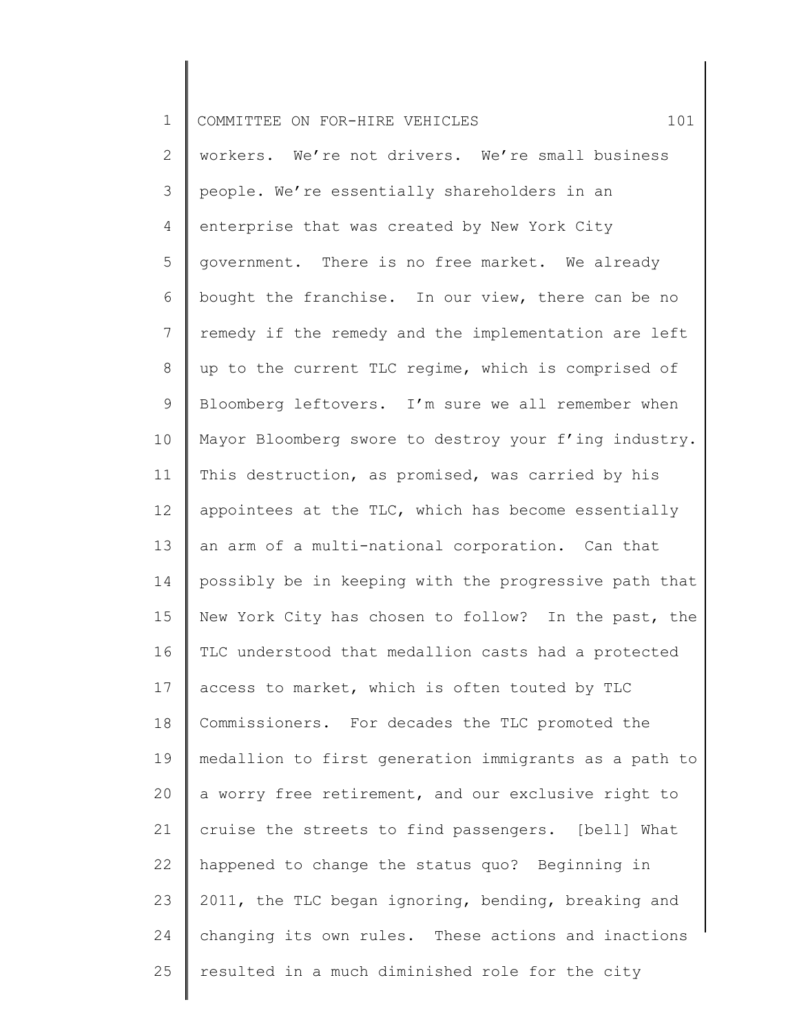| $\mathbf 1$ | 101<br>COMMITTEE ON FOR-HIRE VEHICLES                 |
|-------------|-------------------------------------------------------|
| 2           | workers. We're not drivers. We're small business      |
| 3           | people. We're essentially shareholders in an          |
| 4           | enterprise that was created by New York City          |
| 5           | government. There is no free market. We already       |
| 6           | bought the franchise. In our view, there can be no    |
| 7           | remedy if the remedy and the implementation are left  |
| $8\,$       | up to the current TLC regime, which is comprised of   |
| 9           | Bloomberg leftovers. I'm sure we all remember when    |
| 10          | Mayor Bloomberg swore to destroy your f'ing industry. |
| 11          | This destruction, as promised, was carried by his     |
| 12          | appointees at the TLC, which has become essentially   |
| 13          | an arm of a multi-national corporation. Can that      |
| 14          | possibly be in keeping with the progressive path that |
| 15          | New York City has chosen to follow? In the past, the  |
| 16          | TLC understood that medallion casts had a protected   |
| 17          | access to market, which is often touted by TLC        |
| 18          | Commissioners. For decades the TLC promoted the       |
| 19          | medallion to first generation immigrants as a path to |
| 20          | a worry free retirement, and our exclusive right to   |
| 21          | cruise the streets to find passengers. [bell] What    |
| 22          | happened to change the status quo? Beginning in       |
| 23          | 2011, the TLC began ignoring, bending, breaking and   |
| 24          | changing its own rules. These actions and inactions   |
| 25          | resulted in a much diminished role for the city       |
|             |                                                       |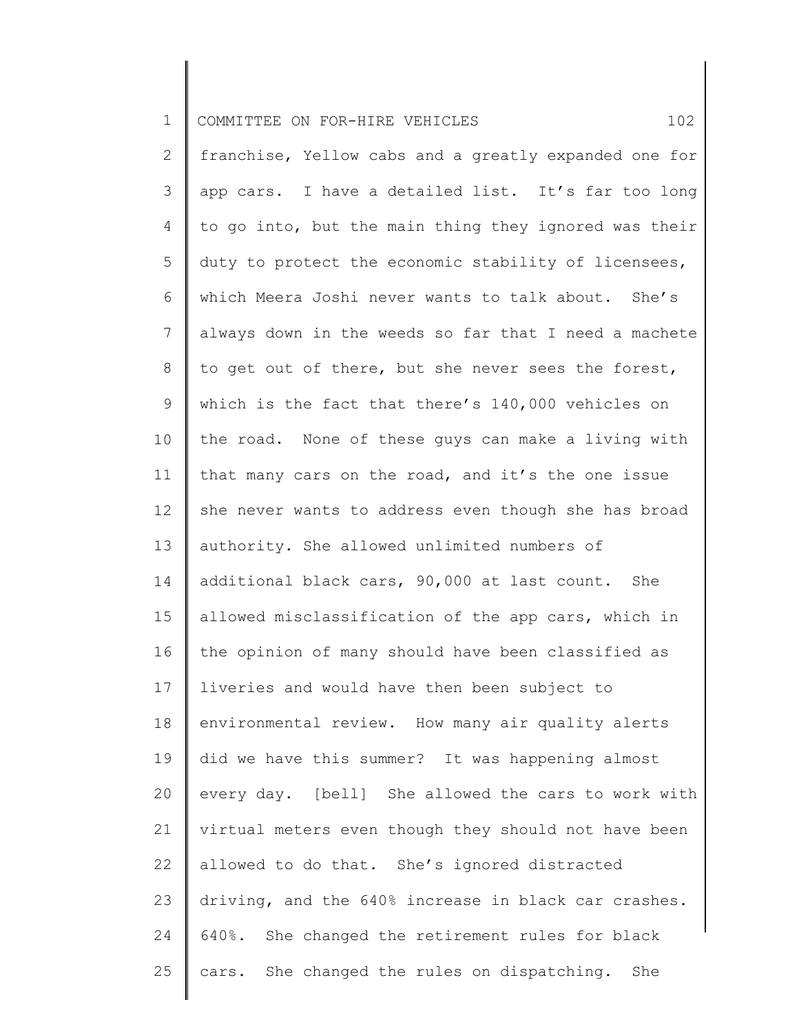| $\mathbf 1$    | 102<br>COMMITTEE ON FOR-HIRE VEHICLES                 |
|----------------|-------------------------------------------------------|
| 2              | franchise, Yellow cabs and a greatly expanded one for |
| 3              | app cars. I have a detailed list. It's far too long   |
| 4              | to go into, but the main thing they ignored was their |
| 5              | duty to protect the economic stability of licensees,  |
| 6              | which Meera Joshi never wants to talk about. She's    |
| $7\phantom{.}$ | always down in the weeds so far that I need a machete |
| 8              | to get out of there, but she never sees the forest,   |
| 9              | which is the fact that there's 140,000 vehicles on    |
| 10             | the road. None of these guys can make a living with   |
| 11             | that many cars on the road, and it's the one issue    |
| 12             | she never wants to address even though she has broad  |
| 13             | authority. She allowed unlimited numbers of           |
| 14             | additional black cars, 90,000 at last count. She      |
| 15             | allowed misclassification of the app cars, which in   |
| 16             | the opinion of many should have been classified as    |
| 17             | liveries and would have then been subject to          |
| 18             | environmental review. How many air quality alerts     |
| 19             | did we have this summer? It was happening almost      |
| 20             | every day. [bell] She allowed the cars to work with   |
| 21             | virtual meters even though they should not have been  |
| 22             | allowed to do that. She's ignored distracted          |
| 23             | driving, and the 640% increase in black car crashes.  |
| 24             | 640%. She changed the retirement rules for black      |
| 25             | cars. She changed the rules on dispatching. She       |
|                |                                                       |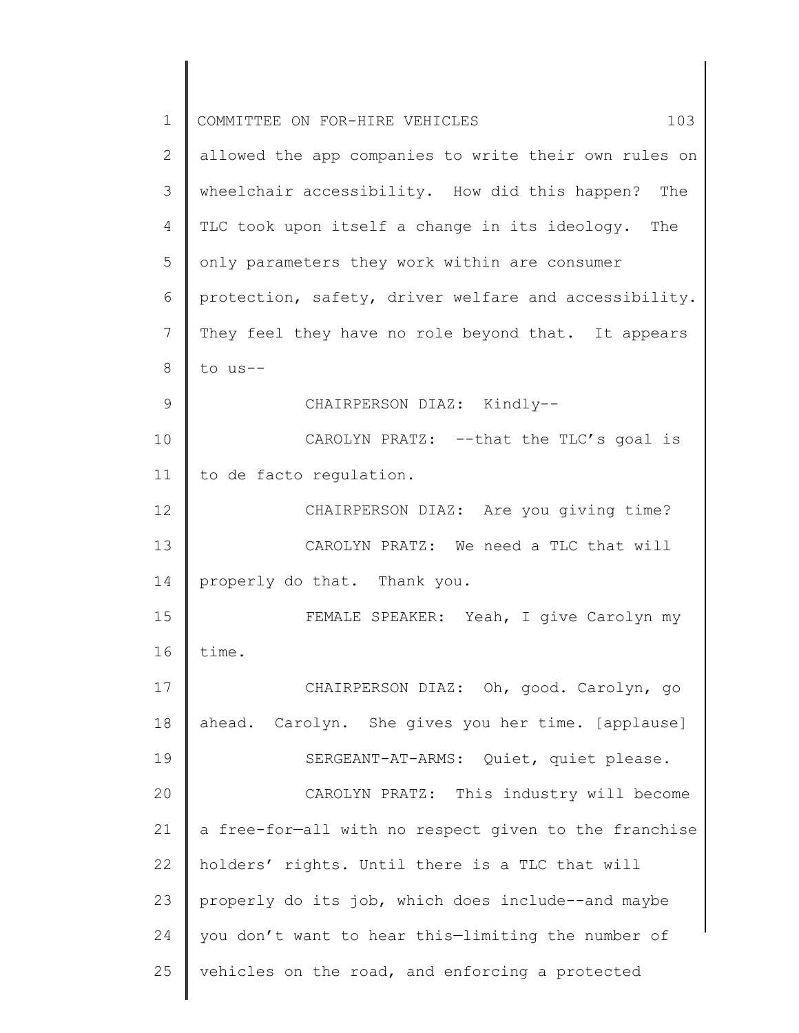| $\mathbf 1$     | 103<br>COMMITTEE ON FOR-HIRE VEHICLES                 |
|-----------------|-------------------------------------------------------|
| 2               | allowed the app companies to write their own rules on |
| 3               | wheelchair accessibility. How did this happen? The    |
| $\overline{4}$  | TLC took upon itself a change in its ideology. The    |
| 5               | only parameters they work within are consumer         |
| 6               | protection, safety, driver welfare and accessibility. |
| $7\phantom{.0}$ | They feel they have no role beyond that. It appears   |
| 8               | to us--                                               |
| 9               | CHAIRPERSON DIAZ: Kindly--                            |
| 10              | CAROLYN PRATZ: -- that the TLC's goal is              |
| 11              | to de facto regulation.                               |
| 12              | CHAIRPERSON DIAZ: Are you giving time?                |
| 13              | CAROLYN PRATZ: We need a TLC that will                |
| 14              | properly do that. Thank you.                          |
| 15              | FEMALE SPEAKER: Yeah, I give Carolyn my               |
| 16              | time.                                                 |
| 17              | CHAIRPERSON DIAZ: Oh, good. Carolyn, go               |
| 18              | ahead. Carolyn. She gives you her time. [applause]    |
| 19              | SERGEANT-AT-ARMS: Quiet, quiet please.                |
| 20              | CAROLYN PRATZ: This industry will become              |
| 21              | a free-for-all with no respect given to the franchise |
| 22              | holders' rights. Until there is a TLC that will       |
| 23              | properly do its job, which does include--and maybe    |
| 24              | you don't want to hear this-limiting the number of    |
| 25              | vehicles on the road, and enforcing a protected       |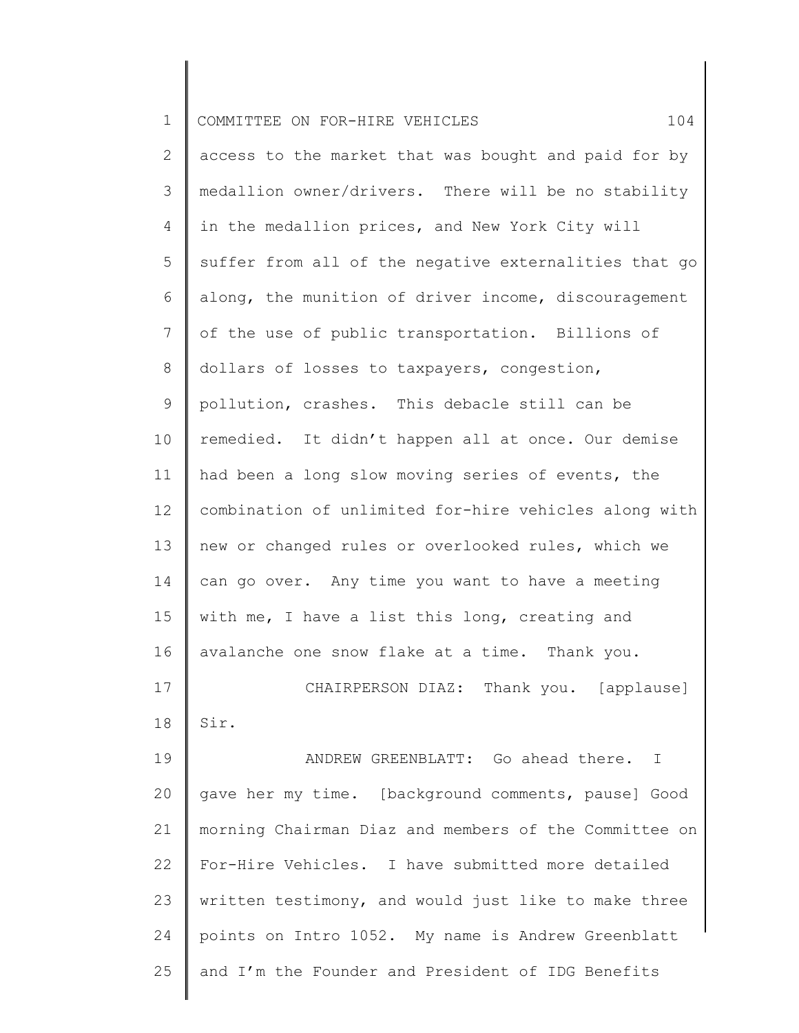| $\mathbf 1$    | 104<br>COMMITTEE ON FOR-HIRE VEHICLES                 |
|----------------|-------------------------------------------------------|
| $\mathbf{2}$   | access to the market that was bought and paid for by  |
| 3              | medallion owner/drivers. There will be no stability   |
| 4              | in the medallion prices, and New York City will       |
| 5              | suffer from all of the negative externalities that go |
| 6              | along, the munition of driver income, discouragement  |
| $\overline{7}$ | of the use of public transportation. Billions of      |
| 8              | dollars of losses to taxpayers, congestion,           |
| $\mathsf 9$    | pollution, crashes. This debacle still can be         |
| 10             | remedied. It didn't happen all at once. Our demise    |
| 11             | had been a long slow moving series of events, the     |
| 12             | combination of unlimited for-hire vehicles along with |
| 13             | new or changed rules or overlooked rules, which we    |
| 14             | can go over. Any time you want to have a meeting      |
| 15             | with me, I have a list this long, creating and        |
| 16             | avalanche one snow flake at a time. Thank you.        |
| 17             | CHAIRPERSON DIAZ: Thank you. [applause]               |
| 18             | Sir.                                                  |
| 19             | ANDREW GREENBLATT: Go ahead there. I                  |
| 20             | gave her my time. [background comments, pause] Good   |
| 21             | morning Chairman Diaz and members of the Committee on |
| 22             | For-Hire Vehicles. I have submitted more detailed     |
| 23             | written testimony, and would just like to make three  |
| 24             | points on Intro 1052. My name is Andrew Greenblatt    |
| 25             | and I'm the Founder and President of IDG Benefits     |
|                |                                                       |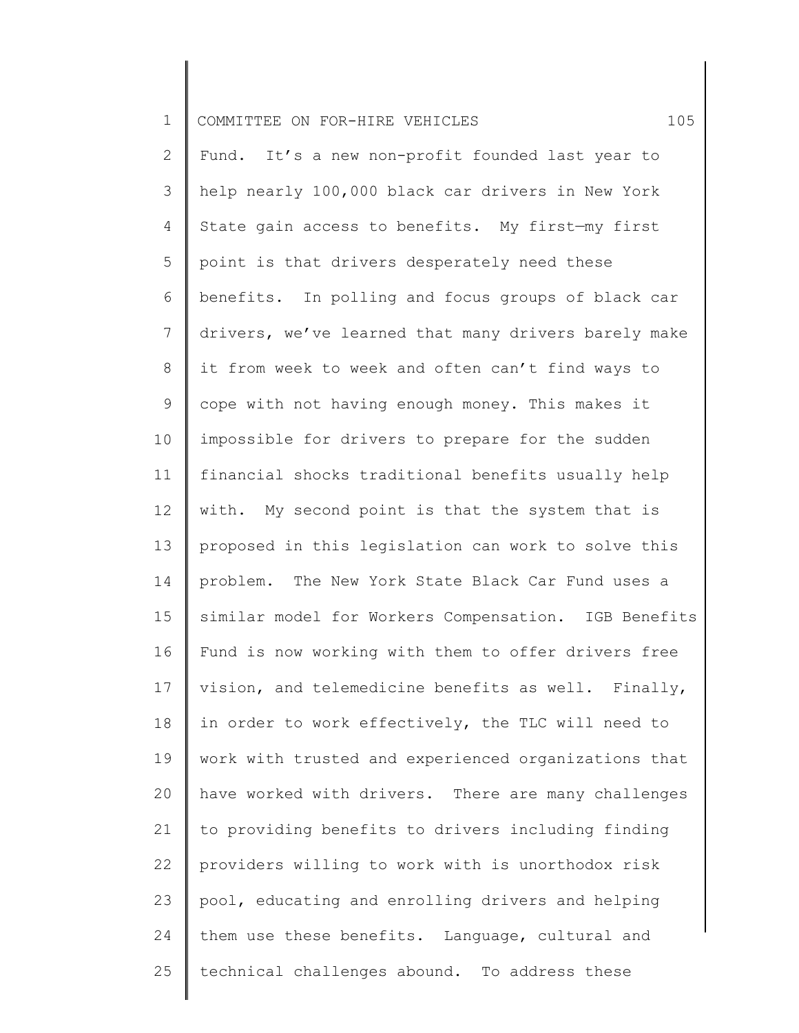| $\mathbf 1$  | 105<br>COMMITTEE ON FOR-HIRE VEHICLES                |
|--------------|------------------------------------------------------|
| $\mathbf{2}$ | Fund. It's a new non-profit founded last year to     |
| 3            | help nearly 100,000 black car drivers in New York    |
| 4            | State gain access to benefits. My first-my first     |
| 5            | point is that drivers desperately need these         |
| 6            | benefits. In polling and focus groups of black car   |
| 7            | drivers, we've learned that many drivers barely make |
| 8            | it from week to week and often can't find ways to    |
| 9            | cope with not having enough money. This makes it     |
| 10           | impossible for drivers to prepare for the sudden     |
| 11           | financial shocks traditional benefits usually help   |
| 12           | with. My second point is that the system that is     |
| 13           | proposed in this legislation can work to solve this  |
| 14           | problem. The New York State Black Car Fund uses a    |
| 15           | similar model for Workers Compensation. IGB Benefits |
| 16           | Fund is now working with them to offer drivers free  |
| 17           | vision, and telemedicine benefits as well. Finally,  |
| 18           | in order to work effectively, the TLC will need to   |
| 19           | work with trusted and experienced organizations that |
| 20           | have worked with drivers. There are many challenges  |
| 21           | to providing benefits to drivers including finding   |
| 22           | providers willing to work with is unorthodox risk    |
| 23           | pool, educating and enrolling drivers and helping    |
| 24           | them use these benefits. Language, cultural and      |
| 25           | technical challenges abound. To address these        |
|              |                                                      |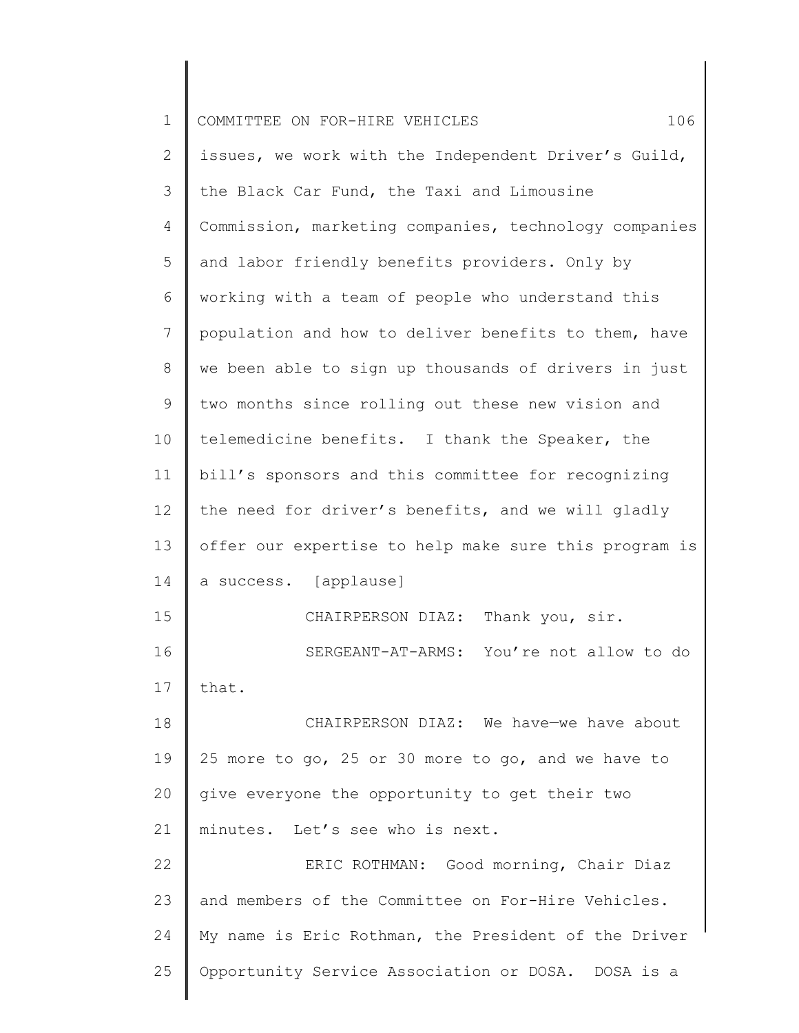| 1            | 106<br>COMMITTEE ON FOR-HIRE VEHICLES                 |
|--------------|-------------------------------------------------------|
| $\mathbf{2}$ | issues, we work with the Independent Driver's Guild,  |
| 3            | the Black Car Fund, the Taxi and Limousine            |
| 4            | Commission, marketing companies, technology companies |
| 5            | and labor friendly benefits providers. Only by        |
| 6            | working with a team of people who understand this     |
| 7            | population and how to deliver benefits to them, have  |
| 8            | we been able to sign up thousands of drivers in just  |
| 9            | two months since rolling out these new vision and     |
| 10           | telemedicine benefits. I thank the Speaker, the       |
| 11           | bill's sponsors and this committee for recognizing    |
| 12           | the need for driver's benefits, and we will gladly    |
| 13           | offer our expertise to help make sure this program is |
| 14           | a success. [applause]                                 |
| 15           | CHAIRPERSON DIAZ: Thank you, sir.                     |
| 16           | SERGEANT-AT-ARMS: You're not allow to do              |
| 17           | that.                                                 |
| 18           | CHAIRPERSON DIAZ: We have-we have about               |
| 19           | 25 more to go, 25 or 30 more to go, and we have to    |
| 20           | give everyone the opportunity to get their two        |
| 21           | minutes. Let's see who is next.                       |
| 22           | ERIC ROTHMAN: Good morning, Chair Diaz                |
| 23           | and members of the Committee on For-Hire Vehicles.    |
| 24           | My name is Eric Rothman, the President of the Driver  |
| 25           | Opportunity Service Association or DOSA. DOSA is a    |
|              |                                                       |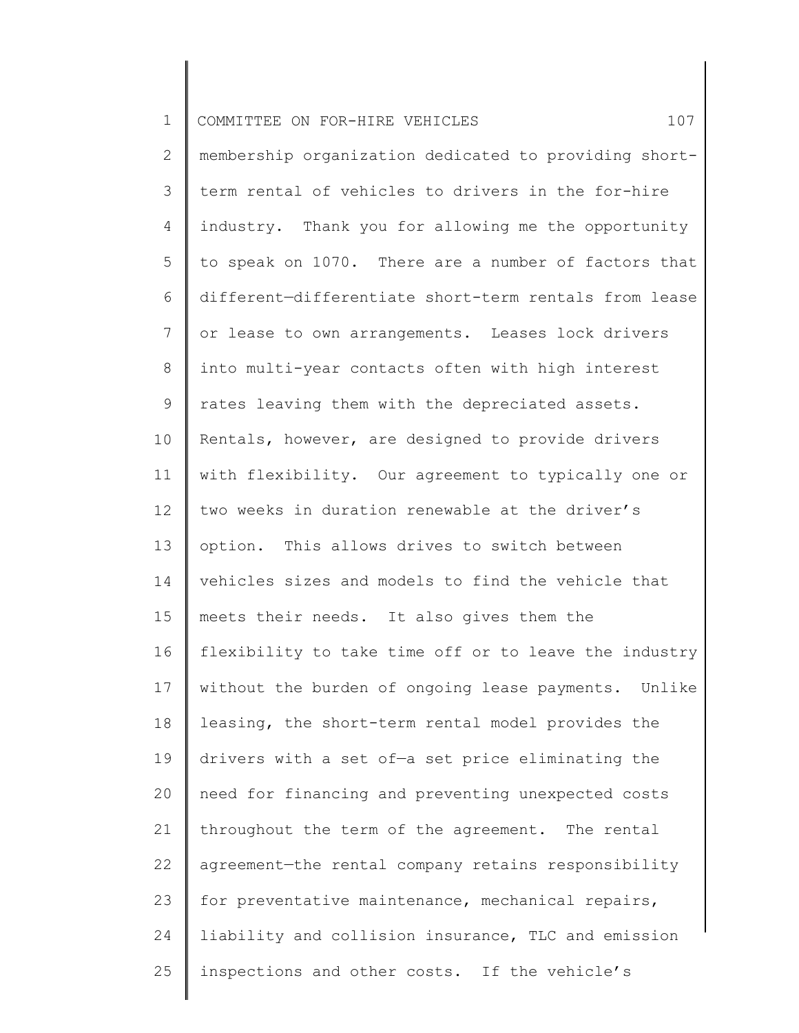| $\mathbf 1$    | 107<br>COMMITTEE ON FOR-HIRE VEHICLES                 |
|----------------|-------------------------------------------------------|
| $\mathbf{2}$   | membership organization dedicated to providing short- |
| 3              | term rental of vehicles to drivers in the for-hire    |
| $\overline{4}$ | industry. Thank you for allowing me the opportunity   |
| 5              | to speak on 1070. There are a number of factors that  |
| 6              | different-differentiate short-term rentals from lease |
| $\overline{7}$ | or lease to own arrangements. Leases lock drivers     |
| $\,8\,$        | into multi-year contacts often with high interest     |
| $\mathsf 9$    | rates leaving them with the depreciated assets.       |
| 10             | Rentals, however, are designed to provide drivers     |
| 11             | with flexibility. Our agreement to typically one or   |
| 12             | two weeks in duration renewable at the driver's       |
| 13             | option. This allows drives to switch between          |
| 14             | vehicles sizes and models to find the vehicle that    |
| 15             | meets their needs. It also gives them the             |
| 16             | flexibility to take time off or to leave the industry |
| 17             | without the burden of ongoing lease payments. Unlike  |
| 18             | leasing, the short-term rental model provides the     |
| 19             | drivers with a set of-a set price eliminating the     |
| 20             | need for financing and preventing unexpected costs    |
| 21             | throughout the term of the agreement. The rental      |
| 22             | agreement-the rental company retains responsibility   |
| 23             | for preventative maintenance, mechanical repairs,     |
| 24             | liability and collision insurance, TLC and emission   |
| 25             | inspections and other costs. If the vehicle's         |
|                |                                                       |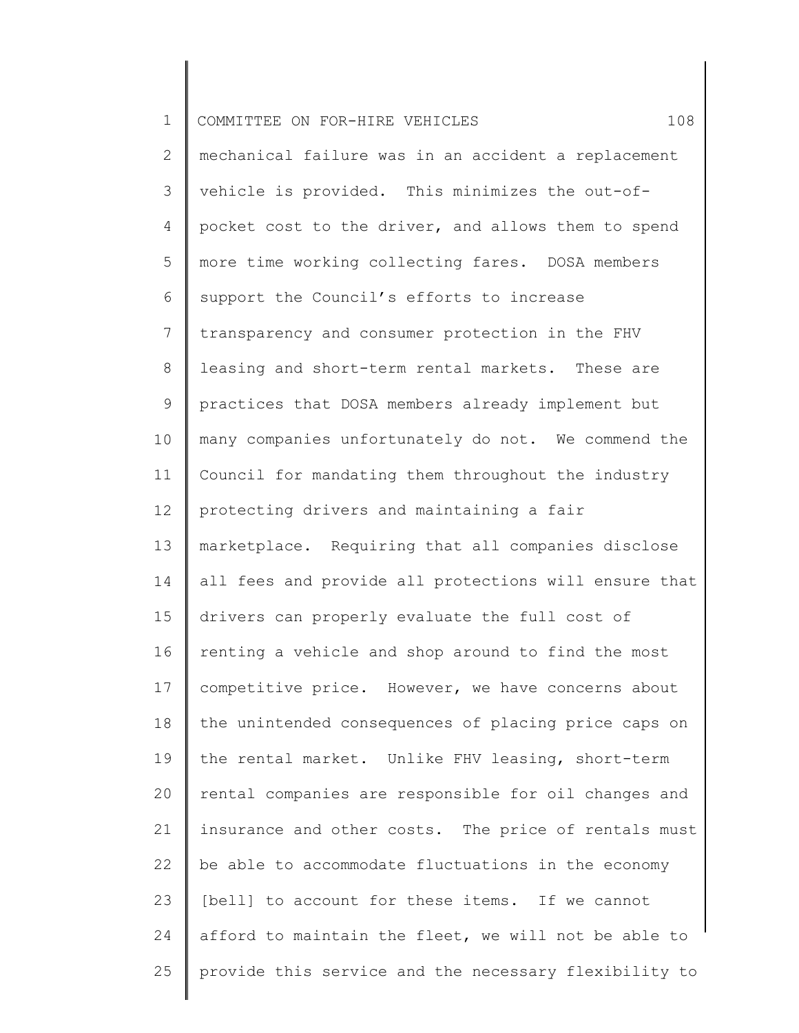| $\mathbf 1$    | 108<br>COMMITTEE ON FOR-HIRE VEHICLES                 |
|----------------|-------------------------------------------------------|
| $\mathbf{2}$   | mechanical failure was in an accident a replacement   |
| 3              | vehicle is provided. This minimizes the out-of-       |
| 4              | pocket cost to the driver, and allows them to spend   |
| 5              | more time working collecting fares. DOSA members      |
| 6              | support the Council's efforts to increase             |
| $\overline{7}$ | transparency and consumer protection in the FHV       |
| 8              | leasing and short-term rental markets. These are      |
| 9              | practices that DOSA members already implement but     |
| 10             | many companies unfortunately do not. We commend the   |
| 11             | Council for mandating them throughout the industry    |
| 12             | protecting drivers and maintaining a fair             |
| 13             | marketplace. Requiring that all companies disclose    |
| 14             | all fees and provide all protections will ensure that |
| 15             | drivers can properly evaluate the full cost of        |
| 16             | renting a vehicle and shop around to find the most    |
| 17             | competitive price. However, we have concerns about    |
| 18             | the unintended consequences of placing price caps on  |
| 19             | the rental market. Unlike FHV leasing, short-term     |
| 20             | rental companies are responsible for oil changes and  |
| 21             | insurance and other costs. The price of rentals must  |
| 22             | be able to accommodate fluctuations in the economy    |
| 23             | [bell] to account for these items. If we cannot       |
| 24             | afford to maintain the fleet, we will not be able to  |
| 25             | provide this service and the necessary flexibility to |
|                |                                                       |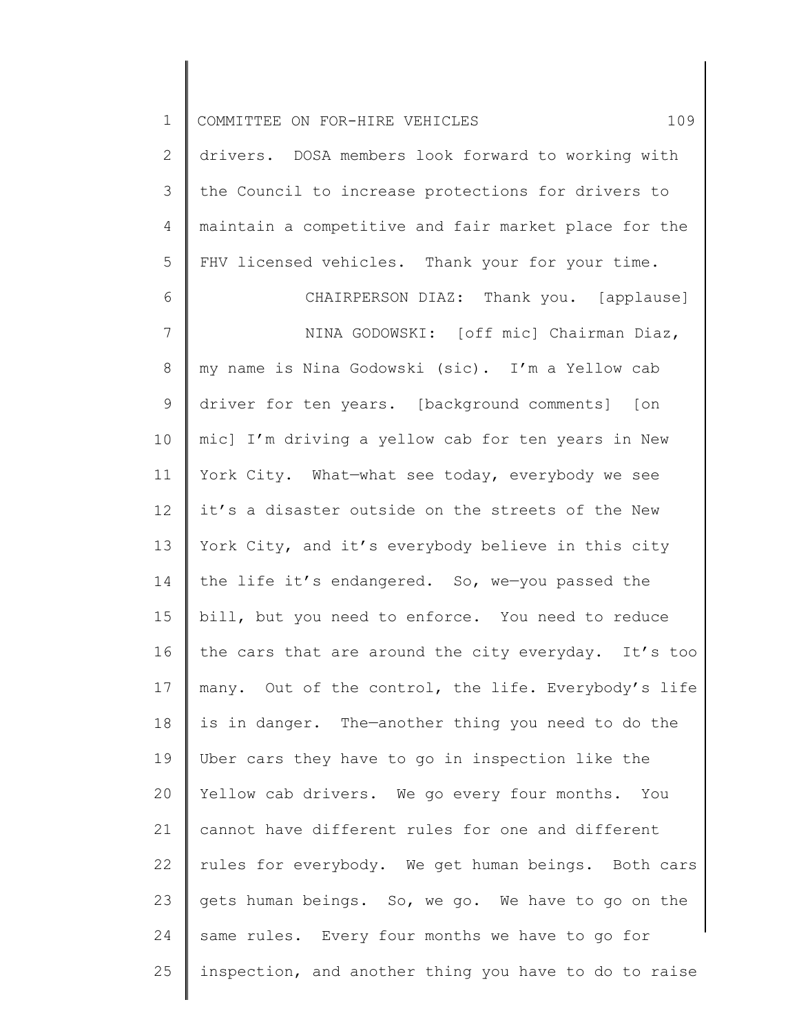| $\mathbf 1$    | 109<br>COMMITTEE ON FOR-HIRE VEHICLES                 |
|----------------|-------------------------------------------------------|
| $\mathbf{2}$   | drivers. DOSA members look forward to working with    |
| 3              | the Council to increase protections for drivers to    |
| 4              | maintain a competitive and fair market place for the  |
| 5              | FHV licensed vehicles. Thank your for your time.      |
| 6              | CHAIRPERSON DIAZ: Thank you. [applause]               |
| $\overline{7}$ | NINA GODOWSKI: [off mic] Chairman Diaz,               |
| $\,8\,$        | my name is Nina Godowski (sic). I'm a Yellow cab      |
| $\mathsf 9$    | driver for ten years. [background comments] [on       |
| 10             | mic] I'm driving a yellow cab for ten years in New    |
| 11             | York City. What-what see today, everybody we see      |
| 12             | it's a disaster outside on the streets of the New     |
| 13             | York City, and it's everybody believe in this city    |
| 14             | the life it's endangered. So, we-you passed the       |
| 15             | bill, but you need to enforce. You need to reduce     |
| 16             | the cars that are around the city everyday. It's too  |
| 17             | many. Out of the control, the life. Everybody's life  |
| 18             | is in danger. The-another thing you need to do the    |
| 19             | Uber cars they have to go in inspection like the      |
| 20             | Yellow cab drivers. We go every four months. You      |
| 21             | cannot have different rules for one and different     |
| 22             | rules for everybody. We get human beings. Both cars   |
| 23             | gets human beings. So, we go. We have to go on the    |
| 24             | same rules. Every four months we have to go for       |
| 25             | inspection, and another thing you have to do to raise |
|                |                                                       |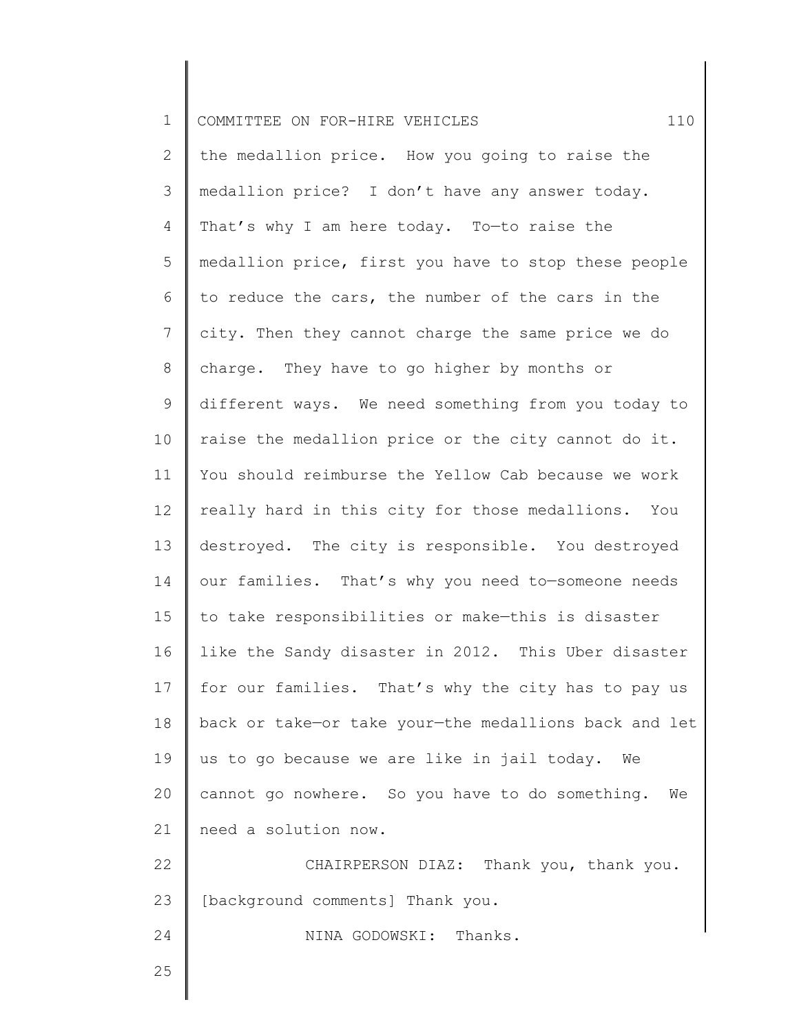| $\mathbf 1$    | 110<br>COMMITTEE ON FOR-HIRE VEHICLES                 |
|----------------|-------------------------------------------------------|
| $\mathbf{2}$   | the medallion price. How you going to raise the       |
| 3              | medallion price? I don't have any answer today.       |
| $\overline{4}$ | That's why I am here today. To-to raise the           |
| 5              | medallion price, first you have to stop these people  |
| 6              | to reduce the cars, the number of the cars in the     |
| $\overline{7}$ | city. Then they cannot charge the same price we do    |
| 8              | charge. They have to go higher by months or           |
| 9              | different ways. We need something from you today to   |
| 10             | raise the medallion price or the city cannot do it.   |
| 11             | You should reimburse the Yellow Cab because we work   |
| 12             | really hard in this city for those medallions. You    |
| 13             | destroyed. The city is responsible. You destroyed     |
| 14             | our families. That's why you need to-someone needs    |
| 15             | to take responsibilities or make-this is disaster     |
| 16             | like the Sandy disaster in 2012. This Uber disaster   |
| 17             | for our families. That's why the city has to pay us   |
| 18             | back or take-or take your-the medallions back and let |
| 19             | us to go because we are like in jail today.<br>We     |
| 20             | cannot go nowhere. So you have to do something.<br>We |
| 21             | need a solution now.                                  |
| 22             | CHAIRPERSON DIAZ: Thank you, thank you.               |
| 23             | [background comments] Thank you.                      |
| 24             | NINA GODOWSKI: Thanks.                                |
| 25             |                                                       |
|                |                                                       |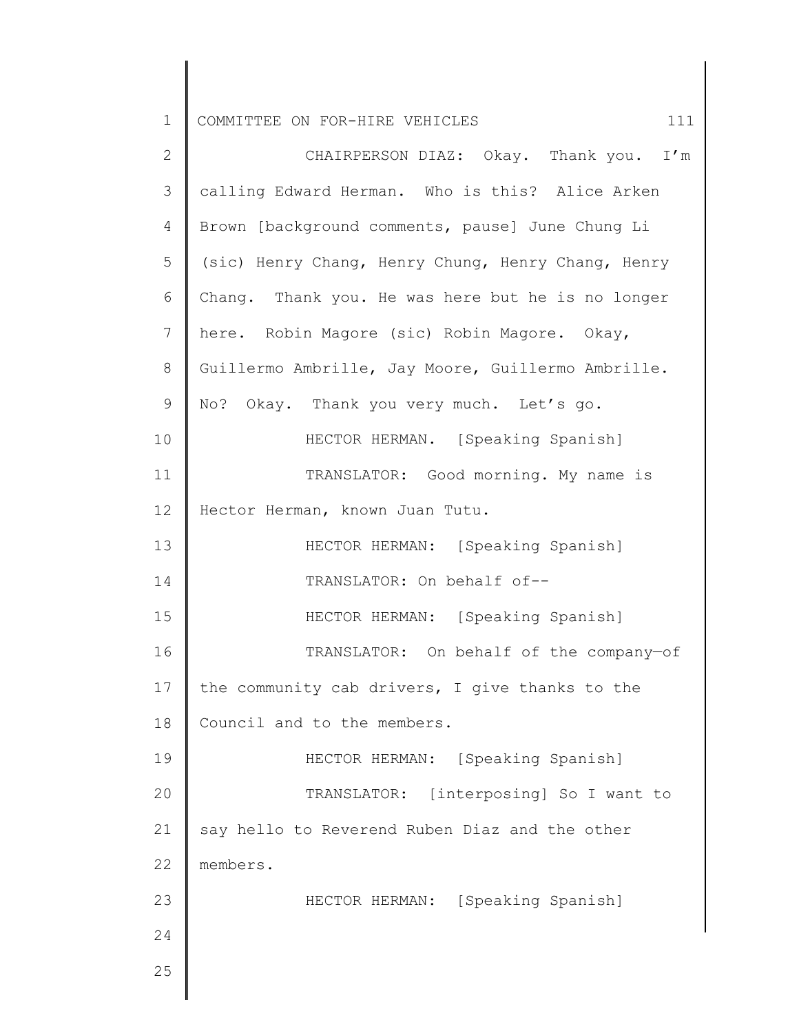| $\mathbf 1$    | COMMITTEE ON FOR-HIRE VEHICLES<br>111              |
|----------------|----------------------------------------------------|
| $\mathbf{2}$   | CHAIRPERSON DIAZ: Okay. Thank you. I'm             |
| 3              | calling Edward Herman. Who is this? Alice Arken    |
| 4              | Brown [background comments, pause] June Chung Li   |
| 5              | (sic) Henry Chang, Henry Chung, Henry Chang, Henry |
| 6              | Chang. Thank you. He was here but he is no longer  |
| $7\phantom{.}$ | here. Robin Magore (sic) Robin Magore. Okay,       |
| $8\,$          | Guillermo Ambrille, Jay Moore, Guillermo Ambrille. |
| $\mathsf 9$    | No? Okay. Thank you very much. Let's go.           |
| 10             | HECTOR HERMAN. [Speaking Spanish]                  |
| 11             | TRANSLATOR: Good morning. My name is               |
| 12             | Hector Herman, known Juan Tutu.                    |
| 13             | HECTOR HERMAN: [Speaking Spanish]                  |
| 14             | TRANSLATOR: On behalf of--                         |
| 15             | HECTOR HERMAN: [Speaking Spanish]                  |
| 16             | TRANSLATOR: On behalf of the company-of            |
| 17             | the community cab drivers, I give thanks to the    |
| 18             | Council and to the members.                        |
| 19             | HECTOR HERMAN: [Speaking Spanish]                  |
| 20             | TRANSLATOR: [interposing] So I want to             |
| 21             | say hello to Reverend Ruben Diaz and the other     |
| 22             | members.                                           |
| 23             | HECTOR HERMAN: [Speaking Spanish]                  |
| 24             |                                                    |
| 25             |                                                    |
|                |                                                    |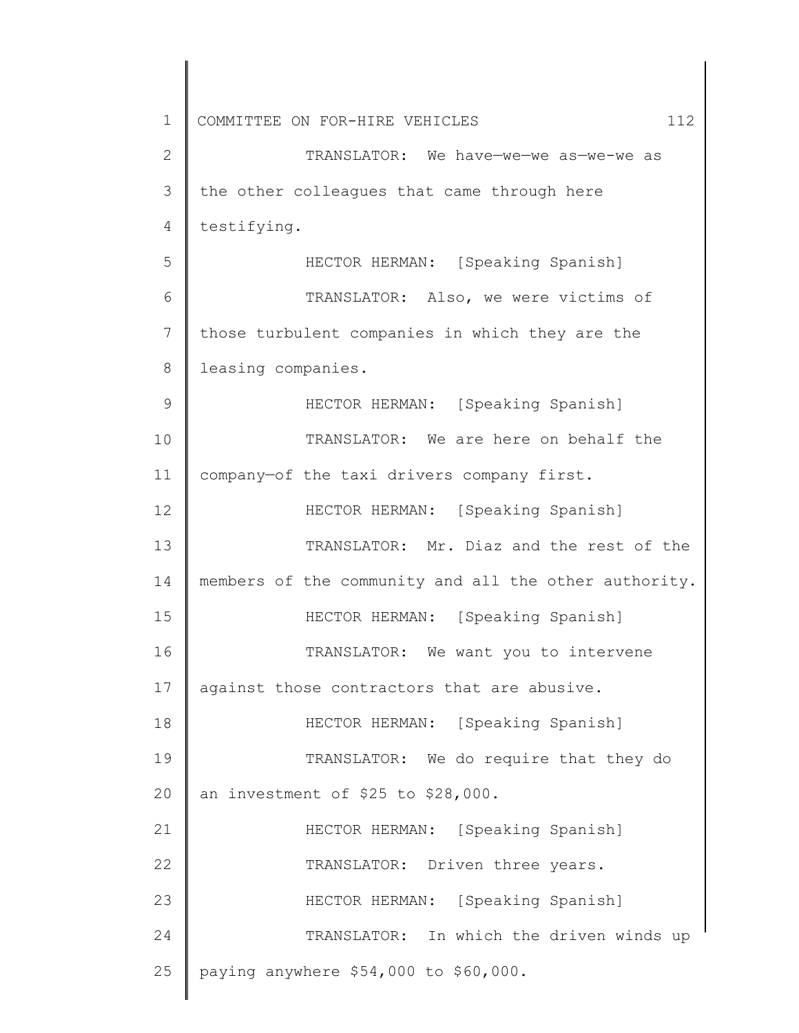| $\mathbf 1$  | COMMITTEE ON FOR-HIRE VEHICLES<br>112                 |
|--------------|-------------------------------------------------------|
| $\mathbf{2}$ | TRANSLATOR: We have-we-we as-we-we as                 |
| 3            | the other colleagues that came through here           |
| 4            | testifying.                                           |
| 5            | HECTOR HERMAN: [Speaking Spanish]                     |
| 6            | TRANSLATOR: Also, we were victims of                  |
| 7            | those turbulent companies in which they are the       |
| 8            | leasing companies.                                    |
| 9            | HECTOR HERMAN: [Speaking Spanish]                     |
| 10           | TRANSLATOR: We are here on behalf the                 |
| 11           | company-of the taxi drivers company first.            |
| 12           | HECTOR HERMAN: [Speaking Spanish]                     |
| 13           | TRANSLATOR: Mr. Diaz and the rest of the              |
| 14           | members of the community and all the other authority. |
| 15           | HECTOR HERMAN: [Speaking Spanish]                     |
| 16           | TRANSLATOR: We want you to intervene                  |
| 17           | against those contractors that are abusive.           |
| 18           | HECTOR HERMAN: [Speaking Spanish]                     |
| 19           | TRANSLATOR: We do require that they do                |
| 20           | an investment of \$25 to \$28,000.                    |
| 21           | HECTOR HERMAN: [Speaking Spanish]                     |
| 22           | TRANSLATOR: Driven three years.                       |
| 23           | HECTOR HERMAN: [Speaking Spanish]                     |
| 24           | TRANSLATOR: In which the driven winds up              |
| 25           | paying anywhere \$54,000 to \$60,000.                 |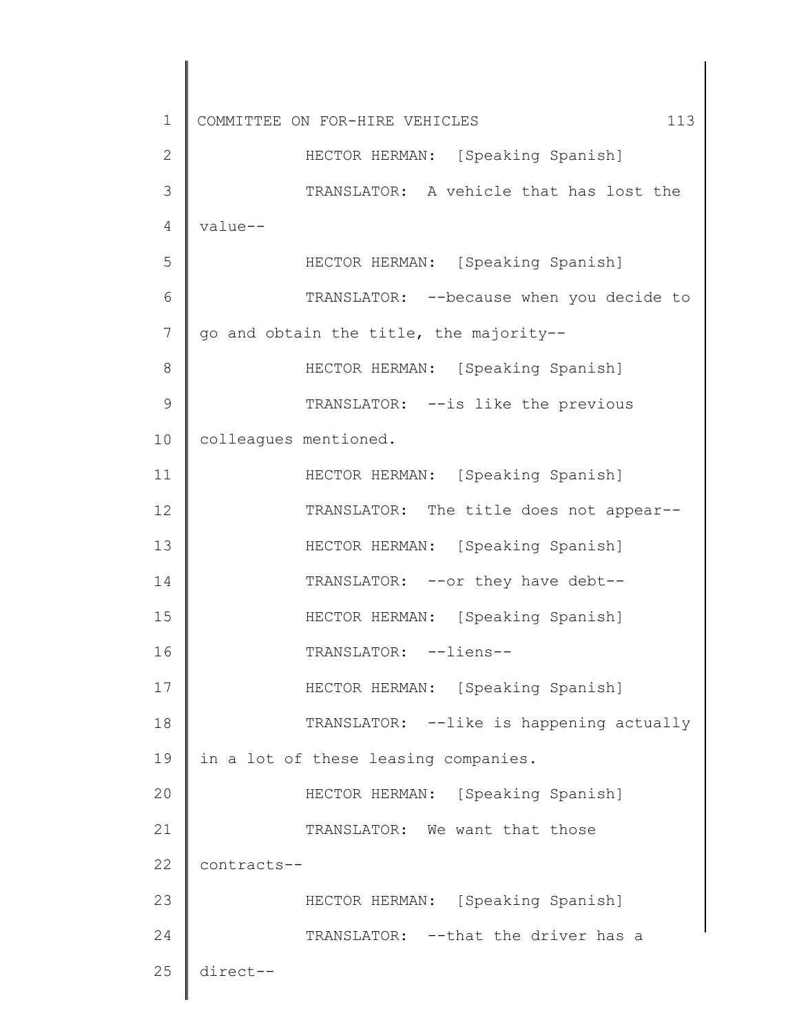1 2 3 4 5 6 7 8 9 10 11 12 13 14 15 16 17 18 19 20 21 22 23 24 25 COMMITTEE ON FOR-HIRE VEHICLES 113 HECTOR HERMAN: [Speaking Spanish] TRANSLATOR: A vehicle that has lost the value-- HECTOR HERMAN: [Speaking Spanish] TRANSLATOR: --because when you decide to go and obtain the title, the majority-- HECTOR HERMAN: [Speaking Spanish] TRANSLATOR: --is like the previous colleagues mentioned. HECTOR HERMAN: [Speaking Spanish] TRANSLATOR: The title does not appear-- HECTOR HERMAN: [Speaking Spanish] TRANSLATOR: --or they have debt-- HECTOR HERMAN: [Speaking Spanish] TRANSLATOR: --liens-- HECTOR HERMAN: [Speaking Spanish] TRANSLATOR: --like is happening actually in a lot of these leasing companies. HECTOR HERMAN: [Speaking Spanish] TRANSLATOR: We want that those contracts-- HECTOR HERMAN: [Speaking Spanish] TRANSLATOR: -- that the driver has a direct--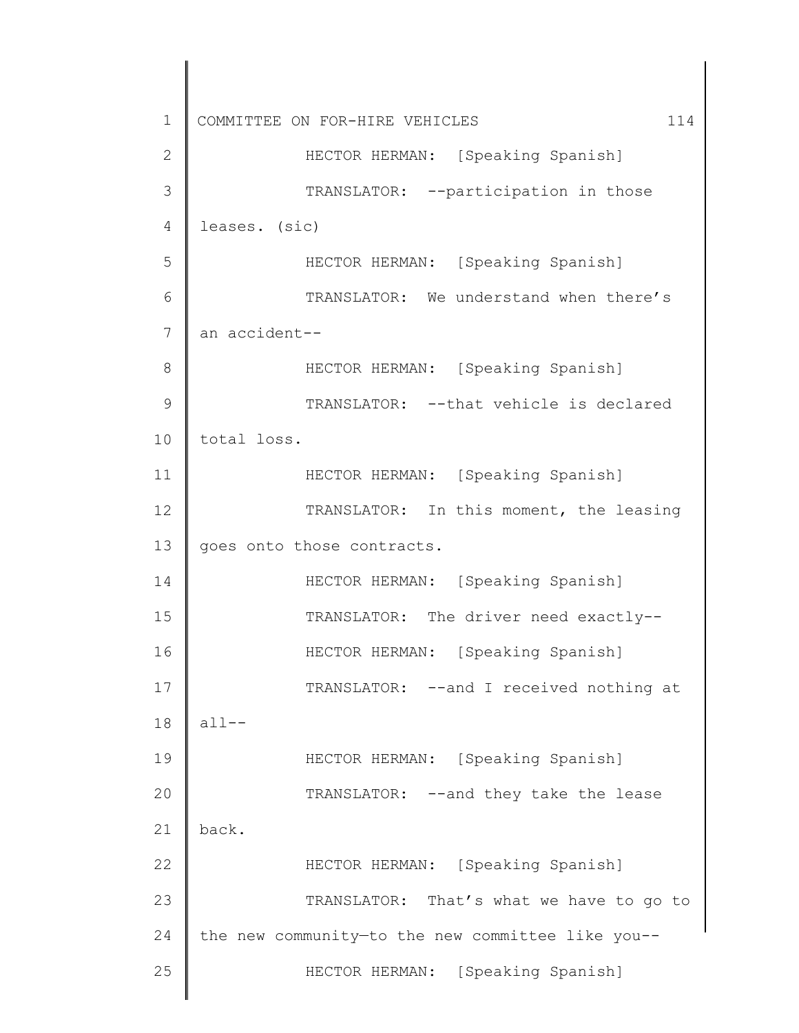1 2 3 4 5 6 7 8 9 10 11 12 13 14 15 16 17 18 19 20 21 22 23 24 25 COMMITTEE ON FOR-HIRE VEHICLES 114 HECTOR HERMAN: [Speaking Spanish] TRANSLATOR: --participation in those leases. (sic) HECTOR HERMAN: [Speaking Spanish] TRANSLATOR: We understand when there's an accident-- HECTOR HERMAN: [Speaking Spanish] TRANSLATOR: --that vehicle is declared total loss. HECTOR HERMAN: [Speaking Spanish] TRANSLATOR: In this moment, the leasing goes onto those contracts. HECTOR HERMAN: [Speaking Spanish] TRANSLATOR: The driver need exactly-- HECTOR HERMAN: [Speaking Spanish] TRANSLATOR: --and I received nothing at  $a11--$ HECTOR HERMAN: [Speaking Spanish] TRANSLATOR: --and they take the lease back. HECTOR HERMAN: [Speaking Spanish] TRANSLATOR: That's what we have to go to the new community—to the new committee like you-- HECTOR HERMAN: [Speaking Spanish]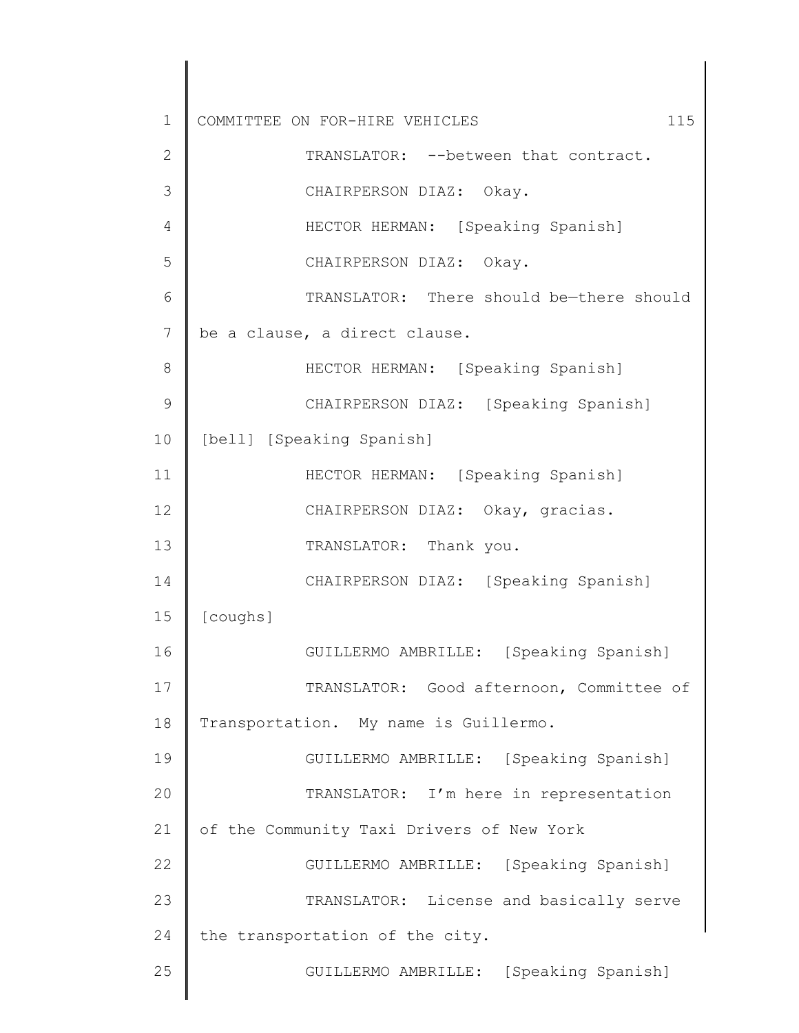1 2 3 4 5 6 7 8 9 10 11 12 13 14 15 16 17 18 19 20 21 22 23 24 25 COMMITTEE ON FOR-HIRE VEHICLES 115 TRANSLATOR: -- between that contract. CHAIRPERSON DIAZ: Okay. HECTOR HERMAN: [Speaking Spanish] CHAIRPERSON DIAZ: Okay. TRANSLATOR: There should be—there should be a clause, a direct clause. HECTOR HERMAN: [Speaking Spanish] CHAIRPERSON DIAZ: [Speaking Spanish] [bell] [Speaking Spanish] HECTOR HERMAN: [Speaking Spanish] CHAIRPERSON DIAZ: Okay, gracias. TRANSLATOR: Thank you. CHAIRPERSON DIAZ: [Speaking Spanish] [coughs] GUILLERMO AMBRILLE: [Speaking Spanish] TRANSLATOR: Good afternoon, Committee of Transportation. My name is Guillermo. GUILLERMO AMBRILLE: [Speaking Spanish] TRANSLATOR: I'm here in representation of the Community Taxi Drivers of New York GUILLERMO AMBRILLE: [Speaking Spanish] TRANSLATOR: License and basically serve the transportation of the city. GUILLERMO AMBRILLE: [Speaking Spanish]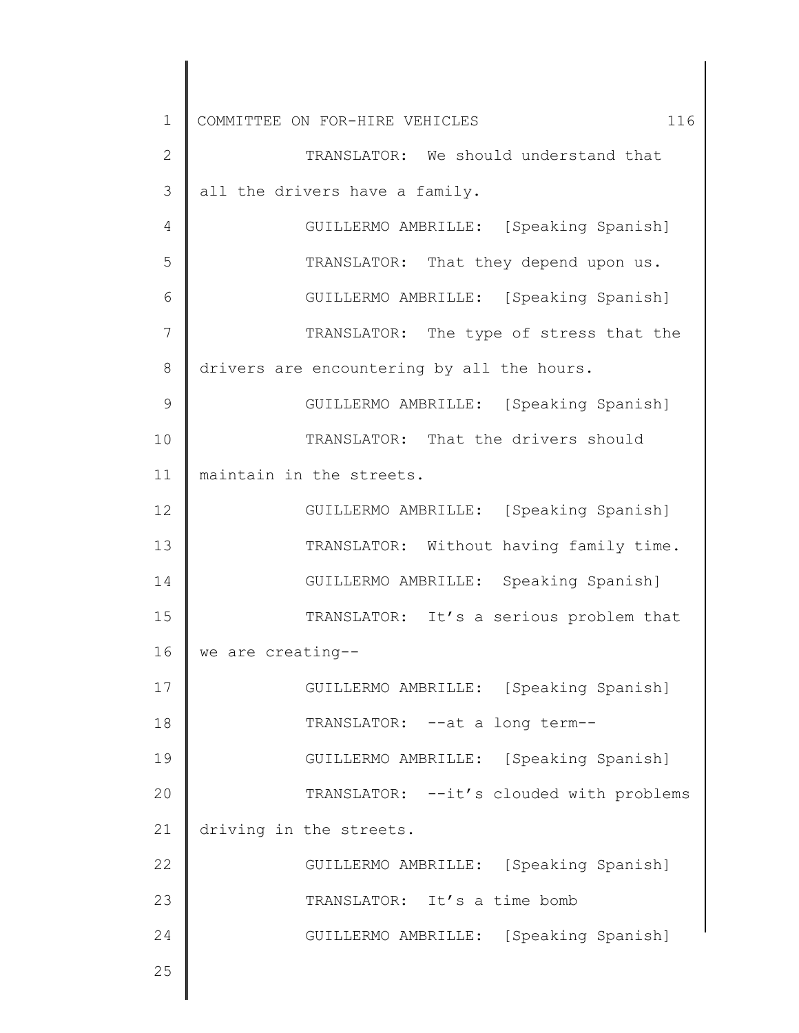1 2 3 4 5 6 7 8 9 10 11 12 13 14 15 16 17 18 19 20 21 22 23 24 25 COMMITTEE ON FOR-HIRE VEHICLES 116 TRANSLATOR: We should understand that all the drivers have a family. GUILLERMO AMBRILLE: [Speaking Spanish] TRANSLATOR: That they depend upon us. GUILLERMO AMBRILLE: [Speaking Spanish] TRANSLATOR: The type of stress that the drivers are encountering by all the hours. GUILLERMO AMBRILLE: [Speaking Spanish] TRANSLATOR: That the drivers should maintain in the streets. GUILLERMO AMBRILLE: [Speaking Spanish] TRANSLATOR: Without having family time. GUILLERMO AMBRILLE: Speaking Spanish] TRANSLATOR: It's a serious problem that we are creating-- GUILLERMO AMBRILLE: [Speaking Spanish] TRANSLATOR: --at a long term-- GUILLERMO AMBRILLE: [Speaking Spanish] TRANSLATOR: --it's clouded with problems driving in the streets. GUILLERMO AMBRILLE: [Speaking Spanish] TRANSLATOR: It's a time bomb GUILLERMO AMBRILLE: [Speaking Spanish]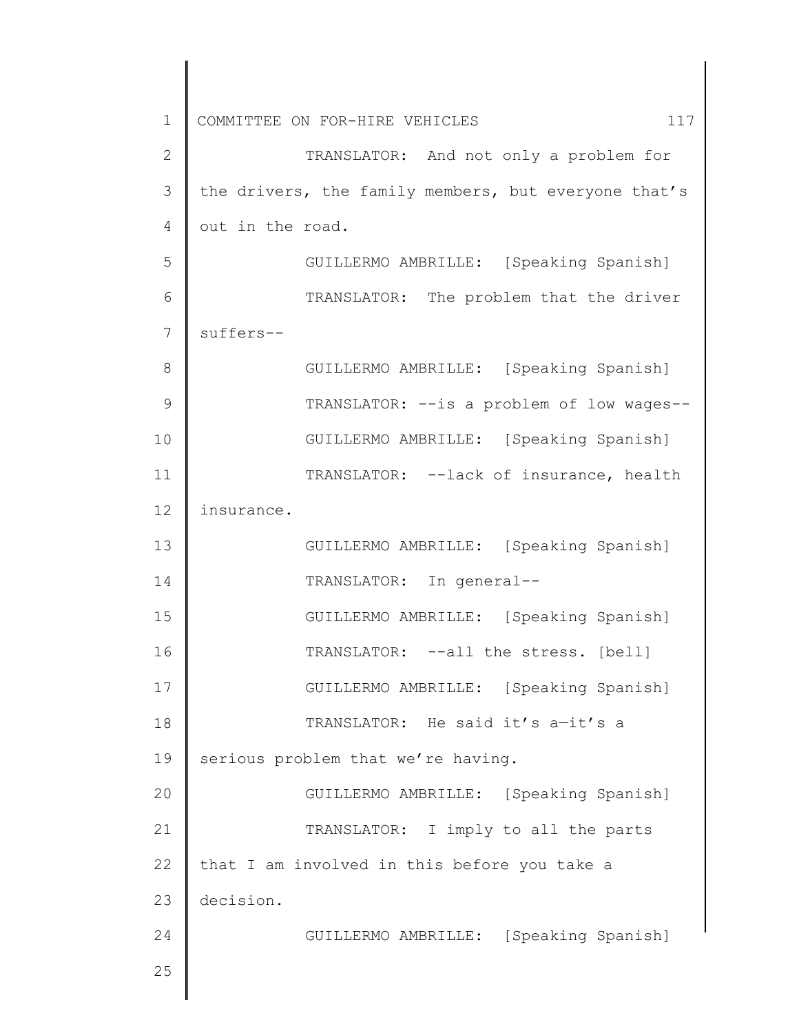| $\mathbf 1$   | 117<br>COMMITTEE ON FOR-HIRE VEHICLES                |
|---------------|------------------------------------------------------|
| $\mathbf{2}$  | TRANSLATOR: And not only a problem for               |
| 3             | the drivers, the family members, but everyone that's |
| 4             | out in the road.                                     |
| 5             | GUILLERMO AMBRILLE: [Speaking Spanish]               |
| 6             | TRANSLATOR: The problem that the driver              |
| 7             | suffers--                                            |
| 8             | GUILLERMO AMBRILLE: [Speaking Spanish]               |
| $\mathcal{G}$ | TRANSLATOR: -- is a problem of low wages--           |
| 10            | GUILLERMO AMBRILLE: [Speaking Spanish]               |
| 11            | TRANSLATOR: --lack of insurance, health              |
| 12            | insurance.                                           |
| 13            | GUILLERMO AMBRILLE: [Speaking Spanish]               |
| 14            | TRANSLATOR: In general--                             |
| 15            | GUILLERMO AMBRILLE: [Speaking Spanish]               |
| 16            | TRANSLATOR: --all the stress. [bell]                 |
| 17            | GUILLERMO AMBRILLE: [Speaking Spanish]               |
| 18            | TRANSLATOR: He said it's a-it's a                    |
| 19            | serious problem that we're having.                   |
| 20            | GUILLERMO AMBRILLE: [Speaking Spanish]               |
| 21            | TRANSLATOR: I imply to all the parts                 |
| 22            | that I am involved in this before you take a         |
| 23            | decision.                                            |
| 24            | GUILLERMO AMBRILLE: [Speaking Spanish]               |
| 25            |                                                      |
|               |                                                      |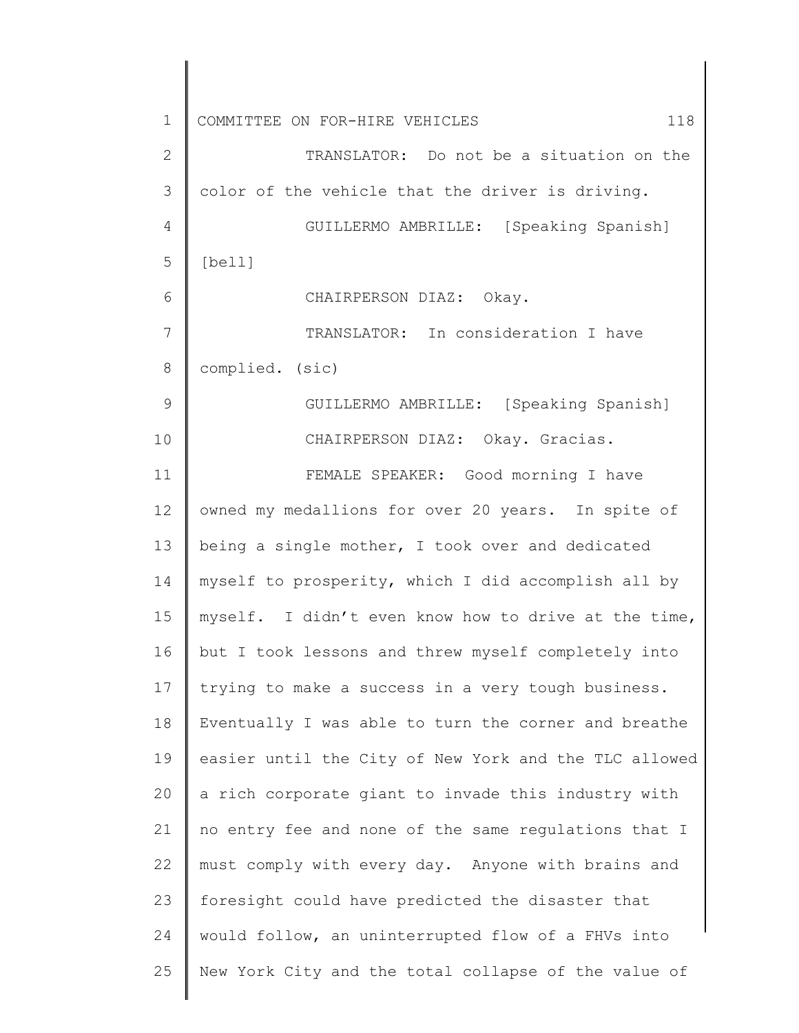| $\mathbf 1$     | COMMITTEE ON FOR-HIRE VEHICLES<br>118                 |
|-----------------|-------------------------------------------------------|
| $\mathbf{2}$    | TRANSLATOR: Do not be a situation on the              |
| 3               | color of the vehicle that the driver is driving.      |
| 4               | GUILLERMO AMBRILLE: [Speaking Spanish]                |
| 5               | [bell]                                                |
| 6               | CHAIRPERSON DIAZ: Okay.                               |
| $7\phantom{.0}$ | TRANSLATOR: In consideration I have                   |
| 8               | complied. (sic)                                       |
| 9               | GUILLERMO AMBRILLE: [Speaking Spanish]                |
| 10              | CHAIRPERSON DIAZ: Okay. Gracias.                      |
| 11              | FEMALE SPEAKER: Good morning I have                   |
| 12              | owned my medallions for over 20 years. In spite of    |
| 13              | being a single mother, I took over and dedicated      |
| 14              | myself to prosperity, which I did accomplish all by   |
| 15              | myself. I didn't even know how to drive at the time,  |
| 16              | but I took lessons and threw myself completely into   |
| 17              | trying to make a success in a very tough business.    |
| 18              | Eventually I was able to turn the corner and breathe  |
| 19              | easier until the City of New York and the TLC allowed |
| 20              | a rich corporate giant to invade this industry with   |
| 21              | no entry fee and none of the same regulations that I  |
| 22              | must comply with every day. Anyone with brains and    |
| 23              | foresight could have predicted the disaster that      |
| 24              | would follow, an uninterrupted flow of a FHVs into    |
| 25              | New York City and the total collapse of the value of  |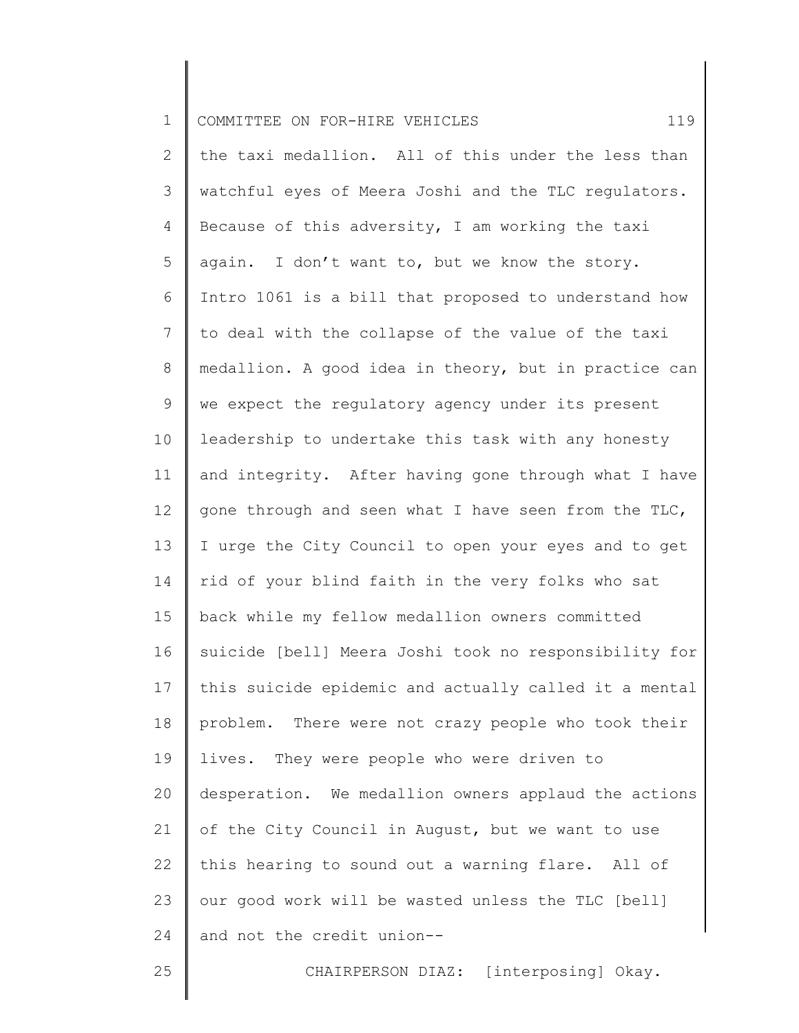| $\mathbf 1$     | 119<br>COMMITTEE ON FOR-HIRE VEHICLES                 |
|-----------------|-------------------------------------------------------|
| $\mathbf{2}$    | the taxi medallion. All of this under the less than   |
| $\mathfrak{Z}$  | watchful eyes of Meera Joshi and the TLC regulators.  |
| 4               | Because of this adversity, I am working the taxi      |
| 5               | again. I don't want to, but we know the story.        |
| 6               | Intro 1061 is a bill that proposed to understand how  |
| $7\phantom{.0}$ | to deal with the collapse of the value of the taxi    |
| $8\,$           | medallion. A good idea in theory, but in practice can |
| 9               | we expect the regulatory agency under its present     |
| 10              | leadership to undertake this task with any honesty    |
| 11              | and integrity. After having gone through what I have  |
| 12              | gone through and seen what I have seen from the TLC,  |
| 13              | I urge the City Council to open your eyes and to get  |
| 14              | rid of your blind faith in the very folks who sat     |
| 15              | back while my fellow medallion owners committed       |
| 16              | suicide [bell] Meera Joshi took no responsibility for |
| 17              | this suicide epidemic and actually called it a mental |
| 18              | problem. There were not crazy people who took their   |
| 19              | lives. They were people who were driven to            |
| 20              | desperation. We medallion owners applaud the actions  |
| 21              | of the City Council in August, but we want to use     |
| 22              | this hearing to sound out a warning flare. All of     |
| 23              | our good work will be wasted unless the TLC [bell]    |
| 24              | and not the credit union--                            |
| 25              | CHAIRPERSON DIAZ: [interposing] Okay.                 |
|                 |                                                       |

║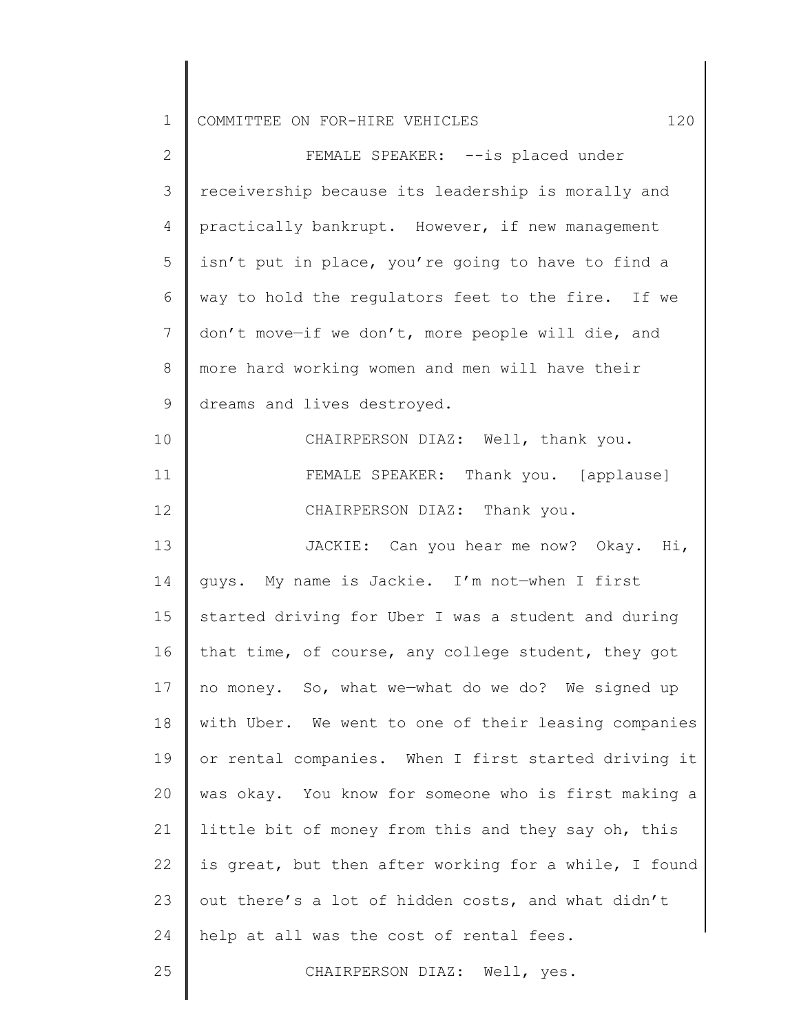1 COMMITTEE ON FOR-HIRE VEHICLES 120

| $\mathbf{2}$    | FEMALE SPEAKER: -- is placed under                    |
|-----------------|-------------------------------------------------------|
| 3               | receivership because its leadership is morally and    |
| 4               | practically bankrupt. However, if new management      |
| 5               | isn't put in place, you're going to have to find a    |
| 6               | way to hold the regulators feet to the fire. If we    |
| $7\phantom{.0}$ | don't move-if we don't, more people will die, and     |
| 8               | more hard working women and men will have their       |
| $\mathsf 9$     | dreams and lives destroyed.                           |
| 10              | CHAIRPERSON DIAZ: Well, thank you.                    |
| 11              | FEMALE SPEAKER: Thank you. [applause]                 |
| 12              | CHAIRPERSON DIAZ: Thank you.                          |
| 13              | JACKIE: Can you hear me now? Okay. Hi,                |
| 14              | guys. My name is Jackie. I'm not-when I first         |
| 15              | started driving for Uber I was a student and during   |
| 16              | that time, of course, any college student, they got   |
| 17              | no money. So, what we-what do we do? We signed up     |
| 18              | with Uber. We went to one of their leasing companies  |
| 19              | or rental companies. When I first started driving it  |
| 20              | was okay. You know for someone who is first making a  |
| 21              | little bit of money from this and they say oh, this   |
| 22              | is great, but then after working for a while, I found |
| 23              | out there's a lot of hidden costs, and what didn't    |
| 24              | help at all was the cost of rental fees.              |
| 25              | CHAIRPERSON DIAZ: Well, yes.                          |
|                 |                                                       |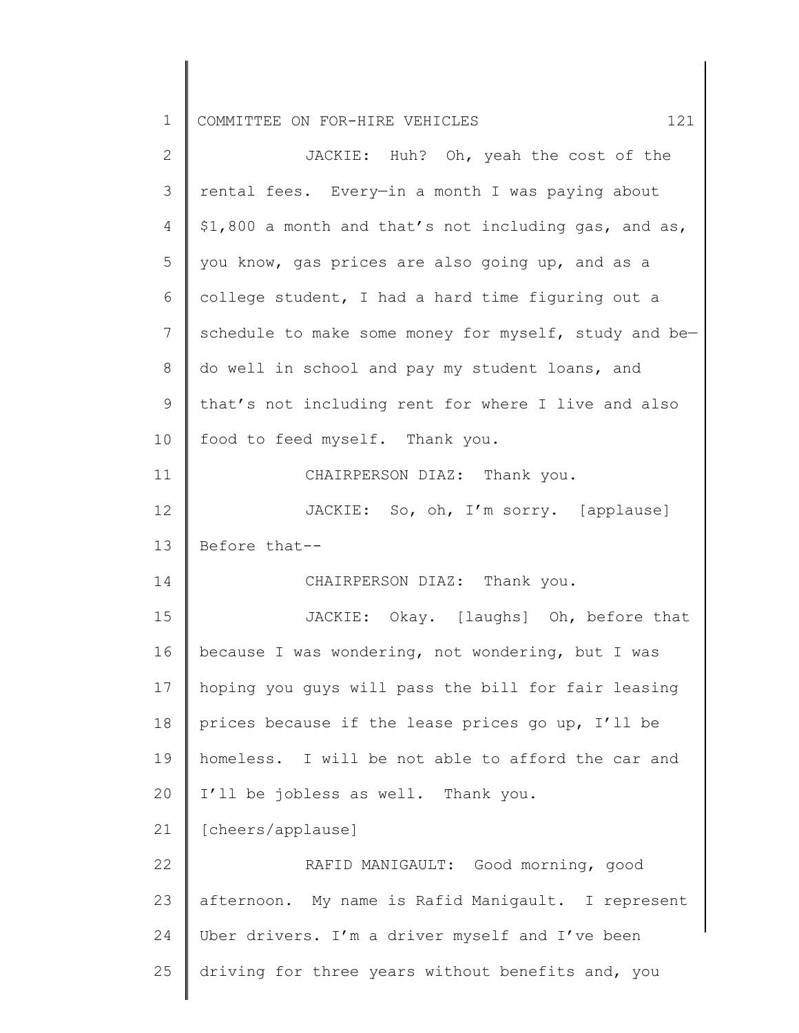| $\mathbf 1$  | 121<br>COMMITTEE ON FOR-HIRE VEHICLES                 |
|--------------|-------------------------------------------------------|
| $\mathbf{2}$ | JACKIE: Huh? Oh, yeah the cost of the                 |
| 3            | rental fees. Every-in a month I was paying about      |
| 4            | \$1,800 a month and that's not including gas, and as, |
| 5            | you know, gas prices are also going up, and as a      |
| 6            | college student, I had a hard time figuring out a     |
| 7            | schedule to make some money for myself, study and be- |
| 8            | do well in school and pay my student loans, and       |
| $\mathsf 9$  | that's not including rent for where I live and also   |
| 10           | food to feed myself. Thank you.                       |
| 11           | CHAIRPERSON DIAZ: Thank you.                          |
| 12           | JACKIE: So, oh, I'm sorry. [applause]                 |
| 13           | Before that--                                         |
| 14           | CHAIRPERSON DIAZ: Thank you.                          |
| 15           | JACKIE: Okay. [laughs] Oh, before that                |
| 16           | because I was wondering, not wondering, but I was     |
| 17           | hoping you guys will pass the bill for fair leasing   |
| 18           | prices because if the lease prices go up, I'll be     |
| 19           | homeless. I will be not able to afford the car and    |
| 20           | I'll be jobless as well. Thank you.                   |
| 21           | [cheers/applause]                                     |
| 22           | RAFID MANIGAULT: Good morning, good                   |
| 23           | afternoon. My name is Rafid Manigault. I represent    |
| 24           | Uber drivers. I'm a driver myself and I've been       |
| 25           | driving for three years without benefits and, you     |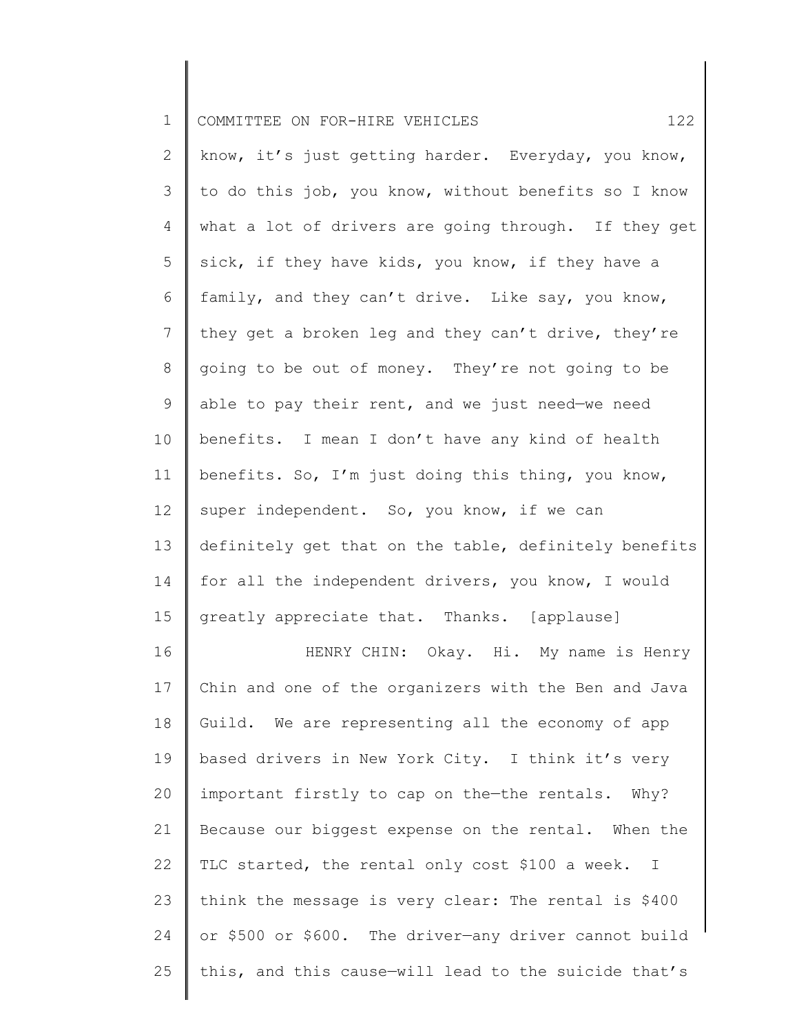| $\mathbf 1$  | 122<br>COMMITTEE ON FOR-HIRE VEHICLES                 |
|--------------|-------------------------------------------------------|
| $\mathbf{2}$ | know, it's just getting harder. Everyday, you know,   |
| 3            | to do this job, you know, without benefits so I know  |
| 4            | what a lot of drivers are going through. If they get  |
| 5            | sick, if they have kids, you know, if they have a     |
| 6            | family, and they can't drive. Like say, you know,     |
| 7            | they get a broken leg and they can't drive, they're   |
| 8            | going to be out of money. They're not going to be     |
| 9            | able to pay their rent, and we just need-we need      |
| 10           | benefits. I mean I don't have any kind of health      |
| 11           | benefits. So, I'm just doing this thing, you know,    |
| 12           | super independent. So, you know, if we can            |
| 13           | definitely get that on the table, definitely benefits |
| 14           | for all the independent drivers, you know, I would    |
| 15           | greatly appreciate that. Thanks. [applause]           |
| 16           | HENRY CHIN: Okay. Hi. My name is Henry                |
| 17           | Chin and one of the organizers with the Ben and Java  |
| 18           | Guild. We are representing all the economy of app     |
| 19           | based drivers in New York City. I think it's very     |
| 20           | important firstly to cap on the-the rentals. Why?     |
| 21           | Because our biggest expense on the rental. When the   |
| 22           | TLC started, the rental only cost \$100 a week. I     |
| 23           | think the message is very clear: The rental is \$400  |
| 24           | or \$500 or \$600. The driver-any driver cannot build |
| 25           | this, and this cause-will lead to the suicide that's  |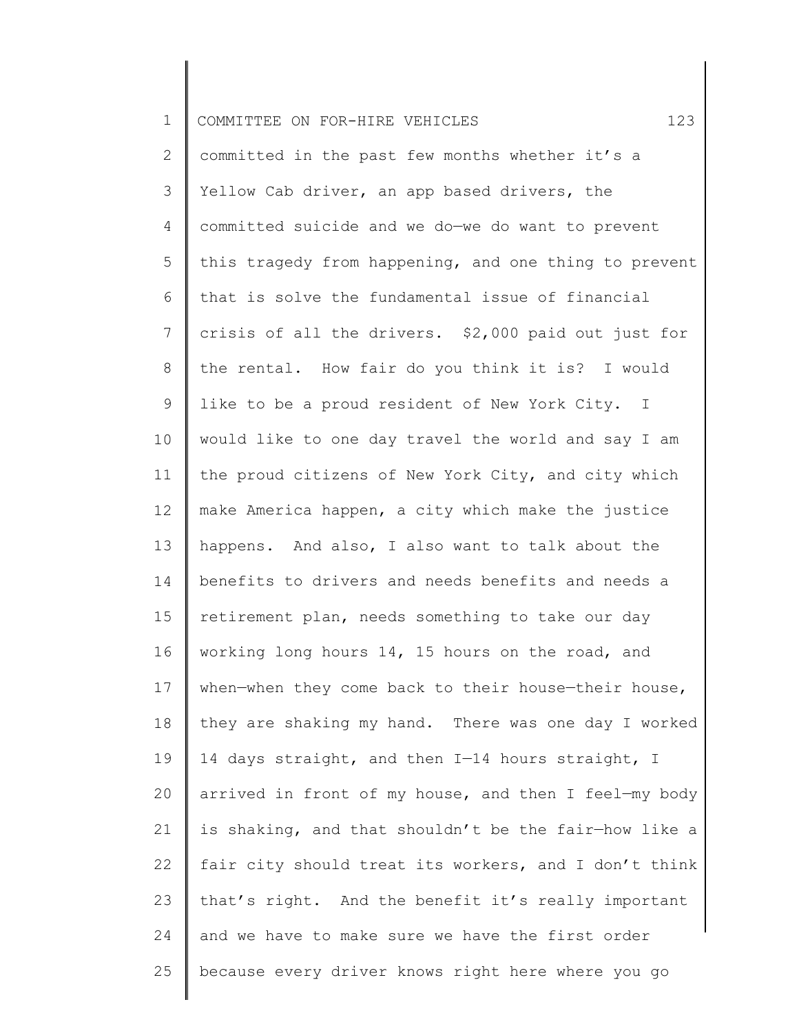| $\mathbf 1$ | 123<br>COMMITTEE ON FOR-HIRE VEHICLES                 |
|-------------|-------------------------------------------------------|
| 2           | committed in the past few months whether it's a       |
| 3           | Yellow Cab driver, an app based drivers, the          |
| 4           | committed suicide and we do-we do want to prevent     |
| 5           | this tragedy from happening, and one thing to prevent |
| 6           | that is solve the fundamental issue of financial      |
| 7           | crisis of all the drivers. \$2,000 paid out just for  |
| 8           | the rental. How fair do you think it is? I would      |
| 9           | like to be a proud resident of New York City. I       |
| 10          | would like to one day travel the world and say I am   |
| 11          | the proud citizens of New York City, and city which   |
| 12          | make America happen, a city which make the justice    |
| 13          | happens. And also, I also want to talk about the      |
| 14          | benefits to drivers and needs benefits and needs a    |
| 15          | retirement plan, needs something to take our day      |
| 16          | working long hours 14, 15 hours on the road, and      |
| 17          | when-when they come back to their house-their house,  |
| 18          | they are shaking my hand. There was one day I worked  |
| 19          | 14 days straight, and then I-14 hours straight, I     |
| 20          | arrived in front of my house, and then I feel-my body |
| 21          | is shaking, and that shouldn't be the fair-how like a |
| 22          | fair city should treat its workers, and I don't think |
| 23          | that's right. And the benefit it's really important   |
| 24          | and we have to make sure we have the first order      |
| 25          | because every driver knows right here where you go    |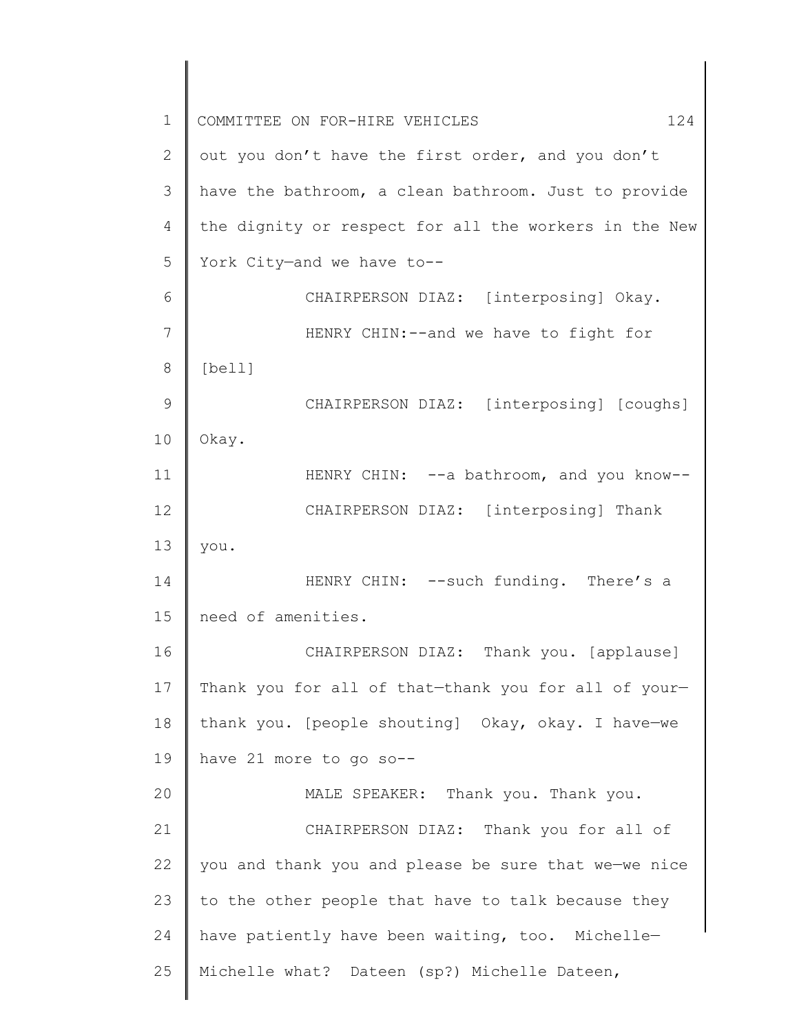1 2 3 4 5 6 7 8 9 10 11 12 13 14 15 16 17 18 19 20 21 22 23 24 25 COMMITTEE ON FOR-HIRE VEHICLES 124 out you don't have the first order, and you don't have the bathroom, a clean bathroom. Just to provide the dignity or respect for all the workers in the New York City—and we have to-- CHAIRPERSON DIAZ: [interposing] Okay. HENRY CHIN:--and we have to fight for [bell] CHAIRPERSON DIAZ: [interposing] [coughs] Okay. HENRY CHIN: --a bathroom, and you know--CHAIRPERSON DIAZ: [interposing] Thank you. HENRY CHIN: --such funding. There's a need of amenities. CHAIRPERSON DIAZ: Thank you. [applause] Thank you for all of that—thank you for all of your thank you. [people shouting] Okay, okay. I have—we have 21 more to go so-- MALE SPEAKER: Thank you. Thank you. CHAIRPERSON DIAZ: Thank you for all of you and thank you and please be sure that we—we nice to the other people that have to talk because they have patiently have been waiting, too. Michelle— Michelle what? Dateen (sp?) Michelle Dateen,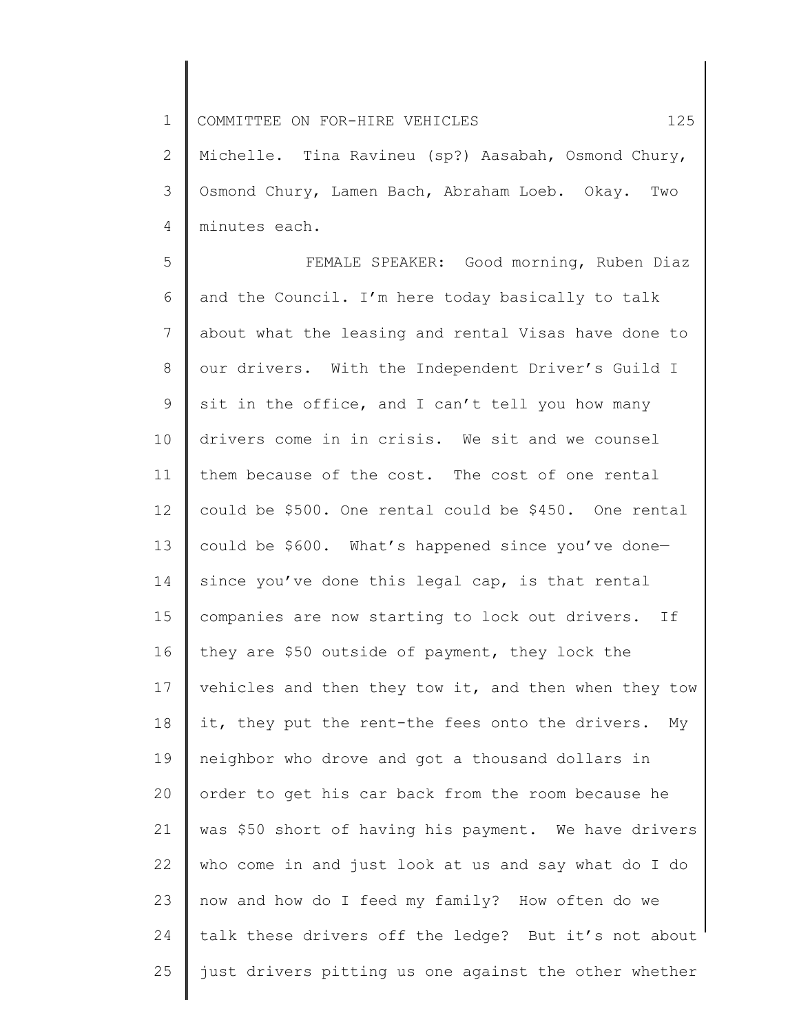1 COMMITTEE ON FOR-HIRE VEHICLES 125

2 3 4 Michelle. Tina Ravineu (sp?) Aasabah, Osmond Chury, Osmond Chury, Lamen Bach, Abraham Loeb. Okay. Two minutes each.

5 6 7 8 9 10 11 12 13 14 15 16 17 18 19 20 21 22 23 24 25 FEMALE SPEAKER: Good morning, Ruben Diaz and the Council. I'm here today basically to talk about what the leasing and rental Visas have done to our drivers. With the Independent Driver's Guild I sit in the office, and I can't tell you how many drivers come in in crisis. We sit and we counsel them because of the cost. The cost of one rental could be \$500. One rental could be \$450. One rental could be \$600. What's happened since you've done since you've done this legal cap, is that rental companies are now starting to lock out drivers. If they are \$50 outside of payment, they lock the vehicles and then they tow it, and then when they tow it, they put the rent-the fees onto the drivers. My neighbor who drove and got a thousand dollars in order to get his car back from the room because he was \$50 short of having his payment. We have drivers who come in and just look at us and say what do I do now and how do I feed my family? How often do we talk these drivers off the ledge? But it's not about just drivers pitting us one against the other whether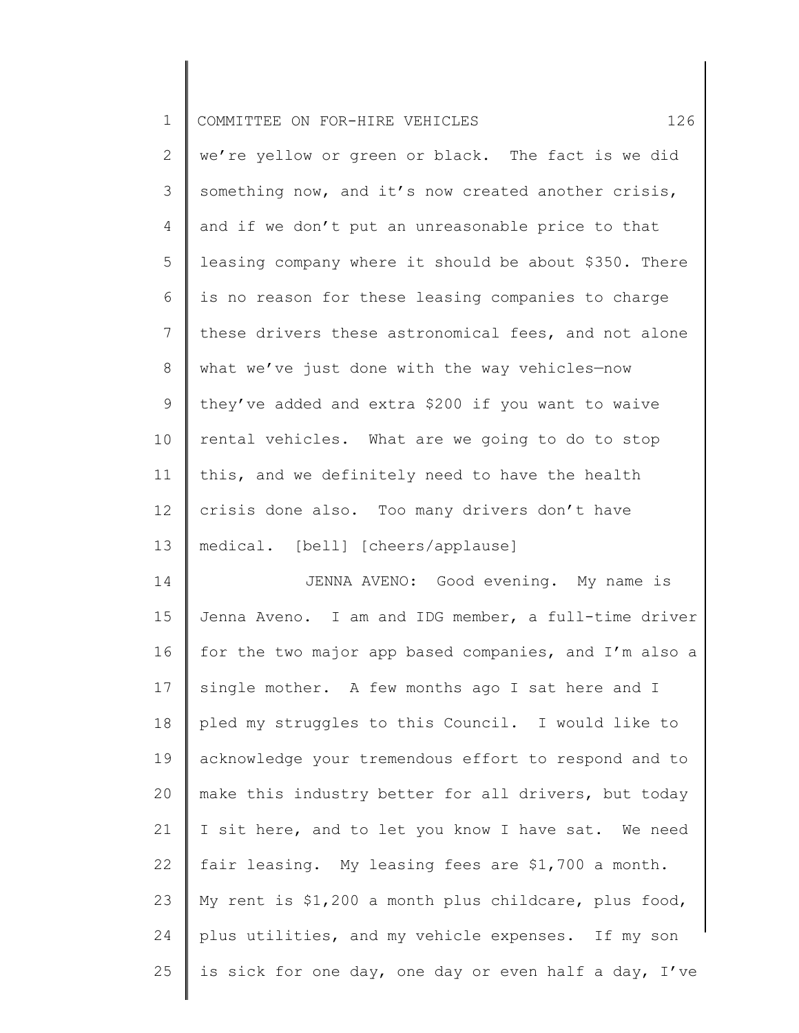| $\mathbf 1$ |                                                       |
|-------------|-------------------------------------------------------|
|             | 126<br>COMMITTEE ON FOR-HIRE VEHICLES                 |
| 2           | we're yellow or green or black. The fact is we did    |
| 3           | something now, and it's now created another crisis,   |
| 4           | and if we don't put an unreasonable price to that     |
| 5           | leasing company where it should be about \$350. There |
| 6           | is no reason for these leasing companies to charge    |
| 7           | these drivers these astronomical fees, and not alone  |
| 8           | what we've just done with the way vehicles-now        |
| 9           | they've added and extra \$200 if you want to waive    |
| 10          | rental vehicles. What are we going to do to stop      |
| 11          | this, and we definitely need to have the health       |
| 12          | crisis done also. Too many drivers don't have         |
| 13          | medical. [bell] [cheers/applause]                     |
| 14          | JENNA AVENO: Good evening. My name is                 |
| 15          | Jenna Aveno. I am and IDG member, a full-time driver  |
| 16          | for the two major app based companies, and I'm also a |
| 17          | single mother. A few months ago I sat here and I      |
| 18          | pled my struggles to this Council. I would like to    |
| 19          | acknowledge your tremendous effort to respond and to  |
| 20          | make this industry better for all drivers, but today  |
| 21          | I sit here, and to let you know I have sat. We need   |
| 22          | fair leasing. My leasing fees are \$1,700 a month.    |
| 23          | My rent is \$1,200 a month plus childcare, plus food, |
| 24          | plus utilities, and my vehicle expenses. If my son    |
| 25          | is sick for one day, one day or even half a day, I've |
|             |                                                       |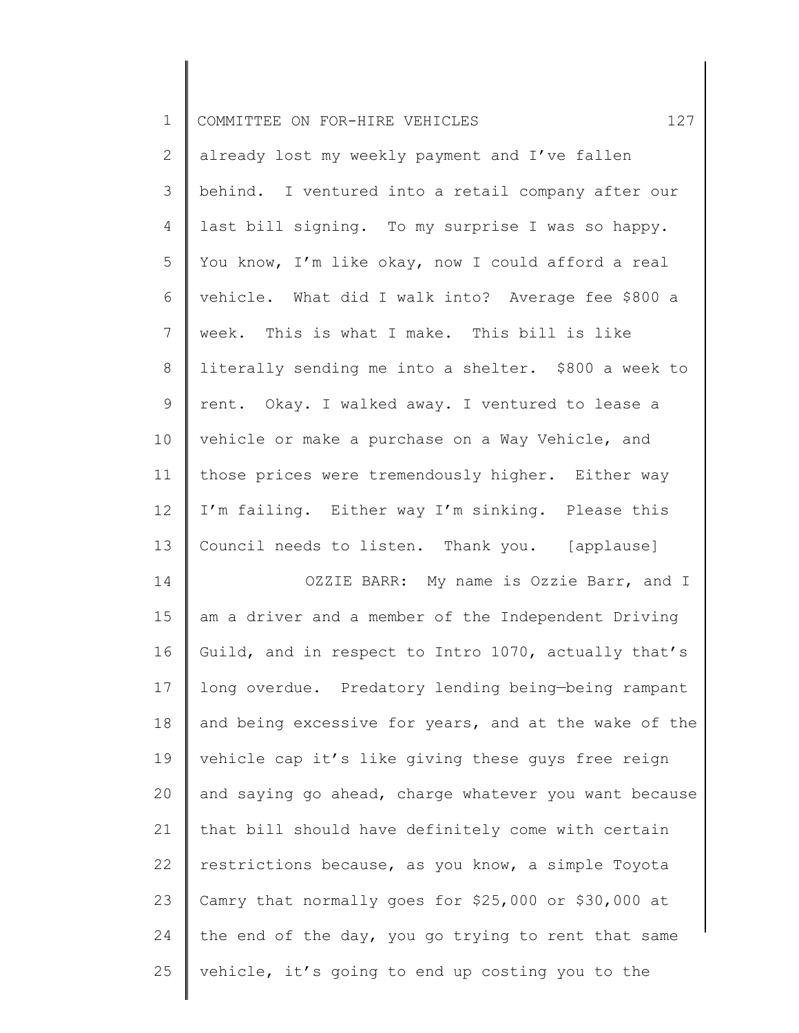| $\mathbf 1$     | 127<br>COMMITTEE ON FOR-HIRE VEHICLES                 |
|-----------------|-------------------------------------------------------|
| 2               | already lost my weekly payment and I've fallen        |
| 3               | behind. I ventured into a retail company after our    |
| 4               | last bill signing. To my surprise I was so happy.     |
| 5               | You know, I'm like okay, now I could afford a real    |
| 6               | vehicle. What did I walk into? Average fee \$800 a    |
| $7\phantom{.}$  | week. This is what I make. This bill is like          |
| 8               | literally sending me into a shelter. \$800 a week to  |
| 9               | rent. Okay. I walked away. I ventured to lease a      |
| 10              | vehicle or make a purchase on a Way Vehicle, and      |
| 11              | those prices were tremendously higher. Either way     |
| 12              | I'm failing. Either way I'm sinking. Please this      |
| 13              | Council needs to listen. Thank you. [applause]        |
| 14              | OZZIE BARR: My name is Ozzie Barr, and I              |
| 15              | am a driver and a member of the Independent Driving   |
| 16              | Guild, and in respect to Intro 1070, actually that's  |
| 17 <sub>2</sub> | long overdue. Predatory lending being-being rampant   |
| 18              | and being excessive for years, and at the wake of the |
| 19              | vehicle cap it's like giving these guys free reign    |
| 20              | and saying go ahead, charge whatever you want because |
| 21              | that bill should have definitely come with certain    |
| 22              | restrictions because, as you know, a simple Toyota    |
| 23              | Camry that normally goes for \$25,000 or \$30,000 at  |
| 24              | the end of the day, you go trying to rent that same   |
| 25              | vehicle, it's going to end up costing you to the      |
|                 |                                                       |

║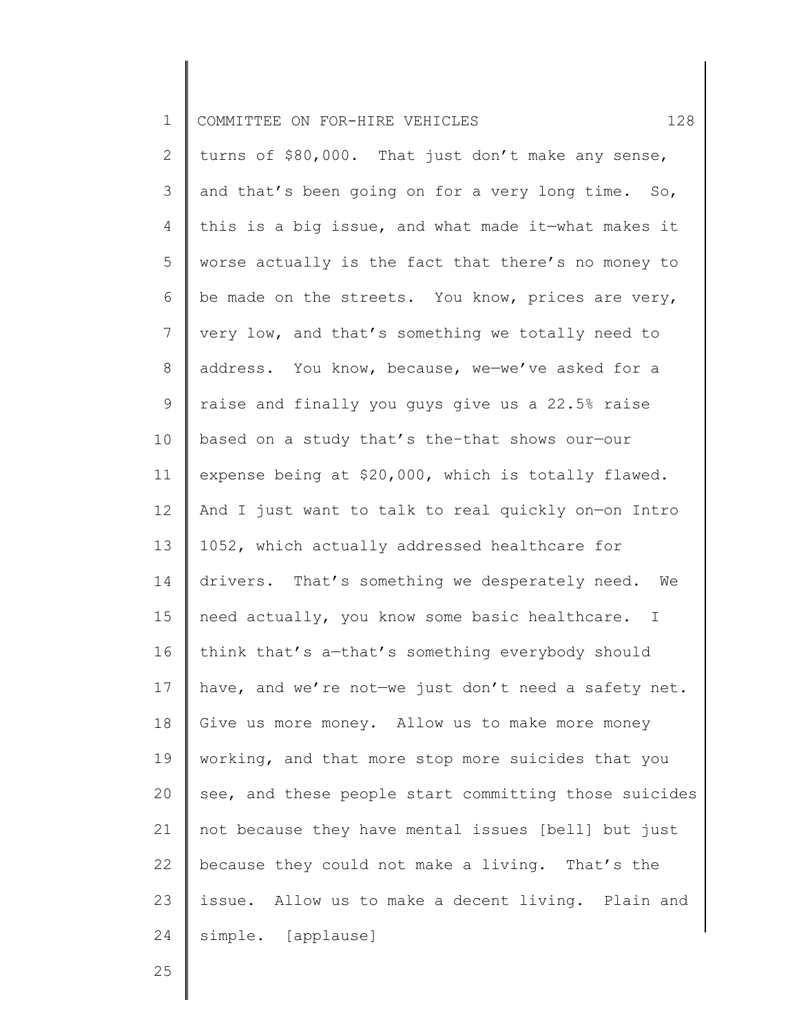| $\mathbf 1$     | 128<br>COMMITTEE ON FOR-HIRE VEHICLES                 |
|-----------------|-------------------------------------------------------|
| $\overline{2}$  | turns of \$80,000. That just don't make any sense,    |
| 3               | and that's been going on for a very long time. So,    |
| 4               | this is a big issue, and what made it-what makes it   |
| 5               | worse actually is the fact that there's no money to   |
| 6               | be made on the streets. You know, prices are very,    |
| 7               | very low, and that's something we totally need to     |
| 8               | address. You know, because, we-we've asked for a      |
| $\mathsf 9$     | raise and finally you guys give us a 22.5% raise      |
| 10 <sub>o</sub> | based on a study that's the-that shows our-our        |
| 11              | expense being at \$20,000, which is totally flawed.   |
| 12              | And I just want to talk to real quickly on-on Intro   |
| 13              | 1052, which actually addressed healthcare for         |
| 14              | drivers. That's something we desperately need. We     |
| 15              | need actually, you know some basic healthcare. I      |
| 16              | think that's a-that's something everybody should      |
| 17              | have, and we're not-we just don't need a safety net.  |
| 18              | Give us more money. Allow us to make more money       |
| 19              | working, and that more stop more suicides that you    |
| 20              | see, and these people start committing those suicides |
| 21              | not because they have mental issues [bell] but just   |
| 22              | because they could not make a living. That's the      |
| 23              | issue. Allow us to make a decent living. Plain and    |
| 24              | simple. [applause]                                    |
|                 |                                                       |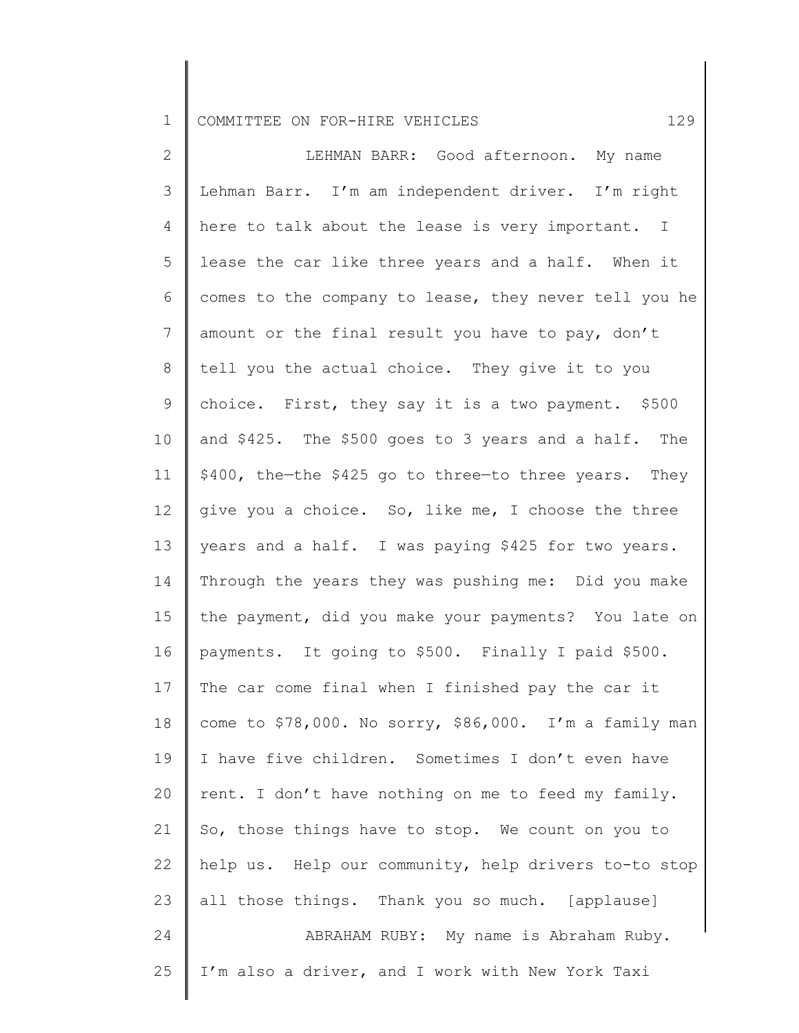1 COMMITTEE ON FOR-HIRE VEHICLES 129

2 3 4 5 6 7 8 9 10 11 12 13 14 15 16 17 18 19 20 21 22 23 24 25 LEHMAN BARR: Good afternoon. My name Lehman Barr. I'm am independent driver. I'm right here to talk about the lease is very important. I lease the car like three years and a half. When it comes to the company to lease, they never tell you he amount or the final result you have to pay, don't tell you the actual choice. They give it to you choice. First, they say it is a two payment. \$500 and \$425. The \$500 goes to 3 years and a half. The \$400, the—the \$425 go to three—to three years. They give you a choice. So, like me, I choose the three years and a half. I was paying \$425 for two years. Through the years they was pushing me: Did you make the payment, did you make your payments? You late on payments. It going to \$500. Finally I paid \$500. The car come final when I finished pay the car it come to \$78,000. No sorry, \$86,000. I'm a family man I have five children. Sometimes I don't even have rent. I don't have nothing on me to feed my family. So, those things have to stop. We count on you to help us. Help our community, help drivers to-to stop all those things. Thank you so much. [applause] ABRAHAM RUBY: My name is Abraham Ruby. I'm also a driver, and I work with New York Taxi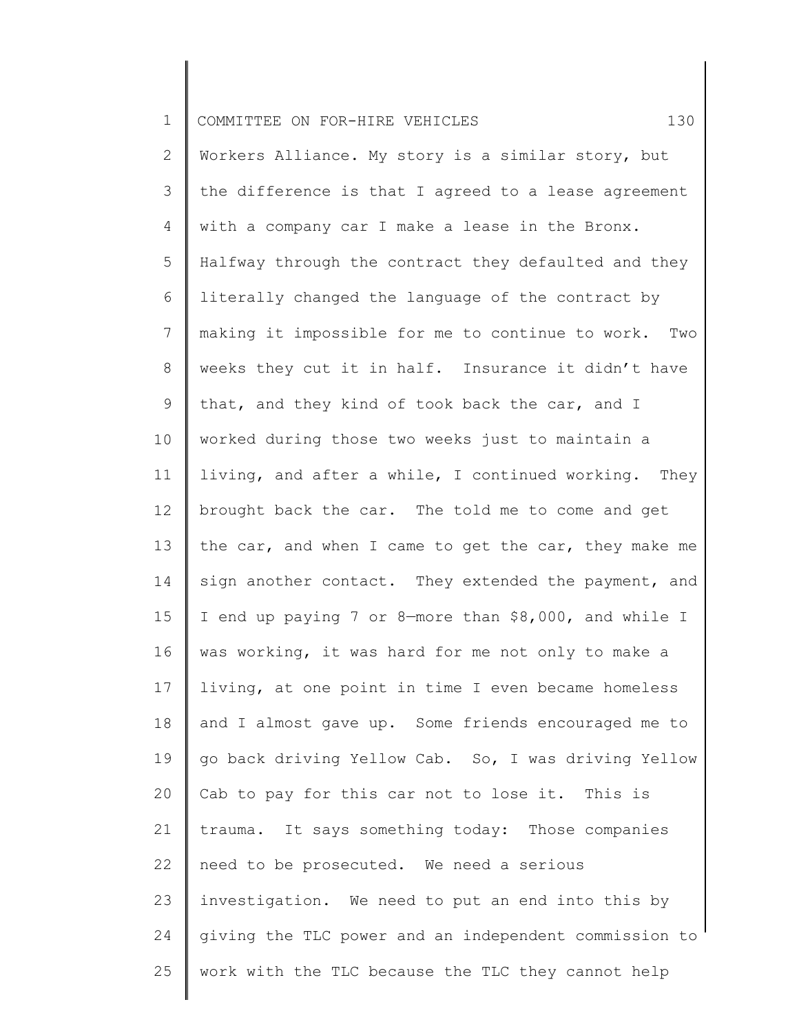| $\mathbf 1$     | 130<br>COMMITTEE ON FOR-HIRE VEHICLES                 |
|-----------------|-------------------------------------------------------|
| $\mathbf{2}$    | Workers Alliance. My story is a similar story, but    |
| 3               | the difference is that I agreed to a lease agreement  |
| 4               | with a company car I make a lease in the Bronx.       |
| 5               | Halfway through the contract they defaulted and they  |
| 6               | literally changed the language of the contract by     |
| 7               | making it impossible for me to continue to work. Two  |
| 8               | weeks they cut it in half. Insurance it didn't have   |
| $\mathsf 9$     | that, and they kind of took back the car, and I       |
| 10 <sub>o</sub> | worked during those two weeks just to maintain a      |
| 11              | living, and after a while, I continued working. They  |
| 12              | brought back the car. The told me to come and get     |
| 13              | the car, and when I came to get the car, they make me |
| 14              | sign another contact. They extended the payment, and  |
| 15              | I end up paying 7 or 8-more than \$8,000, and while I |
| 16              | was working, it was hard for me not only to make a    |
| 17              | living, at one point in time I even became homeless   |
| 18              | and I almost gave up. Some friends encouraged me to   |
| 19              | go back driving Yellow Cab. So, I was driving Yellow  |
| 20              | Cab to pay for this car not to lose it. This is       |
| 21              | trauma. It says something today: Those companies      |
| 22              | need to be prosecuted. We need a serious              |
| 23              | investigation. We need to put an end into this by     |
| 24              | giving the TLC power and an independent commission to |
| 25              | work with the TLC because the TLC they cannot help    |
|                 |                                                       |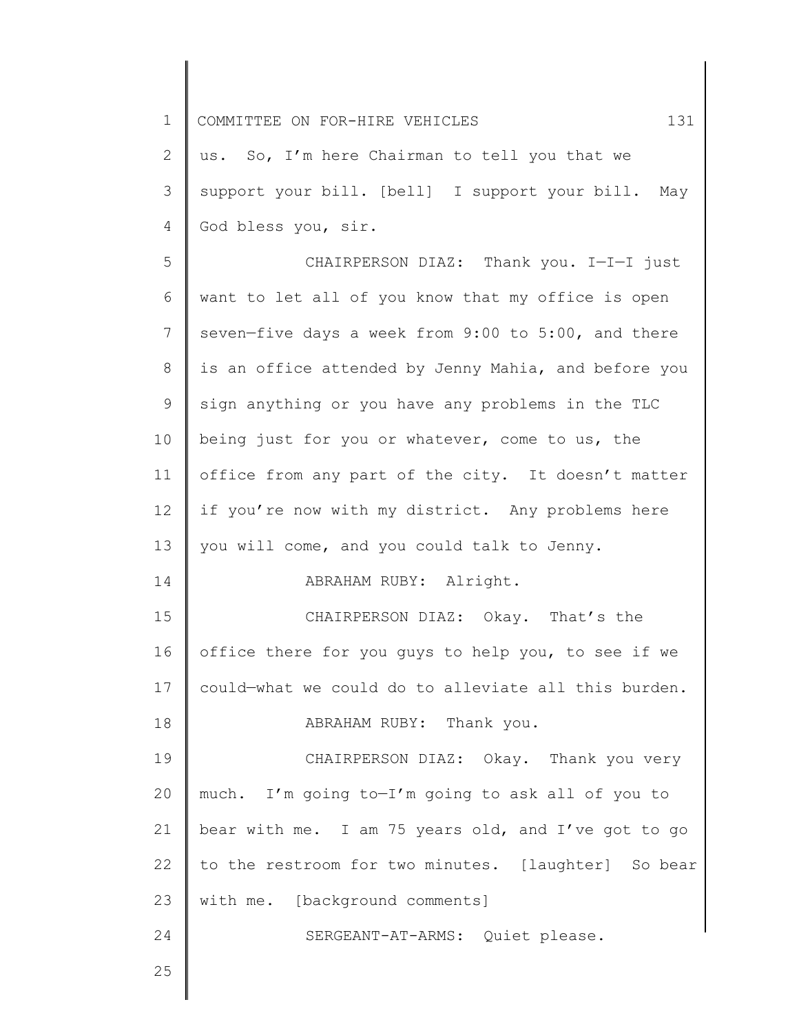1 2 3 4 5 6 7 8 9 10 11 12 13 14 15 16 17 18 19 20 21 22 23 24 25 COMMITTEE ON FOR-HIRE VEHICLES 131 us. So, I'm here Chairman to tell you that we support your bill. [bell] I support your bill. May God bless you, sir. CHAIRPERSON DIAZ: Thank you. I—I—I just want to let all of you know that my office is open seven—five days a week from 9:00 to 5:00, and there is an office attended by Jenny Mahia, and before you sign anything or you have any problems in the TLC being just for you or whatever, come to us, the office from any part of the city. It doesn't matter if you're now with my district. Any problems here you will come, and you could talk to Jenny. ABRAHAM RUBY: Alright. CHAIRPERSON DIAZ: Okay. That's the office there for you guys to help you, to see if we could—what we could do to alleviate all this burden. ABRAHAM RUBY: Thank you. CHAIRPERSON DIAZ: Okay. Thank you very much. I'm going to—I'm going to ask all of you to bear with me. I am 75 years old, and I've got to go to the restroom for two minutes. [laughter] So bear with me. [background comments] SERGEANT-AT-ARMS: Quiet please.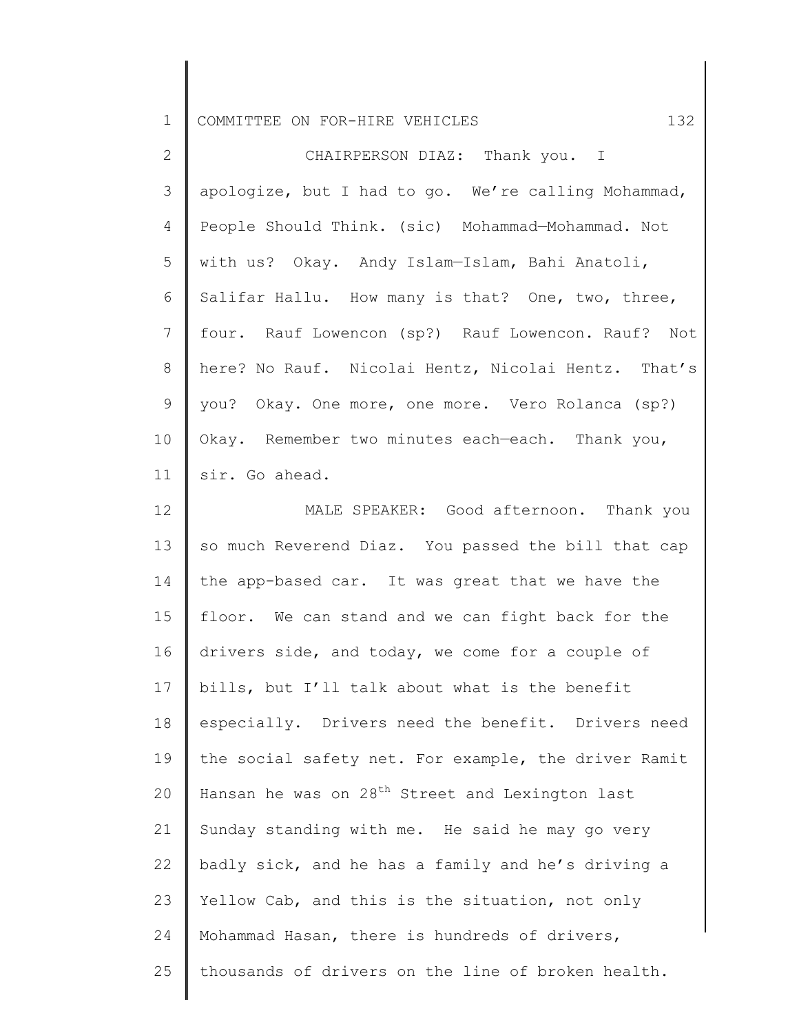|  | 1 COMMITTEE ON FOR-HIRE VEHICLES |  |  |  |  |  |  |
|--|----------------------------------|--|--|--|--|--|--|
|--|----------------------------------|--|--|--|--|--|--|

2 3 4 5 6 7 8 9 10 11 CHAIRPERSON DIAZ: Thank you. I apologize, but I had to go. We're calling Mohammad, People Should Think. (sic) Mohammad—Mohammad. Not with us? Okay. Andy Islam—Islam, Bahi Anatoli, Salifar Hallu. How many is that? One, two, three, four. Rauf Lowencon (sp?) Rauf Lowencon. Rauf? Not here? No Rauf. Nicolai Hentz, Nicolai Hentz. That's you? Okay. One more, one more. Vero Rolanca (sp?) Okay. Remember two minutes each—each. Thank you, sir. Go ahead.

12 13 14 15 16 17 18 19 20 21 22 23 24 25 MALE SPEAKER: Good afternoon. Thank you so much Reverend Diaz. You passed the bill that cap the app-based car. It was great that we have the floor. We can stand and we can fight back for the drivers side, and today, we come for a couple of bills, but I'll talk about what is the benefit especially. Drivers need the benefit. Drivers need the social safety net. For example, the driver Ramit Hansan he was on  $28<sup>th</sup>$  Street and Lexington last Sunday standing with me. He said he may go very badly sick, and he has a family and he's driving a Yellow Cab, and this is the situation, not only Mohammad Hasan, there is hundreds of drivers, thousands of drivers on the line of broken health.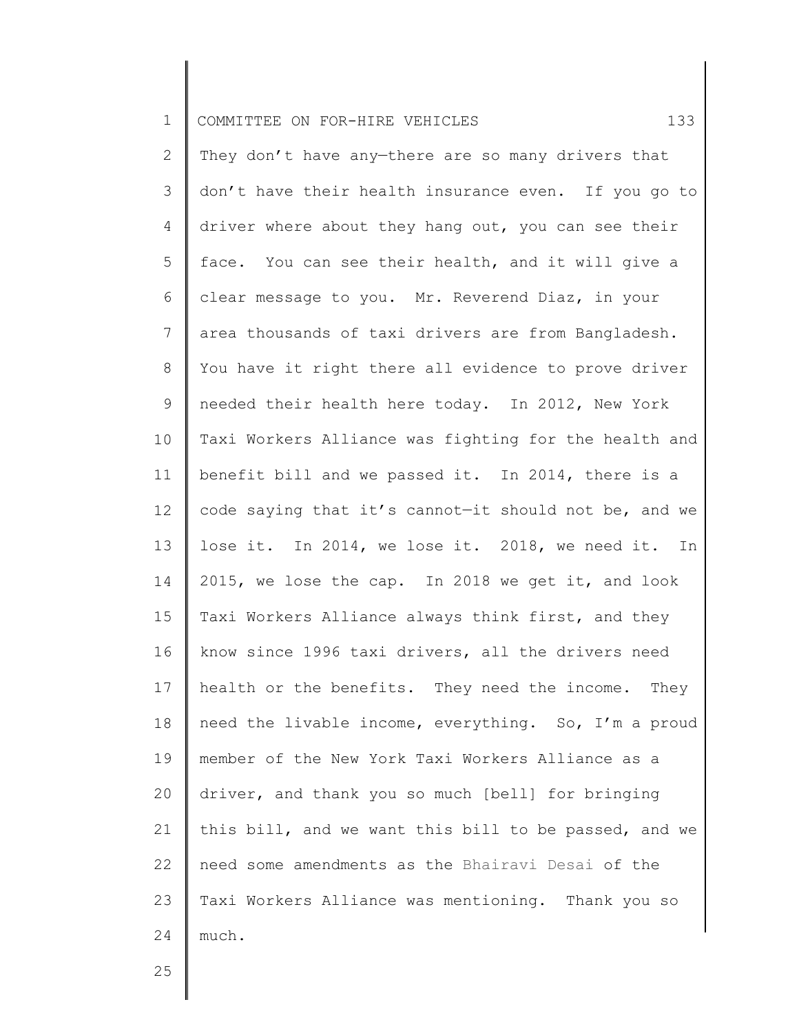| $\mathbf 1$    | 133<br>COMMITTEE ON FOR-HIRE VEHICLES                   |
|----------------|---------------------------------------------------------|
| $\overline{2}$ | They don't have any-there are so many drivers that      |
| 3              | don't have their health insurance even. If you go to    |
| 4              | driver where about they hang out, you can see their     |
| 5              | face. You can see their health, and it will give a      |
| 6              | clear message to you. Mr. Reverend Diaz, in your        |
| $7\phantom{.}$ | area thousands of taxi drivers are from Bangladesh.     |
| $\,8\,$        | You have it right there all evidence to prove driver    |
| $\mathsf 9$    | needed their health here today. In 2012, New York       |
| 10             | Taxi Workers Alliance was fighting for the health and   |
| 11             | benefit bill and we passed it. In 2014, there is a      |
| 12             | code saying that it's cannot-it should not be, and we   |
| 13             | lose it. In 2014, we lose it. 2018, we need it. In      |
| 14             | 2015, we lose the cap. In 2018 we get it, and look      |
| 15             | Taxi Workers Alliance always think first, and they      |
| 16             | know since 1996 taxi drivers, all the drivers need      |
|                | 17   health or the benefits. They need the income. They |
| 18             | need the livable income, everything. So, I'm a proud    |
| 19             | member of the New York Taxi Workers Alliance as a       |
| 20             | driver, and thank you so much [bell] for bringing       |
| 21             | this bill, and we want this bill to be passed, and we   |
| 22             | need some amendments as the Bhairavi Desai of the       |
| 23             | Taxi Workers Alliance was mentioning. Thank you so      |
| 24             | much.                                                   |
| 25             |                                                         |
|                |                                                         |

 $\mathsf I$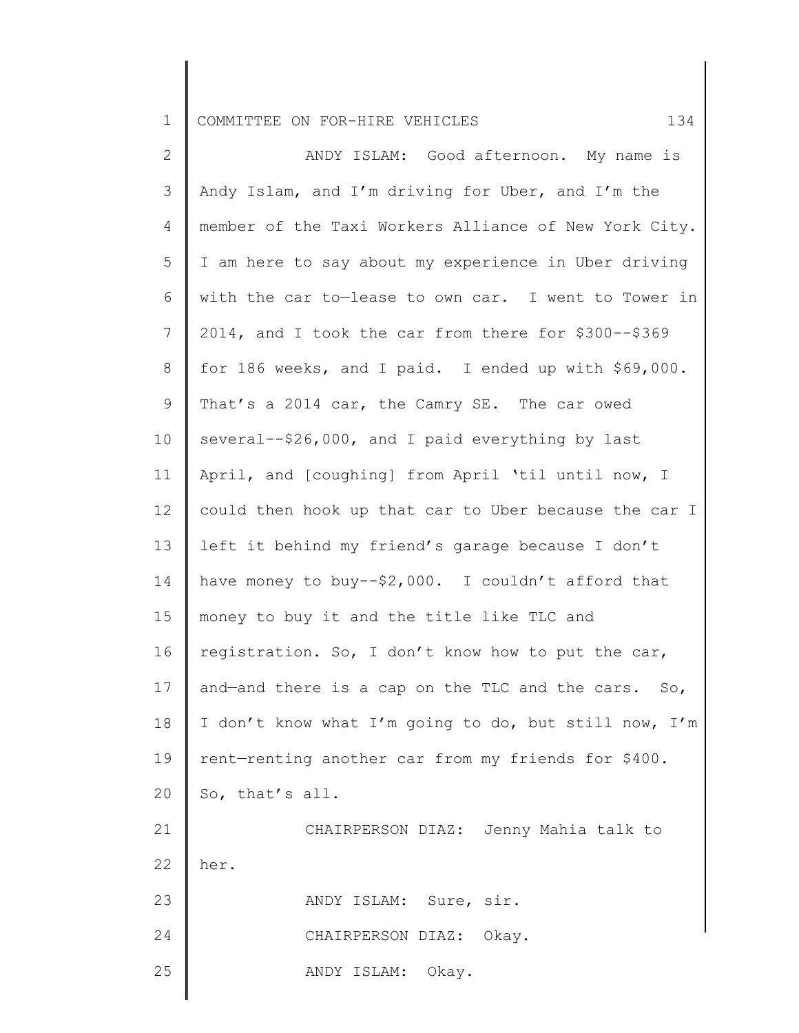1 COMMITTEE ON FOR-HIRE VEHICLES 134

2 3 4 5 6 7 8 9 10 11 12 13 14 15 16 17 18 19 20 21 22 23 24 25 ANDY ISLAM: Good afternoon. My name is Andy Islam, and I'm driving for Uber, and I'm the member of the Taxi Workers Alliance of New York City. I am here to say about my experience in Uber driving with the car to—lease to own car. I went to Tower in 2014, and I took the car from there for \$300--\$369 for 186 weeks, and I paid. I ended up with \$69,000. That's a 2014 car, the Camry SE. The car owed several--\$26,000, and I paid everything by last April, and [coughing] from April 'til until now, I could then hook up that car to Uber because the car I left it behind my friend's garage because I don't have money to buy--\$2,000. I couldn't afford that money to buy it and the title like TLC and registration. So, I don't know how to put the car, and—and there is a cap on the TLC and the cars. So, I don't know what I'm going to do, but still now, I'm rent—renting another car from my friends for \$400. So, that's all. CHAIRPERSON DIAZ: Jenny Mahia talk to her. ANDY ISLAM: Sure, sir. CHAIRPERSON DIAZ: Okay. ANDY ISLAM: Okay.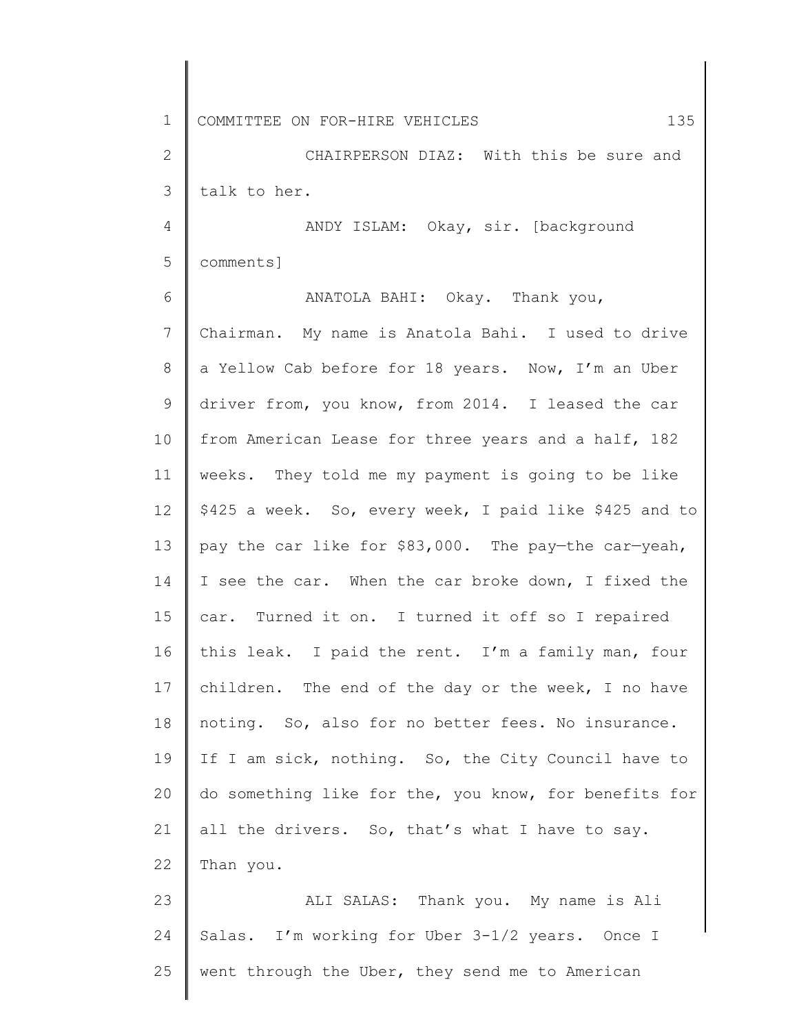1 2 3 4 5 6 COMMITTEE ON FOR-HIRE VEHICLES 135 CHAIRPERSON DIAZ: With this be sure and talk to her. ANDY ISLAM: Okay, sir. [background comments] ANATOLA BAHI: Okay. Thank you,

7 8 9 10 11 12 13 14 15 16 17 18 19 20 21 22 Chairman. My name is Anatola Bahi. I used to drive a Yellow Cab before for 18 years. Now, I'm an Uber driver from, you know, from 2014. I leased the car from American Lease for three years and a half, 182 weeks. They told me my payment is going to be like \$425 a week. So, every week, I paid like \$425 and to pay the car like for \$83,000. The pay—the car—yeah, I see the car. When the car broke down, I fixed the car. Turned it on. I turned it off so I repaired this leak. I paid the rent. I'm a family man, four children. The end of the day or the week, I no have noting. So, also for no better fees. No insurance. If I am sick, nothing. So, the City Council have to do something like for the, you know, for benefits for all the drivers. So, that's what I have to say. Than you.

23 24 25 ALI SALAS: Thank you. My name is Ali Salas. I'm working for Uber 3-1/2 years. Once I went through the Uber, they send me to American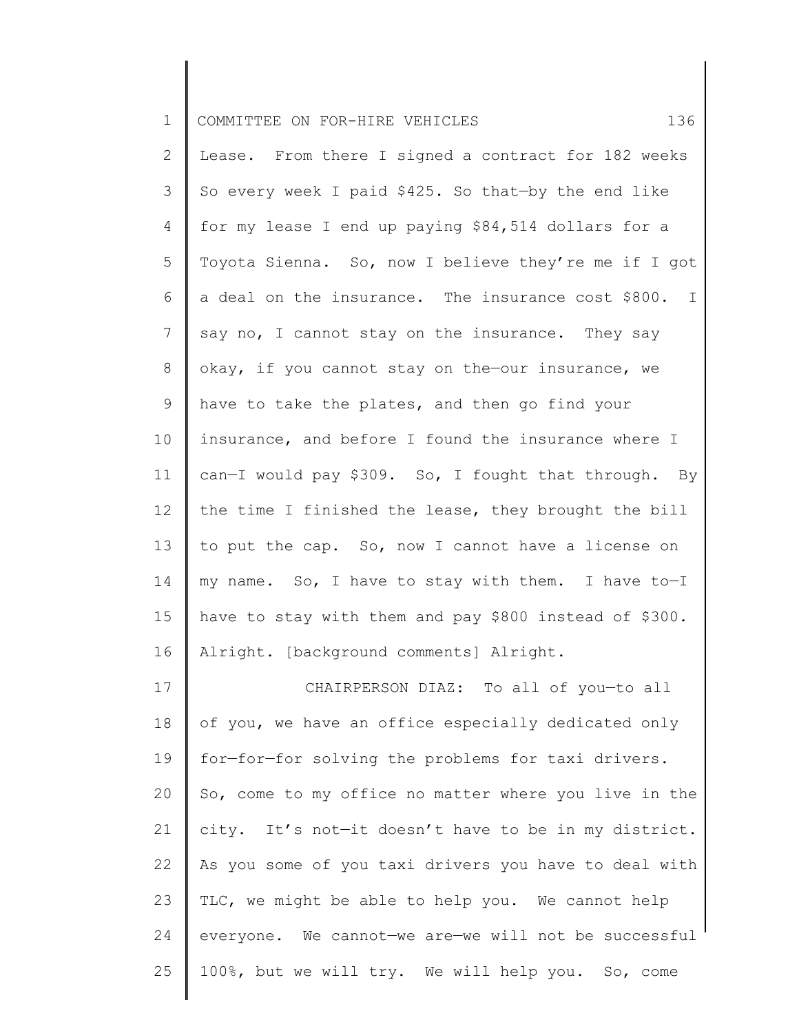| $\mathbf 1$     | 136<br>COMMITTEE ON FOR-HIRE VEHICLES                  |
|-----------------|--------------------------------------------------------|
| 2               | Lease. From there I signed a contract for 182 weeks    |
| 3               | So every week I paid \$425. So that-by the end like    |
| 4               | for my lease I end up paying \$84,514 dollars for a    |
| 5               | Toyota Sienna. So, now I believe they're me if I got   |
| 6               | a deal on the insurance. The insurance cost \$800. I   |
| $7\phantom{.0}$ | say no, I cannot stay on the insurance. They say       |
| 8               | okay, if you cannot stay on the-our insurance, we      |
| 9               | have to take the plates, and then go find your         |
| 10              | insurance, and before I found the insurance where I    |
| 11              | can-I would pay \$309. So, I fought that through. By   |
| 12              | the time I finished the lease, they brought the bill   |
| 13              | to put the cap. So, now I cannot have a license on     |
| 14              | my name. So, I have to stay with them. I have to-I     |
| 15              | have to stay with them and pay \$800 instead of \$300. |
| 16              | Alright. [background comments] Alright.                |
| 17              | CHAIRPERSON DIAZ: To all of you-to all                 |
| 18              | of you, we have an office especially dedicated only    |
| 19              | for-for-for solving the problems for taxi drivers.     |
| 20              | So, come to my office no matter where you live in the  |
| 21              | city. It's not-it doesn't have to be in my district.   |
| 22              | As you some of you taxi drivers you have to deal with  |
| 23              | TLC, we might be able to help you. We cannot help      |
| 24              | everyone. We cannot-we are-we will not be successful   |
| 25              | 100%, but we will try. We will help you. So, come      |
|                 |                                                        |

 $\begin{array}{c} \hline \end{array}$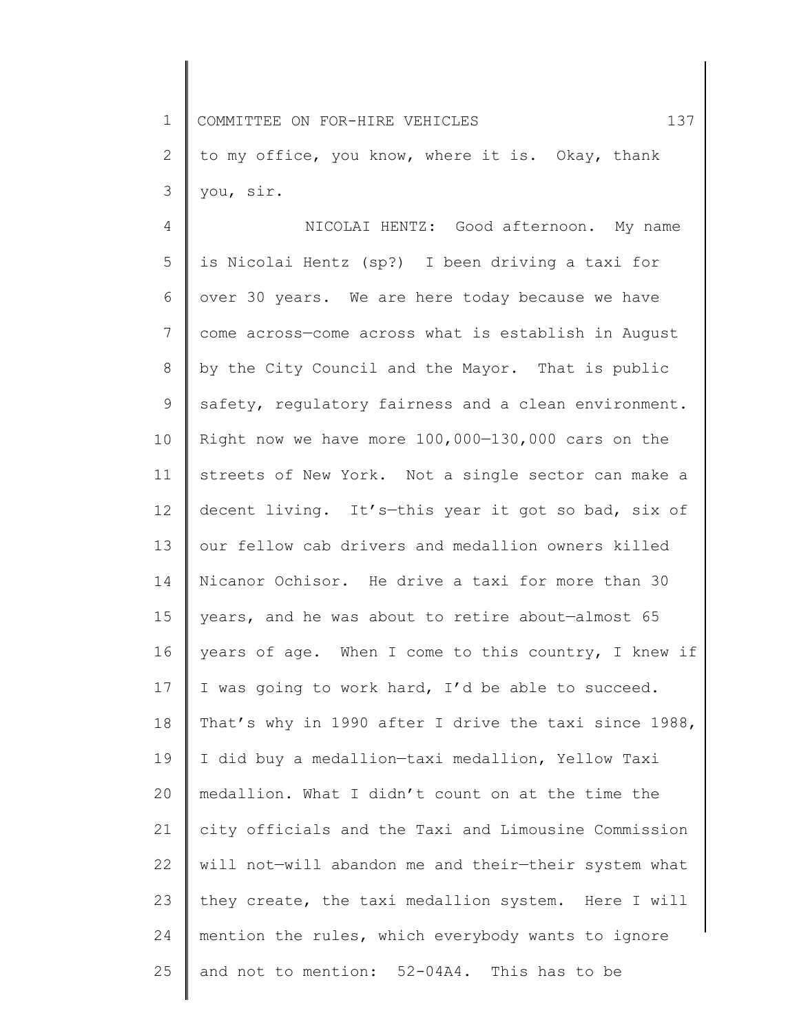1 2 3 COMMITTEE ON FOR-HIRE VEHICLES 137 to my office, you know, where it is. Okay, thank you, sir.

4 5 6 7 8 9 10 11 12 13 14 15 16 17 18 19 20 21 22 23 24 25 NICOLAI HENTZ: Good afternoon. My name is Nicolai Hentz (sp?) I been driving a taxi for over 30 years. We are here today because we have come across—come across what is establish in August by the City Council and the Mayor. That is public safety, regulatory fairness and a clean environment. Right now we have more 100,000—130,000 cars on the streets of New York. Not a single sector can make a decent living. It's—this year it got so bad, six of our fellow cab drivers and medallion owners killed Nicanor Ochisor. He drive a taxi for more than 30 years, and he was about to retire about—almost 65 years of age. When I come to this country, I knew if I was going to work hard, I'd be able to succeed. That's why in 1990 after I drive the taxi since 1988, I did buy a medallion—taxi medallion, Yellow Taxi medallion. What I didn't count on at the time the city officials and the Taxi and Limousine Commission will not—will abandon me and their—their system what they create, the taxi medallion system. Here I will mention the rules, which everybody wants to ignore and not to mention: 52-04A4. This has to be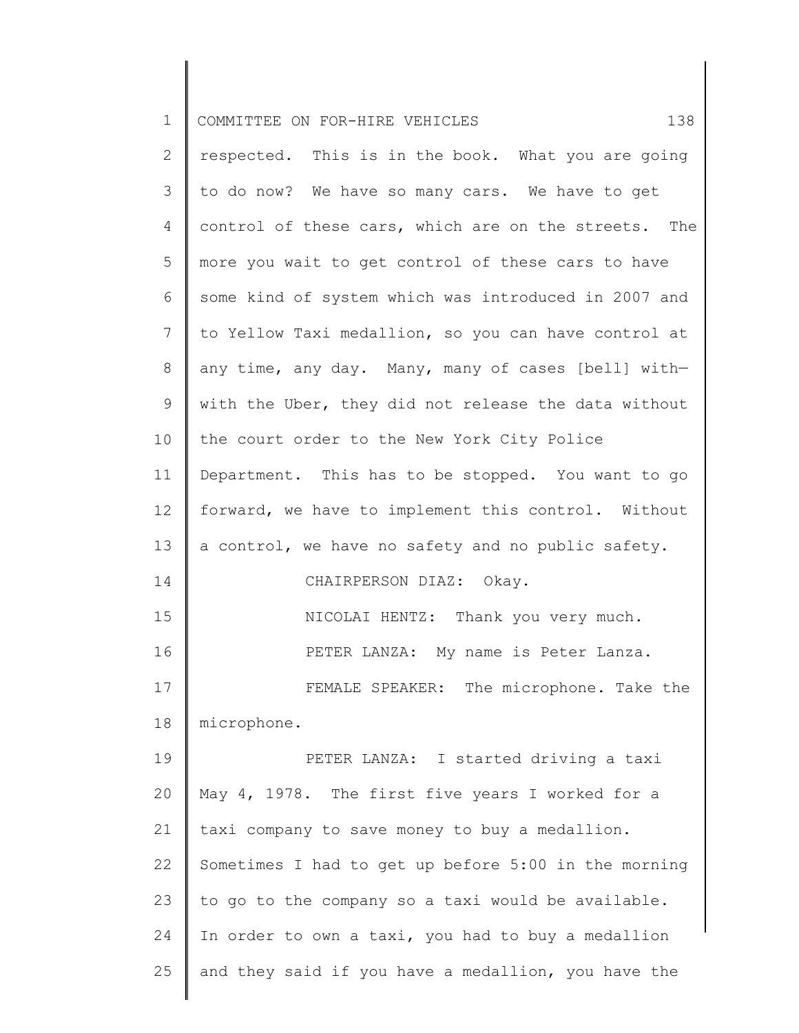| $\mathbf 1$ | 138<br>COMMITTEE ON FOR-HIRE VEHICLES                |
|-------------|------------------------------------------------------|
| 2           | respected. This is in the book. What you are going   |
| 3           | to do now? We have so many cars. We have to get      |
| 4           | control of these cars, which are on the streets. The |
| 5           | more you wait to get control of these cars to have   |
| 6           | some kind of system which was introduced in 2007 and |
| 7           | to Yellow Taxi medallion, so you can have control at |
| 8           | any time, any day. Many, many of cases [bell] with-  |
| 9           | with the Uber, they did not release the data without |
| 10          | the court order to the New York City Police          |
| 11          | Department. This has to be stopped. You want to go   |
| 12          | forward, we have to implement this control. Without  |
| 13          | a control, we have no safety and no public safety.   |
| 14          | CHAIRPERSON DIAZ: Okay.                              |
| 15          | NICOLAI HENTZ: Thank you very much.                  |
| 16          | PETER LANZA: My name is Peter Lanza.                 |
| 17          | FEMALE SPEAKER: The microphone. Take the             |
| 18          | microphone.                                          |
| 19          | PETER LANZA: I started driving a taxi                |
| 20          | May 4, 1978. The first five years I worked for a     |
| 21          | taxi company to save money to buy a medallion.       |
| 22          | Sometimes I had to get up before 5:00 in the morning |
| 23          | to go to the company so a taxi would be available.   |
| 24          | In order to own a taxi, you had to buy a medallion   |
| 25          | and they said if you have a medallion, you have the  |
|             |                                                      |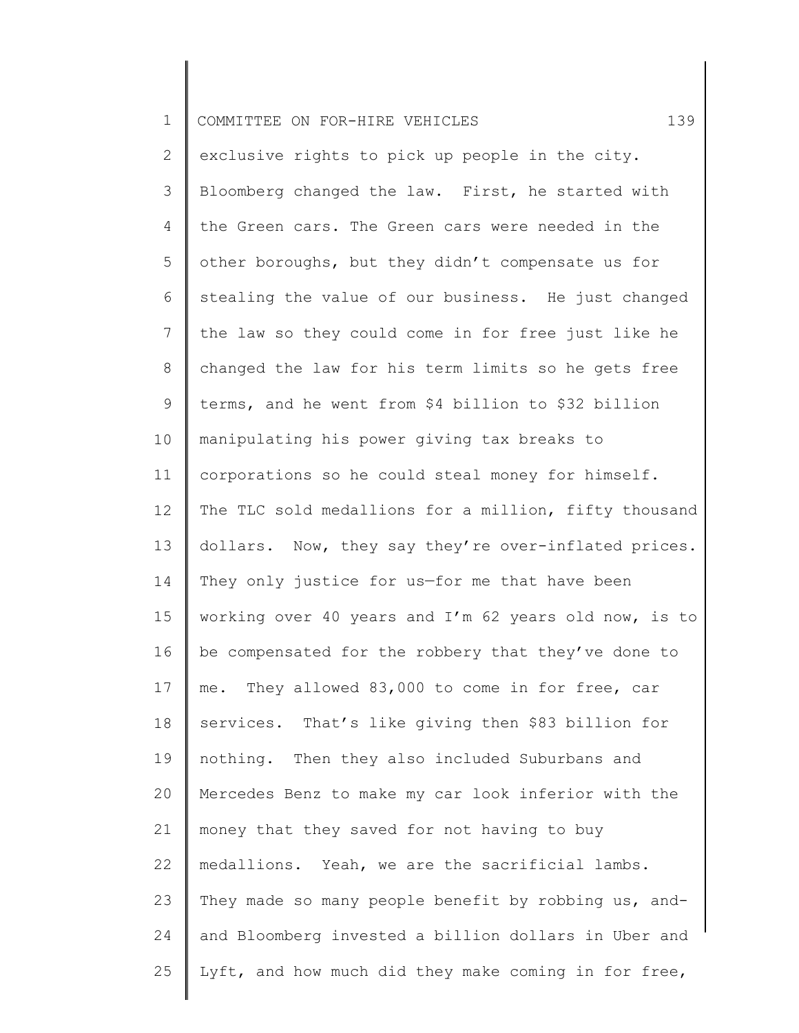| $\mathbf 1$    | 139<br>COMMITTEE ON FOR-HIRE VEHICLES                 |
|----------------|-------------------------------------------------------|
| $\overline{2}$ | exclusive rights to pick up people in the city.       |
| 3              | Bloomberg changed the law. First, he started with     |
| 4              | the Green cars. The Green cars were needed in the     |
| 5              | other boroughs, but they didn't compensate us for     |
| 6              | stealing the value of our business. He just changed   |
| $\overline{7}$ | the law so they could come in for free just like he   |
| 8              | changed the law for his term limits so he gets free   |
| 9              | terms, and he went from \$4 billion to \$32 billion   |
| 10             | manipulating his power giving tax breaks to           |
| 11             | corporations so he could steal money for himself.     |
| 12             | The TLC sold medallions for a million, fifty thousand |
| 13             | dollars. Now, they say they're over-inflated prices.  |
| 14             | They only justice for us-for me that have been        |
| 15             | working over 40 years and I'm 62 years old now, is to |
| 16             | be compensated for the robbery that they've done to   |
| 17             | me. They allowed 83,000 to come in for free, car      |
| 18             | services. That's like giving then \$83 billion for    |
| 19             | nothing. Then they also included Suburbans and        |
| 20             | Mercedes Benz to make my car look inferior with the   |
| 21             | money that they saved for not having to buy           |
| 22             | medallions. Yeah, we are the sacrificial lambs.       |
| 23             | They made so many people benefit by robbing us, and-  |
| 24             | and Bloomberg invested a billion dollars in Uber and  |
| 25             | Lyft, and how much did they make coming in for free,  |
|                |                                                       |

║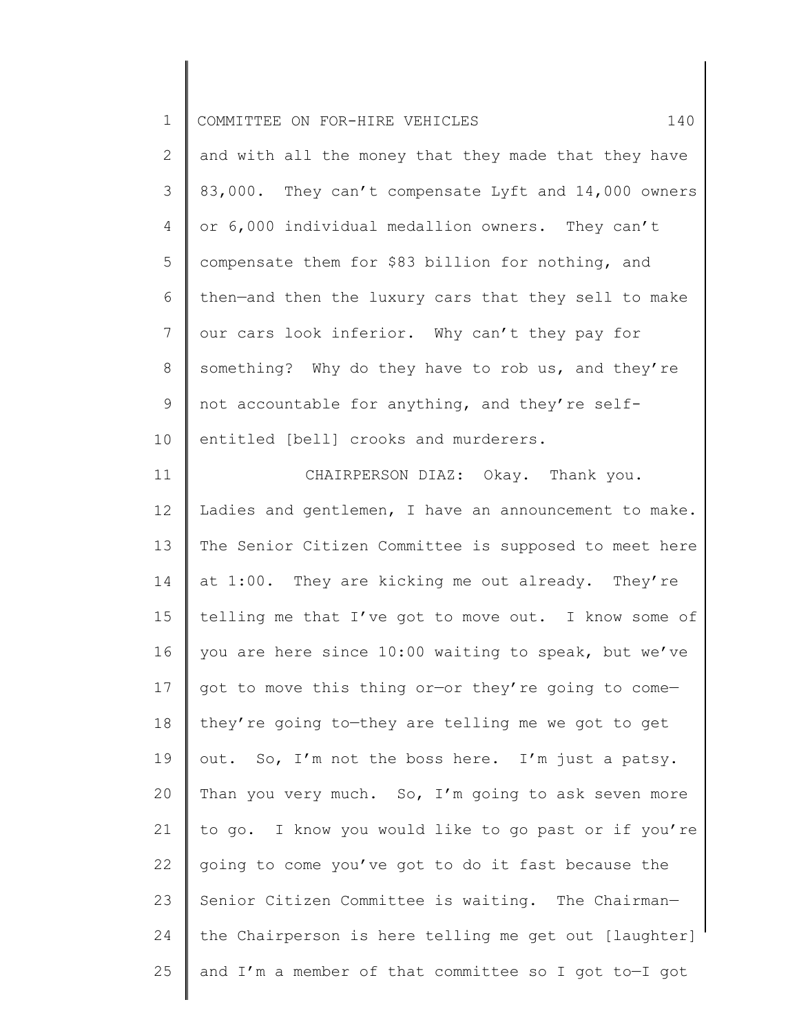| $\mathbf 1$    | COMMITTEE ON FOR-HIRE VEHICLES<br>140                 |
|----------------|-------------------------------------------------------|
| $\mathbf{2}$   | and with all the money that they made that they have  |
| 3              | 83,000. They can't compensate Lyft and 14,000 owners  |
| 4              | or 6,000 individual medallion owners. They can't      |
| 5              | compensate them for \$83 billion for nothing, and     |
| 6              | then-and then the luxury cars that they sell to make  |
| $\overline{7}$ | our cars look inferior. Why can't they pay for        |
| 8              | something? Why do they have to rob us, and they're    |
| 9              | not accountable for anything, and they're self-       |
| 10             | entitled [bell] crooks and murderers.                 |
| 11             | CHAIRPERSON DIAZ: Okay. Thank you.                    |
| 12             | Ladies and gentlemen, I have an announcement to make. |
| 13             | The Senior Citizen Committee is supposed to meet here |
| 14             | at 1:00. They are kicking me out already. They're     |
| 15             | telling me that I've got to move out. I know some of  |
| 16             | you are here since 10:00 waiting to speak, but we've  |
| 17             | got to move this thing or-or they're going to come-   |
| 18             | they're going to-they are telling me we got to get    |
| 19             | out. So, I'm not the boss here. I'm just a patsy.     |
| 20             | Than you very much. So, I'm going to ask seven more   |
| 21             | to go. I know you would like to go past or if you're  |
| 22             | going to come you've got to do it fast because the    |
| 23             | Senior Citizen Committee is waiting. The Chairman-    |
| 24             | the Chairperson is here telling me get out [laughter] |
| 25             | and I'm a member of that committee so I got to-I got  |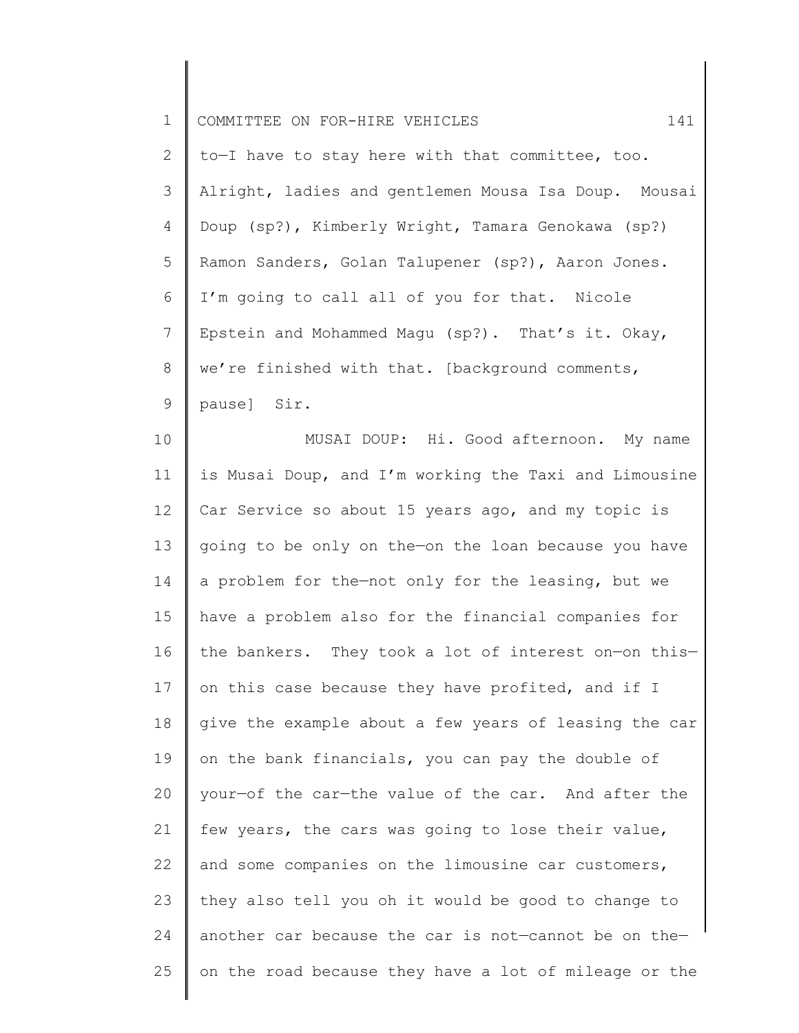| $\mathbf 1$  | 141<br>COMMITTEE ON FOR-HIRE VEHICLES                 |
|--------------|-------------------------------------------------------|
| $\mathbf{2}$ | to-I have to stay here with that committee, too.      |
| 3            | Alright, ladies and gentlemen Mousa Isa Doup. Mousai  |
| 4            | Doup (sp?), Kimberly Wright, Tamara Genokawa (sp?)    |
| 5            | Ramon Sanders, Golan Talupener (sp?), Aaron Jones.    |
| 6            | I'm going to call all of you for that. Nicole         |
| 7            | Epstein and Mohammed Magu (sp?). That's it. Okay,     |
| 8            | we're finished with that. [background comments,       |
| 9            | pause] Sir.                                           |
| 10           | MUSAI DOUP: Hi. Good afternoon. My name               |
| 11           | is Musai Doup, and I'm working the Taxi and Limousine |
| 12           | Car Service so about 15 years ago, and my topic is    |
| 13           | going to be only on the-on the loan because you have  |
| 14           | a problem for the-not only for the leasing, but we    |
| 15           | have a problem also for the financial companies for   |
| 16           | the bankers. They took a lot of interest on-on this-  |
| 17           | on this case because they have profited, and if I     |
| 18           | give the example about a few years of leasing the car |
| 19           | on the bank financials, you can pay the double of     |
| 20           | your-of the car-the value of the car. And after the   |
| 21           | few years, the cars was going to lose their value,    |
| 22           | and some companies on the limousine car customers,    |
| 23           | they also tell you oh it would be good to change to   |
| 24           | another car because the car is not-cannot be on the-  |
| 25           | on the road because they have a lot of mileage or the |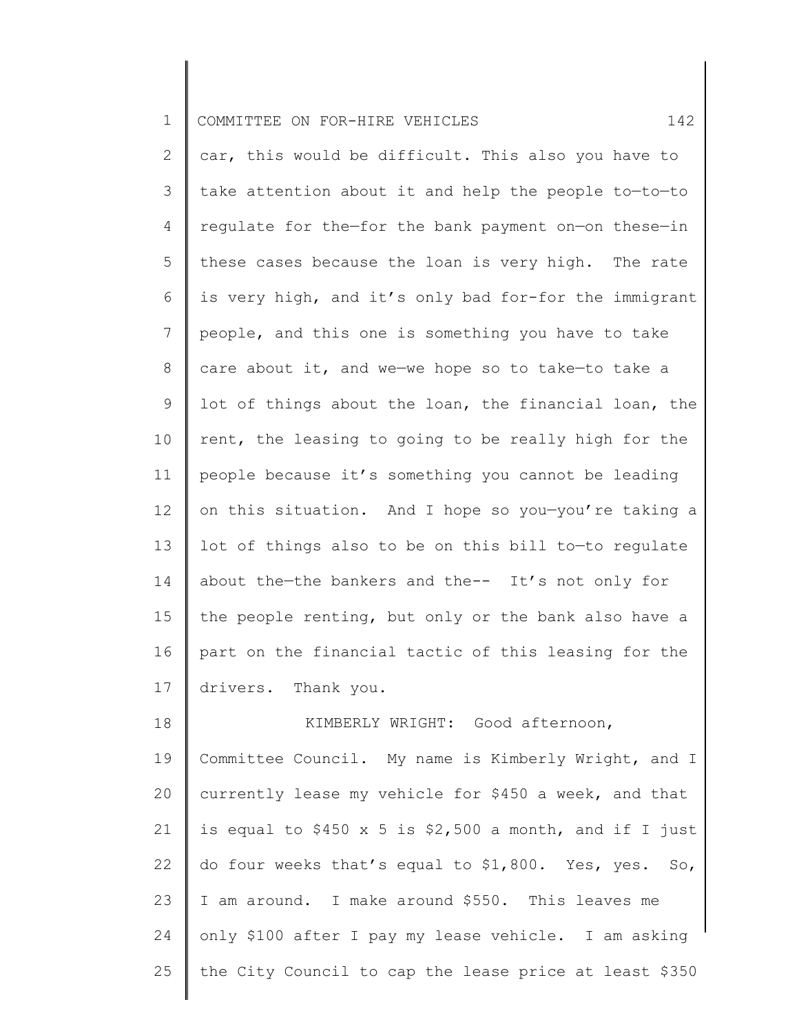|  | COMMITTEE ON FOR-HIRE VEHICLES<br>Ш |  |  |  |  |  |  |
|--|-------------------------------------|--|--|--|--|--|--|
|--|-------------------------------------|--|--|--|--|--|--|

2 3 4 5 6 7 8 9 10 11 12 13 14 15 16 17 car, this would be difficult. This also you have to take attention about it and help the people to—to—to regulate for the—for the bank payment on—on these—in these cases because the loan is very high. The rate is very high, and it's only bad for-for the immigrant people, and this one is something you have to take care about it, and we—we hope so to take—to take a lot of things about the loan, the financial loan, the rent, the leasing to going to be really high for the people because it's something you cannot be leading on this situation. And I hope so you—you're taking a lot of things also to be on this bill to—to regulate about the—the bankers and the-- It's not only for the people renting, but only or the bank also have a part on the financial tactic of this leasing for the drivers. Thank you.

18 19 20 21 22 23 24 25 KIMBERLY WRIGHT: Good afternoon, Committee Council. My name is Kimberly Wright, and I currently lease my vehicle for \$450 a week, and that is equal to \$450 x 5 is \$2,500 a month, and if I just do four weeks that's equal to \$1,800. Yes, yes. So, I am around. I make around \$550. This leaves me only \$100 after I pay my lease vehicle. I am asking the City Council to cap the lease price at least \$350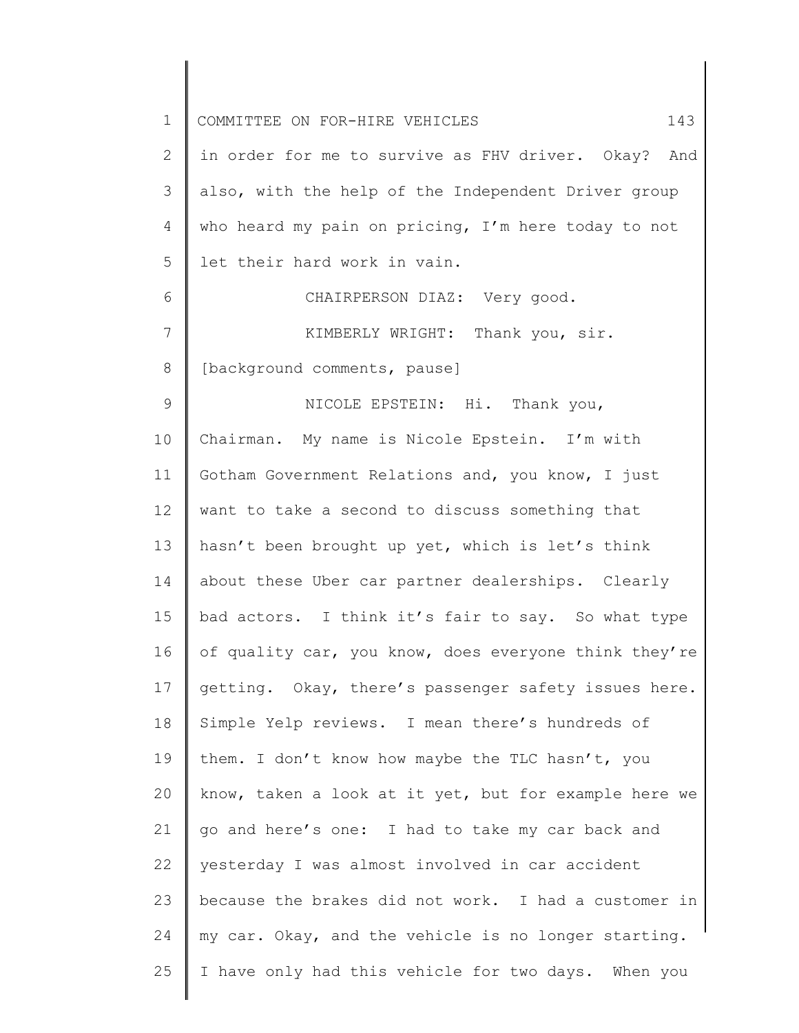| $\mathbf 1$  | 143<br>COMMITTEE ON FOR-HIRE VEHICLES                 |
|--------------|-------------------------------------------------------|
| $\mathbf{2}$ | in order for me to survive as FHV driver. Okay? And   |
| 3            | also, with the help of the Independent Driver group   |
| 4            | who heard my pain on pricing, I'm here today to not   |
| 5            | let their hard work in vain.                          |
| 6            | CHAIRPERSON DIAZ: Very good.                          |
| 7            | KIMBERLY WRIGHT: Thank you, sir.                      |
| $8\,$        | [background comments, pause]                          |
| $\mathsf 9$  | NICOLE EPSTEIN: Hi. Thank you,                        |
| 10           | Chairman. My name is Nicole Epstein. I'm with         |
| 11           | Gotham Government Relations and, you know, I just     |
| 12           | want to take a second to discuss something that       |
| 13           | hasn't been brought up yet, which is let's think      |
| 14           | about these Uber car partner dealerships. Clearly     |
| 15           | bad actors. I think it's fair to say. So what type    |
| 16           | of quality car, you know, does everyone think they're |
| 17           | getting. Okay, there's passenger safety issues here.  |
| 18           | Simple Yelp reviews. I mean there's hundreds of       |
| 19           | them. I don't know how maybe the TLC hasn't, you      |
| 20           | know, taken a look at it yet, but for example here we |
| 21           | go and here's one: I had to take my car back and      |
| 22           | yesterday I was almost involved in car accident       |
| 23           | because the brakes did not work. I had a customer in  |
| 24           | my car. Okay, and the vehicle is no longer starting.  |
| 25           | I have only had this vehicle for two days. When you   |
|              |                                                       |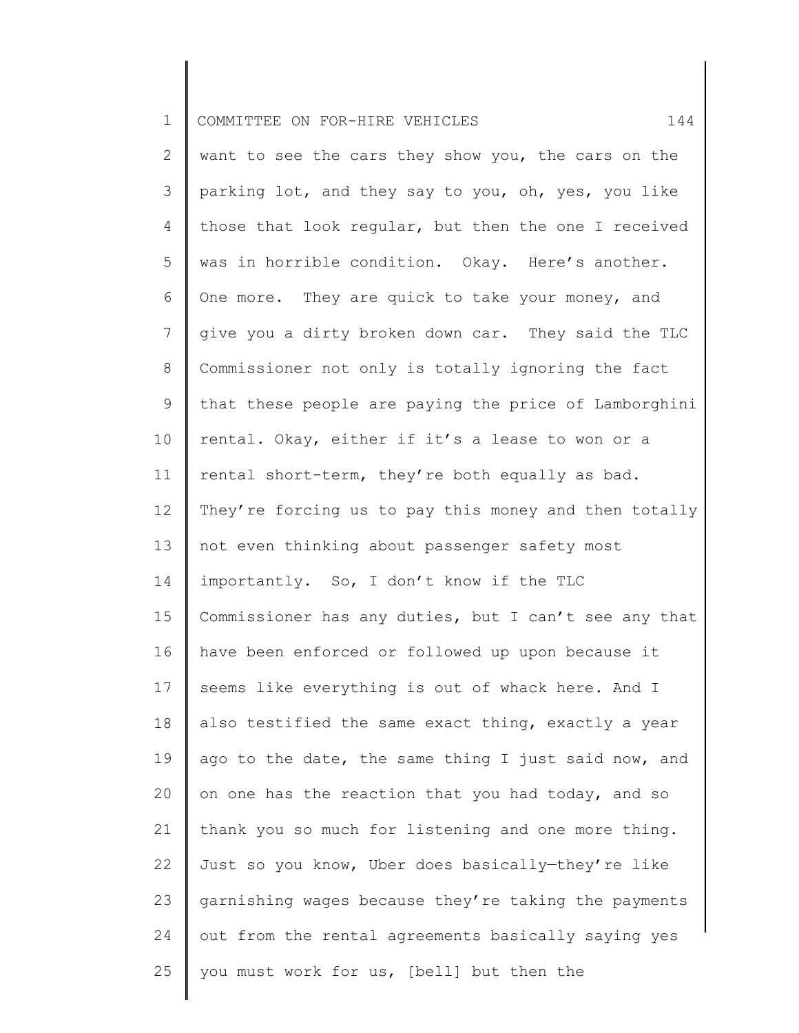| $\mathbf 1$    | COMMITTEE ON FOR-HIRE VEHICLES<br>144                 |
|----------------|-------------------------------------------------------|
| 2              | want to see the cars they show you, the cars on the   |
| 3              | parking lot, and they say to you, oh, yes, you like   |
| 4              | those that look regular, but then the one I received  |
| 5              | was in horrible condition. Okay. Here's another.      |
| 6              | One more. They are quick to take your money, and      |
| $\overline{7}$ | give you a dirty broken down car. They said the TLC   |
| 8              | Commissioner not only is totally ignoring the fact    |
| 9              | that these people are paying the price of Lamborghini |
| 10             | rental. Okay, either if it's a lease to won or a      |
| 11             | rental short-term, they're both equally as bad.       |
| 12             | They're forcing us to pay this money and then totally |
| 13             | not even thinking about passenger safety most         |
| 14             | importantly. So, I don't know if the TLC              |
| 15             | Commissioner has any duties, but I can't see any that |
| 16             | have been enforced or followed up upon because it     |
| 17             | seems like everything is out of whack here. And I     |
| 18             | also testified the same exact thing, exactly a year   |
| 19             | ago to the date, the same thing I just said now, and  |
| 20             | on one has the reaction that you had today, and so    |
| 21             | thank you so much for listening and one more thing.   |
| 22             | Just so you know, Uber does basically-they're like    |
| 23             | garnishing wages because they're taking the payments  |
| 24             | out from the rental agreements basically saying yes   |
| 25             | you must work for us, [bell] but then the             |
|                |                                                       |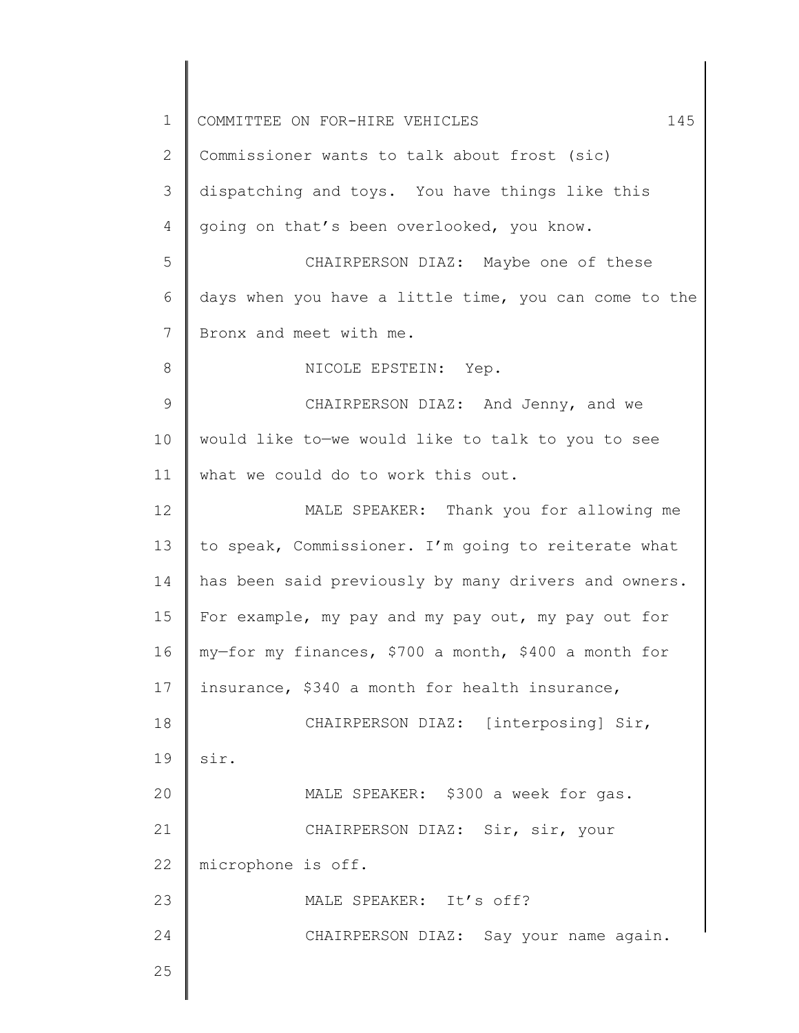| 1  | 145<br>COMMITTEE ON FOR-HIRE VEHICLES                 |
|----|-------------------------------------------------------|
| 2  | Commissioner wants to talk about frost (sic)          |
| 3  | dispatching and toys. You have things like this       |
| 4  | going on that's been overlooked, you know.            |
| 5  | CHAIRPERSON DIAZ: Maybe one of these                  |
| 6  | days when you have a little time, you can come to the |
| 7  | Bronx and meet with me.                               |
| 8  | NICOLE EPSTEIN: Yep.                                  |
| 9  | CHAIRPERSON DIAZ: And Jenny, and we                   |
| 10 | would like to-we would like to talk to you to see     |
| 11 | what we could do to work this out.                    |
| 12 | MALE SPEAKER: Thank you for allowing me               |
| 13 | to speak, Commissioner. I'm going to reiterate what   |
| 14 | has been said previously by many drivers and owners.  |
| 15 | For example, my pay and my pay out, my pay out for    |
| 16 | my-for my finances, \$700 a month, \$400 a month for  |
| 17 | insurance, \$340 a month for health insurance,        |
| 18 | CHAIRPERSON DIAZ: [interposing] Sir,                  |
| 19 | sir.                                                  |
| 20 | MALE SPEAKER: \$300 a week for gas.                   |
| 21 | CHAIRPERSON DIAZ: Sir, sir, your                      |
| 22 | microphone is off.                                    |
| 23 | MALE SPEAKER: It's off?                               |
| 24 | CHAIRPERSON DIAZ: Say your name again.                |
| 25 |                                                       |
|    |                                                       |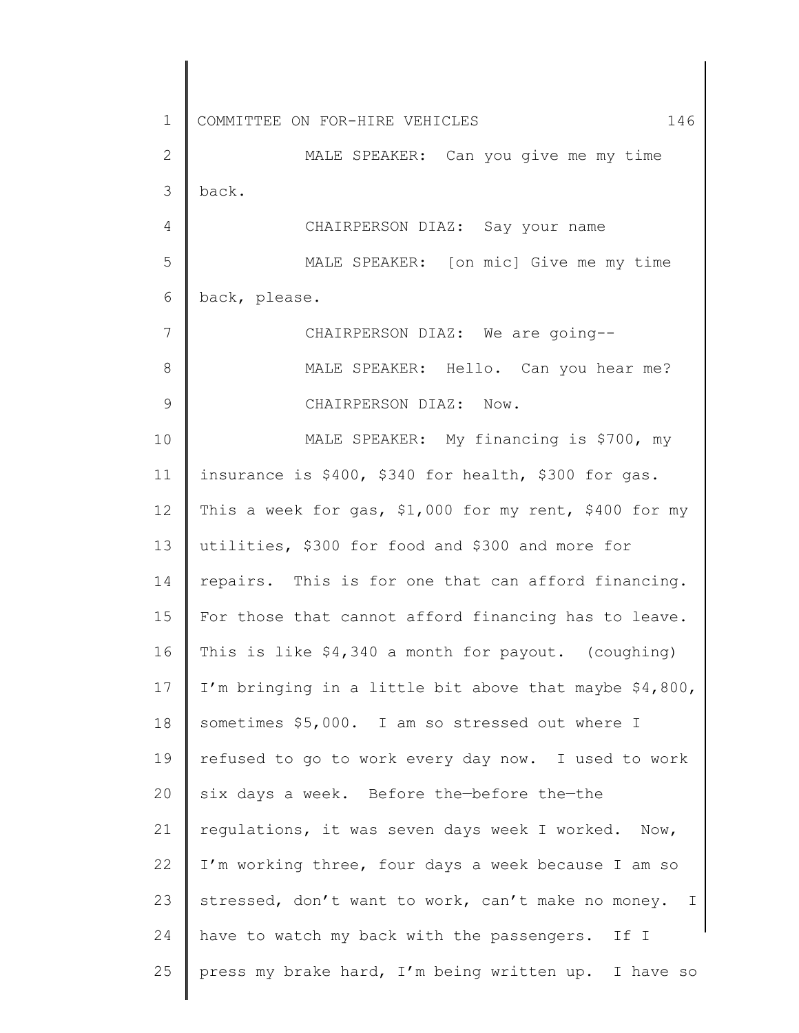1 2 3 4 5 6 7 8 9 10 11 12 13 14 15 16 17 18 19 20 21 22 23 24 25 COMMITTEE ON FOR-HIRE VEHICLES 600 146 MALE SPEAKER: Can you give me my time back. CHAIRPERSON DIAZ: Say your name MALE SPEAKER: [on mic] Give me my time back, please. CHAIRPERSON DIAZ: We are going-- MALE SPEAKER: Hello. Can you hear me? CHAIRPERSON DIAZ: Now. MALE SPEAKER: My financing is \$700, my insurance is \$400, \$340 for health, \$300 for gas. This a week for gas, \$1,000 for my rent, \$400 for my utilities, \$300 for food and \$300 and more for repairs. This is for one that can afford financing. For those that cannot afford financing has to leave. This is like \$4,340 a month for payout. (coughing) I'm bringing in a little bit above that maybe \$4,800, sometimes \$5,000. I am so stressed out where I refused to go to work every day now. I used to work six days a week. Before the—before the—the regulations, it was seven days week I worked. Now, I'm working three, four days a week because I am so stressed, don't want to work, can't make no money. I have to watch my back with the passengers. If I press my brake hard, I'm being written up. I have so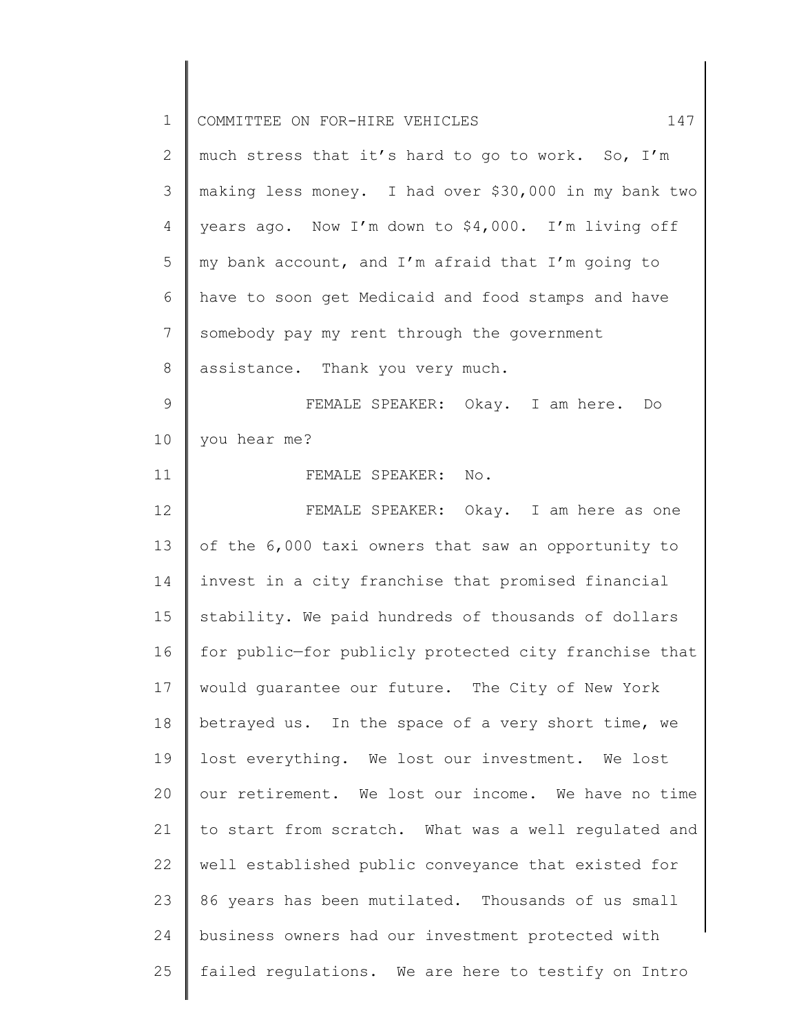| $\mathbf 1$    | 147<br>COMMITTEE ON FOR-HIRE VEHICLES                 |
|----------------|-------------------------------------------------------|
| 2              | much stress that it's hard to go to work. So, I'm     |
| 3              | making less money. I had over \$30,000 in my bank two |
| $\overline{4}$ | years ago. Now I'm down to \$4,000. I'm living off    |
| 5              | my bank account, and I'm afraid that I'm going to     |
| 6              | have to soon get Medicaid and food stamps and have    |
| 7              | somebody pay my rent through the government           |
| 8              | assistance. Thank you very much.                      |
| 9              | FEMALE SPEAKER: Okay. I am here. Do                   |
| 10             | you hear me?                                          |
| 11             | FEMALE SPEAKER: No.                                   |
| 12             | FEMALE SPEAKER: Okay. I am here as one                |
| 13             | of the 6,000 taxi owners that saw an opportunity to   |
| 14             | invest in a city franchise that promised financial    |
| 15             | stability. We paid hundreds of thousands of dollars   |
| 16             | for public-for publicly protected city franchise that |
| 17             | would quarantee our future. The City of New York      |
| 18             | betrayed us. In the space of a very short time, we    |
| 19             | lost everything. We lost our investment. We lost      |
| 20             | our retirement. We lost our income. We have no time   |
| 21             | to start from scratch. What was a well regulated and  |
| 22             | well established public conveyance that existed for   |
| 23             | 86 years has been mutilated. Thousands of us small    |
| 24             | business owners had our investment protected with     |
| 25             | failed regulations. We are here to testify on Intro   |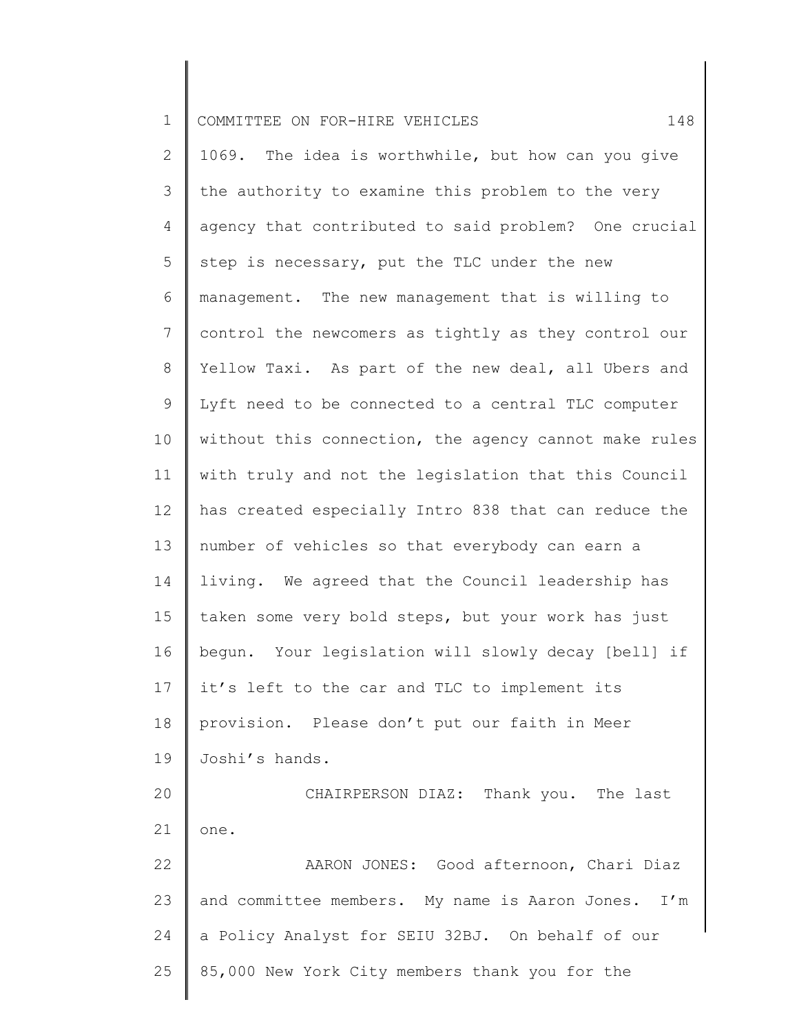| $\mathbf 1$    | 148<br>COMMITTEE ON FOR-HIRE VEHICLES                 |
|----------------|-------------------------------------------------------|
| $\mathbf{2}$   | 1069. The idea is worthwhile, but how can you give    |
| 3              | the authority to examine this problem to the very     |
| 4              | agency that contributed to said problem? One crucial  |
| 5              | step is necessary, put the TLC under the new          |
| 6              | management. The new management that is willing to     |
| $7\phantom{.}$ | control the newcomers as tightly as they control our  |
| 8              | Yellow Taxi. As part of the new deal, all Ubers and   |
| 9              | Lyft need to be connected to a central TLC computer   |
| 10             | without this connection, the agency cannot make rules |
| 11             | with truly and not the legislation that this Council  |
| 12             | has created especially Intro 838 that can reduce the  |
| 13             | number of vehicles so that everybody can earn a       |
| 14             | living. We agreed that the Council leadership has     |
| 15             | taken some very bold steps, but your work has just    |
| 16             | bequn. Your legislation will slowly decay [bell] if   |
| 17             | it's left to the car and TLC to implement its         |
| 18             | provision. Please don't put our faith in Meer         |
| 19             | Joshi's hands.                                        |
| 20             | CHAIRPERSON DIAZ: Thank you. The last                 |
| 21             | one.                                                  |
| 22             | AARON JONES: Good afternoon, Chari Diaz               |
| 23             | and committee members. My name is Aaron Jones. I'm    |
| 24             | a Policy Analyst for SEIU 32BJ. On behalf of our      |
| 25             | 85,000 New York City members thank you for the        |
|                |                                                       |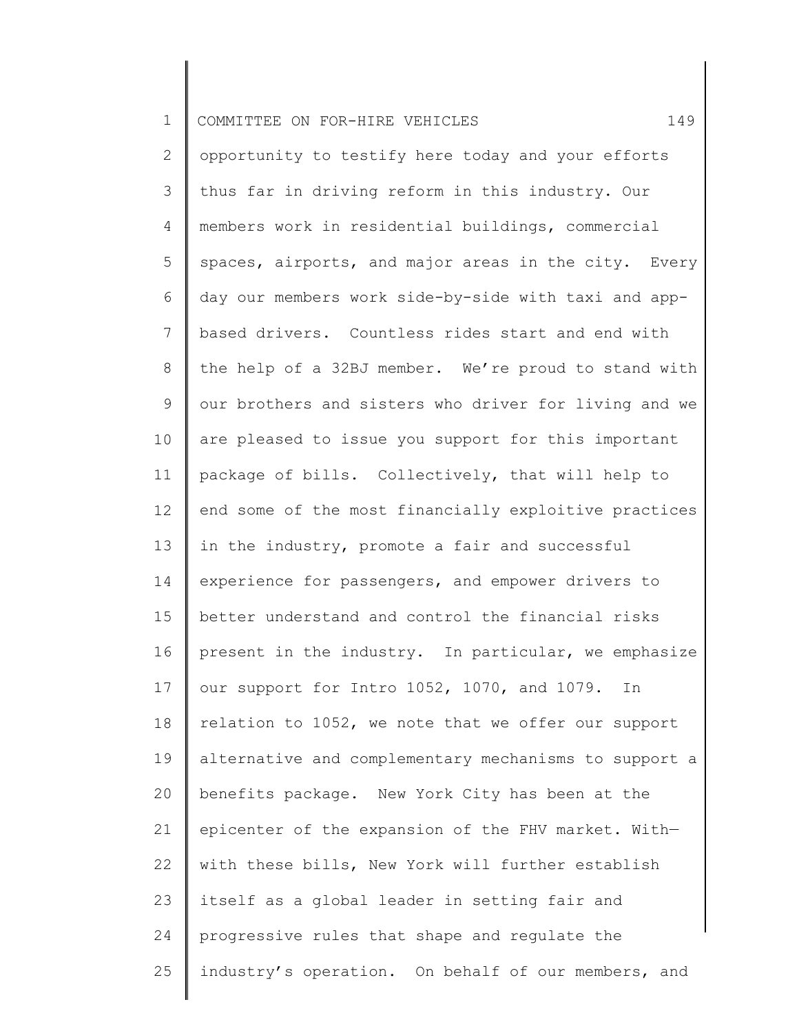| $\mathbf 1$ | 149<br>COMMITTEE ON FOR-HIRE VEHICLES                 |
|-------------|-------------------------------------------------------|
| 2           | opportunity to testify here today and your efforts    |
| 3           | thus far in driving reform in this industry. Our      |
| 4           | members work in residential buildings, commercial     |
| 5           | spaces, airports, and major areas in the city. Every  |
| 6           | day our members work side-by-side with taxi and app-  |
| 7           | based drivers. Countless rides start and end with     |
| 8           | the help of a 32BJ member. We're proud to stand with  |
| 9           | our brothers and sisters who driver for living and we |
| 10          | are pleased to issue you support for this important   |
| 11          | package of bills. Collectively, that will help to     |
| 12          | end some of the most financially exploitive practices |
| 13          | in the industry, promote a fair and successful        |
| 14          | experience for passengers, and empower drivers to     |
| 15          | better understand and control the financial risks     |
| 16          | present in the industry. In particular, we emphasize  |
| 17          | our support for Intro 1052, 1070, and 1079. In        |
| 18          | relation to 1052, we note that we offer our support   |
| 19          | alternative and complementary mechanisms to support a |
| 20          | benefits package. New York City has been at the       |
| 21          | epicenter of the expansion of the FHV market. With-   |
| 22          | with these bills, New York will further establish     |
| 23          | itself as a global leader in setting fair and         |
| 24          | progressive rules that shape and regulate the         |
| 25          | industry's operation. On behalf of our members, and   |
|             |                                                       |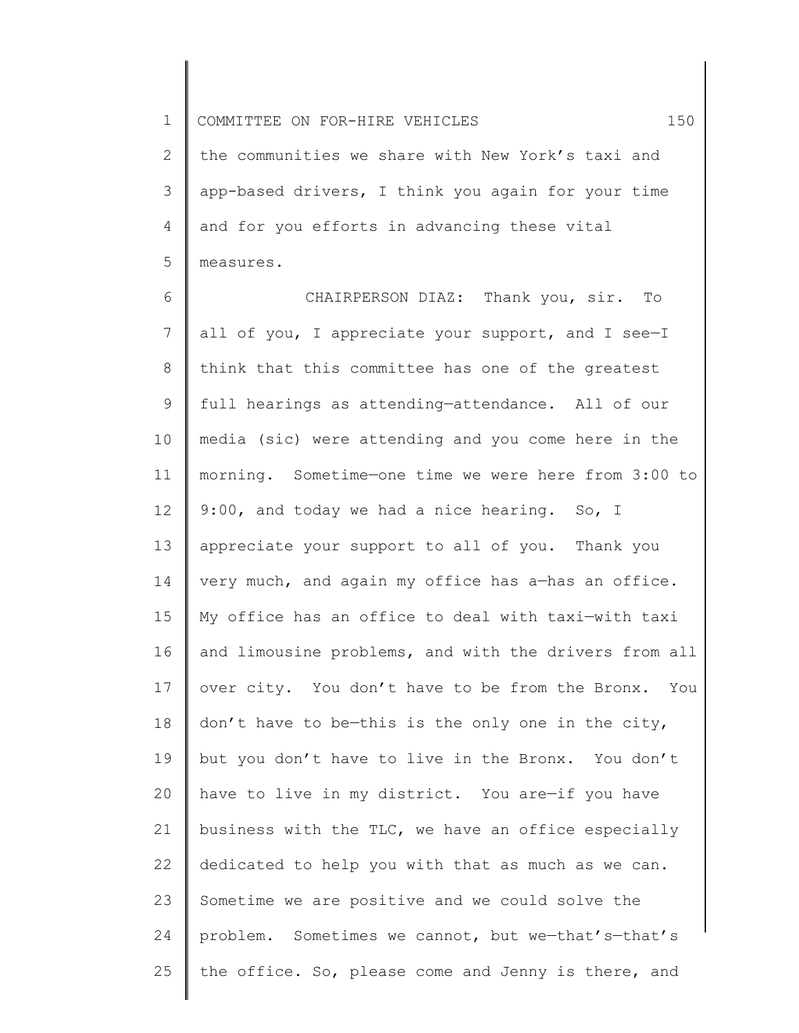1 2 3 4 5 COMMITTEE ON FOR-HIRE VEHICLES 150 the communities we share with New York's taxi and app-based drivers, I think you again for your time and for you efforts in advancing these vital measures.

6 7 8 9 10 11 12 13 14 15 16 17 18 19 20 21 22 23 24 25 CHAIRPERSON DIAZ: Thank you, sir. To all of you, I appreciate your support, and I see—I think that this committee has one of the greatest full hearings as attending—attendance. All of our media (sic) were attending and you come here in the morning. Sometime—one time we were here from 3:00 to 9:00, and today we had a nice hearing. So, I appreciate your support to all of you. Thank you very much, and again my office has a—has an office. My office has an office to deal with taxi—with taxi and limousine problems, and with the drivers from all over city. You don't have to be from the Bronx. You don't have to be—this is the only one in the city, but you don't have to live in the Bronx. You don't have to live in my district. You are—if you have business with the TLC, we have an office especially dedicated to help you with that as much as we can. Sometime we are positive and we could solve the problem. Sometimes we cannot, but we-that's-that's the office. So, please come and Jenny is there, and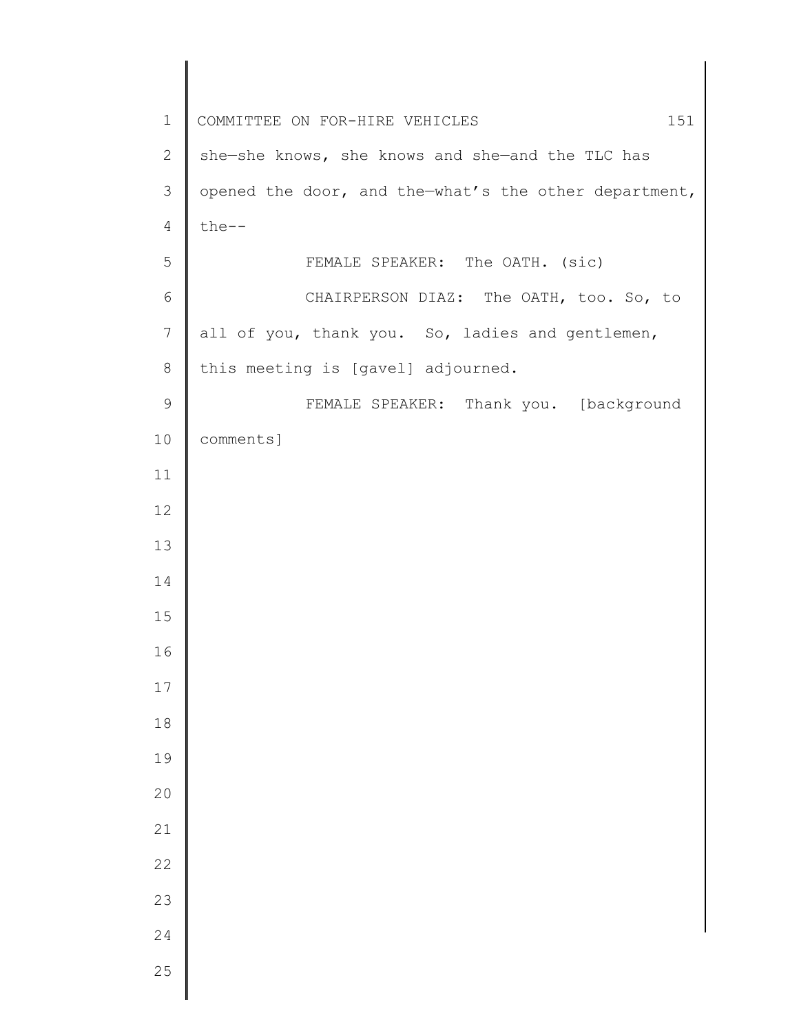| $1\,$          | 151<br>COMMITTEE ON FOR-HIRE VEHICLES                 |
|----------------|-------------------------------------------------------|
| $\mathbf{2}$   | she-she knows, she knows and she-and the TLC has      |
| $\mathcal{S}$  | opened the door, and the-what's the other department, |
| $\overline{4}$ | $the--$                                               |
| 5              | FEMALE SPEAKER: The OATH. (sic)                       |
| $\sqrt{6}$     | CHAIRPERSON DIAZ: The OATH, too. So, to               |
| $\overline{7}$ | all of you, thank you. So, ladies and gentlemen,      |
| $\,8\,$        | this meeting is [gavel] adjourned.                    |
| $\mathsf 9$    | FEMALE SPEAKER: Thank you. [background                |
| 10             | comments]                                             |
| 11             |                                                       |
| 12             |                                                       |
| 13             |                                                       |
| 14             |                                                       |
| 15             |                                                       |
| 16             |                                                       |
| 17             |                                                       |
| $1\,8$         |                                                       |
| 19             |                                                       |
| 20             |                                                       |
| 21             |                                                       |
| 22             |                                                       |
| 23             |                                                       |
| 24             |                                                       |
| 25             |                                                       |